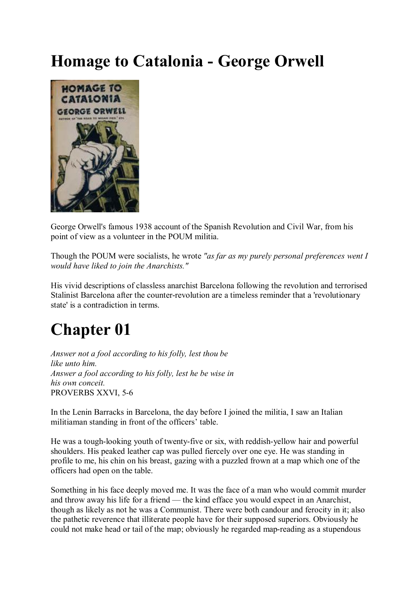#### **Homage to Catalonia - George Orwell**



George Orwell's famous 1938 account of the Spanish Revolution and Civil War, from his point of view as a volunteer in the POUM militia.

Though the POUM were socialists, he wrote *"as far as my purely personal preferences went I would have liked to join the Anarchists."*

His vivid descriptions of classless anarchist Barcelona following the revolution and terrorised Stalinist Barcelona after the counter-revolution are a timeless reminder that a 'revolutionary state' is a contradiction in terms.

## **Chapter 01**

*Answer not a fool according to his folly, lest thou be like unto him. Answer a fool according to his folly, lest he be wise in his own conceit.* PROVERBS XXVI, 5-6

In the Lenin Barracks in Barcelona, the day before I joined the militia, I saw an Italian militiaman standing in front of the officers' table.

He was a tough-looking youth of twenty-five or six, with reddish-yellow hair and powerful shoulders. His peaked leather cap was pulled fiercely over one eye. He was standing in profile to me, his chin on his breast, gazing with a puzzled frown at a map which one of the officers had open on the table.

Something in his face deeply moved me. It was the face of a man who would commit murder and throw away his life for a friend — the kind efface you would expect in an Anarchist, though as likely as not he was a Communist. There were both candour and ferocity in it; also the pathetic reverence that illiterate people have for their supposed superiors. Obviously he could not make head or tail of the map; obviously he regarded map-reading as a stupendous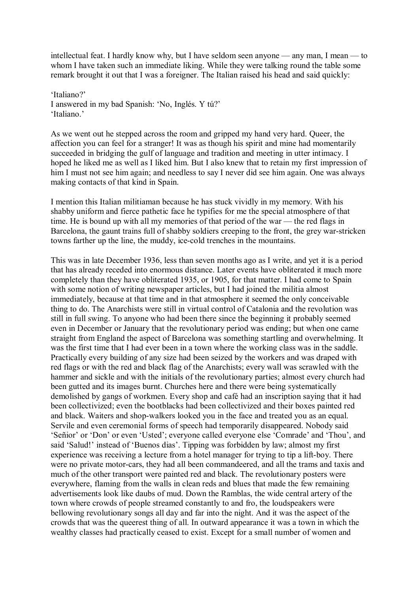intellectual feat. I hardly know why, but I have seldom seen anyone — any man, I mean — to whom I have taken such an immediate liking. While they were talking round the table some remark brought it out that I was a foreigner. The Italian raised his head and said quickly:

'Italiano?' I answered in my bad Spanish: 'No, Inglés. Y tú?' 'Italiano.'

As we went out he stepped across the room and gripped my hand very hard. Queer, the affection you can feel for a stranger! It was as though his spirit and mine had momentarily succeeded in bridging the gulf of language and tradition and meeting in utter intimacy. I hoped he liked me as well as I liked him. But I also knew that to retain my first impression of him I must not see him again; and needless to say I never did see him again. One was always making contacts of that kind in Spain.

I mention this Italian militiaman because he has stuck vividly in my memory. With his shabby uniform and fierce pathetic face he typifies for me the special atmosphere of that time. He is bound up with all my memories of that period of the war — the red flags in Barcelona, the gaunt trains full of shabby soldiers creeping to the front, the grey war-stricken towns farther up the line, the muddy, ice-cold trenches in the mountains.

This was in late December 1936, less than seven months ago as I write, and yet it is a period that has already receded into enormous distance. Later events have obliterated it much more completely than they have obliterated 1935, or 1905, for that matter. I had come to Spain with some notion of writing newspaper articles, but I had joined the militia almost immediately, because at that time and in that atmosphere it seemed the only conceivable thing to do. The Anarchists were still in virtual control of Catalonia and the revolution was still in full swing. To anyone who had been there since the beginning it probably seemed even in December or January that the revolutionary period was ending; but when one came straight from England the aspect of Barcelona was something startling and overwhelming. It was the first time that I had ever been in a town where the working class was in the saddle. Practically every building of any size had been seized by the workers and was draped with red flags or with the red and black flag of the Anarchists; every wall was scrawled with the hammer and sickle and with the initials of the revolutionary parties; almost every church had been gutted and its images burnt. Churches here and there were being systematically demolished by gangs of workmen. Every shop and café had an inscription saying that it had been collectivized; even the bootblacks had been collectivized and their boxes painted red and black. Waiters and shop-walkers looked you in the face and treated you as an equal. Servile and even ceremonial forms of speech had temporarily disappeared. Nobody said 'Señior' or 'Don' or even 'Usted'; everyone called everyone else 'Comrade' and 'Thou', and said 'Salud!' instead of 'Buenos dias'. Tipping was forbidden by law; almost my first experience was receiving a lecture from a hotel manager for trying to tip a lift-boy. There were no private motor-cars, they had all been commandeered, and all the trams and taxis and much of the other transport were painted red and black. The revolutionary posters were everywhere, flaming from the walls in clean reds and blues that made the few remaining advertisements look like daubs of mud. Down the Ramblas, the wide central artery of the town where crowds of people streamed constantly to and fro, the loudspeakers were bellowing revolutionary songs all day and far into the night. And it was the aspect of the crowds that was the queerest thing of all. In outward appearance it was a town in which the wealthy classes had practically ceased to exist. Except for a small number of women and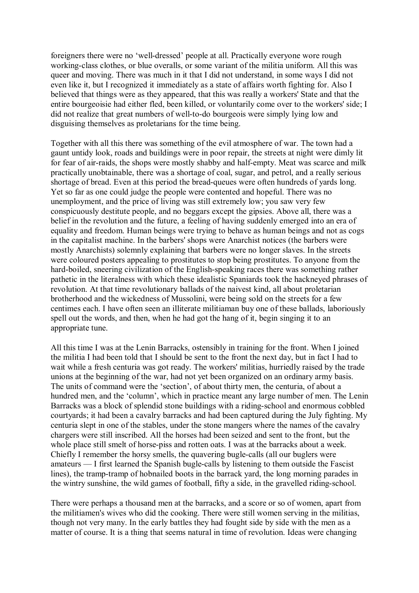foreigners there were no 'well-dressed' people at all. Practically everyone wore rough working-class clothes, or blue overalls, or some variant of the militia uniform. All this was queer and moving. There was much in it that I did not understand, in some ways I did not even like it, but I recognized it immediately as a state of affairs worth fighting for. Also I believed that things were as they appeared, that this was really a workers' State and that the entire bourgeoisie had either fled, been killed, or voluntarily come over to the workers' side; I did not realize that great numbers of well-to-do bourgeois were simply lying low and disguising themselves as proletarians for the time being.

Together with all this there was something of the evil atmosphere of war. The town had a gaunt untidy look, roads and buildings were in poor repair, the streets at night were dimly lit for fear of air-raids, the shops were mostly shabby and half-empty. Meat was scarce and milk practically unobtainable, there was a shortage of coal, sugar, and petrol, and a really serious shortage of bread. Even at this period the bread-queues were often hundreds of yards long. Yet so far as one could judge the people were contented and hopeful. There was no unemployment, and the price of living was still extremely low; you saw very few conspicuously destitute people, and no beggars except the gipsies. Above all, there was a belief in the revolution and the future, a feeling of having suddenly emerged into an era of equality and freedom. Human beings were trying to behave as human beings and not as cogs in the capitalist machine. In the barbers' shops were Anarchist notices (the barbers were mostly Anarchists) solemnly explaining that barbers were no longer slaves. In the streets were coloured posters appealing to prostitutes to stop being prostitutes. To anyone from the hard-boiled, sneering civilization of the English-speaking races there was something rather pathetic in the literalness with which these idealistic Spaniards took the hackneyed phrases of revolution. At that time revolutionary ballads of the naivest kind, all about proletarian brotherhood and the wickedness of Mussolini, were being sold on the streets for a few centimes each. I have often seen an illiterate militiaman buy one of these ballads, laboriously spell out the words, and then, when he had got the hang of it, begin singing it to an appropriate tune.

All this time I was at the Lenin Barracks, ostensibly in training for the front. When I joined the militia I had been told that I should be sent to the front the next day, but in fact I had to wait while a fresh centuria was got ready. The workers' militias, hurriedly raised by the trade unions at the beginning of the war, had not yet been organized on an ordinary army basis. The units of command were the 'section', of about thirty men, the centuria, of about a hundred men, and the 'column', which in practice meant any large number of men. The Lenin Barracks was a block of splendid stone buildings with a riding-school and enormous cobbled courtyards; it had been a cavalry barracks and had been captured during the July fighting. My centuria slept in one of the stables, under the stone mangers where the names of the cavalry chargers were still inscribed. All the horses had been seized and sent to the front, but the whole place still smelt of horse-piss and rotten oats. I was at the barracks about a week. Chiefly I remember the horsy smells, the quavering bugle-calls (all our buglers were amateurs — I first learned the Spanish bugle-calls by listening to them outside the Fascist lines), the tramp-tramp of hobnailed boots in the barrack yard, the long morning parades in the wintry sunshine, the wild games of football, fifty a side, in the gravelled riding-school.

There were perhaps a thousand men at the barracks, and a score or so of women, apart from the militiamen's wives who did the cooking. There were still women serving in the militias, though not very many. In the early battles they had fought side by side with the men as a matter of course. It is a thing that seems natural in time of revolution. Ideas were changing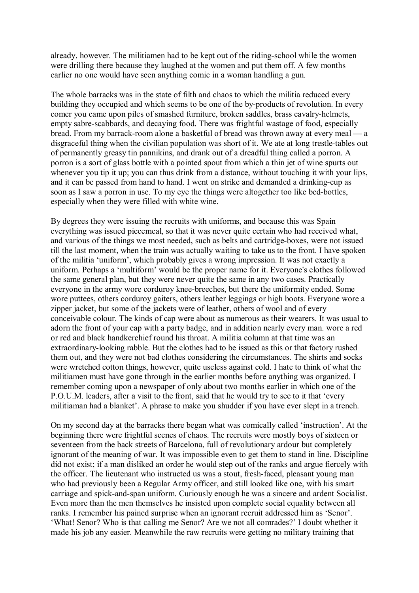already, however. The militiamen had to be kept out of the riding-school while the women were drilling there because they laughed at the women and put them off. A few months earlier no one would have seen anything comic in a woman handling a gun.

The whole barracks was in the state of filth and chaos to which the militia reduced every building they occupied and which seems to be one of the by-products of revolution. In every comer you came upon piles of smashed furniture, broken saddles, brass cavalry-helmets, empty sabre-scabbards, and decaying food. There was frightful wastage of food, especially bread. From my barrack-room alone a basketful of bread was thrown away at every meal — a disgraceful thing when the civilian population was short of it. We ate at long trestle-tables out of permanently greasy tin pannikins, and drank out of a dreadful thing called a porron. A porron is a sort of glass bottle with a pointed spout from which a thin jet of wine spurts out whenever you tip it up; you can thus drink from a distance, without touching it with your lips, and it can be passed from hand to hand. I went on strike and demanded a drinking-cup as soon as I saw a porron in use. To my eye the things were altogether too like bed-bottles, especially when they were filled with white wine.

By degrees they were issuing the recruits with uniforms, and because this was Spain everything was issued piecemeal, so that it was never quite certain who had received what, and various of the things we most needed, such as belts and cartridge-boxes, were not issued till the last moment, when the train was actually waiting to take us to the front. I have spoken of the militia 'uniform', which probably gives a wrong impression. It was not exactly a uniform. Perhaps a 'multiform' would be the proper name for it. Everyone's clothes followed the same general plan, but they were never quite the same in any two cases. Practically everyone in the army wore corduroy knee-breeches, but there the uniformity ended. Some wore puttees, others corduroy gaiters, others leather leggings or high boots. Everyone wore a zipper jacket, but some of the jackets were of leather, others of wool and of every conceivable colour. The kinds of cap were about as numerous as their wearers. It was usual to adorn the front of your cap with a party badge, and in addition nearly every man. wore a red or red and black handkerchief round his throat. A militia column at that time was an extraordinary-looking rabble. But the clothes had to be issued as this or that factory rushed them out, and they were not bad clothes considering the circumstances. The shirts and socks were wretched cotton things, however, quite useless against cold. I hate to think of what the militiamen must have gone through in the earlier months before anything was organized. I remember coming upon a newspaper of only about two months earlier in which one of the P.O.U.M. leaders, after a visit to the front, said that he would try to see to it that 'every militiaman had a blanket'. A phrase to make you shudder if you have ever slept in a trench.

On my second day at the barracks there began what was comically called 'instruction'. At the beginning there were frightful scenes of chaos. The recruits were mostly boys of sixteen or seventeen from the back streets of Barcelona, full of revolutionary ardour but completely ignorant of the meaning of war. It was impossible even to get them to stand in line. Discipline did not exist; if a man disliked an order he would step out of the ranks and argue fiercely with the officer. The lieutenant who instructed us was a stout, fresh-faced, pleasant young man who had previously been a Regular Army officer, and still looked like one, with his smart carriage and spick-and-span uniform. Curiously enough he was a sincere and ardent Socialist. Even more than the men themselves he insisted upon complete social equality between all ranks. I remember his pained surprise when an ignorant recruit addressed him as 'Senor'. 'What! Senor? Who is that calling me Senor? Are we not all comrades?' I doubt whether it made his job any easier. Meanwhile the raw recruits were getting no military training that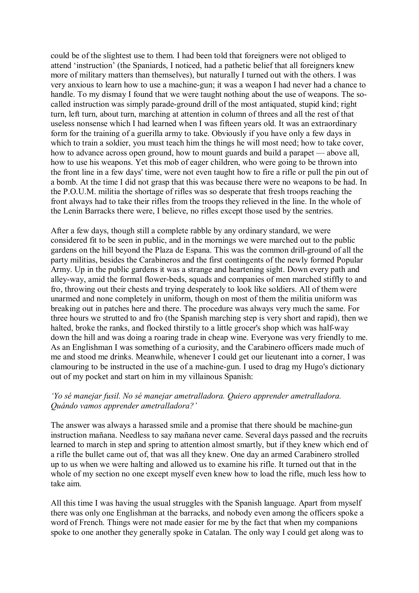could be of the slightest use to them. I had been told that foreigners were not obliged to attend 'instruction' (the Spaniards, I noticed, had a pathetic belief that all foreigners knew more of military matters than themselves), but naturally I turned out with the others. I was very anxious to learn how to use a machine-gun; it was a weapon I had never had a chance to handle. To my dismay I found that we were taught nothing about the use of weapons. The socalled instruction was simply parade-ground drill of the most antiquated, stupid kind; right turn, left turn, about turn, marching at attention in column of threes and all the rest of that useless nonsense which I had learned when I was fifteen years old. It was an extraordinary form for the training of a guerilla army to take. Obviously if you have only a few days in which to train a soldier, you must teach him the things he will most need; how to take cover, how to advance across open ground, how to mount guards and build a parapet — above all, how to use his weapons. Yet this mob of eager children, who were going to be thrown into the front line in a few days' time, were not even taught how to fire a rifle or pull the pin out of a bomb. At the time I did not grasp that this was because there were no weapons to be had. In the P.O.U.M. militia the shortage of rifles was so desperate that fresh troops reaching the front always had to take their rifles from the troops they relieved in the line. In the whole of the Lenin Barracks there were, I believe, no rifles except those used by the sentries.

After a few days, though still a complete rabble by any ordinary standard, we were considered fit to be seen in public, and in the mornings we were marched out to the public gardens on the hill beyond the Plaza de Espana. This was the common drill-ground of all the party militias, besides the Carabineros and the first contingents of the newly formed Popular Army. Up in the public gardens it was a strange and heartening sight. Down every path and alley-way, amid the formal flower-beds, squads and companies of men marched stiffly to and fro, throwing out their chests and trying desperately to look like soldiers. All of them were unarmed and none completely in uniform, though on most of them the militia uniform was breaking out in patches here and there. The procedure was always very much the same. For three hours we strutted to and fro (the Spanish marching step is very short and rapid), then we halted, broke the ranks, and flocked thirstily to a little grocer's shop which was half-way down the hill and was doing a roaring trade in cheap wine. Everyone was very friendly to me. As an Englishman I was something of a curiosity, and the Carabinero officers made much of me and stood me drinks. Meanwhile, whenever I could get our lieutenant into a corner, I was clamouring to be instructed in the use of a machine-gun. I used to drag my Hugo's dictionary out of my pocket and start on him in my villainous Spanish:

#### *'Yo sé manejar fusil. No sé manejar ametralladora. Quiero apprender ametralladora. Quándo vamos apprender ametralladora?'*

The answer was always a harassed smile and a promise that there should be machine-gun instruction mañana. Needless to say mañana never came. Several days passed and the recruits learned to march in step and spring to attention almost smartly, but if they knew which end of a rifle the bullet came out of, that was all they knew. One day an armed Carabinero strolled up to us when we were halting and allowed us to examine his rifle. It turned out that in the whole of my section no one except myself even knew how to load the rifle, much less how to take aim.

All this time I was having the usual struggles with the Spanish language. Apart from myself there was only one Englishman at the barracks, and nobody even among the officers spoke a word of French. Things were not made easier for me by the fact that when my companions spoke to one another they generally spoke in Catalan. The only way I could get along was to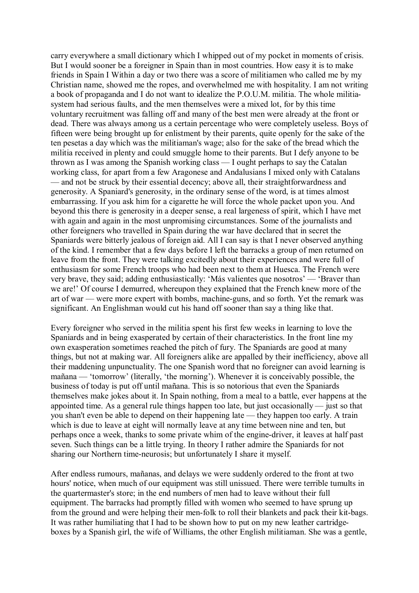carry everywhere a small dictionary which I whipped out of my pocket in moments of crisis. But I would sooner be a foreigner in Spain than in most countries. How easy it is to make friends in Spain I Within a day or two there was a score of militiamen who called me by my Christian name, showed me the ropes, and overwhelmed me with hospitality. I am not writing a book of propaganda and I do not want to idealize the P.O.U.M. militia. The whole militiasystem had serious faults, and the men themselves were a mixed lot, for by this time voluntary recruitment was falling off and many of the best men were already at the front or dead. There was always among us a certain percentage who were completely useless. Boys of fifteen were being brought up for enlistment by their parents, quite openly for the sake of the ten pesetas a day which was the militiaman's wage; also for the sake of the bread which the militia received in plenty and could smuggle home to their parents. But I defy anyone to be thrown as I was among the Spanish working class — I ought perhaps to say the Catalan working class, for apart from a few Aragonese and Andalusians I mixed only with Catalans — and not be struck by their essential decency; above all, their straightforwardness and generosity. A Spaniard's generosity, in the ordinary sense of the word, is at times almost embarrassing. If you ask him for a cigarette he will force the whole packet upon you. And beyond this there is generosity in a deeper sense, a real largeness of spirit, which I have met with again and again in the most unpromising circumstances. Some of the journalists and other foreigners who travelled in Spain during the war have declared that in secret the Spaniards were bitterly jealous of foreign aid. All I can say is that I never observed anything of the kind. I remember that a few days before I left the barracks a group of men returned on leave from the front. They were talking excitedly about their experiences and were full of enthusiasm for some French troops who had been next to them at Huesca. The French were very brave, they said; adding enthusiastically: 'Más valientes que nosotros' — 'Braver than we are!' Of course I demurred, whereupon they explained that the French knew more of the art of war — were more expert with bombs, machine-guns, and so forth. Yet the remark was significant. An Englishman would cut his hand off sooner than say a thing like that.

Every foreigner who served in the militia spent his first few weeks in learning to love the Spaniards and in being exasperated by certain of their characteristics. In the front line my own exasperation sometimes reached the pitch of fury. The Spaniards are good at many things, but not at making war. All foreigners alike are appalled by their inefficiency, above all their maddening unpunctuality. The one Spanish word that no foreigner can avoid learning is mañana — 'tomorrow' (literally, 'the morning'). Whenever it is conceivably possible, the business of today is put off until mañana. This is so notorious that even the Spaniards themselves make jokes about it. In Spain nothing, from a meal to a battle, ever happens at the appointed time. As a general rule things happen too late, but just occasionally — just so that you shan't even be able to depend on their happening late — they happen too early. A train which is due to leave at eight will normally leave at any time between nine and ten, but perhaps once a week, thanks to some private whim of the engine-driver, it leaves at half past seven. Such things can be a little trying. In theory I rather admire the Spaniards for not sharing our Northern time-neurosis; but unfortunately I share it myself.

After endless rumours, mañanas, and delays we were suddenly ordered to the front at two hours' notice, when much of our equipment was still unissued. There were terrible tumults in the quartermaster's store; in the end numbers of men had to leave without their full equipment. The barracks had promptly filled with women who seemed to have sprung up from the ground and were helping their men-folk to roll their blankets and pack their kit-bags. It was rather humiliating that I had to be shown how to put on my new leather cartridgeboxes by a Spanish girl, the wife of Williams, the other English militiaman. She was a gentle,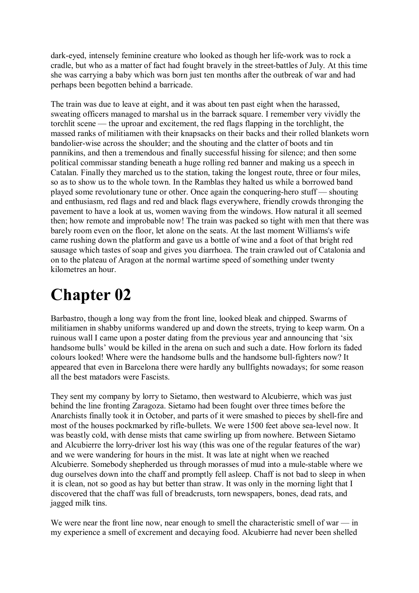dark-eyed, intensely feminine creature who looked as though her life-work was to rock a cradle, but who as a matter of fact had fought bravely in the street-battles of July. At this time she was carrying a baby which was born just ten months after the outbreak of war and had perhaps been begotten behind a barricade.

The train was due to leave at eight, and it was about ten past eight when the harassed, sweating officers managed to marshal us in the barrack square. I remember very vividly the torchlit scene — the uproar and excitement, the red flags flapping in the torchlight, the massed ranks of militiamen with their knapsacks on their backs and their rolled blankets worn bandolier-wise across the shoulder; and the shouting and the clatter of boots and tin pannikins, and then a tremendous and finally successful hissing for silence; and then some political commissar standing beneath a huge rolling red banner and making us a speech in Catalan. Finally they marched us to the station, taking the longest route, three or four miles, so as to show us to the whole town. In the Ramblas they halted us while a borrowed band played some revolutionary tune or other. Once again the conquering-hero stuff — shouting and enthusiasm, red flags and red and black flags everywhere, friendly crowds thronging the pavement to have a look at us, women waving from the windows. How natural it all seemed then; how remote and improbable now! The train was packed so tight with men that there was barely room even on the floor, let alone on the seats. At the last moment Williams's wife came rushing down the platform and gave us a bottle of wine and a foot of that bright red sausage which tastes of soap and gives you diarrhoea. The train crawled out of Catalonia and on to the plateau of Aragon at the normal wartime speed of something under twenty kilometres an hour.

## **Chapter 02**

Barbastro, though a long way from the front line, looked bleak and chipped. Swarms of militiamen in shabby uniforms wandered up and down the streets, trying to keep warm. On a ruinous wall I came upon a poster dating from the previous year and announcing that 'six handsome bulls' would be killed in the arena on such and such a date. How forlorn its faded colours looked! Where were the handsome bulls and the handsome bull-fighters now? It appeared that even in Barcelona there were hardly any bullfights nowadays; for some reason all the best matadors were Fascists.

They sent my company by lorry to Sietamo, then westward to Alcubierre, which was just behind the line fronting Zaragoza. Sietamo had been fought over three times before the Anarchists finally took it in October, and parts of it were smashed to pieces by shell-fire and most of the houses pockmarked by rifle-bullets. We were 1500 feet above sea-level now. It was beastly cold, with dense mists that came swirling up from nowhere. Between Sietamo and Alcubierre the lorry-driver lost his way (this was one of the regular features of the war) and we were wandering for hours in the mist. It was late at night when we reached Alcubierre. Somebody shepherded us through morasses of mud into a mule-stable where we dug ourselves down into the chaff and promptly fell asleep. Chaff is not bad to sleep in when it is clean, not so good as hay but better than straw. It was only in the morning light that I discovered that the chaff was full of breadcrusts, torn newspapers, bones, dead rats, and jagged milk tins.

We were near the front line now, near enough to smell the characteristic smell of war — in my experience a smell of excrement and decaying food. Alcubierre had never been shelled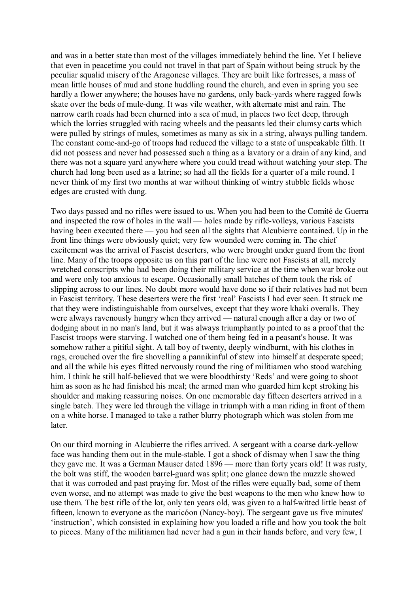and was in a better state than most of the villages immediately behind the line. Yet I believe that even in peacetime you could not travel in that part of Spain without being struck by the peculiar squalid misery of the Aragonese villages. They are built like fortresses, a mass of mean little houses of mud and stone huddling round the church, and even in spring you see hardly a flower anywhere; the houses have no gardens, only back-yards where ragged fowls skate over the beds of mule-dung. It was vile weather, with alternate mist and rain. The narrow earth roads had been churned into a sea of mud, in places two feet deep, through which the lorries struggled with racing wheels and the peasants led their clumsy carts which were pulled by strings of mules, sometimes as many as six in a string, always pulling tandem. The constant come-and-go of troops had reduced the village to a state of unspeakable filth. It did not possess and never had possessed such a thing as a lavatory or a drain of any kind, and there was not a square yard anywhere where you could tread without watching your step. The church had long been used as a latrine; so had all the fields for a quarter of a mile round. I never think of my first two months at war without thinking of wintry stubble fields whose edges are crusted with dung.

Two days passed and no rifles were issued to us. When you had been to the Comité de Guerra and inspected the row of holes in the wall — holes made by rifle-volleys, various Fascists having been executed there — you had seen all the sights that Alcubierre contained. Up in the front line things were obviously quiet; very few wounded were coming in. The chief excitement was the arrival of Fascist deserters, who were brought under guard from the front line. Many of the troops opposite us on this part of the line were not Fascists at all, merely wretched conscripts who had been doing their military service at the time when war broke out and were only too anxious to escape. Occasionally small batches of them took the risk of slipping across to our lines. No doubt more would have done so if their relatives had not been in Fascist territory. These deserters were the first 'real' Fascists I had ever seen. It struck me that they were indistinguishable from ourselves, except that they wore khaki overalls. They were always ravenously hungry when they arrived — natural enough after a day or two of dodging about in no man's land, but it was always triumphantly pointed to as a proof that the Fascist troops were starving. I watched one of them being fed in a peasant's house. It was somehow rather a pitiful sight. A tall boy of twenty, deeply windburnt, with his clothes in rags, crouched over the fire shovelling a pannikinful of stew into himself at desperate speed; and all the while his eyes flitted nervously round the ring of militiamen who stood watching him. I think he still half-believed that we were bloodthirsty 'Reds' and were going to shoot him as soon as he had finished his meal; the armed man who guarded him kept stroking his shoulder and making reassuring noises. On one memorable day fifteen deserters arrived in a single batch. They were led through the village in triumph with a man riding in front of them on a white horse. I managed to take a rather blurry photograph which was stolen from me **later** 

On our third morning in Alcubierre the rifles arrived. A sergeant with a coarse dark-yellow face was handing them out in the mule-stable. I got a shock of dismay when I saw the thing they gave me. It was a German Mauser dated 1896 — more than forty years old! It was rusty, the bolt was stiff, the wooden barrel-guard was split; one glance down the muzzle showed that it was corroded and past praying for. Most of the rifles were equally bad, some of them even worse, and no attempt was made to give the best weapons to the men who knew how to use them. The best rifle of the lot, only ten years old, was given to a half-witted little beast of fifteen, known to everyone as the maricóon (Nancy-boy). The sergeant gave us five minutes' 'instruction', which consisted in explaining how you loaded a rifle and how you took the bolt to pieces. Many of the militiamen had never had a gun in their hands before, and very few, I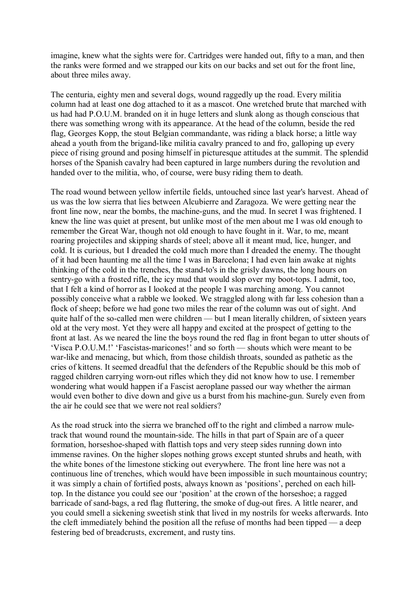imagine, knew what the sights were for. Cartridges were handed out, fifty to a man, and then the ranks were formed and we strapped our kits on our backs and set out for the front line, about three miles away.

The centuria, eighty men and several dogs, wound raggedly up the road. Every militia column had at least one dog attached to it as a mascot. One wretched brute that marched with us had had P.O.U.M. branded on it in huge letters and slunk along as though conscious that there was something wrong with its appearance. At the head of the column, beside the red flag, Georges Kopp, the stout Belgian commandante, was riding a black horse; a little way ahead a youth from the brigand-like militia cavalry pranced to and fro, galloping up every piece of rising ground and posing himself in picturesque attitudes at the summit. The splendid horses of the Spanish cavalry had been captured in large numbers during the revolution and handed over to the militia, who, of course, were busy riding them to death.

The road wound between yellow infertile fields, untouched since last year's harvest. Ahead of us was the low sierra that lies between Alcubierre and Zaragoza. We were getting near the front line now, near the bombs, the machine-guns, and the mud. In secret I was frightened. I knew the line was quiet at present, but unlike most of the men about me I was old enough to remember the Great War, though not old enough to have fought in it. War, to me, meant roaring projectiles and skipping shards of steel; above all it meant mud, lice, hunger, and cold. It is curious, but I dreaded the cold much more than I dreaded the enemy. The thought of it had been haunting me all the time I was in Barcelona; I had even lain awake at nights thinking of the cold in the trenches, the stand-to's in the grisly dawns, the long hours on sentry-go with a frosted rifle, the icy mud that would slop over my boot-tops. I admit, too, that I felt a kind of horror as I looked at the people I was marching among. You cannot possibly conceive what a rabble we looked. We straggled along with far less cohesion than a flock of sheep; before we had gone two miles the rear of the column was out of sight. And quite half of the so-called men were children — but I mean literally children, of sixteen years old at the very most. Yet they were all happy and excited at the prospect of getting to the front at last. As we neared the line the boys round the red flag in front began to utter shouts of 'Visca P.O.U.M.!' 'Fascistas-maricones!' and so forth — shouts which were meant to be war-like and menacing, but which, from those childish throats, sounded as pathetic as the cries of kittens. It seemed dreadful that the defenders of the Republic should be this mob of ragged children carrying worn-out rifles which they did not know how to use. I remember wondering what would happen if a Fascist aeroplane passed our way whether the airman would even bother to dive down and give us a burst from his machine-gun. Surely even from the air he could see that we were not real soldiers?

As the road struck into the sierra we branched off to the right and climbed a narrow muletrack that wound round the mountain-side. The hills in that part of Spain are of a queer formation, horseshoe-shaped with flattish tops and very steep sides running down into immense ravines. On the higher slopes nothing grows except stunted shrubs and heath, with the white bones of the limestone sticking out everywhere. The front line here was not a continuous line of trenches, which would have been impossible in such mountainous country; it was simply a chain of fortified posts, always known as 'positions', perched on each hilltop. In the distance you could see our 'position' at the crown of the horseshoe; a ragged barricade of sand-bags, a red flag fluttering, the smoke of dug-out fires. A little nearer, and you could smell a sickening sweetish stink that lived in my nostrils for weeks afterwards. Into the cleft immediately behind the position all the refuse of months had been tipped — a deep festering bed of breadcrusts, excrement, and rusty tins.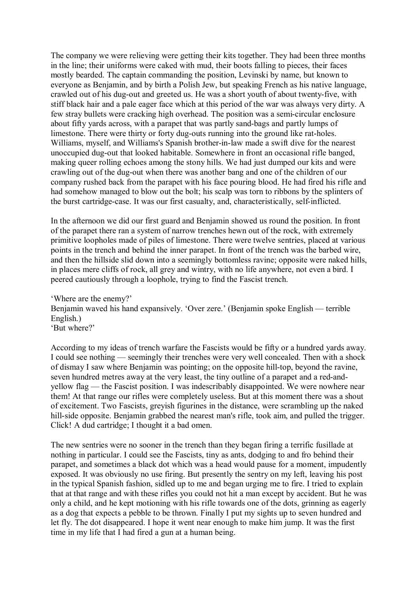The company we were relieving were getting their kits together. They had been three months in the line; their uniforms were caked with mud, their boots falling to pieces, their faces mostly bearded. The captain commanding the position, Levinski by name, but known to everyone as Benjamin, and by birth a Polish Jew, but speaking French as his native language, crawled out of his dug-out and greeted us. He was a short youth of about twenty-five, with stiff black hair and a pale eager face which at this period of the war was always very dirty. A few stray bullets were cracking high overhead. The position was a semi-circular enclosure about fifty yards across, with a parapet that was partly sand-bags and partly lumps of limestone. There were thirty or forty dug-outs running into the ground like rat-holes. Williams, myself, and Williams's Spanish brother-in-law made a swift dive for the nearest unoccupied dug-out that looked habitable. Somewhere in front an occasional rifle banged, making queer rolling echoes among the stony hills. We had just dumped our kits and were crawling out of the dug-out when there was another bang and one of the children of our company rushed back from the parapet with his face pouring blood. He had fired his rifle and had somehow managed to blow out the bolt; his scalp was torn to ribbons by the splinters of the burst cartridge-case. It was our first casualty, and, characteristically, self-inflicted.

In the afternoon we did our first guard and Benjamin showed us round the position. In front of the parapet there ran a system of narrow trenches hewn out of the rock, with extremely primitive loopholes made of piles of limestone. There were twelve sentries, placed at various points in the trench and behind the inner parapet. In front of the trench was the barbed wire, and then the hillside slid down into a seemingly bottomless ravine; opposite were naked hills, in places mere cliffs of rock, all grey and wintry, with no life anywhere, not even a bird. I peered cautiously through a loophole, trying to find the Fascist trench.

'Where are the enemy?' Benjamin waved his hand expansively. 'Over zere.' (Benjamin spoke English — terrible English.) 'But where?'

According to my ideas of trench warfare the Fascists would be fifty or a hundred yards away. I could see nothing — seemingly their trenches were very well concealed. Then with a shock of dismay I saw where Benjamin was pointing; on the opposite hill-top, beyond the ravine, seven hundred metres away at the very least, the tiny outline of a parapet and a red-andyellow flag — the Fascist position. I was indescribably disappointed. We were nowhere near them! At that range our rifles were completely useless. But at this moment there was a shout of excitement. Two Fascists, greyish figurines in the distance, were scrambling up the naked hill-side opposite. Benjamin grabbed the nearest man's rifle, took aim, and pulled the trigger. Click! A dud cartridge; I thought it a bad omen.

The new sentries were no sooner in the trench than they began firing a terrific fusillade at nothing in particular. I could see the Fascists, tiny as ants, dodging to and fro behind their parapet, and sometimes a black dot which was a head would pause for a moment, impudently exposed. It was obviously no use firing. But presently the sentry on my left, leaving his post in the typical Spanish fashion, sidled up to me and began urging me to fire. I tried to explain that at that range and with these rifles you could not hit a man except by accident. But he was only a child, and he kept motioning with his rifle towards one of the dots, grinning as eagerly as a dog that expects a pebble to be thrown. Finally I put my sights up to seven hundred and let fly. The dot disappeared. I hope it went near enough to make him jump. It was the first time in my life that I had fired a gun at a human being.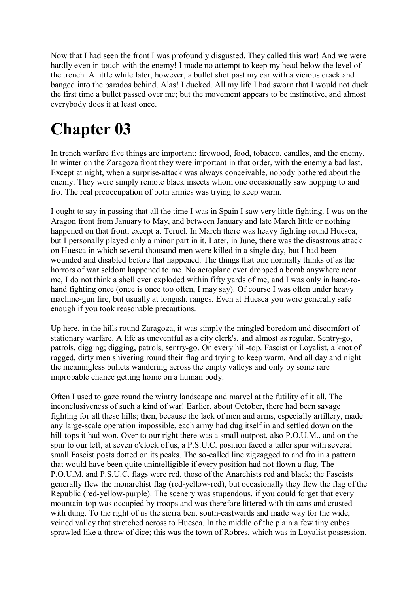Now that I had seen the front I was profoundly disgusted. They called this war! And we were hardly even in touch with the enemy! I made no attempt to keep my head below the level of the trench. A little while later, however, a bullet shot past my ear with a vicious crack and banged into the parados behind. Alas! I ducked. All my life I had sworn that I would not duck the first time a bullet passed over me; but the movement appears to be instinctive, and almost everybody does it at least once.

## **Chapter 03**

In trench warfare five things are important: firewood, food, tobacco, candles, and the enemy. In winter on the Zaragoza front they were important in that order, with the enemy a bad last. Except at night, when a surprise-attack was always conceivable, nobody bothered about the enemy. They were simply remote black insects whom one occasionally saw hopping to and fro. The real preoccupation of both armies was trying to keep warm.

I ought to say in passing that all the time I was in Spain I saw very little fighting. I was on the Aragon front from January to May, and between January and late March little or nothing happened on that front, except at Teruel. In March there was heavy fighting round Huesca, but I personally played only a minor part in it. Later, in June, there was the disastrous attack on Huesca in which several thousand men were killed in a single day, but I had been wounded and disabled before that happened. The things that one normally thinks of as the horrors of war seldom happened to me. No aeroplane ever dropped a bomb anywhere near me, I do not think a shell ever exploded within fifty yards of me, and I was only in hand-tohand fighting once (once is once too often, I may say). Of course I was often under heavy machine-gun fire, but usually at longish. ranges. Even at Huesca you were generally safe enough if you took reasonable precautions.

Up here, in the hills round Zaragoza, it was simply the mingled boredom and discomfort of stationary warfare. A life as uneventful as a city clerk's, and almost as regular. Sentry-go, patrols, digging; digging, patrols, sentry-go. On every hill-top. Fascist or Loyalist, a knot of ragged, dirty men shivering round their flag and trying to keep warm. And all day and night the meaningless bullets wandering across the empty valleys and only by some rare improbable chance getting home on a human body.

Often I used to gaze round the wintry landscape and marvel at the futility of it all. The inconclusiveness of such a kind of war! Earlier, about October, there had been savage fighting for all these hills; then, because the lack of men and arms, especially artillery, made any large-scale operation impossible, each army had dug itself in and settled down on the hill-tops it had won. Over to our right there was a small outpost, also P.O.U.M., and on the spur to our left, at seven o'clock of us, a P.S.U.C. position faced a taller spur with several small Fascist posts dotted on its peaks. The so-called line zigzagged to and fro in a pattern that would have been quite unintelligible if every position had not flown a flag. The P.O.U.M. and P.S.U.C. flags were red, those of the Anarchists red and black; the Fascists generally flew the monarchist flag (red-yellow-red), but occasionally they flew the flag of the Republic (red-yellow-purple). The scenery was stupendous, if you could forget that every mountain-top was occupied by troops and was therefore littered with tin cans and crusted with dung. To the right of us the sierra bent south-eastwards and made way for the wide, veined valley that stretched across to Huesca. In the middle of the plain a few tiny cubes sprawled like a throw of dice; this was the town of Robres, which was in Loyalist possession.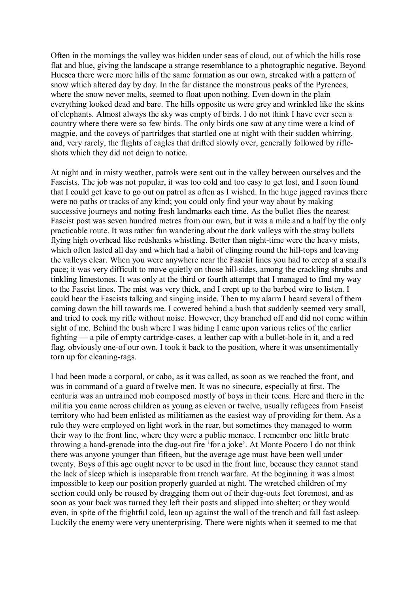Often in the mornings the valley was hidden under seas of cloud, out of which the hills rose flat and blue, giving the landscape a strange resemblance to a photographic negative. Beyond Huesca there were more hills of the same formation as our own, streaked with a pattern of snow which altered day by day. In the far distance the monstrous peaks of the Pyrenees, where the snow never melts, seemed to float upon nothing. Even down in the plain everything looked dead and bare. The hills opposite us were grey and wrinkled like the skins of elephants. Almost always the sky was empty of birds. I do not think I have ever seen a country where there were so few birds. The only birds one saw at any time were a kind of magpie, and the coveys of partridges that startled one at night with their sudden whirring, and, very rarely, the flights of eagles that drifted slowly over, generally followed by rifleshots which they did not deign to notice.

At night and in misty weather, patrols were sent out in the valley between ourselves and the Fascists. The job was not popular, it was too cold and too easy to get lost, and I soon found that I could get leave to go out on patrol as often as I wished. In the huge jagged ravines there were no paths or tracks of any kind; you could only find your way about by making successive journeys and noting fresh landmarks each time. As the bullet flies the nearest Fascist post was seven hundred metres from our own, but it was a mile and a half by the only practicable route. It was rather fun wandering about the dark valleys with the stray bullets flying high overhead like redshanks whistling. Better than night-time were the heavy mists, which often lasted all day and which had a habit of clinging round the hill-tops and leaving the valleys clear. When you were anywhere near the Fascist lines you had to creep at a snail's pace; it was very difficult to move quietly on those hill-sides, among the crackling shrubs and tinkling limestones. It was only at the third or fourth attempt that I managed to find my way to the Fascist lines. The mist was very thick, and I crept up to the barbed wire to listen. I could hear the Fascists talking and singing inside. Then to my alarm I heard several of them coming down the hill towards me. I cowered behind a bush that suddenly seemed very small, and tried to cock my rifle without noise. However, they branched off and did not come within sight of me. Behind the bush where I was hiding I came upon various relics of the earlier fighting — a pile of empty cartridge-cases, a leather cap with a bullet-hole in it, and a red flag, obviously one-of our own. I took it back to the position, where it was unsentimentally torn up for cleaning-rags.

I had been made a corporal, or cabo, as it was called, as soon as we reached the front, and was in command of a guard of twelve men. It was no sinecure, especially at first. The centuria was an untrained mob composed mostly of boys in their teens. Here and there in the militia you came across children as young as eleven or twelve, usually refugees from Fascist territory who had been enlisted as militiamen as the easiest way of providing for them. As a rule they were employed on light work in the rear, but sometimes they managed to worm their way to the front line, where they were a public menace. I remember one little brute throwing a hand-grenade into the dug-out fire 'for a joke'. At Monte Pocero I do not think there was anyone younger than fifteen, but the average age must have been well under twenty. Boys of this age ought never to be used in the front line, because they cannot stand the lack of sleep which is inseparable from trench warfare. At the beginning it was almost impossible to keep our position properly guarded at night. The wretched children of my section could only be roused by dragging them out of their dug-outs feet foremost, and as soon as your back was turned they left their posts and slipped into shelter; or they would even, in spite of the frightful cold, lean up against the wall of the trench and fall fast asleep. Luckily the enemy were very unenterprising. There were nights when it seemed to me that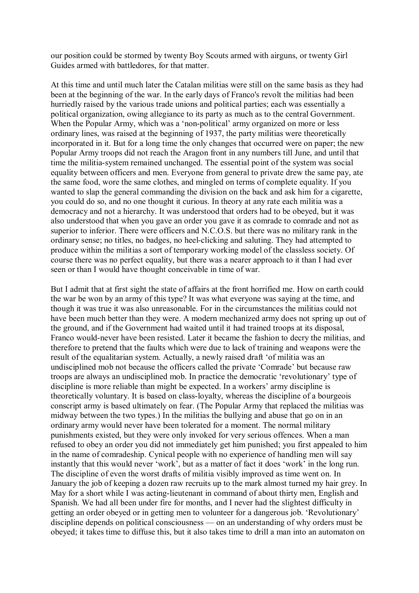our position could be stormed by twenty Boy Scouts armed with airguns, or twenty Girl Guides armed with battledores, for that matter.

At this time and until much later the Catalan militias were still on the same basis as they had been at the beginning of the war. In the early days of Franco's revolt the militias had been hurriedly raised by the various trade unions and political parties; each was essentially a political organization, owing allegiance to its party as much as to the central Government. When the Popular Army, which was a 'non-political' army organized on more or less ordinary lines, was raised at the beginning of 1937, the party militias were theoretically incorporated in it. But for a long time the only changes that occurred were on paper; the new Popular Army troops did not reach the Aragon front in any numbers till June, and until that time the militia-system remained unchanged. The essential point of the system was social equality between officers and men. Everyone from general to private drew the same pay, ate the same food, wore the same clothes, and mingled on terms of complete equality. If you wanted to slap the general commanding the division on the back and ask him for a cigarette, you could do so, and no one thought it curious. In theory at any rate each militia was a democracy and not a hierarchy. It was understood that orders had to be obeyed, but it was also understood that when you gave an order you gave it as comrade to comrade and not as superior to inferior. There were officers and N.C.O.S. but there was no military rank in the ordinary sense; no titles, no badges, no heel-clicking and saluting. They had attempted to produce within the militias a sort of temporary working model of the classless society. Of course there was no perfect equality, but there was a nearer approach to it than I had ever seen or than I would have thought conceivable in time of war.

But I admit that at first sight the state of affairs at the front horrified me. How on earth could the war be won by an army of this type? It was what everyone was saying at the time, and though it was true it was also unreasonable. For in the circumstances the militias could not have been much better than they were. A modern mechanized army does not spring up out of the ground, and if the Government had waited until it had trained troops at its disposal, Franco would-never have been resisted. Later it became the fashion to decry the militias, and therefore to pretend that the faults which were due to lack of training and weapons were the result of the equalitarian system. Actually, a newly raised draft 'of militia was an undisciplined mob not because the officers called the private 'Comrade' but because raw troops are always an undisciplined mob. In practice the democratic 'revolutionary' type of discipline is more reliable than might be expected. In a workers' army discipline is theoretically voluntary. It is based on class-loyalty, whereas the discipline of a bourgeois conscript army is based ultimately on fear. (The Popular Army that replaced the militias was midway between the two types.) In the militias the bullying and abuse that go on in an ordinary army would never have been tolerated for a moment. The normal military punishments existed, but they were only invoked for very serious offences. When a man refused to obey an order you did not immediately get him punished; you first appealed to him in the name of comradeship. Cynical people with no experience of handling men will say instantly that this would never 'work', but as a matter of fact it does 'work' in the long run. The discipline of even the worst drafts of militia visibly improved as time went on. In January the job of keeping a dozen raw recruits up to the mark almost turned my hair grey. In May for a short while I was acting-lieutenant in command of about thirty men, English and Spanish. We had all been under fire for months, and I never had the slightest difficulty in getting an order obeyed or in getting men to volunteer for a dangerous job. 'Revolutionary' discipline depends on political consciousness — on an understanding of why orders must be obeyed; it takes time to diffuse this, but it also takes time to drill a man into an automaton on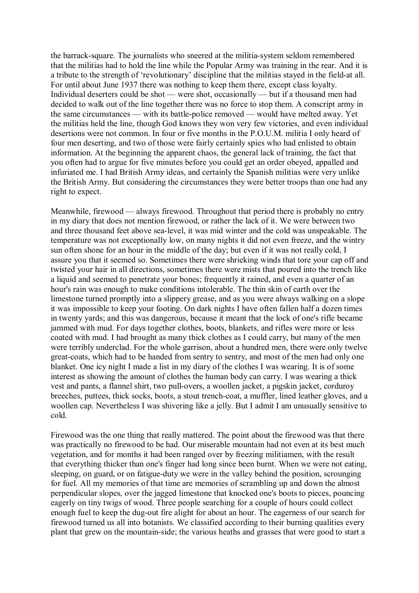the barrack-square. The journalists who sneered at the militia-system seldom remembered that the militias had to hold the line while the Popular Army was training in the rear. And it is a tribute to the strength of 'revolutionary' discipline that the militias stayed in the field-at all. For until about June 1937 there was nothing to keep them there, except class loyalty. Individual deserters could be shot — were shot, occasionally — but if a thousand men had decided to walk out of the line together there was no force to stop them. A conscript army in the same circumstances — with its battle-police removed — would have melted away. Yet the militias held the line, though God knows they won very few victories, and even individual desertions were not common. In four or five months in the P.O.U.M. militia I only heard of four men deserting, and two of those were fairly certainly spies who had enlisted to obtain information. At the beginning the apparent chaos, the general lack of training, the fact that you often had to argue for five minutes before you could get an order obeyed, appalled and infuriated me. I had British Army ideas, and certainly the Spanish militias were very unlike the British Army. But considering the circumstances they were better troops than one had any right to expect.

Meanwhile, firewood — always firewood. Throughout that period there is probably no entry in my diary that does not mention firewood, or rather the lack of it. We were between two and three thousand feet above sea-level, it was mid winter and the cold was unspeakable. The temperature was not exceptionally low, on many nights it did not even freeze, and the wintry sun often shone for an hour in the middle of the day; but even if it was not really cold, I assure you that it seemed so. Sometimes there were shrieking winds that tore your cap off and twisted your hair in all directions, sometimes there were mists that poured into the trench like a liquid and seemed to penetrate your bones; frequently it rained, and even a quarter of an hour's rain was enough to make conditions intolerable. The thin skin of earth over the limestone turned promptly into a slippery grease, and as you were always walking on a slope it was impossible to keep your footing. On dark nights I have often fallen half a dozen times in twenty yards; and this was dangerous, because it meant that the lock of one's rifle became jammed with mud. For days together clothes, boots, blankets, and rifles were more or less coated with mud. I had brought as many thick clothes as I could carry, but many of the men were terribly underclad. For the whole garrison, about a hundred men, there were only twelve great-coats, which had to be handed from sentry to sentry, and most of the men had only one blanket. One icy night I made a list in my diary of the clothes I was wearing. It is of some interest as showing the amount of clothes the human body can carry. I was wearing a thick vest and pants, a flannel shirt, two pull-overs, a woollen jacket, a pigskin jacket, corduroy breeches, puttees, thick socks, boots, a stout trench-coat, a muffler, lined leather gloves, and a woollen cap. Nevertheless I was shivering like a jelly. But I admit I am unusually sensitive to cold.

Firewood was the one thing that really mattered. The point about the firewood was that there was practically no firewood to be had. Our miserable mountain had not even at its best much vegetation, and for months it had been ranged over by freezing militiamen, with the result that everything thicker than one's finger had long since been burnt. When we were not eating, sleeping, on guard, or on fatigue-duty we were in the valley behind the position, scrounging for fuel. All my memories of that time are memories of scrambling up and down the almost perpendicular slopes, over the jagged limestone that knocked one's boots to pieces, pouncing eagerly on tiny twigs of wood. Three people searching for a couple of hours could collect enough fuel to keep the dug-out fire alight for about an hour. The eagerness of our search for firewood turned us all into botanists. We classified according to their burning qualities every plant that grew on the mountain-side; the various heaths and grasses that were good to start a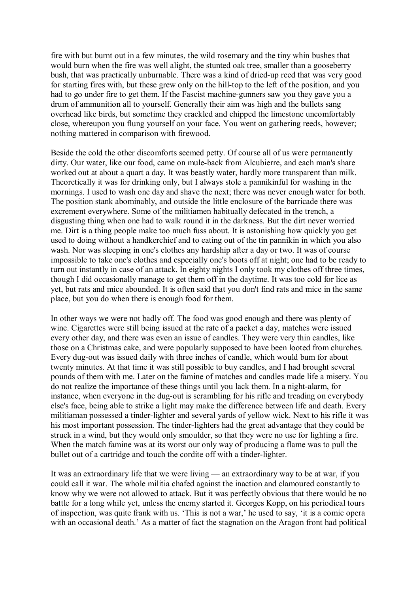fire with but burnt out in a few minutes, the wild rosemary and the tiny whin bushes that would burn when the fire was well alight, the stunted oak tree, smaller than a gooseberry bush, that was practically unburnable. There was a kind of dried-up reed that was very good for starting fires with, but these grew only on the hill-top to the left of the position, and you had to go under fire to get them. If the Fascist machine-gunners saw you they gave you a drum of ammunition all to yourself. Generally their aim was high and the bullets sang overhead like birds, but sometime they crackled and chipped the limestone uncomfortably close, whereupon you flung yourself on your face. You went on gathering reeds, however; nothing mattered in comparison with firewood.

Beside the cold the other discomforts seemed petty. Of course all of us were permanently dirty. Our water, like our food, came on mule-back from Alcubierre, and each man's share worked out at about a quart a day. It was beastly water, hardly more transparent than milk. Theoretically it was for drinking only, but I always stole a pannikinful for washing in the mornings. I used to wash one day and shave the next; there was never enough water for both. The position stank abominably, and outside the little enclosure of the barricade there was excrement everywhere. Some of the militiamen habitually defecated in the trench, a disgusting thing when one had to walk round it in the darkness. But the dirt never worried me. Dirt is a thing people make too much fuss about. It is astonishing how quickly you get used to doing without a handkerchief and to eating out of the tin pannikin in which you also wash. Nor was sleeping in one's clothes any hardship after a day or two. It was of course impossible to take one's clothes and especially one's boots off at night; one had to be ready to turn out instantly in case of an attack. In eighty nights I only took my clothes off three times, though I did occasionally manage to get them off in the daytime. It was too cold for lice as yet, but rats and mice abounded. It is often said that you don't find rats and mice in the same place, but you do when there is enough food for them.

In other ways we were not badly off. The food was good enough and there was plenty of wine. Cigarettes were still being issued at the rate of a packet a day, matches were issued every other day, and there was even an issue of candles. They were very thin candles, like those on a Christmas cake, and were popularly supposed to have been looted from churches. Every dug-out was issued daily with three inches of candle, which would bum for about twenty minutes. At that time it was still possible to buy candles, and I had brought several pounds of them with me. Later on the famine of matches and candles made life a misery. You do not realize the importance of these things until you lack them. In a night-alarm, for instance, when everyone in the dug-out is scrambling for his rifle and treading on everybody else's face, being able to strike a light may make the difference between life and death. Every militiaman possessed a tinder-lighter and several yards of yellow wick. Next to his rifle it was his most important possession. The tinder-lighters had the great advantage that they could be struck in a wind, but they would only smoulder, so that they were no use for lighting a fire. When the match famine was at its worst our only way of producing a flame was to pull the bullet out of a cartridge and touch the cordite off with a tinder-lighter.

It was an extraordinary life that we were living — an extraordinary way to be at war, if you could call it war. The whole militia chafed against the inaction and clamoured constantly to know why we were not allowed to attack. But it was perfectly obvious that there would be no battle for a long while yet, unless the enemy started it. Georges Kopp, on his periodical tours of inspection, was quite frank with us. 'This is not a war,' he used to say, 'it is a comic opera with an occasional death.' As a matter of fact the stagnation on the Aragon front had political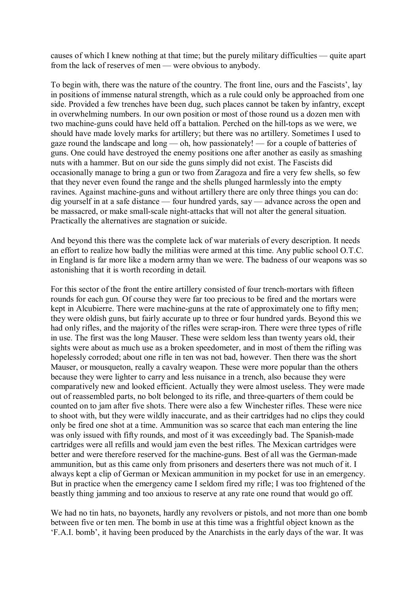causes of which I knew nothing at that time; but the purely military difficulties — quite apart from the lack of reserves of men — were obvious to anybody.

To begin with, there was the nature of the country. The front line, ours and the Fascists', lay in positions of immense natural strength, which as a rule could only be approached from one side. Provided a few trenches have been dug, such places cannot be taken by infantry, except in overwhelming numbers. In our own position or most of those round us a dozen men with two machine-guns could have held off a battalion. Perched on the hill-tops as we were, we should have made lovely marks for artillery; but there was no artillery. Sometimes I used to gaze round the landscape and long — oh, how passionately! — for a couple of batteries of guns. One could have destroyed the enemy positions one after another as easily as smashing nuts with a hammer. But on our side the guns simply did not exist. The Fascists did occasionally manage to bring a gun or two from Zaragoza and fire a very few shells, so few that they never even found the range and the shells plunged harmlessly into the empty ravines. Against machine-guns and without artillery there are only three things you can do: dig yourself in at a safe distance — four hundred yards, say — advance across the open and be massacred, or make small-scale night-attacks that will not alter the general situation. Practically the alternatives are stagnation or suicide.

And beyond this there was the complete lack of war materials of every description. It needs an effort to realize how badly the militias were armed at this time. Any public school O.T.C. in England is far more like a modern army than we were. The badness of our weapons was so astonishing that it is worth recording in detail.

For this sector of the front the entire artillery consisted of four trench-mortars with fifteen rounds for each gun. Of course they were far too precious to be fired and the mortars were kept in Alcubierre. There were machine-guns at the rate of approximately one to fifty men; they were oldish guns, but fairly accurate up to three or four hundred yards. Beyond this we had only rifles, and the majority of the rifles were scrap-iron. There were three types of rifle in use. The first was the long Mauser. These were seldom less than twenty years old, their sights were about as much use as a broken speedometer, and in most of them the rifling was hopelessly corroded; about one rifle in ten was not bad, however. Then there was the short Mauser, or mousqueton, really a cavalry weapon. These were more popular than the others because they were lighter to carry and less nuisance in a trench, also because they were comparatively new and looked efficient. Actually they were almost useless. They were made out of reassembled parts, no bolt belonged to its rifle, and three-quarters of them could be counted on to jam after five shots. There were also a few Winchester rifles. These were nice to shoot with, but they were wildly inaccurate, and as their cartridges had no clips they could only be fired one shot at a time. Ammunition was so scarce that each man entering the line was only issued with fifty rounds, and most of it was exceedingly bad. The Spanish-made cartridges were all refills and would jam even the best rifles. The Mexican cartridges were better and were therefore reserved for the machine-guns. Best of all was the German-made ammunition, but as this came only from prisoners and deserters there was not much of it. I always kept a clip of German or Mexican ammunition in my pocket for use in an emergency. But in practice when the emergency came I seldom fired my rifle; I was too frightened of the beastly thing jamming and too anxious to reserve at any rate one round that would go off.

We had no tin hats, no bayonets, hardly any revolvers or pistols, and not more than one bomb between five or ten men. The bomb in use at this time was a frightful object known as the 'F.A.I. bomb', it having been produced by the Anarchists in the early days of the war. It was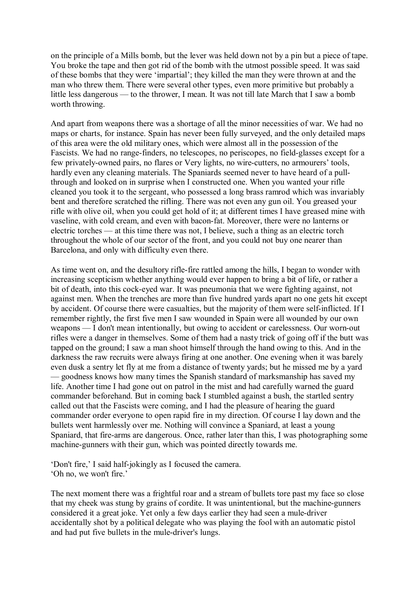on the principle of a Mills bomb, but the lever was held down not by a pin but a piece of tape. You broke the tape and then got rid of the bomb with the utmost possible speed. It was said of these bombs that they were 'impartial'; they killed the man they were thrown at and the man who threw them. There were several other types, even more primitive but probably a little less dangerous — to the thrower, I mean. It was not till late March that I saw a bomb worth throwing.

And apart from weapons there was a shortage of all the minor necessities of war. We had no maps or charts, for instance. Spain has never been fully surveyed, and the only detailed maps of this area were the old military ones, which were almost all in the possession of the Fascists. We had no range-finders, no telescopes, no periscopes, no field-glasses except for a few privately-owned pairs, no flares or Very lights, no wire-cutters, no armourers' tools, hardly even any cleaning materials. The Spaniards seemed never to have heard of a pullthrough and looked on in surprise when I constructed one. When you wanted your rifle cleaned you took it to the sergeant, who possessed a long brass ramrod which was invariably bent and therefore scratched the rifling. There was not even any gun oil. You greased your rifle with olive oil, when you could get hold of it; at different times I have greased mine with vaseline, with cold cream, and even with bacon-fat. Moreover, there were no lanterns or electric torches — at this time there was not, I believe, such a thing as an electric torch throughout the whole of our sector of the front, and you could not buy one nearer than Barcelona, and only with difficulty even there.

As time went on, and the desultory rifle-fire rattled among the hills, I began to wonder with increasing scepticism whether anything would ever happen to bring a bit of life, or rather a bit of death, into this cock-eyed war. It was pneumonia that we were fighting against, not against men. When the trenches are more than five hundred yards apart no one gets hit except by accident. Of course there were casualties, but the majority of them were self-inflicted. If I remember rightly, the first five men I saw wounded in Spain were all wounded by our own weapons — I don't mean intentionally, but owing to accident or carelessness. Our worn-out rifles were a danger in themselves. Some of them had a nasty trick of going off if the butt was tapped on the ground; I saw a man shoot himself through the hand owing to this. And in the darkness the raw recruits were always firing at one another. One evening when it was barely even dusk a sentry let fly at me from a distance of twenty yards; but he missed me by a yard — goodness knows how many times the Spanish standard of marksmanship has saved my life. Another time I had gone out on patrol in the mist and had carefully warned the guard commander beforehand. But in coming back I stumbled against a bush, the startled sentry called out that the Fascists were coming, and I had the pleasure of hearing the guard commander order everyone to open rapid fire in my direction. Of course I lay down and the bullets went harmlessly over me. Nothing will convince a Spaniard, at least a young Spaniard, that fire-arms are dangerous. Once, rather later than this, I was photographing some machine-gunners with their gun, which was pointed directly towards me.

'Don't fire,' I said half-jokingly as I focused the camera. 'Oh no, we won't fire.'

The next moment there was a frightful roar and a stream of bullets tore past my face so close that my cheek was stung by grains of cordite. It was unintentional, but the machine-gunners considered it a great joke. Yet only a few days earlier they had seen a mule-driver accidentally shot by a political delegate who was playing the fool with an automatic pistol and had put five bullets in the mule-driver's lungs.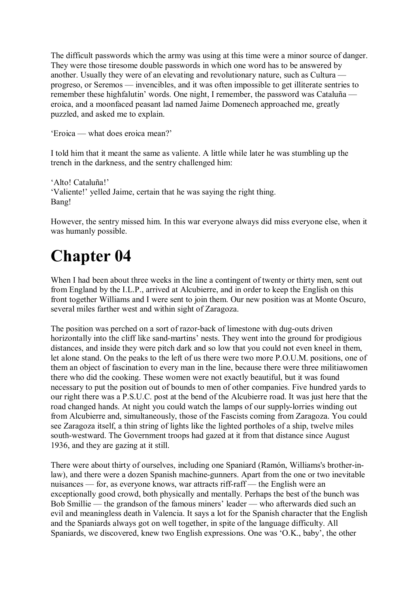The difficult passwords which the army was using at this time were a minor source of danger. They were those tiresome double passwords in which one word has to be answered by another. Usually they were of an elevating and revolutionary nature, such as Cultura progreso, or Seremos — invencibles, and it was often impossible to get illiterate sentries to remember these highfalutin' words. One night, I remember, the password was Cataluña eroica, and a moonfaced peasant lad named Jaime Domenech approached me, greatly puzzled, and asked me to explain.

'Eroica — what does eroica mean?'

I told him that it meant the same as valiente. A little while later he was stumbling up the trench in the darkness, and the sentry challenged him:

```
'Alto! Cataluña!'
'Valiente!' yelled Jaime, certain that he was saying the right thing.
Bang!
```
However, the sentry missed him. In this war everyone always did miss everyone else, when it was humanly possible.

#### **Chapter 04**

When I had been about three weeks in the line a contingent of twenty or thirty men, sent out from England by the I.L.P., arrived at Alcubierre, and in order to keep the English on this front together Williams and I were sent to join them. Our new position was at Monte Oscuro, several miles farther west and within sight of Zaragoza.

The position was perched on a sort of razor-back of limestone with dug-outs driven horizontally into the cliff like sand-martins' nests. They went into the ground for prodigious distances, and inside they were pitch dark and so low that you could not even kneel in them, let alone stand. On the peaks to the left of us there were two more P.O.U.M. positions, one of them an object of fascination to every man in the line, because there were three militiawomen there who did the cooking. These women were not exactly beautiful, but it was found necessary to put the position out of bounds to men of other companies. Five hundred yards to our right there was a P.S.U.C. post at the bend of the Alcubierre road. It was just here that the road changed hands. At night you could watch the lamps of our supply-lorries winding out from Alcubierre and, simultaneously, those of the Fascists coming from Zaragoza. You could see Zaragoza itself, a thin string of lights like the lighted portholes of a ship, twelve miles south-westward. The Government troops had gazed at it from that distance since August 1936, and they are gazing at it still.

There were about thirty of ourselves, including one Spaniard (Ramón, Williams's brother-inlaw), and there were a dozen Spanish machine-gunners. Apart from the one or two inevitable nuisances — for, as everyone knows, war attracts riff-raff — the English were an exceptionally good crowd, both physically and mentally. Perhaps the best of the bunch was Bob Smillie — the grandson of the famous miners' leader — who afterwards died such an evil and meaningless death in Valencia. It says a lot for the Spanish character that the English and the Spaniards always got on well together, in spite of the language difficulty. All Spaniards, we discovered, knew two English expressions. One was 'O.K., baby', the other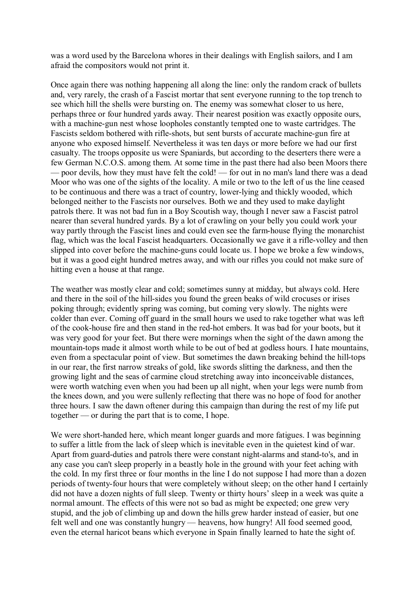was a word used by the Barcelona whores in their dealings with English sailors, and I am afraid the compositors would not print it.

Once again there was nothing happening all along the line: only the random crack of bullets and, very rarely, the crash of a Fascist mortar that sent everyone running to the top trench to see which hill the shells were bursting on. The enemy was somewhat closer to us here, perhaps three or four hundred yards away. Their nearest position was exactly opposite ours, with a machine-gun nest whose loopholes constantly tempted one to waste cartridges. The Fascists seldom bothered with rifle-shots, but sent bursts of accurate machine-gun fire at anyone who exposed himself. Nevertheless it was ten days or more before we had our first casualty. The troops opposite us were Spaniards, but according to the deserters there were a few German N.C.O.S. among them. At some time in the past there had also been Moors there — poor devils, how they must have felt the cold! — for out in no man's land there was a dead Moor who was one of the sights of the locality. A mile or two to the left of us the line ceased to be continuous and there was a tract of country, lower-lying and thickly wooded, which belonged neither to the Fascists nor ourselves. Both we and they used to make daylight patrols there. It was not bad fun in a Boy Scoutish way, though I never saw a Fascist patrol nearer than several hundred yards. By a lot of crawling on your belly you could work your way partly through the Fascist lines and could even see the farm-house flying the monarchist flag, which was the local Fascist headquarters. Occasionally we gave it a rifle-volley and then slipped into cover before the machine-guns could locate us. I hope we broke a few windows, but it was a good eight hundred metres away, and with our rifles you could not make sure of hitting even a house at that range.

The weather was mostly clear and cold; sometimes sunny at midday, but always cold. Here and there in the soil of the hill-sides you found the green beaks of wild crocuses or irises poking through; evidently spring was coming, but coming very slowly. The nights were colder than ever. Coming off guard in the small hours we used to rake together what was left of the cook-house fire and then stand in the red-hot embers. It was bad for your boots, but it was very good for your feet. But there were mornings when the sight of the dawn among the mountain-tops made it almost worth while to be out of bed at godless hours. I hate mountains, even from a spectacular point of view. But sometimes the dawn breaking behind the hill-tops in our rear, the first narrow streaks of gold, like swords slitting the darkness, and then the growing light and the seas of carmine cloud stretching away into inconceivable distances, were worth watching even when you had been up all night, when your legs were numb from the knees down, and you were sullenly reflecting that there was no hope of food for another three hours. I saw the dawn oftener during this campaign than during the rest of my life put together — or during the part that is to come, I hope.

We were short-handed here, which meant longer guards and more fatigues. I was beginning to suffer a little from the lack of sleep which is inevitable even in the quietest kind of war. Apart from guard-duties and patrols there were constant night-alarms and stand-to's, and in any case you can't sleep properly in a beastly hole in the ground with your feet aching with the cold. In my first three or four months in the line I do not suppose I had more than a dozen periods of twenty-four hours that were completely without sleep; on the other hand I certainly did not have a dozen nights of full sleep. Twenty or thirty hours' sleep in a week was quite a normal amount. The effects of this were not so bad as might be expected; one grew very stupid, and the job of climbing up and down the hills grew harder instead of easier, but one felt well and one was constantly hungry — heavens, how hungry! All food seemed good, even the eternal haricot beans which everyone in Spain finally learned to hate the sight of.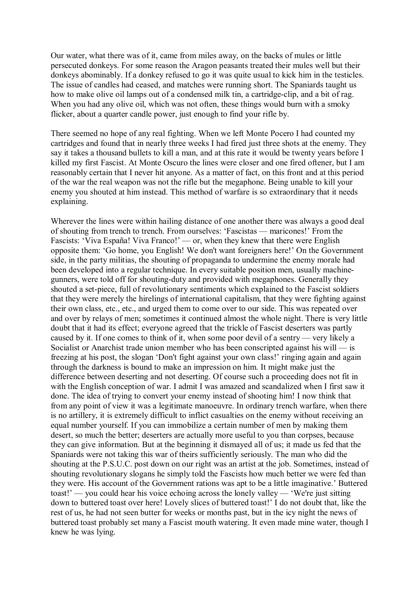Our water, what there was of it, came from miles away, on the backs of mules or little persecuted donkeys. For some reason the Aragon peasants treated their mules well but their donkeys abominably. If a donkey refused to go it was quite usual to kick him in the testicles. The issue of candles had ceased, and matches were running short. The Spaniards taught us how to make olive oil lamps out of a condensed milk tin, a cartridge-clip, and a bit of rag. When you had any olive oil, which was not often, these things would burn with a smoky flicker, about a quarter candle power, just enough to find your rifle by.

There seemed no hope of any real fighting. When we left Monte Pocero I had counted my cartridges and found that in nearly three weeks I had fired just three shots at the enemy. They say it takes a thousand bullets to kill a man, and at this rate it would be twenty years before I killed my first Fascist. At Monte Oscuro the lines were closer and one fired oftener, but I am reasonably certain that I never hit anyone. As a matter of fact, on this front and at this period of the war the real weapon was not the rifle but the megaphone. Being unable to kill your enemy you shouted at him instead. This method of warfare is so extraordinary that it needs explaining.

Wherever the lines were within hailing distance of one another there was always a good deal of shouting from trench to trench. From ourselves: 'Fascistas — maricones!' From the Fascists: 'Viva España! Viva Franco!' — or, when they knew that there were English opposite them: 'Go home, you English! We don't want foreigners here!' On the Government side, in the party militias, the shouting of propaganda to undermine the enemy morale had been developed into a regular technique. In every suitable position men, usually machinegunners, were told off for shouting-duty and provided with megaphones. Generally they shouted a set-piece, full of revolutionary sentiments which explained to the Fascist soldiers that they were merely the hirelings of international capitalism, that they were fighting against their own class, etc., etc., and urged them to come over to our side. This was repeated over and over by relays of men; sometimes it continued almost the whole night. There is very little doubt that it had its effect; everyone agreed that the trickle of Fascist deserters was partly caused by it. If one comes to think of it, when some poor devil of a sentry — very likely a Socialist or Anarchist trade union member who has been conscripted against his will — is freezing at his post, the slogan 'Don't fight against your own class!' ringing again and again through the darkness is bound to make an impression on him. It might make just the difference between deserting and not deserting. Of course such a proceeding does not fit in with the English conception of war. I admit I was amazed and scandalized when I first saw it done. The idea of trying to convert your enemy instead of shooting him! I now think that from any point of view it was a legitimate manoeuvre. In ordinary trench warfare, when there is no artillery, it is extremely difficult to inflict casualties on the enemy without receiving an equal number yourself. If you can immobilize a certain number of men by making them desert, so much the better; deserters are actually more useful to you than corpses, because they can give information. But at the beginning it dismayed all of us; it made us fed that the Spaniards were not taking this war of theirs sufficiently seriously. The man who did the shouting at the P.S.U.C. post down on our right was an artist at the job. Sometimes, instead of shouting revolutionary slogans he simply told the Fascists how much better we were fed than they were. His account of the Government rations was apt to be a little imaginative.' Buttered toast!' — you could hear his voice echoing across the lonely valley — 'We're just sitting down to buttered toast over here! Lovely slices of buttered toast!' I do not doubt that, like the rest of us, he had not seen butter for weeks or months past, but in the icy night the news of buttered toast probably set many a Fascist mouth watering. It even made mine water, though I knew he was lying.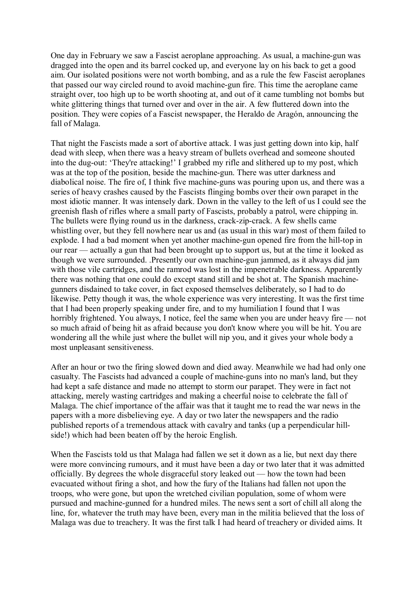One day in February we saw a Fascist aeroplane approaching. As usual, a machine-gun was dragged into the open and its barrel cocked up, and everyone lay on his back to get a good aim. Our isolated positions were not worth bombing, and as a rule the few Fascist aeroplanes that passed our way circled round to avoid machine-gun fire. This time the aeroplane came straight over, too high up to be worth shooting at, and out of it came tumbling not bombs but white glittering things that turned over and over in the air. A few fluttered down into the position. They were copies of a Fascist newspaper, the Heraldo de Aragón, announcing the fall of Malaga.

That night the Fascists made a sort of abortive attack. I was just getting down into kip, half dead with sleep, when there was a heavy stream of bullets overhead and someone shouted into the dug-out: 'They're attacking!' I grabbed my rifle and slithered up to my post, which was at the top of the position, beside the machine-gun. There was utter darkness and diabolical noise. The fire of, I think five machine-guns was pouring upon us, and there was a series of heavy crashes caused by the Fascists flinging bombs over their own parapet in the most idiotic manner. It was intensely dark. Down in the valley to the left of us I could see the greenish flash of rifles where a small party of Fascists, probably a patrol, were chipping in. The bullets were flying round us in the darkness, crack-zip-crack. A few shells came whistling over, but they fell nowhere near us and (as usual in this war) most of them failed to explode. I had a bad moment when yet another machine-gun opened fire from the hill-top in our rear — actually a gun that had been brought up to support us, but at the time it looked as though we were surrounded. .Presently our own machine-gun jammed, as it always did jam with those vile cartridges, and the ramrod was lost in the impenetrable darkness. Apparently there was nothing that one could do except stand still and be shot at. The Spanish machinegunners disdained to take cover, in fact exposed themselves deliberately, so I had to do likewise. Petty though it was, the whole experience was very interesting. It was the first time that I had been properly speaking under fire, and to my humiliation I found that I was horribly frightened. You always, I notice, feel the same when you are under heavy fire — not so much afraid of being hit as afraid because you don't know where you will be hit. You are wondering all the while just where the bullet will nip you, and it gives your whole body a most unpleasant sensitiveness.

After an hour or two the firing slowed down and died away. Meanwhile we had had only one casualty. The Fascists had advanced a couple of machine-guns into no man's land, but they had kept a safe distance and made no attempt to storm our parapet. They were in fact not attacking, merely wasting cartridges and making a cheerful noise to celebrate the fall of Malaga. The chief importance of the affair was that it taught me to read the war news in the papers with a more disbelieving eye. A day or two later the newspapers and the radio published reports of a tremendous attack with cavalry and tanks (up a perpendicular hillside!) which had been beaten off by the heroic English.

When the Fascists told us that Malaga had fallen we set it down as a lie, but next day there were more convincing rumours, and it must have been a day or two later that it was admitted officially. By degrees the whole disgraceful story leaked out — how the town had been evacuated without firing a shot, and how the fury of the Italians had fallen not upon the troops, who were gone, but upon the wretched civilian population, some of whom were pursued and machine-gunned for a hundred miles. The news sent a sort of chill all along the line, for, whatever the truth may have been, every man in the militia believed that the loss of Malaga was due to treachery. It was the first talk I had heard of treachery or divided aims. It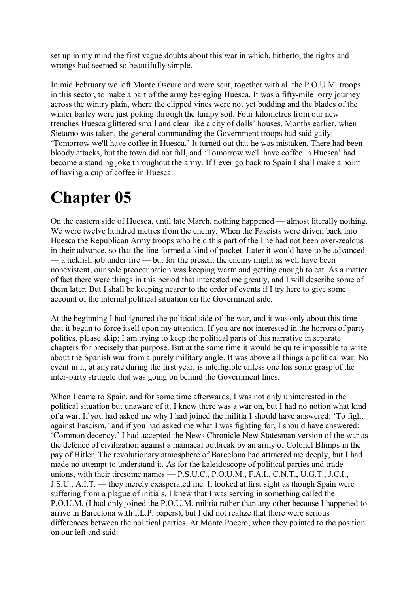set up in my mind the first vague doubts about this war in which, hitherto, the rights and wrongs had seemed so beautifully simple.

In mid February we left Monte Oscuro and were sent, together with all the P.O.U.M. troops in this sector, to make a part of the army besieging Huesca. It was a fifty-mile lorry journey across the wintry plain, where the clipped vines were not yet budding and the blades of the winter barley were just poking through the lumpy soil. Four kilometres from our new trenches Huesca glittered small and clear like a city of dolls' houses. Months earlier, when Sietamo was taken, the general commanding the Government troops had said gaily: 'Tomorrow we'll have coffee in Huesca.' It turned out that he was mistaken. There had been bloody attacks, but the town did not fall, and 'Tomorrow we'll have coffee in Huesca' had become a standing joke throughout the army. If I ever go back to Spain I shall make a point of having a cup of coffee in Huesca.

# **Chapter 05**

On the eastern side of Huesca, until late March, nothing happened — almost literally nothing. We were twelve hundred metres from the enemy. When the Fascists were driven back into Huesca the Republican Army troops who held this part of the line had not been over-zealous in their advance, so that the line formed a kind of pocket. Later it would have to be advanced — a ticklish job under fire — but for the present the enemy might as well have been nonexistent; our sole preoccupation was keeping warm and getting enough to eat. As a matter of fact there were things in this period that interested me greatly, and I will describe some of them later. But I shall be keeping nearer to the order of events if I try here to give some account of the internal political situation on the Government side.

At the beginning I had ignored the political side of the war, and it was only about this time that it began to force itself upon my attention. If you are not interested in the horrors of party politics, please skip; I am trying to keep the political parts of this narrative in separate chapters for precisely that purpose. But at the same time it would be quite impossible to write about the Spanish war from a purely military angle. It was above all things a political war. No event in it, at any rate during the first year, is intelligible unless one has some grasp of the inter-party struggle that was going on behind the Government lines.

When I came to Spain, and for some time afterwards, I was not only uninterested in the political situation but unaware of it. I knew there was a war on, but I had no notion what kind of a war. If you had asked me why I had joined the militia I should have answered: 'To fight against Fascism,' and if you had asked me what I was fighting for, I should have answered: 'Common decency.' I had accepted the News Chronicle-New Statesman version of the war as the defence of civilization against a maniacal outbreak by an army of Colonel Blimps in the pay of Hitler. The revolutionary atmosphere of Barcelona had attracted me deeply, but I had made no attempt to understand it. As for the kaleidoscope of political parties and trade unions, with their tiresome names — P.S.U.C., P.O.U.M., F.A.I., C.N.T., U.G.T., J.C.I., J.S.U., A.I.T. — they merely exasperated me. It looked at first sight as though Spain were suffering from a plague of initials. I knew that I was serving in something called the P.O.U.M. (I had only joined the P.O.U.M. militia rather than any other because I happened to arrive in Barcelona with I.L.P. papers), but I did not realize that there were serious differences between the political parties. At Monte Pocero, when they pointed to the position on our left and said: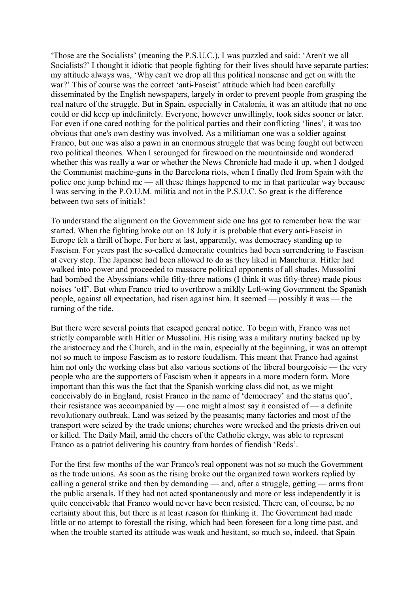'Those are the Socialists' (meaning the P.S.U.C.), I was puzzled and said: 'Aren't we all Socialists?' I thought it idiotic that people fighting for their lives should have separate parties; my attitude always was, 'Why can't we drop all this political nonsense and get on with the war?' This of course was the correct 'anti-Fascist' attitude which had been carefully disseminated by the English newspapers, largely in order to prevent people from grasping the real nature of the struggle. But in Spain, especially in Catalonia, it was an attitude that no one could or did keep up indefinitely. Everyone, however unwillingly, took sides sooner or later. For even if one cared nothing for the political parties and their conflicting 'lines', it was too obvious that one's own destiny was involved. As a militiaman one was a soldier against Franco, but one was also a pawn in an enormous struggle that was being fought out between two political theories. When I scrounged for firewood on the mountainside and wondered whether this was really a war or whether the News Chronicle had made it up, when I dodged the Communist machine-guns in the Barcelona riots, when I finally fled from Spain with the police one jump behind me — all these things happened to me in that particular way because I was serving in the P.O.U.M. militia and not in the P.S.U.C. So great is the difference between two sets of initials!

To understand the alignment on the Government side one has got to remember how the war started. When the fighting broke out on 18 July it is probable that every anti-Fascist in Europe felt a thrill of hope. For here at last, apparently, was democracy standing up to Fascism. For years past the so-called democratic countries had been surrendering to Fascism at every step. The Japanese had been allowed to do as they liked in Manchuria. Hitler had walked into power and proceeded to massacre political opponents of all shades. Mussolini had bombed the Abyssinians while fifty-three nations (I think it was fifty-three) made pious noises 'off'. But when Franco tried to overthrow a mildly Left-wing Government the Spanish people, against all expectation, had risen against him. It seemed — possibly it was — the turning of the tide.

But there were several points that escaped general notice. To begin with, Franco was not strictly comparable with Hitler or Mussolini. His rising was a military mutiny backed up by the aristocracy and the Church, and in the main, especially at the beginning, it was an attempt not so much to impose Fascism as to restore feudalism. This meant that Franco had against him not only the working class but also various sections of the liberal bourgeoisie — the very people who are the supporters of Fascism when it appears in a more modern form. More important than this was the fact that the Spanish working class did not, as we might conceivably do in England, resist Franco in the name of 'democracy' and the status quo', their resistance was accompanied by — one might almost say it consisted of — a definite revolutionary outbreak. Land was seized by the peasants; many factories and most of the transport were seized by the trade unions; churches were wrecked and the priests driven out or killed. The Daily Mail, amid the cheers of the Catholic clergy, was able to represent Franco as a patriot delivering his country from hordes of fiendish 'Reds'.

For the first few months of the war Franco's real opponent was not so much the Government as the trade unions. As soon as the rising broke out the organized town workers replied by calling a general strike and then by demanding — and, after a struggle, getting — arms from the public arsenals. If they had not acted spontaneously and more or less independently it is quite conceivable that Franco would never have been resisted. There can, of course, be no certainty about this, but there is at least reason for thinking it. The Government had made little or no attempt to forestall the rising, which had been foreseen for a long time past, and when the trouble started its attitude was weak and hesitant, so much so, indeed, that Spain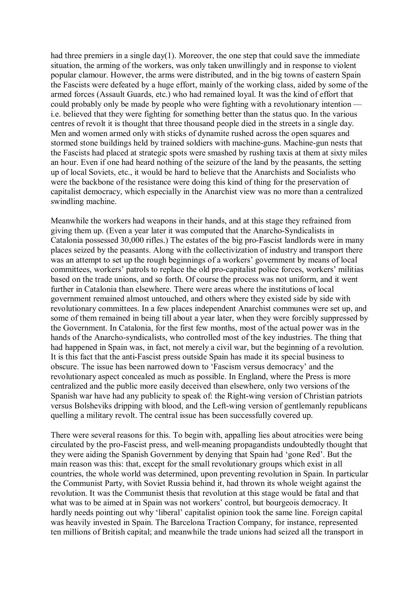had three premiers in a single day(1). Moreover, the one step that could save the immediate situation, the arming of the workers, was only taken unwillingly and in response to violent popular clamour. However, the arms were distributed, and in the big towns of eastern Spain the Fascists were defeated by a huge effort, mainly of the working class, aided by some of the armed forces (Assault Guards, etc.) who had remained loyal. It was the kind of effort that could probably only be made by people who were fighting with a revolutionary intention i.e. believed that they were fighting for something better than the status quo. In the various centres of revolt it is thought that three thousand people died in the streets in a single day. Men and women armed only with sticks of dynamite rushed across the open squares and stormed stone buildings held by trained soldiers with machine-guns. Machine-gun nests that the Fascists had placed at strategic spots were smashed by rushing taxis at them at sixty miles an hour. Even if one had heard nothing of the seizure of the land by the peasants, the setting up of local Soviets, etc., it would be hard to believe that the Anarchists and Socialists who were the backbone of the resistance were doing this kind of thing for the preservation of capitalist democracy, which especially in the Anarchist view was no more than a centralized swindling machine.

Meanwhile the workers had weapons in their hands, and at this stage they refrained from giving them up. (Even a year later it was computed that the Anarcho-Syndicalists in Catalonia possessed 30,000 rifles.) The estates of the big pro-Fascist landlords were in many places seized by the peasants. Along with the collectivization of industry and transport there was an attempt to set up the rough beginnings of a workers' government by means of local committees, workers' patrols to replace the old pro-capitalist police forces, workers' militias based on the trade unions, and so forth. Of course the process was not uniform, and it went further in Catalonia than elsewhere. There were areas where the institutions of local government remained almost untouched, and others where they existed side by side with revolutionary committees. In a few places independent Anarchist communes were set up, and some of them remained in being till about a year later, when they were forcibly suppressed by the Government. In Catalonia, for the first few months, most of the actual power was in the hands of the Anarcho-syndicalists, who controlled most of the key industries. The thing that had happened in Spain was, in fact, not merely a civil war, but the beginning of a revolution. It is this fact that the anti-Fascist press outside Spain has made it its special business to obscure. The issue has been narrowed down to 'Fascism versus democracy' and the revolutionary aspect concealed as much as possible. In England, where the Press is more centralized and the public more easily deceived than elsewhere, only two versions of the Spanish war have had any publicity to speak of: the Right-wing version of Christian patriots versus Bolsheviks dripping with blood, and the Left-wing version of gentlemanly republicans quelling a military revolt. The central issue has been successfully covered up.

There were several reasons for this. To begin with, appalling lies about atrocities were being circulated by the pro-Fascist press, and well-meaning propagandists undoubtedly thought that they were aiding the Spanish Government by denying that Spain had 'gone Red'. But the main reason was this: that, except for the small revolutionary groups which exist in all countries, the whole world was determined, upon preventing revolution in Spain. In particular the Communist Party, with Soviet Russia behind it, had thrown its whole weight against the revolution. It was the Communist thesis that revolution at this stage would be fatal and that what was to be aimed at in Spain was not workers' control, but bourgeois democracy. It hardly needs pointing out why 'liberal' capitalist opinion took the same line. Foreign capital was heavily invested in Spain. The Barcelona Traction Company, for instance, represented ten millions of British capital; and meanwhile the trade unions had seized all the transport in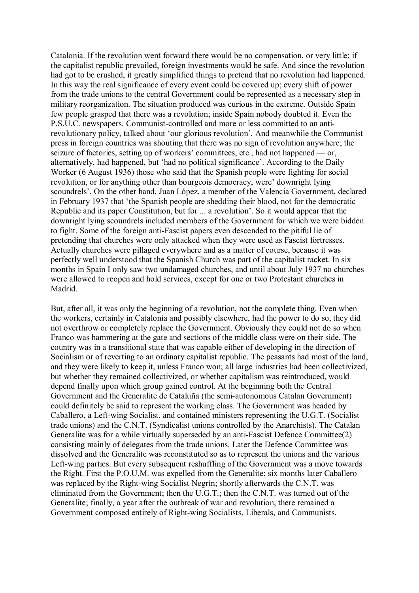Catalonia. If the revolution went forward there would be no compensation, or very little; if the capitalist republic prevailed, foreign investments would be safe. And since the revolution had got to be crushed, it greatly simplified things to pretend that no revolution had happened. In this way the real significance of every event could be covered up; every shift of power from the trade unions to the central Government could be represented as a necessary step in military reorganization. The situation produced was curious in the extreme. Outside Spain few people grasped that there was a revolution; inside Spain nobody doubted it. Even the P.S.U.C. newspapers. Communist-controlled and more or less committed to an antirevolutionary policy, talked about 'our glorious revolution'. And meanwhile the Communist press in foreign countries was shouting that there was no sign of revolution anywhere; the seizure of factories, setting up of workers' committees, etc., had not happened — or, alternatively, had happened, but 'had no political significance'. According to the Daily Worker (6 August 1936) those who said that the Spanish people were fighting for social revolution, or for anything other than bourgeois democracy, were' downright lying scoundrels'. On the other hand, Juan López, a member of the Valencia Government, declared in February 1937 that 'the Spanish people are shedding their blood, not for the democratic Republic and its paper Constitution, but for ... a revolution'. So it would appear that the downright lying scoundrels included members of the Government for which we were bidden to fight. Some of the foreign anti-Fascist papers even descended to the pitiful lie of pretending that churches were only attacked when they were used as Fascist fortresses. Actually churches were pillaged everywhere and as a matter of course, because it was perfectly well understood that the Spanish Church was part of the capitalist racket. In six months in Spain I only saw two undamaged churches, and until about July 1937 no churches were allowed to reopen and hold services, except for one or two Protestant churches in Madrid.

But, after all, it was only the beginning of a revolution, not the complete thing. Even when the workers, certainly in Catalonia and possibly elsewhere, had the power to do so, they did not overthrow or completely replace the Government. Obviously they could not do so when Franco was hammering at the gate and sections of the middle class were on their side. The country was in a transitional state that was capable either of developing in the direction of Socialism or of reverting to an ordinary capitalist republic. The peasants had most of the land, and they were likely to keep it, unless Franco won; all large industries had been collectivized, but whether they remained collectivized, or whether capitalism was reintroduced, would depend finally upon which group gained control. At the beginning both the Central Government and the Generalite de Cataluña (the semi-autonomous Catalan Government) could definitely be said to represent the working class. The Government was headed by Caballero, a Left-wing Socialist, and contained ministers representing the U.G.T. (Socialist trade unions) and the C.N.T. (Syndicalist unions controlled by the Anarchists). The Catalan Generalite was for a while virtually superseded by an anti-Fascist Defence Committee(2) consisting mainly of delegates from the trade unions. Later the Defence Committee was dissolved and the Generalite was reconstituted so as to represent the unions and the various Left-wing parties. But every subsequent reshuffling of the Government was a move towards the Right. First the P.O.U.M. was expelled from the Generalite; six months later Caballero was replaced by the Right-wing Socialist Negrín; shortly afterwards the C.N.T. was eliminated from the Government; then the U.G.T.; then the C.N.T. was turned out of the Generalite; finally, a year after the outbreak of war and revolution, there remained a Government composed entirely of Right-wing Socialists, Liberals, and Communists.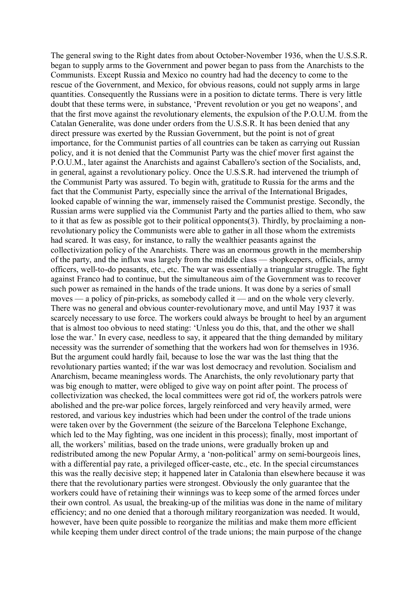The general swing to the Right dates from about October-November 1936, when the U.S.S.R. began to supply arms to the Government and power began to pass from the Anarchists to the Communists. Except Russia and Mexico no country had had the decency to come to the rescue of the Government, and Mexico, for obvious reasons, could not supply arms in large quantities. Consequently the Russians were in a position to dictate terms. There is very little doubt that these terms were, in substance, 'Prevent revolution or you get no weapons', and that the first move against the revolutionary elements, the expulsion of the P.O.U.M. from the Catalan Generalite, was done under orders from the U.S.S.R. It has been denied that any direct pressure was exerted by the Russian Government, but the point is not of great importance, for the Communist parties of all countries can be taken as carrying out Russian policy, and it is not denied that the Communist Party was the chief mover first against the P.O.U.M., later against the Anarchists and against Caballero's section of the Socialists, and, in general, against a revolutionary policy. Once the U.S.S.R. had intervened the triumph of the Communist Party was assured. To begin with, gratitude to Russia for the arms and the fact that the Communist Party, especially since the arrival of the International Brigades, looked capable of winning the war, immensely raised the Communist prestige. Secondly, the Russian arms were supplied via the Communist Party and the parties allied to them, who saw to it that as few as possible got to their political opponents(3). Thirdly, by proclaiming a nonrevolutionary policy the Communists were able to gather in all those whom the extremists had scared. It was easy, for instance, to rally the wealthier peasants against the collectivization policy of the Anarchists. There was an enormous growth in the membership of the party, and the influx was largely from the middle class — shopkeepers, officials, army officers, well-to-do peasants, etc., etc. The war was essentially a triangular struggle. The fight against Franco had to continue, but the simultaneous aim of the Government was to recover such power as remained in the hands of the trade unions. It was done by a series of small moves — a policy of pin-pricks, as somebody called it — and on the whole very cleverly. There was no general and obvious counter-revolutionary move, and until May 1937 it was scarcely necessary to use force. The workers could always be brought to heel by an argument that is almost too obvious to need stating: 'Unless you do this, that, and the other we shall lose the war.' In every case, needless to say, it appeared that the thing demanded by military necessity was the surrender of something that the workers had won for themselves in 1936. But the argument could hardly fail, because to lose the war was the last thing that the revolutionary parties wanted; if the war was lost democracy and revolution. Socialism and Anarchism, became meaningless words. The Anarchists, the only revolutionary party that was big enough to matter, were obliged to give way on point after point. The process of collectivization was checked, the local committees were got rid of, the workers patrols were abolished and the pre-war police forces, largely reinforced and very heavily armed, were restored, and various key industries which had been under the control of the trade unions were taken over by the Government (the seizure of the Barcelona Telephone Exchange, which led to the May fighting, was one incident in this process); finally, most important of all, the workers' militias, based on the trade unions, were gradually broken up and redistributed among the new Popular Army, a 'non-political' army on semi-bourgeois lines, with a differential pay rate, a privileged officer-caste, etc., etc. In the special circumstances this was the really decisive step; it happened later in Catalonia than elsewhere because it was there that the revolutionary parties were strongest. Obviously the only guarantee that the workers could have of retaining their winnings was to keep some of the armed forces under their own control. As usual, the breaking-up of the militias was done in the name of military efficiency; and no one denied that a thorough military reorganization was needed. It would, however, have been quite possible to reorganize the militias and make them more efficient while keeping them under direct control of the trade unions; the main purpose of the change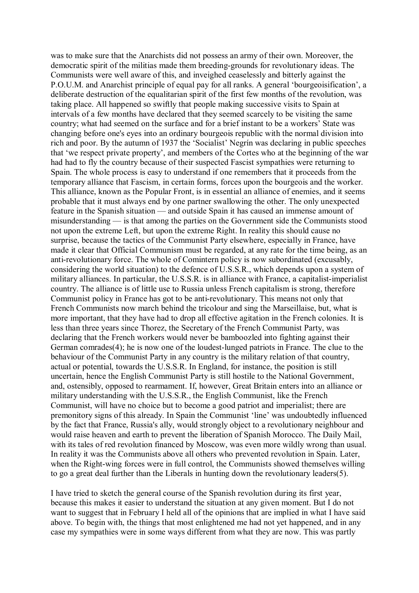was to make sure that the Anarchists did not possess an army of their own. Moreover, the democratic spirit of the militias made them breeding-grounds for revolutionary ideas. The Communists were well aware of this, and inveighed ceaselessly and bitterly against the P.O.U.M. and Anarchist principle of equal pay for all ranks. A general 'bourgeoisification', a deliberate destruction of the equalitarian spirit of the first few months of the revolution, was taking place. All happened so swiftly that people making successive visits to Spain at intervals of a few months have declared that they seemed scarcely to be visiting the same country; what had seemed on the surface and for a brief instant to be a workers' State was changing before one's eyes into an ordinary bourgeois republic with the normal division into rich and poor. By the autumn of 1937 the 'Socialist' Negrín was declaring in public speeches that 'we respect private property', and members of the Cortes who at the beginning of the war had had to fly the country because of their suspected Fascist sympathies were returning to Spain. The whole process is easy to understand if one remembers that it proceeds from the temporary alliance that Fascism, in certain forms, forces upon the bourgeois and the worker. This alliance, known as the Popular Front, is in essential an alliance of enemies, and it seems probable that it must always end by one partner swallowing the other. The only unexpected feature in the Spanish situation — and outside Spain it has caused an immense amount of misunderstanding — is that among the parties on the Government side the Communists stood not upon the extreme Left, but upon the extreme Right. In reality this should cause no surprise, because the tactics of the Communist Party elsewhere, especially in France, have made it clear that Official Communism must be regarded, at any rate for the time being, as an anti-revolutionary force. The whole of Comintern policy is now subordinated (excusably, considering the world situation) to the defence of U.S.S.R., which depends upon a system of military alliances. In particular, the U.S.S.R. is in alliance with France, a capitalist-imperialist country. The alliance is of little use to Russia unless French capitalism is strong, therefore Communist policy in France has got to be anti-revolutionary. This means not only that French Communists now march behind the tricolour and sing the Marseillaise, but, what is more important, that they have had to drop all effective agitation in the French colonies. It is less than three years since Thorez, the Secretary of the French Communist Party, was declaring that the French workers would never be bamboozled into fighting against their German comrades(4); he is now one of the loudest-lunged patriots in France. The clue to the behaviour of the Communist Party in any country is the military relation of that country, actual or potential, towards the U.S.S.R. In England, for instance, the position is still uncertain, hence the English Communist Party is still hostile to the National Government, and, ostensibly, opposed to rearmament. If, however, Great Britain enters into an alliance or military understanding with the U.S.S.R., the English Communist, like the French Communist, will have no choice but to become a good patriot and imperialist; there are premonitory signs of this already. In Spain the Communist 'line' was undoubtedly influenced by the fact that France, Russia's ally, would strongly object to a revolutionary neighbour and would raise heaven and earth to prevent the liberation of Spanish Morocco. The Daily Mail, with its tales of red revolution financed by Moscow, was even more wildly wrong than usual. In reality it was the Communists above all others who prevented revolution in Spain. Later, when the Right-wing forces were in full control, the Communists showed themselves willing to go a great deal further than the Liberals in hunting down the revolutionary leaders(5).

I have tried to sketch the general course of the Spanish revolution during its first year, because this makes it easier to understand the situation at any given moment. But I do not want to suggest that in February I held all of the opinions that are implied in what I have said above. To begin with, the things that most enlightened me had not yet happened, and in any case my sympathies were in some ways different from what they are now. This was partly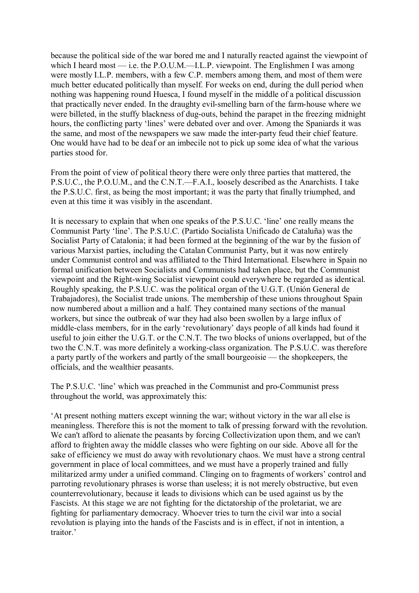because the political side of the war bored me and I naturally reacted against the viewpoint of which I heard most — i.e. the P.O.U.M.—I.L.P. viewpoint. The Englishmen I was among were mostly I.L.P. members, with a few C.P. members among them, and most of them were much better educated politically than myself. For weeks on end, during the dull period when nothing was happening round Huesca, I found myself in the middle of a political discussion that practically never ended. In the draughty evil-smelling barn of the farm-house where we were billeted, in the stuffy blackness of dug-outs, behind the parapet in the freezing midnight hours, the conflicting party 'lines' were debated over and over. Among the Spaniards it was the same, and most of the newspapers we saw made the inter-party feud their chief feature. One would have had to be deaf or an imbecile not to pick up some idea of what the various parties stood for.

From the point of view of political theory there were only three parties that mattered, the P.S.U.C., the P.O.U.M., and the C.N.T.—F.A.I., loosely described as the Anarchists. I take the P.S.U.C. first, as being the most important; it was the party that finally triumphed, and even at this time it was visibly in the ascendant.

It is necessary to explain that when one speaks of the P.S.U.C. 'line' one really means the Communist Party 'line'. The P.S.U.C. (Partido Socialista Unificado de Cataluña) was the Socialist Party of Catalonia; it had been formed at the beginning of the war by the fusion of various Marxist parties, including the Catalan Communist Party, but it was now entirely under Communist control and was affiliated to the Third International. Elsewhere in Spain no formal unification between Socialists and Communists had taken place, but the Communist viewpoint and the Right-wing Socialist viewpoint could everywhere be regarded as identical. Roughly speaking, the P.S.U.C. was the political organ of the U.G.T. (Unión General de Trabajadores), the Socialist trade unions. The membership of these unions throughout Spain now numbered about a million and a half. They contained many sections of the manual workers, but since the outbreak of war they had also been swollen by a large influx of middle-class members, for in the early 'revolutionary' days people of all kinds had found it useful to join either the U.G.T. or the C.N.T. The two blocks of unions overlapped, but of the two the C.N.T. was more definitely a working-class organization. The P.S.U.C. was therefore a party partly of the workers and partly of the small bourgeoisie — the shopkeepers, the officials, and the wealthier peasants.

The P.S.U.C. 'line' which was preached in the Communist and pro-Communist press throughout the world, was approximately this:

'At present nothing matters except winning the war; without victory in the war all else is meaningless. Therefore this is not the moment to talk of pressing forward with the revolution. We can't afford to alienate the peasants by forcing Collectivization upon them, and we can't afford to frighten away the middle classes who were fighting on our side. Above all for the sake of efficiency we must do away with revolutionary chaos. We must have a strong central government in place of local committees, and we must have a properly trained and fully militarized army under a unified command. Clinging on to fragments of workers' control and parroting revolutionary phrases is worse than useless; it is not merely obstructive, but even counterrevolutionary, because it leads to divisions which can be used against us by the Fascists. At this stage we are not fighting for the dictatorship of the proletariat, we are fighting for parliamentary democracy. Whoever tries to turn the civil war into a social revolution is playing into the hands of the Fascists and is in effect, if not in intention, a traitor<sup>'</sup>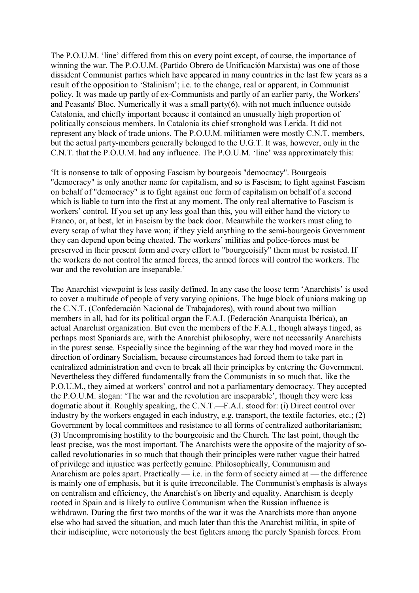The P.O.U.M. 'line' differed from this on every point except, of course, the importance of winning the war. The P.O.U.M. (Partido Obrero de Unificación Marxista) was one of those dissident Communist parties which have appeared in many countries in the last few years as a result of the opposition to 'Stalinism'; i.e. to the change, real or apparent, in Communist policy. It was made up partly of ex-Communists and partly of an earlier party, the Workers' and Peasants' Bloc. Numerically it was a small party(6). with not much influence outside Catalonia, and chiefly important because it contained an unusually high proportion of politically conscious members. In Catalonia its chief stronghold was Lerida. It did not represent any block of trade unions. The P.O.U.M. militiamen were mostly C.N.T. members, but the actual party-members generally belonged to the U.G.T. It was, however, only in the C.N.T. that the P.O.U.M. had any influence. The P.O.U.M. 'line' was approximately this:

'It is nonsense to talk of opposing Fascism by bourgeois "democracy". Bourgeois "democracy" is only another name for capitalism, and so is Fascism; to fight against Fascism on behalf of "democracy" is to fight against one form of capitalism on behalf of a second which is liable to turn into the first at any moment. The only real alternative to Fascism is workers' control. If you set up any less goal than this, you will either hand the victory to Franco, or, at best, let in Fascism by the back door. Meanwhile the workers must cling to every scrap of what they have won; if they yield anything to the semi-bourgeois Government they can depend upon being cheated. The workers' militias and police-forces must be preserved in their present form and every effort to "bourgeoisify" them must be resisted. If the workers do not control the armed forces, the armed forces will control the workers. The war and the revolution are inseparable.'

The Anarchist viewpoint is less easily defined. In any case the loose term 'Anarchists' is used to cover a multitude of people of very varying opinions. The huge block of unions making up the C.N.T. (Confederación Nacional de Trabajadores), with round about two million members in all, had for its political organ the F.A.I. (Federación Anarquista Ibérica), an actual Anarchist organization. But even the members of the F.A.I., though always tinged, as perhaps most Spaniards are, with the Anarchist philosophy, were not necessarily Anarchists in the purest sense. Especially since the beginning of the war they had moved more in the direction of ordinary Socialism, because circumstances had forced them to take part in centralized administration and even to break all their principles by entering the Government. Nevertheless they differed fundamentally from the Communists in so much that, like the P.O.U.M., they aimed at workers' control and not a parliamentary democracy. They accepted the P.O.U.M. slogan: 'The war and the revolution are inseparable', though they were less dogmatic about it. Roughly speaking, the C.N.T.—F.A.I. stood for: (i) Direct control over industry by the workers engaged in each industry, e.g. transport, the textile factories, etc.; (2) Government by local committees and resistance to all forms of centralized authoritarianism; (3) Uncompromising hostility to the bourgeoisie and the Church. The last point, though the least precise, was the most important. The Anarchists were the opposite of the majority of socalled revolutionaries in so much that though their principles were rather vague their hatred of privilege and injustice was perfectly genuine. Philosophically, Communism and Anarchism are poles apart. Practically  $-$  i.e. in the form of society aimed at  $-$  the difference is mainly one of emphasis, but it is quite irreconcilable. The Communist's emphasis is always on centralism and efficiency, the Anarchist's on liberty and equality. Anarchism is deeply rooted in Spain and is likely to outlive Communism when the Russian influence is withdrawn. During the first two months of the war it was the Anarchists more than anyone else who had saved the situation, and much later than this the Anarchist militia, in spite of their indiscipline, were notoriously the best fighters among the purely Spanish forces. From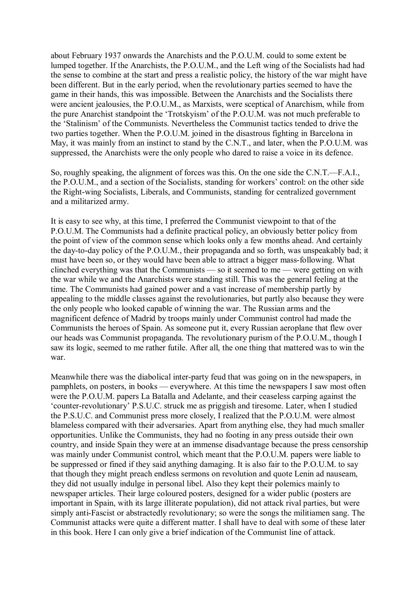about February 1937 onwards the Anarchists and the P.O.U.M. could to some extent be lumped together. If the Anarchists, the P.O.U.M., and the Left wing of the Socialists had had the sense to combine at the start and press a realistic policy, the history of the war might have been different. But in the early period, when the revolutionary parties seemed to have the game in their hands, this was impossible. Between the Anarchists and the Socialists there were ancient jealousies, the P.O.U.M., as Marxists, were sceptical of Anarchism, while from the pure Anarchist standpoint the 'Trotskyism' of the P.O.U.M. was not much preferable to the 'Stalinism' of the Communists. Nevertheless the Communist tactics tended to drive the two parties together. When the P.O.U.M. joined in the disastrous fighting in Barcelona in May, it was mainly from an instinct to stand by the C.N.T., and later, when the P.O.U.M. was suppressed, the Anarchists were the only people who dared to raise a voice in its defence.

So, roughly speaking, the alignment of forces was this. On the one side the C.N.T.—F.A.I., the P.O.U.M., and a section of the Socialists, standing for workers' control: on the other side the Right-wing Socialists, Liberals, and Communists, standing for centralized government and a militarized army.

It is easy to see why, at this time, I preferred the Communist viewpoint to that of the P.O.U.M. The Communists had a definite practical policy, an obviously better policy from the point of view of the common sense which looks only a few months ahead. And certainly the day-to-day policy of the P.O.U.M., their propaganda and so forth, was unspeakably bad; it must have been so, or they would have been able to attract a bigger mass-following. What clinched everything was that the Communists — so it seemed to me — were getting on with the war while we and the Anarchists were standing still. This was the general feeling at the time. The Communists had gained power and a vast increase of membership partly by appealing to the middle classes against the revolutionaries, but partly also because they were the only people who looked capable of winning the war. The Russian arms and the magnificent defence of Madrid by troops mainly under Communist control had made the Communists the heroes of Spain. As someone put it, every Russian aeroplane that flew over our heads was Communist propaganda. The revolutionary purism of the P.O.U.M., though I saw its logic, seemed to me rather futile. After all, the one thing that mattered was to win the war.

Meanwhile there was the diabolical inter-party feud that was going on in the newspapers, in pamphlets, on posters, in books — everywhere. At this time the newspapers I saw most often were the P.O.U.M. papers La Batalla and Adelante, and their ceaseless carping against the 'counter-revolutionary' P.S.U.C. struck me as priggish and tiresome. Later, when I studied the P.S.U.C. and Communist press more closely, I realized that the P.O.U.M. were almost blameless compared with their adversaries. Apart from anything else, they had much smaller opportunities. Unlike the Communists, they had no footing in any press outside their own country, and inside Spain they were at an immense disadvantage because the press censorship was mainly under Communist control, which meant that the P.O.U.M. papers were liable to be suppressed or fined if they said anything damaging. It is also fair to the P.O.U.M. to say that though they might preach endless sermons on revolution and quote Lenin ad nauseam, they did not usually indulge in personal libel. Also they kept their polemics mainly to newspaper articles. Their large coloured posters, designed for a wider public (posters are important in Spain, with its large illiterate population), did not attack rival parties, but were simply anti-Fascist or abstractedly revolutionary; so were the songs the militiamen sang. The Communist attacks were quite a different matter. I shall have to deal with some of these later in this book. Here I can only give a brief indication of the Communist line of attack.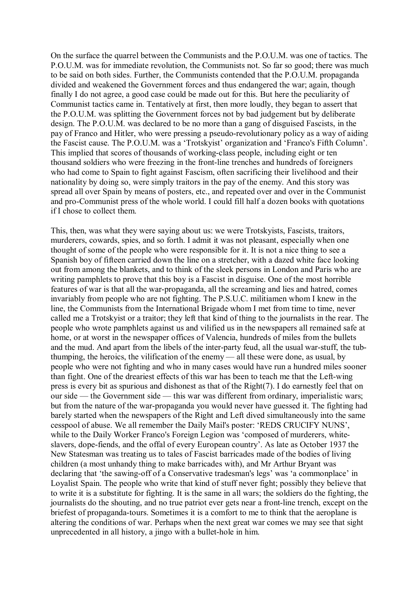On the surface the quarrel between the Communists and the P.O.U.M. was one of tactics. The P.O.U.M. was for immediate revolution, the Communists not. So far so good; there was much to be said on both sides. Further, the Communists contended that the P.O.U.M. propaganda divided and weakened the Government forces and thus endangered the war; again, though finally I do not agree, a good case could be made out for this. But here the peculiarity of Communist tactics came in. Tentatively at first, then more loudly, they began to assert that the P.O.U.M. was splitting the Government forces not by bad judgement but by deliberate design. The P.O.U.M. was declared to be no more than a gang of disguised Fascists, in the pay of Franco and Hitler, who were pressing a pseudo-revolutionary policy as a way of aiding the Fascist cause. The P.O.U.M. was a 'Trotskyist' organization and 'Franco's Fifth Column'. This implied that scores of thousands of working-class people, including eight or ten thousand soldiers who were freezing in the front-line trenches and hundreds of foreigners who had come to Spain to fight against Fascism, often sacrificing their livelihood and their nationality by doing so, were simply traitors in the pay of the enemy. And this story was spread all over Spain by means of posters, etc., and repeated over and over in the Communist and pro-Communist press of the whole world. I could fill half a dozen books with quotations if I chose to collect them.

This, then, was what they were saying about us: we were Trotskyists, Fascists, traitors, murderers, cowards, spies, and so forth. I admit it was not pleasant, especially when one thought of some of the people who were responsible for it. It is not a nice thing to see a Spanish boy of fifteen carried down the line on a stretcher, with a dazed white face looking out from among the blankets, and to think of the sleek persons in London and Paris who are writing pamphlets to prove that this boy is a Fascist in disguise. One of the most horrible features of war is that all the war-propaganda, all the screaming and lies and hatred, comes invariably from people who are not fighting. The P.S.U.C. militiamen whom I knew in the line, the Communists from the International Brigade whom I met from time to time, never called me a Trotskyist or a traitor; they left that kind of thing to the journalists in the rear. The people who wrote pamphlets against us and vilified us in the newspapers all remained safe at home, or at worst in the newspaper offices of Valencia, hundreds of miles from the bullets and the mud. And apart from the libels of the inter-party feud, all the usual war-stuff, the tubthumping, the heroics, the vilification of the enemy — all these were done, as usual, by people who were not fighting and who in many cases would have run a hundred miles sooner than fight. One of the dreariest effects of this war has been to teach me that the Left-wing press is every bit as spurious and dishonest as that of the Right(7). I do earnestly feel that on our side — the Government side — this war was different from ordinary, imperialistic wars; but from the nature of the war-propaganda you would never have guessed it. The fighting had barely started when the newspapers of the Right and Left dived simultaneously into the same cesspool of abuse. We all remember the Daily Mail's poster: 'REDS CRUCIFY NUNS', while to the Daily Worker Franco's Foreign Legion was 'composed of murderers, whiteslavers, dope-fiends, and the offal of every European country'. As late as October 1937 the New Statesman was treating us to tales of Fascist barricades made of the bodies of living children (a most unhandy thing to make barricades with), and Mr Arthur Bryant was declaring that 'the sawing-off of a Conservative tradesman's legs' was 'a commonplace' in Loyalist Spain. The people who write that kind of stuff never fight; possibly they believe that to write it is a substitute for fighting. It is the same in all wars; the soldiers do the fighting, the journalists do the shouting, and no true patriot ever gets near a front-line trench, except on the briefest of propaganda-tours. Sometimes it is a comfort to me to think that the aeroplane is altering the conditions of war. Perhaps when the next great war comes we may see that sight unprecedented in all history, a jingo with a bullet-hole in him.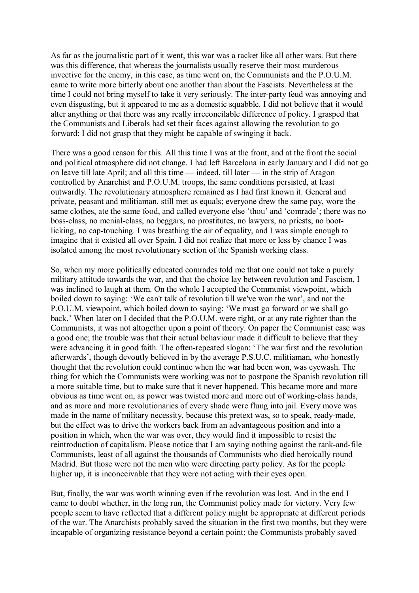As far as the journalistic part of it went, this war was a racket like all other wars. But there was this difference, that whereas the journalists usually reserve their most murderous invective for the enemy, in this case, as time went on, the Communists and the P.O.U.M. came to write more bitterly about one another than about the Fascists. Nevertheless at the time I could not bring myself to take it very seriously. The inter-party feud was annoying and even disgusting, but it appeared to me as a domestic squabble. I did not believe that it would alter anything or that there was any really irreconcilable difference of policy. I grasped that the Communists and Liberals had set their faces against allowing the revolution to go forward; I did not grasp that they might be capable of swinging it back.

There was a good reason for this. All this time I was at the front, and at the front the social and political atmosphere did not change. I had left Barcelona in early January and I did not go on leave till late April; and all this time — indeed, till later — in the strip of Aragon controlled by Anarchist and P.O.U.M. troops, the same conditions persisted, at least outwardly. The revolutionary atmosphere remained as I had first known it. General and private, peasant and militiaman, still met as equals; everyone drew the same pay, wore the same clothes, ate the same food, and called everyone else 'thou' and 'comrade'; there was no boss-class, no menial-class, no beggars, no prostitutes, no lawyers, no priests, no bootlicking, no cap-touching. I was breathing the air of equality, and I was simple enough to imagine that it existed all over Spain. I did not realize that more or less by chance I was isolated among the most revolutionary section of the Spanish working class.

So, when my more politically educated comrades told me that one could not take a purely military attitude towards the war, and that the choice lay between revolution and Fascism, I was inclined to laugh at them. On the whole I accepted the Communist viewpoint, which boiled down to saying: 'We can't talk of revolution till we've won the war', and not the P.O.U.M. viewpoint, which boiled down to saying: 'We must go forward or we shall go back.' When later on I decided that the P.O.U.M. were right, or at any rate righter than the Communists, it was not altogether upon a point of theory. On paper the Communist case was a good one; the trouble was that their actual behaviour made it difficult to believe that they were advancing it in good faith. The often-repeated slogan: 'The war first and the revolution afterwards', though devoutly believed in by the average P.S.U.C. militiaman, who honestly thought that the revolution could continue when the war had been won, was eyewash. The thing for which the Communists were working was not to postpone the Spanish revolution till a more suitable time, but to make sure that it never happened. This became more and more obvious as time went on, as power was twisted more and more out of working-class hands, and as more and more revolutionaries of every shade were flung into jail. Every move was made in the name of military necessity, because this pretext was, so to speak, ready-made, but the effect was to drive the workers back from an advantageous position and into a position in which, when the war was over, they would find it impossible to resist the reintroduction of capitalism. Please notice that I am saying nothing against the rank-and-file Communists, least of all against the thousands of Communists who died heroically round Madrid. But those were not the men who were directing party policy. As for the people higher up, it is inconceivable that they were not acting with their eyes open.

But, finally, the war was worth winning even if the revolution was lost. And in the end I came to doubt whether, in the long run, the Communist policy made for victory. Very few people seem to have reflected that a different policy might be appropriate at different periods of the war. The Anarchists probably saved the situation in the first two months, but they were incapable of organizing resistance beyond a certain point; the Communists probably saved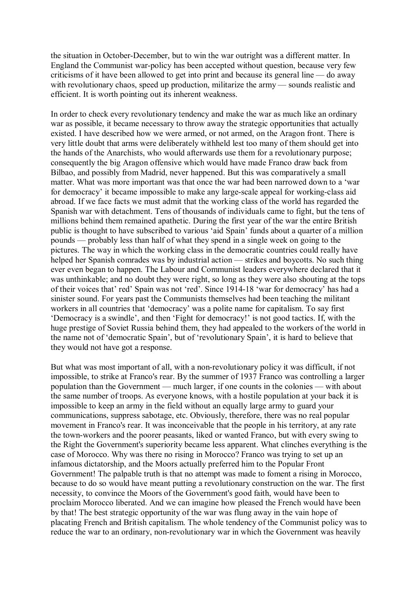the situation in October-December, but to win the war outright was a different matter. In England the Communist war-policy has been accepted without question, because very few criticisms of it have been allowed to get into print and because its general line — do away with revolutionary chaos, speed up production, militarize the army — sounds realistic and efficient. It is worth pointing out its inherent weakness.

In order to check every revolutionary tendency and make the war as much like an ordinary war as possible, it became necessary to throw away the strategic opportunities that actually existed. I have described how we were armed, or not armed, on the Aragon front. There is very little doubt that arms were deliberately withheld lest too many of them should get into the hands of the Anarchists, who would afterwards use them for a revolutionary purpose; consequently the big Aragon offensive which would have made Franco draw back from Bilbao, and possibly from Madrid, never happened. But this was comparatively a small matter. What was more important was that once the war had been narrowed down to a 'war for democracy' it became impossible to make any large-scale appeal for working-class aid abroad. If we face facts we must admit that the working class of the world has regarded the Spanish war with detachment. Tens of thousands of individuals came to fight, but the tens of millions behind them remained apathetic. During the first year of the war the entire British public is thought to have subscribed to various 'aid Spain' funds about a quarter of a million pounds — probably less than half of what they spend in a single week on going to the pictures. The way in which the working class in the democratic countries could really have helped her Spanish comrades was by industrial action — strikes and boycotts. No such thing ever even began to happen. The Labour and Communist leaders everywhere declared that it was unthinkable; and no doubt they were right, so long as they were also shouting at the tops of their voices that' red' Spain was not 'red'. Since 1914-18 'war for democracy' has had a sinister sound. For years past the Communists themselves had been teaching the militant workers in all countries that 'democracy' was a polite name for capitalism. To say first 'Democracy is a swindle', and then 'Fight for democracy!' is not good tactics. If, with the huge prestige of Soviet Russia behind them, they had appealed to the workers of the world in the name not of 'democratic Spain', but of 'revolutionary Spain', it is hard to believe that they would not have got a response.

But what was most important of all, with a non-revolutionary policy it was difficult, if not impossible, to strike at Franco's rear. By the summer of 1937 Franco was controlling a larger population than the Government — much larger, if one counts in the colonies — with about the same number of troops. As everyone knows, with a hostile population at your back it is impossible to keep an army in the field without an equally large army to guard your communications, suppress sabotage, etc. Obviously, therefore, there was no real popular movement in Franco's rear. It was inconceivable that the people in his territory, at any rate the town-workers and the poorer peasants, liked or wanted Franco, but with every swing to the Right the Government's superiority became less apparent. What clinches everything is the case of Morocco. Why was there no rising in Morocco? Franco was trying to set up an infamous dictatorship, and the Moors actually preferred him to the Popular Front Government! The palpable truth is that no attempt was made to foment a rising in Morocco, because to do so would have meant putting a revolutionary construction on the war. The first necessity, to convince the Moors of the Government's good faith, would have been to proclaim Morocco liberated. And we can imagine how pleased the French would have been by that! The best strategic opportunity of the war was flung away in the vain hope of placating French and British capitalism. The whole tendency of the Communist policy was to reduce the war to an ordinary, non-revolutionary war in which the Government was heavily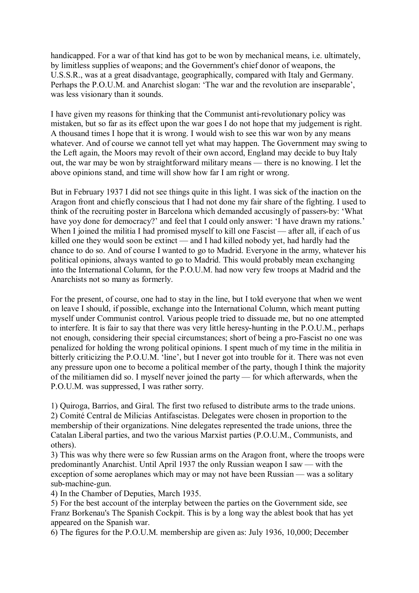handicapped. For a war of that kind has got to be won by mechanical means, i.e. ultimately, by limitless supplies of weapons; and the Government's chief donor of weapons, the U.S.S.R., was at a great disadvantage, geographically, compared with Italy and Germany. Perhaps the P.O.U.M. and Anarchist slogan: 'The war and the revolution are inseparable', was less visionary than it sounds.

I have given my reasons for thinking that the Communist anti-revolutionary policy was mistaken, but so far as its effect upon the war goes I do not hope that my judgement is right. A thousand times I hope that it is wrong. I would wish to see this war won by any means whatever. And of course we cannot tell yet what may happen. The Government may swing to the Left again, the Moors may revolt of their own accord, England may decide to buy Italy out, the war may be won by straightforward military means — there is no knowing. I let the above opinions stand, and time will show how far I am right or wrong.

But in February 1937 I did not see things quite in this light. I was sick of the inaction on the Aragon front and chiefly conscious that I had not done my fair share of the fighting. I used to think of the recruiting poster in Barcelona which demanded accusingly of passers-by: 'What have yoy done for democracy?' and feel that I could only answer: 'I have drawn my rations.' When I joined the militia I had promised myself to kill one Fascist — after all, if each of us killed one they would soon be extinct — and I had killed nobody yet, had hardly had the chance to do so. And of course I wanted to go to Madrid. Everyone in the army, whatever his political opinions, always wanted to go to Madrid. This would probably mean exchanging into the International Column, for the P.O.U.M. had now very few troops at Madrid and the Anarchists not so many as formerly.

For the present, of course, one had to stay in the line, but I told everyone that when we went on leave I should, if possible, exchange into the International Column, which meant putting myself under Communist control. Various people tried to dissuade me, but no one attempted to interfere. It is fair to say that there was very little heresy-hunting in the P.O.U.M., perhaps not enough, considering their special circumstances; short of being a pro-Fascist no one was penalized for holding the wrong political opinions. I spent much of my time in the militia in bitterly criticizing the P.O.U.M. 'line', but I never got into trouble for it. There was not even any pressure upon one to become a political member of the party, though I think the majority of the militiamen did so. I myself never joined the party — for which afterwards, when the P.O.U.M. was suppressed, I was rather sorry.

1) Quiroga, Barrios, and Giral. The first two refused to distribute arms to the trade unions. 2) Comité Central de Milicias Antifascistas. Delegates were chosen in proportion to the membership of their organizations. Nine delegates represented the trade unions, three the Catalan Liberal parties, and two the various Marxist parties (P.O.U.M., Communists, and others).

3) This was why there were so few Russian arms on the Aragon front, where the troops were predominantly Anarchist. Until April 1937 the only Russian weapon I saw — with the exception of some aeroplanes which may or may not have been Russian — was a solitary sub-machine-gun.

4) In the Chamber of Deputies, March 1935.

5) For the best account of the interplay between the parties on the Government side, see Franz Borkenau's The Spanish Cockpit. This is by a long way the ablest book that has yet appeared on the Spanish war.

6) The figures for the P.O.U.M. membership are given as: July 1936, 10,000; December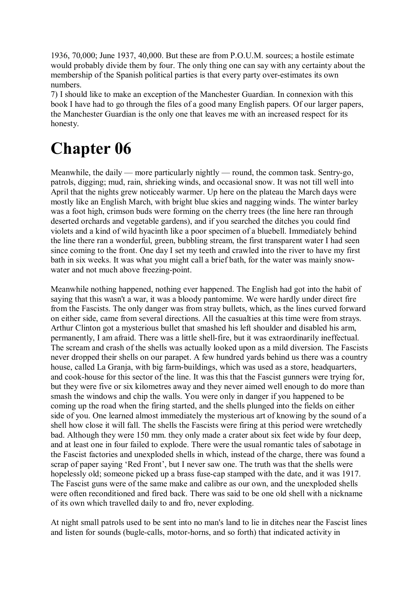1936, 70,000; June 1937, 40,000. But these are from P.O.U.M. sources; a hostile estimate would probably divide them by four. The only thing one can say with any certainty about the membership of the Spanish political parties is that every party over-estimates its own numbers.

7) I should like to make an exception of the Manchester Guardian. In connexion with this book I have had to go through the files of a good many English papers. Of our larger papers, the Manchester Guardian is the only one that leaves me with an increased respect for its honesty.

## **Chapter 06**

Meanwhile, the daily — more particularly nightly — round, the common task. Sentry-go, patrols, digging; mud, rain, shrieking winds, and occasional snow. It was not till well into April that the nights grew noticeably warmer. Up here on the plateau the March days were mostly like an English March, with bright blue skies and nagging winds. The winter barley was a foot high, crimson buds were forming on the cherry trees (the line here ran through deserted orchards and vegetable gardens), and if you searched the ditches you could find violets and a kind of wild hyacinth like a poor specimen of a bluebell. Immediately behind the line there ran a wonderful, green, bubbling stream, the first transparent water I had seen since coming to the front. One day I set my teeth and crawled into the river to have my first bath in six weeks. It was what you might call a brief bath, for the water was mainly snowwater and not much above freezing-point.

Meanwhile nothing happened, nothing ever happened. The English had got into the habit of saying that this wasn't a war, it was a bloody pantomime. We were hardly under direct fire from the Fascists. The only danger was from stray bullets, which, as the lines curved forward on either side, came from several directions. All the casualties at this time were from strays. Arthur Clinton got a mysterious bullet that smashed his left shoulder and disabled his arm, permanently, I am afraid. There was a little shell-fire, but it was extraordinarily ineffectual. The scream and crash of the shells was actually looked upon as a mild diversion. The Fascists never dropped their shells on our parapet. A few hundred yards behind us there was a country house, called La Granja, with big farm-buildings, which was used as a store, headquarters, and cook-house for this sector of the line. It was this that the Fascist gunners were trying for, but they were five or six kilometres away and they never aimed well enough to do more than smash the windows and chip the walls. You were only in danger if you happened to be coming up the road when the firing started, and the shells plunged into the fields on either side of you. One learned almost immediately the mysterious art of knowing by the sound of a shell how close it will fall. The shells the Fascists were firing at this period were wretchedly bad. Although they were 150 mm. they only made a crater about six feet wide by four deep, and at least one in four failed to explode. There were the usual romantic tales of sabotage in the Fascist factories and unexploded shells in which, instead of the charge, there was found a scrap of paper saying 'Red Front', but I never saw one. The truth was that the shells were hopelessly old; someone picked up a brass fuse-cap stamped with the date, and it was 1917. The Fascist guns were of the same make and calibre as our own, and the unexploded shells were often reconditioned and fired back. There was said to be one old shell with a nickname of its own which travelled daily to and fro, never exploding.

At night small patrols used to be sent into no man's land to lie in ditches near the Fascist lines and listen for sounds (bugle-calls, motor-horns, and so forth) that indicated activity in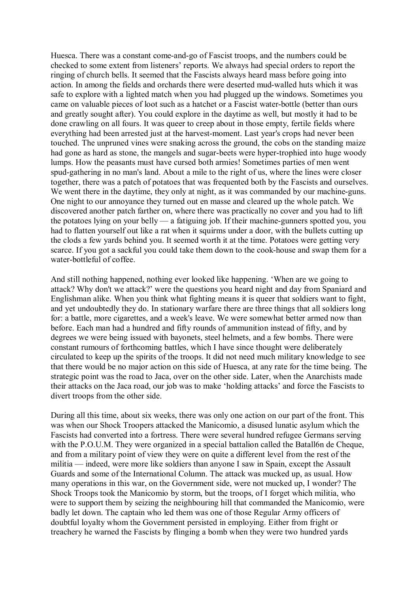Huesca. There was a constant come-and-go of Fascist troops, and the numbers could be checked to some extent from listeners' reports. We always had special orders to report the ringing of church bells. It seemed that the Fascists always heard mass before going into action. In among the fields and orchards there were deserted mud-walled huts which it was safe to explore with a lighted match when you had plugged up the windows. Sometimes you came on valuable pieces of loot such as a hatchet or a Fascist water-bottle (better than ours and greatly sought after). You could explore in the daytime as well, but mostly it had to be done crawling on all fours. It was queer to creep about in those empty, fertile fields where everything had been arrested just at the harvest-moment. Last year's crops had never been touched. The unpruned vines were snaking across the ground, the cobs on the standing maize had gone as hard as stone, the mangels and sugar-beets were hyper-trophied into huge woody lumps. How the peasants must have cursed both armies! Sometimes parties of men went spud-gathering in no man's land. About a mile to the right of us, where the lines were closer together, there was a patch of potatoes that was frequented both by the Fascists and ourselves. We went there in the daytime, they only at night, as it was commanded by our machine-guns. One night to our annoyance they turned out en masse and cleared up the whole patch. We discovered another patch farther on, where there was practically no cover and you had to lift the potatoes lying on your belly — a fatiguing job. If their machine-gunners spotted you, you had to flatten yourself out like a rat when it squirms under a door, with the bullets cutting up the clods a few yards behind you. It seemed worth it at the time. Potatoes were getting very scarce. If you got a sackful you could take them down to the cook-house and swap them for a water-bottleful of coffee.

And still nothing happened, nothing ever looked like happening. 'When are we going to attack? Why don't we attack?' were the questions you heard night and day from Spaniard and Englishman alike. When you think what fighting means it is queer that soldiers want to fight, and yet undoubtedly they do. In stationary warfare there are three things that all soldiers long for: a battle, more cigarettes, and a week's leave. We were somewhat better armed now than before. Each man had a hundred and fifty rounds of ammunition instead of fifty, and by degrees we were being issued with bayonets, steel helmets, and a few bombs. There were constant rumours of forthcoming battles, which I have since thought were deliberately circulated to keep up the spirits of the troops. It did not need much military knowledge to see that there would be no major action on this side of Huesca, at any rate for the time being. The strategic point was the road to Jaca, over on the other side. Later, when the Anarchists made their attacks on the Jaca road, our job was to make 'holding attacks' and force the Fascists to divert troops from the other side.

During all this time, about six weeks, there was only one action on our part of the front. This was when our Shock Troopers attacked the Manicomio, a disused lunatic asylum which the Fascists had converted into a fortress. There were several hundred refugee Germans serving with the P.O.U.M. They were organized in a special battalion called the Batall6n de Cheque, and from a military point of view they were on quite a different level from the rest of the militia — indeed, were more like soldiers than anyone I saw in Spain, except the Assault Guards and some of the International Column. The attack was mucked up, as usual. How many operations in this war, on the Government side, were not mucked up, I wonder? The Shock Troops took the Manicomio by storm, but the troops, of I forget which militia, who were to support them by seizing the neighbouring hill that commanded the Manicomio, were badly let down. The captain who led them was one of those Regular Army officers of doubtful loyalty whom the Government persisted in employing. Either from fright or treachery he warned the Fascists by flinging a bomb when they were two hundred yards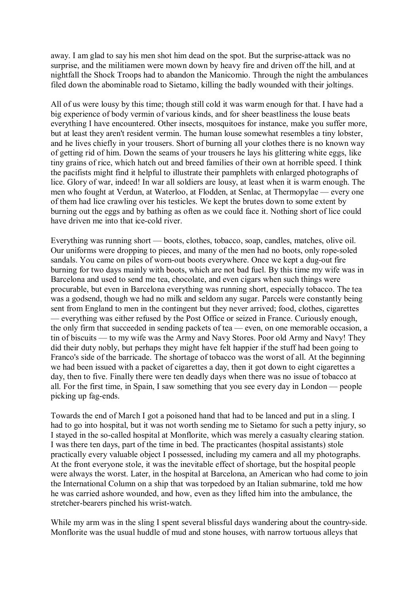away. I am glad to say his men shot him dead on the spot. But the surprise-attack was no surprise, and the militiamen were mown down by heavy fire and driven off the hill, and at nightfall the Shock Troops had to abandon the Manicomio. Through the night the ambulances filed down the abominable road to Sietamo, killing the badly wounded with their joltings.

All of us were lousy by this time; though still cold it was warm enough for that. I have had a big experience of body vermin of various kinds, and for sheer beastliness the louse beats everything I have encountered. Other insects, mosquitoes for instance, make you suffer more, but at least they aren't resident vermin. The human louse somewhat resembles a tiny lobster, and he lives chiefly in your trousers. Short of burning all your clothes there is no known way of getting rid of him. Down the seams of your trousers he lays his glittering white eggs, like tiny grains of rice, which hatch out and breed families of their own at horrible speed. I think the pacifists might find it helpful to illustrate their pamphlets with enlarged photographs of lice. Glory of war, indeed! In war all soldiers are lousy, at least when it is warm enough. The men who fought at Verdun, at Waterloo, at Flodden, at Senlac, at Thermopylae — every one of them had lice crawling over his testicles. We kept the brutes down to some extent by burning out the eggs and by bathing as often as we could face it. Nothing short of lice could have driven me into that ice-cold river.

Everything was running short — boots, clothes, tobacco, soap, candles, matches, olive oil. Our uniforms were dropping to pieces, and many of the men had no boots, only rope-soled sandals. You came on piles of worn-out boots everywhere. Once we kept a dug-out fire burning for two days mainly with boots, which are not bad fuel. By this time my wife was in Barcelona and used to send me tea, chocolate, and even cigars when such things were procurable, but even in Barcelona everything was running short, especially tobacco. The tea was a godsend, though we had no milk and seldom any sugar. Parcels were constantly being sent from England to men in the contingent but they never arrived; food, clothes, cigarettes — everything was either refused by the Post Office or seized in France. Curiously enough, the only firm that succeeded in sending packets of tea — even, on one memorable occasion, a tin of biscuits — to my wife was the Army and Navy Stores. Poor old Army and Navy! They did their duty nobly, but perhaps they might have felt happier if the stuff had been going to Franco's side of the barricade. The shortage of tobacco was the worst of all. At the beginning we had been issued with a packet of cigarettes a day, then it got down to eight cigarettes a day, then to five. Finally there were ten deadly days when there was no issue of tobacco at all. For the first time, in Spain, I saw something that you see every day in London — people picking up fag-ends.

Towards the end of March I got a poisoned hand that had to be lanced and put in a sling. I had to go into hospital, but it was not worth sending me to Sietamo for such a petty injury, so I stayed in the so-called hospital at Monflorite, which was merely a casualty clearing station. I was there ten days, part of the time in bed. The practicantes (hospital assistants) stole practically every valuable object I possessed, including my camera and all my photographs. At the front everyone stole, it was the inevitable effect of shortage, but the hospital people were always the worst. Later, in the hospital at Barcelona, an American who had come to join the International Column on a ship that was torpedoed by an Italian submarine, told me how he was carried ashore wounded, and how, even as they lifted him into the ambulance, the stretcher-bearers pinched his wrist-watch.

While my arm was in the sling I spent several blissful days wandering about the country-side. Monflorite was the usual huddle of mud and stone houses, with narrow tortuous alleys that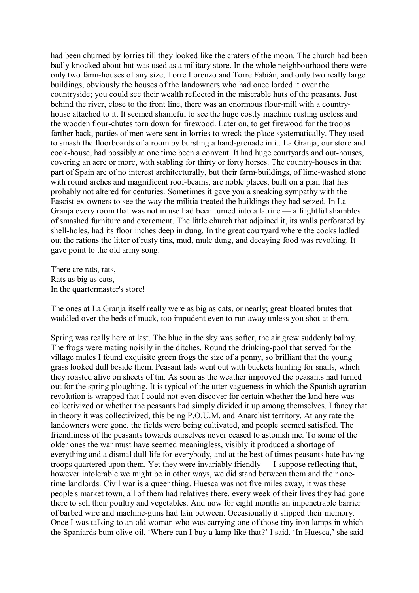had been churned by lorries till they looked like the craters of the moon. The church had been badly knocked about but was used as a military store. In the whole neighbourhood there were only two farm-houses of any size, Torre Lorenzo and Torre Fabián, and only two really large buildings, obviously the houses of the landowners who had once lorded it over the countryside; you could see their wealth reflected in the miserable huts of the peasants. Just behind the river, close to the front line, there was an enormous flour-mill with a countryhouse attached to it. It seemed shameful to see the huge costly machine rusting useless and the wooden flour-chutes torn down for firewood. Later on, to get firewood for the troops farther back, parties of men were sent in lorries to wreck the place systematically. They used to smash the floorboards of a room by bursting a hand-grenade in it. La Granja, our store and cook-house, had possibly at one time been a convent. It had huge courtyards and out-houses, covering an acre or more, with stabling for thirty or forty horses. The country-houses in that part of Spain are of no interest architecturally, but their farm-buildings, of lime-washed stone with round arches and magnificent roof-beams, are noble places, built on a plan that has probably not altered for centuries. Sometimes it gave you a sneaking sympathy with the Fascist ex-owners to see the way the militia treated the buildings they had seized. In La Granja every room that was not in use had been turned into a latrine — a frightful shambles of smashed furniture and excrement. The little church that adjoined it, its walls perforated by shell-holes, had its floor inches deep in dung. In the great courtyard where the cooks ladled out the rations the litter of rusty tins, mud, mule dung, and decaying food was revolting. It gave point to the old army song:

There are rats, rats, Rats as big as cats, In the quartermaster's store!

The ones at La Granja itself really were as big as cats, or nearly; great bloated brutes that waddled over the beds of muck, too impudent even to run away unless you shot at them.

Spring was really here at last. The blue in the sky was softer, the air grew suddenly balmy. The frogs were mating noisily in the ditches. Round the drinking-pool that served for the village mules I found exquisite green frogs the size of a penny, so brilliant that the young grass looked dull beside them. Peasant lads went out with buckets hunting for snails, which they roasted alive on sheets of tin. As soon as the weather improved the peasants had turned out for the spring ploughing. It is typical of the utter vagueness in which the Spanish agrarian revolution is wrapped that I could not even discover for certain whether the land here was collectivized or whether the peasants had simply divided it up among themselves. I fancy that in theory it was collectivized, this being P.O.U.M. and Anarchist territory. At any rate the landowners were gone, the fields were being cultivated, and people seemed satisfied. The friendliness of the peasants towards ourselves never ceased to astonish me. To some of the older ones the war must have seemed meaningless, visibly it produced a shortage of everything and a dismal dull life for everybody, and at the best of times peasants hate having troops quartered upon them. Yet they were invariably friendly — I suppose reflecting that, however intolerable we might be in other ways, we did stand between them and their onetime landlords. Civil war is a queer thing. Huesca was not five miles away, it was these people's market town, all of them had relatives there, every week of their lives they had gone there to sell their poultry and vegetables. And now for eight months an impenetrable barrier of barbed wire and machine-guns had lain between. Occasionally it slipped their memory. Once I was talking to an old woman who was carrying one of those tiny iron lamps in which the Spaniards bum olive oil. 'Where can I buy a lamp like that?' I said. 'In Huesca,' she said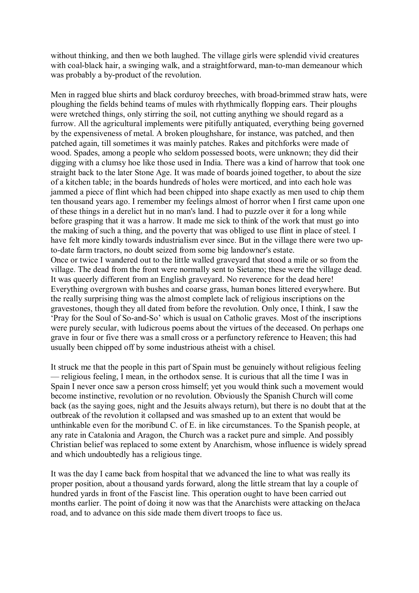without thinking, and then we both laughed. The village girls were splendid vivid creatures with coal-black hair, a swinging walk, and a straightforward, man-to-man demeanour which was probably a by-product of the revolution.

Men in ragged blue shirts and black corduroy breeches, with broad-brimmed straw hats, were ploughing the fields behind teams of mules with rhythmically flopping ears. Their ploughs were wretched things, only stirring the soil, not cutting anything we should regard as a furrow. All the agricultural implements were pitifully antiquated, everything being governed by the expensiveness of metal. A broken ploughshare, for instance, was patched, and then patched again, till sometimes it was mainly patches. Rakes and pitchforks were made of wood. Spades, among a people who seldom possessed boots, were unknown; they did their digging with a clumsy hoe like those used in India. There was a kind of harrow that took one straight back to the later Stone Age. It was made of boards joined together, to about the size of a kitchen table; in the boards hundreds of holes were morticed, and into each hole was jammed a piece of flint which had been chipped into shape exactly as men used to chip them ten thousand years ago. I remember my feelings almost of horror when I first came upon one of these things in a derelict hut in no man's land. I had to puzzle over it for a long while before grasping that it was a harrow. It made me sick to think of the work that must go into the making of such a thing, and the poverty that was obliged to use flint in place of steel. I have felt more kindly towards industrialism ever since. But in the village there were two upto-date farm tractors, no doubt seized from some big landowner's estate. Once or twice I wandered out to the little walled graveyard that stood a mile or so from the village. The dead from the front were normally sent to Sietamo; these were the village dead. It was queerly different from an English graveyard. No reverence for the dead here! Everything overgrown with bushes and coarse grass, human bones littered everywhere. But the really surprising thing was the almost complete lack of religious inscriptions on the gravestones, though they all dated from before the revolution. Only once, I think, I saw the 'Pray for the Soul of So-and-So' which is usual on Catholic graves. Most of the inscriptions were purely secular, with ludicrous poems about the virtues of the deceased. On perhaps one

grave in four or five there was a small cross or a perfunctory reference to Heaven; this had usually been chipped off by some industrious atheist with a chisel.

It struck me that the people in this part of Spain must be genuinely without religious feeling — religious feeling, I mean, in the orthodox sense. It is curious that all the time I was in Spain I never once saw a person cross himself; yet you would think such a movement would become instinctive, revolution or no revolution. Obviously the Spanish Church will come back (as the saying goes, night and the Jesuits always return), but there is no doubt that at the outbreak of the revolution it collapsed and was smashed up to an extent that would be unthinkable even for the moribund C. of E. in like circumstances. To the Spanish people, at any rate in Catalonia and Aragon, the Church was a racket pure and simple. And possibly Christian belief was replaced to some extent by Anarchism, whose influence is widely spread and which undoubtedly has a religious tinge.

It was the day I came back from hospital that we advanced the line to what was really its proper position, about a thousand yards forward, along the little stream that lay a couple of hundred yards in front of the Fascist line. This operation ought to have been carried out months earlier. The point of doing it now was that the Anarchists were attacking on theJaca road, and to advance on this side made them divert troops to face us.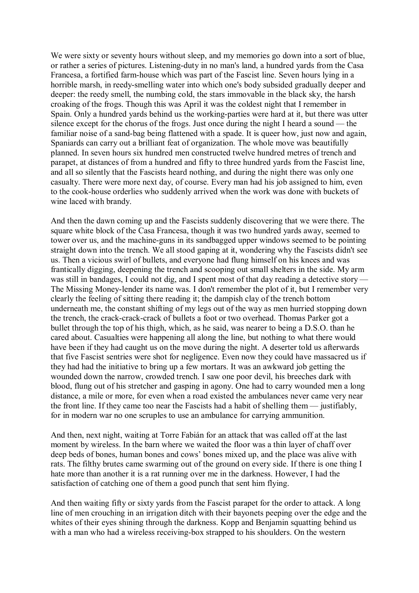We were sixty or seventy hours without sleep, and my memories go down into a sort of blue, or rather a series of pictures. Listening-duty in no man's land, a hundred yards from the Casa Francesa, a fortified farm-house which was part of the Fascist line. Seven hours lying in a horrible marsh, in reedy-smelling water into which one's body subsided gradually deeper and deeper: the reedy smell, the numbing cold, the stars immovable in the black sky, the harsh croaking of the frogs. Though this was April it was the coldest night that I remember in Spain. Only a hundred yards behind us the working-parties were hard at it, but there was utter silence except for the chorus of the frogs. Just once during the night I heard a sound — the familiar noise of a sand-bag being flattened with a spade. It is queer how, just now and again, Spaniards can carry out a brilliant feat of organization. The whole move was beautifully planned. In seven hours six hundred men constructed twelve hundred metres of trench and parapet, at distances of from a hundred and fifty to three hundred yards from the Fascist line, and all so silently that the Fascists heard nothing, and during the night there was only one casualty. There were more next day, of course. Every man had his job assigned to him, even to the cook-house orderlies who suddenly arrived when the work was done with buckets of wine laced with brandy.

And then the dawn coming up and the Fascists suddenly discovering that we were there. The square white block of the Casa Francesa, though it was two hundred yards away, seemed to tower over us, and the machine-guns in its sandbagged upper windows seemed to be pointing straight down into the trench. We all stood gaping at it, wondering why the Fascists didn't see us. Then a vicious swirl of bullets, and everyone had flung himself on his knees and was frantically digging, deepening the trench and scooping out small shelters in the side. My arm was still in bandages, I could not dig, and I spent most of that day reading a detective story — The Missing Money-lender its name was. I don't remember the plot of it, but I remember very clearly the feeling of sitting there reading it; the dampish clay of the trench bottom underneath me, the constant shifting of my legs out of the way as men hurried stopping down the trench, the crack-crack-crack of bullets a foot or two overhead. Thomas Parker got a bullet through the top of his thigh, which, as he said, was nearer to being a D.S.O. than he cared about. Casualties were happening all along the line, but nothing to what there would have been if they had caught us on the move during the night. A deserter told us afterwards that five Fascist sentries were shot for negligence. Even now they could have massacred us if they had had the initiative to bring up a few mortars. It was an awkward job getting the wounded down the narrow, crowded trench. I saw one poor devil, his breeches dark with blood, flung out of his stretcher and gasping in agony. One had to carry wounded men a long distance, a mile or more, for even when a road existed the ambulances never came very near the front line. If they came too near the Fascists had a habit of shelling them — justifiably, for in modern war no one scruples to use an ambulance for carrying ammunition.

And then, next night, waiting at Torre Fabián for an attack that was called off at the last moment by wireless. In the barn where we waited the floor was a thin layer of chaff over deep beds of bones, human bones and cows' bones mixed up, and the place was alive with rats. The filthy brutes came swarming out of the ground on every side. If there is one thing I hate more than another it is a rat running over me in the darkness. However, I had the satisfaction of catching one of them a good punch that sent him flying.

And then waiting fifty or sixty yards from the Fascist parapet for the order to attack. A long line of men crouching in an irrigation ditch with their bayonets peeping over the edge and the whites of their eyes shining through the darkness. Kopp and Benjamin squatting behind us with a man who had a wireless receiving-box strapped to his shoulders. On the western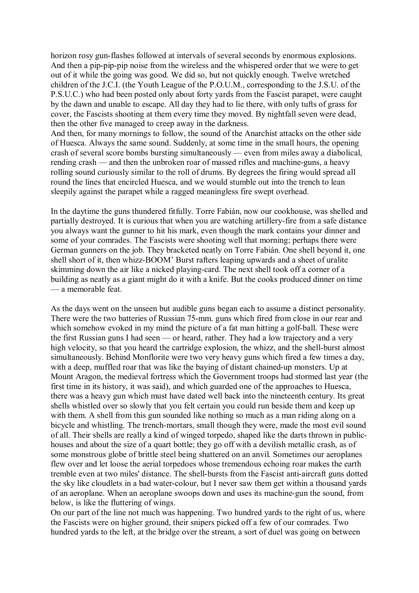horizon rosy gun-flashes followed at intervals of several seconds by enormous explosions. And then a pip-pip-pip noise from the wireless and the whispered order that we were to get out of it while the going was good. We did so, but not quickly enough. Twelve wretched children of the J.C.I. (the Youth League of the P.O.U.M., corresponding to the J.S.U. of the P.S.U.C.) who had been posted only about forty yards from the Fascist parapet, were caught by the dawn and unable to escape. All day they had to lie there, with only tufts of grass for cover, the Fascists shooting at them every time they moved. By nightfall seven were dead, then the other five managed to creep away in the darkness.

And then, for many mornings to follow, the sound of the Anarchist attacks on the other side of Huesca. Always the same sound. Suddenly, at some time in the small hours, the opening crash of several score bombs bursting simultaneously — even from miles away a diabolical, rending crash — and then the unbroken roar of massed rifles and machine-guns, a heavy rolling sound curiously similar to the roll of drums. By degrees the firing would spread all round the lines that encircled Huesca, and we would stumble out into the trench to lean sleepily against the parapet while a ragged meaningless fire swept overhead.

In the daytime the guns thundered fitfully. Torre Fabián, now our cookhouse, was shelled and partially destroyed. It is curious that when you are watching artillery-fire from a safe distance you always want the gunner to hit his mark, even though the mark contains your dinner and some of your comrades. The Fascists were shooting well that morning; perhaps there were German gunners on the job. They bracketed neatly on Torre Fabián. One shell beyond it, one shell short of it, then whizz-BOOM' Burst rafters leaping upwards and a sheet of uralite skimming down the air like a nicked playing-card. The next shell took off a corner of a building as neatly as a giant might do it with a knife. But the cooks produced dinner on time — a memorable feat.

As the days went on the unseen but audible guns began each to assume a distinct personality. There were the two batteries of Russian 75-mm. guns which fired from close in our rear and which somehow evoked in my mind the picture of a fat man hitting a golf-ball. These were the first Russian guns I had seen — or heard, rather. They had a low trajectory and a very high velocity, so that you heard the cartridge explosion, the whizz, and the shell-burst almost simultaneously. Behind Monflorite were two very heavy guns which fired a few times a day, with a deep, muffled roar that was like the baying of distant chained-up monsters. Up at Mount Aragon, the medieval fortress which the Government troops had stormed last year (the first time in its history, it was said), and which guarded one of the approaches to Huesca, there was a heavy gun which must have dated well back into the nineteenth century. Its great shells whistled over so slowly that you felt certain you could run beside them and keep up with them. A shell from this gun sounded like nothing so much as a man riding along on a bicycle and whistling. The trench-mortars, small though they were, made the most evil sound of all. Their shells are really a kind of winged torpedo, shaped like the darts thrown in publichouses and about the size of a quart bottle; they go off with a devilish metallic crash, as of some monstrous globe of brittle steel being shattered on an anvil. Sometimes our aeroplanes flew over and let loose the aerial torpedoes whose tremendous echoing roar makes the earth tremble even at two miles' distance. The shell-bursts from the Fascist anti-aircraft guns dotted the sky like cloudlets in a bad water-colour, but I never saw them get within a thousand yards of an aeroplane. When an aeroplane swoops down and uses its machine-gun the sound, from below, is like the fluttering of wings.

On our part of the line not much was happening. Two hundred yards to the right of us, where the Fascists were on higher ground, their snipers picked off a few of our comrades. Two hundred yards to the left, at the bridge over the stream, a sort of duel was going on between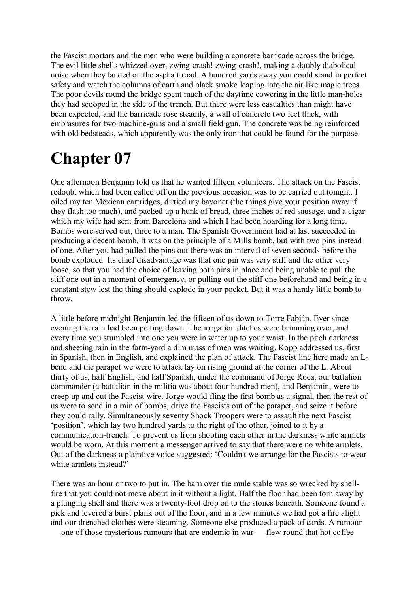the Fascist mortars and the men who were building a concrete barricade across the bridge. The evil little shells whizzed over, zwing-crash! zwing-crash!, making a doubly diabolical noise when they landed on the asphalt road. A hundred yards away you could stand in perfect safety and watch the columns of earth and black smoke leaping into the air like magic trees. The poor devils round the bridge spent much of the daytime cowering in the little man-holes they had scooped in the side of the trench. But there were less casualties than might have been expected, and the barricade rose steadily, a wall of concrete two feet thick, with embrasures for two machine-guns and a small field gun. The concrete was being reinforced with old bedsteads, which apparently was the only iron that could be found for the purpose.

## **Chapter 07**

One afternoon Benjamin told us that he wanted fifteen volunteers. The attack on the Fascist redoubt which had been called off on the previous occasion was to be carried out tonight. I oiled my ten Mexican cartridges, dirtied my bayonet (the things give your position away if they flash too much), and packed up a hunk of bread, three inches of red sausage, and a cigar which my wife had sent from Barcelona and which I had been hoarding for a long time. Bombs were served out, three to a man. The Spanish Government had at last succeeded in producing a decent bomb. It was on the principle of a Mills bomb, but with two pins instead of one. After you had pulled the pins out there was an interval of seven seconds before the bomb exploded. Its chief disadvantage was that one pin was very stiff and the other very loose, so that you had the choice of leaving both pins in place and being unable to pull the stiff one out in a moment of emergency, or pulling out the stiff one beforehand and being in a constant stew lest the thing should explode in your pocket. But it was a handy little bomb to throw.

A little before midnight Benjamin led the fifteen of us down to Torre Fabián. Ever since evening the rain had been pelting down. The irrigation ditches were brimming over, and every time you stumbled into one you were in water up to your waist. In the pitch darkness and sheeting rain in the farm-yard a dim mass of men was waiting. Kopp addressed us, first in Spanish, then in English, and explained the plan of attack. The Fascist line here made an Lbend and the parapet we were to attack lay on rising ground at the corner of the L. About thirty of us, half English, and half Spanish, under the command of Jorge Roca, our battalion commander (a battalion in the militia was about four hundred men), and Benjamin, were to creep up and cut the Fascist wire. Jorge would fling the first bomb as a signal, then the rest of us were to send in a rain of bombs, drive the Fascists out of the parapet, and seize it before they could rally. Simultaneously seventy Shock Troopers were to assault the next Fascist 'position', which lay two hundred yards to the right of the other, joined to it by a communication-trench. To prevent us from shooting each other in the darkness white armlets would be worn. At this moment a messenger arrived to say that there were no white armlets. Out of the darkness a plaintive voice suggested: 'Couldn't we arrange for the Fascists to wear white armlets instead?'

There was an hour or two to put in. The barn over the mule stable was so wrecked by shellfire that you could not move about in it without a light. Half the floor had been torn away by a plunging shell and there was a twenty-foot drop on to the stones beneath. Someone found a pick and levered a burst plank out of the floor, and in a few minutes we had got a fire alight and our drenched clothes were steaming. Someone else produced a pack of cards. A rumour — one of those mysterious rumours that are endemic in war — flew round that hot coffee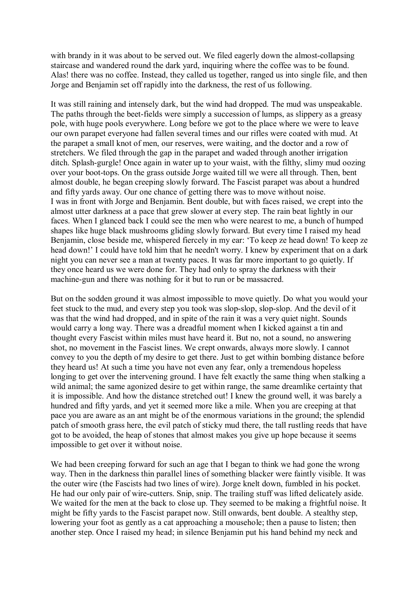with brandy in it was about to be served out. We filed eagerly down the almost-collapsing staircase and wandered round the dark yard, inquiring where the coffee was to be found. Alas! there was no coffee. Instead, they called us together, ranged us into single file, and then Jorge and Benjamin set off rapidly into the darkness, the rest of us following.

It was still raining and intensely dark, but the wind had dropped. The mud was unspeakable. The paths through the beet-fields were simply a succession of lumps, as slippery as a greasy pole, with huge pools everywhere. Long before we got to the place where we were to leave our own parapet everyone had fallen several times and our rifles were coated with mud. At the parapet a small knot of men, our reserves, were waiting, and the doctor and a row of stretchers. We filed through the gap in the parapet and waded through another irrigation ditch. Splash-gurgle! Once again in water up to your waist, with the filthy, slimy mud oozing over your boot-tops. On the grass outside Jorge waited till we were all through. Then, bent almost double, he began creeping slowly forward. The Fascist parapet was about a hundred and fifty yards away. Our one chance of getting there was to move without noise. I was in front with Jorge and Benjamin. Bent double, but with faces raised, we crept into the almost utter darkness at a pace that grew slower at every step. The rain beat lightly in our faces. When I glanced back I could see the men who were nearest to me, a bunch of humped shapes like huge black mushrooms gliding slowly forward. But every time I raised my head Benjamin, close beside me, whispered fiercely in my ear: 'To keep ze head down! To keep ze head down!' I could have told him that he needn't worry. I knew by experiment that on a dark night you can never see a man at twenty paces. It was far more important to go quietly. If they once heard us we were done for. They had only to spray the darkness with their machine-gun and there was nothing for it but to run or be massacred.

But on the sodden ground it was almost impossible to move quietly. Do what you would your feet stuck to the mud, and every step you took was slop-slop, slop-slop. And the devil of it was that the wind had dropped, and in spite of the rain it was a very quiet night. Sounds would carry a long way. There was a dreadful moment when I kicked against a tin and thought every Fascist within miles must have heard it. But no, not a sound, no answering shot, no movement in the Fascist lines. We crept onwards, always more slowly. I cannot convey to you the depth of my desire to get there. Just to get within bombing distance before they heard us! At such a time you have not even any fear, only a tremendous hopeless longing to get over the intervening ground. I have felt exactly the same thing when stalking a wild animal; the same agonized desire to get within range, the same dreamlike certainty that it is impossible. And how the distance stretched out! I knew the ground well, it was barely a hundred and fifty yards, and yet it seemed more like a mile. When you are creeping at that pace you are aware as an ant might be of the enormous variations in the ground; the splendid patch of smooth grass here, the evil patch of sticky mud there, the tall rustling reeds that have got to be avoided, the heap of stones that almost makes you give up hope because it seems impossible to get over it without noise.

We had been creeping forward for such an age that I began to think we had gone the wrong way. Then in the darkness thin parallel lines of something blacker were faintly visible. It was the outer wire (the Fascists had two lines of wire). Jorge knelt down, fumbled in his pocket. He had our only pair of wire-cutters. Snip, snip. The trailing stuff was lifted delicately aside. We waited for the men at the back to close up. They seemed to be making a frightful noise. It might be fifty yards to the Fascist parapet now. Still onwards, bent double. A stealthy step, lowering your foot as gently as a cat approaching a mousehole; then a pause to listen; then another step. Once I raised my head; in silence Benjamin put his hand behind my neck and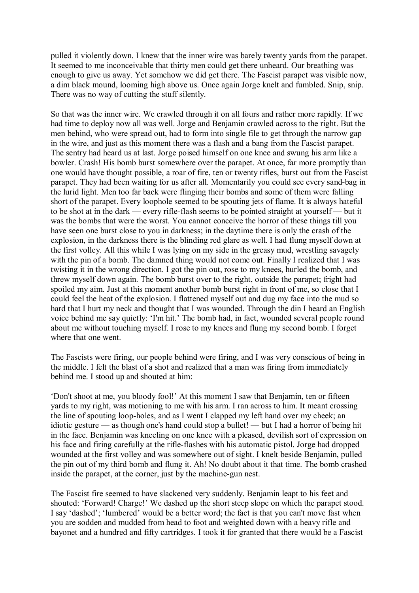pulled it violently down. I knew that the inner wire was barely twenty yards from the parapet. It seemed to me inconceivable that thirty men could get there unheard. Our breathing was enough to give us away. Yet somehow we did get there. The Fascist parapet was visible now, a dim black mound, looming high above us. Once again Jorge knelt and fumbled. Snip, snip. There was no way of cutting the stuff silently.

So that was the inner wire. We crawled through it on all fours and rather more rapidly. If we had time to deploy now all was well. Jorge and Benjamin crawled across to the right. But the men behind, who were spread out, had to form into single file to get through the narrow gap in the wire, and just as this moment there was a flash and a bang from the Fascist parapet. The sentry had heard us at last. Jorge poised himself on one knee and swung his arm like a bowler. Crash! His bomb burst somewhere over the parapet. At once, far more promptly than one would have thought possible, a roar of fire, ten or twenty rifles, burst out from the Fascist parapet. They had been waiting for us after all. Momentarily you could see every sand-bag in the lurid light. Men too far back were flinging their bombs and some of them were falling short of the parapet. Every loophole seemed to be spouting jets of flame. It is always hateful to be shot at in the dark — every rifle-flash seems to be pointed straight at yourself — but it was the bombs that were the worst. You cannot conceive the horror of these things till you have seen one burst close to you in darkness; in the daytime there is only the crash of the explosion, in the darkness there is the blinding red glare as well. I had flung myself down at the first volley. All this while I was lying on my side in the greasy mud, wrestling savagely with the pin of a bomb. The damned thing would not come out. Finally I realized that I was twisting it in the wrong direction. I got the pin out, rose to my knees, hurled the bomb, and threw myself down again. The bomb burst over to the right, outside the parapet; fright had spoiled my aim. Just at this moment another bomb burst right in front of me, so close that I could feel the heat of the explosion. I flattened myself out and dug my face into the mud so hard that I hurt my neck and thought that I was wounded. Through the din I heard an English voice behind me say quietly: 'I'm hit.' The bomb had, in fact, wounded several people round about me without touching myself. I rose to my knees and flung my second bomb. I forget where that one went.

The Fascists were firing, our people behind were firing, and I was very conscious of being in the middle. I felt the blast of a shot and realized that a man was firing from immediately behind me. I stood up and shouted at him:

'Don't shoot at me, you bloody fool!' At this moment I saw that Benjamin, ten or fifteen yards to my right, was motioning to me with his arm. I ran across to him. It meant crossing the line of spouting loop-holes, and as I went I clapped my left hand over my cheek; an idiotic gesture — as though one's hand could stop a bullet! — but I had a horror of being hit in the face. Benjamin was kneeling on one knee with a pleased, devilish sort of expression on his face and firing carefully at the rifle-flashes with his automatic pistol. Jorge had dropped wounded at the first volley and was somewhere out of sight. I knelt beside Benjamin, pulled the pin out of my third bomb and flung it. Ah! No doubt about it that time. The bomb crashed inside the parapet, at the corner, just by the machine-gun nest.

The Fascist fire seemed to have slackened very suddenly. Benjamin leapt to his feet and shouted: 'Forward! Charge!' We dashed up the short steep slope on which the parapet stood. I say 'dashed'; 'lumbered' would be a better word; the fact is that you can't move fast when you are sodden and mudded from head to foot and weighted down with a heavy rifle and bayonet and a hundred and fifty cartridges. I took it for granted that there would be a Fascist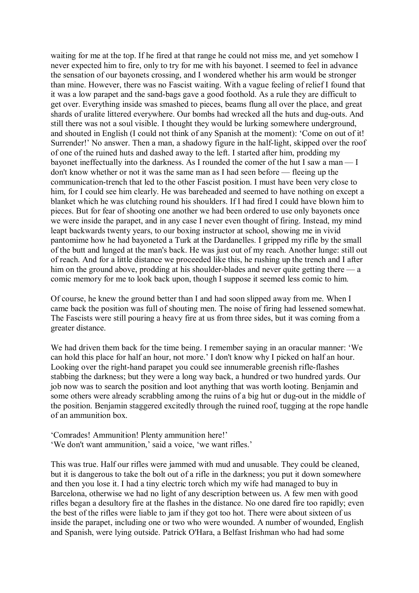waiting for me at the top. If he fired at that range he could not miss me, and yet somehow I never expected him to fire, only to try for me with his bayonet. I seemed to feel in advance the sensation of our bayonets crossing, and I wondered whether his arm would be stronger than mine. However, there was no Fascist waiting. With a vague feeling of relief I found that it was a low parapet and the sand-bags gave a good foothold. As a rule they are difficult to get over. Everything inside was smashed to pieces, beams flung all over the place, and great shards of uralite littered everywhere. Our bombs had wrecked all the huts and dug-outs. And still there was not a soul visible. I thought they would be lurking somewhere underground, and shouted in English (I could not think of any Spanish at the moment): 'Come on out of it! Surrender!' No answer. Then a man, a shadowy figure in the half-light, skipped over the roof of one of the ruined huts and dashed away to the left. I started after him, prodding my bayonet ineffectually into the darkness. As I rounded the comer of the hut I saw a man — I don't know whether or not it was the same man as I had seen before — fleeing up the communication-trench that led to the other Fascist position. I must have been very close to him, for I could see him clearly. He was bareheaded and seemed to have nothing on except a blanket which he was clutching round his shoulders. If I had fired I could have blown him to pieces. But for fear of shooting one another we had been ordered to use only bayonets once we were inside the parapet, and in any case I never even thought of firing. Instead, my mind leapt backwards twenty years, to our boxing instructor at school, showing me in vivid pantomime how he had bayoneted a Turk at the Dardanelles. I gripped my rifle by the small of the butt and lunged at the man's back. He was just out of my reach. Another lunge: still out of reach. And for a little distance we proceeded like this, he rushing up the trench and I after him on the ground above, prodding at his shoulder-blades and never quite getting there — a comic memory for me to look back upon, though I suppose it seemed less comic to him.

Of course, he knew the ground better than I and had soon slipped away from me. When I came back the position was full of shouting men. The noise of firing had lessened somewhat. The Fascists were still pouring a heavy fire at us from three sides, but it was coming from a greater distance.

We had driven them back for the time being. I remember saying in an oracular manner: 'We can hold this place for half an hour, not more.' I don't know why I picked on half an hour. Looking over the right-hand parapet you could see innumerable greenish rifle-flashes stabbing the darkness; but they were a long way back, a hundred or two hundred yards. Our job now was to search the position and loot anything that was worth looting. Benjamin and some others were already scrabbling among the ruins of a big hut or dug-out in the middle of the position. Benjamin staggered excitedly through the ruined roof, tugging at the rope handle of an ammunition box.

'Comrades! Ammunition! Plenty ammunition here!' 'We don't want ammunition,' said a voice, 'we want rifles.'

This was true. Half our rifles were jammed with mud and unusable. They could be cleaned, but it is dangerous to take the bolt out of a rifle in the darkness; you put it down somewhere and then you lose it. I had a tiny electric torch which my wife had managed to buy in Barcelona, otherwise we had no light of any description between us. A few men with good rifles began a desultory fire at the flashes in the distance. No one dared fire too rapidly; even the best of the rifles were liable to jam if they got too hot. There were about sixteen of us inside the parapet, including one or two who were wounded. A number of wounded, English and Spanish, were lying outside. Patrick O'Hara, a Belfast Irishman who had had some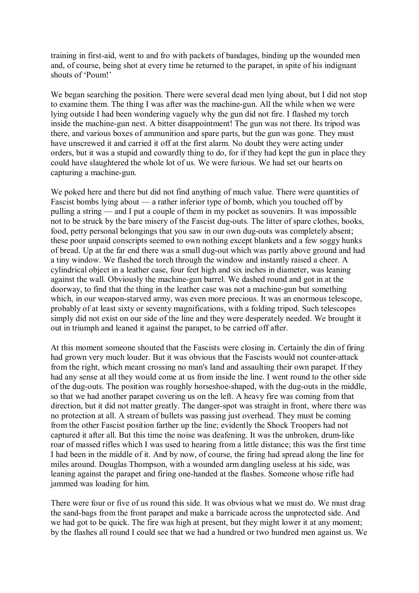training in first-aid, went to and fro with packets of bandages, binding up the wounded men and, of course, being shot at every time he returned to the parapet, in spite of his indignant shouts of 'Poum!'

We began searching the position. There were several dead men lying about, but I did not stop to examine them. The thing I was after was the machine-gun. All the while when we were lying outside I had been wondering vaguely why the gun did not fire. I flashed my torch inside the machine-gun nest. A bitter disappointment! The gun was not there. Its tripod was there, and various boxes of ammunition and spare parts, but the gun was gone. They must have unscrewed it and carried it off at the first alarm. No doubt they were acting under orders, but it was a stupid and cowardly thing to do, for if they had kept the gun in place they could have slaughtered the whole lot of us. We were furious. We had set our hearts on capturing a machine-gun.

We poked here and there but did not find anything of much value. There were quantities of Fascist bombs lying about — a rather inferior type of bomb, which you touched off by pulling a string — and I put a couple of them in my pocket as souvenirs. It was impossible not to be struck by the bare misery of the Fascist dug-outs. The litter of spare clothes, books, food, petty personal belongings that you saw in our own dug-outs was completely absent; these poor unpaid conscripts seemed to own nothing except blankets and a few soggy hunks of bread. Up at the far end there was a small dug-out which was partly above ground and had a tiny window. We flashed the torch through the window and instantly raised a cheer. A cylindrical object in a leather case, four feet high and six inches in diameter, was leaning against the wall. Obviously the machine-gun barrel. We dashed round and got in at the doorway, to find that the thing in the leather case was not a machine-gun but something which, in our weapon-starved army, was even more precious. It was an enormous telescope, probably of at least sixty or seventy magnifications, with a folding tripod. Such telescopes simply did not exist on our side of the line and they were desperately needed. We brought it out in triumph and leaned it against the parapet, to be carried off after.

At this moment someone shouted that the Fascists were closing in. Certainly the din of firing had grown very much louder. But it was obvious that the Fascists would not counter-attack from the right, which meant crossing no man's land and assaulting their own parapet. If they had any sense at all they would come at us from inside the line. I went round to the other side of the dug-outs. The position was roughly horseshoe-shaped, with the dug-outs in the middle, so that we had another parapet covering us on the left. A heavy fire was coming from that direction, but it did not matter greatly. The danger-spot was straight in front, where there was no protection at all. A stream of bullets was passing just overhead. They must be coming from the other Fascist position farther up the line; evidently the Shock Troopers had not captured it after all. But this time the noise was deafening. It was the unbroken, drum-like roar of massed rifles which I was used to hearing from a little distance; this was the first time I had been in the middle of it. And by now, of course, the firing had spread along the line for miles around. Douglas Thompson, with a wounded arm dangling useless at his side, was leaning against the parapet and firing one-handed at the flashes. Someone whose rifle had jammed was loading for him.

There were four or five of us round this side. It was obvious what we must do. We must drag the sand-bags from the front parapet and make a barricade across the unprotected side. And we had got to be quick. The fire was high at present, but they might lower it at any moment; by the flashes all round I could see that we had a hundred or two hundred men against us. We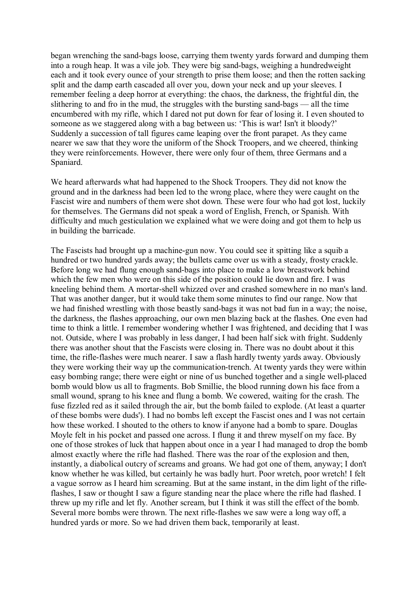began wrenching the sand-bags loose, carrying them twenty yards forward and dumping them into a rough heap. It was a vile job. They were big sand-bags, weighing a hundredweight each and it took every ounce of your strength to prise them loose; and then the rotten sacking split and the damp earth cascaded all over you, down your neck and up your sleeves. I remember feeling a deep horror at everything: the chaos, the darkness, the frightful din, the slithering to and fro in the mud, the struggles with the bursting sand-bags — all the time encumbered with my rifle, which I dared not put down for fear of losing it. I even shouted to someone as we staggered along with a bag between us: 'This is war! Isn't it bloody?' Suddenly a succession of tall figures came leaping over the front parapet. As they came nearer we saw that they wore the uniform of the Shock Troopers, and we cheered, thinking they were reinforcements. However, there were only four of them, three Germans and a Spaniard.

We heard afterwards what had happened to the Shock Troopers. They did not know the ground and in the darkness had been led to the wrong place, where they were caught on the Fascist wire and numbers of them were shot down. These were four who had got lost, luckily for themselves. The Germans did not speak a word of English, French, or Spanish. With difficulty and much gesticulation we explained what we were doing and got them to help us in building the barricade.

The Fascists had brought up a machine-gun now. You could see it spitting like a squib a hundred or two hundred yards away; the bullets came over us with a steady, frosty crackle. Before long we had flung enough sand-bags into place to make a low breastwork behind which the few men who were on this side of the position could lie down and fire. I was kneeling behind them. A mortar-shell whizzed over and crashed somewhere in no man's land. That was another danger, but it would take them some minutes to find our range. Now that we had finished wrestling with those beastly sand-bags it was not bad fun in a way; the noise, the darkness, the flashes approaching, our own men blazing back at the flashes. One even had time to think a little. I remember wondering whether I was frightened, and deciding that I was not. Outside, where I was probably in less danger, I had been half sick with fright. Suddenly there was another shout that the Fascists were closing in. There was no doubt about it this time, the rifle-flashes were much nearer. I saw a flash hardly twenty yards away. Obviously they were working their way up the communication-trench. At twenty yards they were within easy bombing range; there were eight or nine of us bunched together and a single well-placed bomb would blow us all to fragments. Bob Smillie, the blood running down his face from a small wound, sprang to his knee and flung a bomb. We cowered, waiting for the crash. The fuse fizzled red as it sailed through the air, but the bomb failed to explode. (At least a quarter of these bombs were duds'). I had no bombs left except the Fascist ones and I was not certain how these worked. I shouted to the others to know if anyone had a bomb to spare. Douglas Moyle felt in his pocket and passed one across. I flung it and threw myself on my face. By one of those strokes of luck that happen about once in a year I had managed to drop the bomb almost exactly where the rifle had flashed. There was the roar of the explosion and then, instantly, a diabolical outcry of screams and groans. We had got one of them, anyway; I don't know whether he was killed, but certainly he was badly hurt. Poor wretch, poor wretch! I felt a vague sorrow as I heard him screaming. But at the same instant, in the dim light of the rifleflashes, I saw or thought I saw a figure standing near the place where the rifle had flashed. I threw up my rifle and let fly. Another scream, but I think it was still the effect of the bomb. Several more bombs were thrown. The next rifle-flashes we saw were a long way off, a hundred yards or more. So we had driven them back, temporarily at least.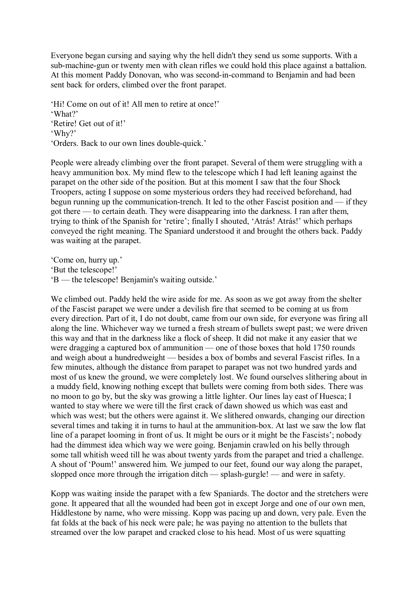Everyone began cursing and saying why the hell didn't they send us some supports. With a sub-machine-gun or twenty men with clean rifles we could hold this place against a battalion. At this moment Paddy Donovan, who was second-in-command to Benjamin and had been sent back for orders, climbed over the front parapet.

'Hi! Come on out of it! All men to retire at once!' 'What?' 'Retire! Get out of it!' 'Why?' 'Orders. Back to our own lines double-quick.'

People were already climbing over the front parapet. Several of them were struggling with a heavy ammunition box. My mind flew to the telescope which I had left leaning against the parapet on the other side of the position. But at this moment I saw that the four Shock Troopers, acting I suppose on some mysterious orders they had received beforehand, had begun running up the communication-trench. It led to the other Fascist position and — if they got there — to certain death. They were disappearing into the darkness. I ran after them, trying to think of the Spanish for 'retire'; finally I shouted, 'Atrás! Atrás!' which perhaps conveyed the right meaning. The Spaniard understood it and brought the others back. Paddy was waiting at the parapet.

'Come on, hurry up.' 'But the telescope!' 'B — the telescope! Benjamin's waiting outside.'

We climbed out. Paddy held the wire aside for me. As soon as we got away from the shelter of the Fascist parapet we were under a devilish fire that seemed to be coming at us from every direction. Part of it, I do not doubt, came from our own side, for everyone was firing all along the line. Whichever way we turned a fresh stream of bullets swept past; we were driven this way and that in the darkness like a flock of sheep. It did not make it any easier that we were dragging a captured box of ammunition — one of those boxes that hold 1750 rounds and weigh about a hundredweight — besides a box of bombs and several Fascist rifles. In a few minutes, although the distance from parapet to parapet was not two hundred yards and most of us knew the ground, we were completely lost. We found ourselves slithering about in a muddy field, knowing nothing except that bullets were coming from both sides. There was no moon to go by, but the sky was growing a little lighter. Our lines lay east of Huesca; I wanted to stay where we were till the first crack of dawn showed us which was east and which was west; but the others were against it. We slithered onwards, changing our direction several times and taking it in turns to haul at the ammunition-box. At last we saw the low flat line of a parapet looming in front of us. It might be ours or it might be the Fascists'; nobody had the dimmest idea which way we were going. Benjamin crawled on his belly through some tall whitish weed till he was about twenty yards from the parapet and tried a challenge. A shout of 'Poum!' answered him. We jumped to our feet, found our way along the parapet, slopped once more through the irrigation ditch — splash-gurgle! — and were in safety.

Kopp was waiting inside the parapet with a few Spaniards. The doctor and the stretchers were gone. It appeared that all the wounded had been got in except Jorge and one of our own men, Hiddlestone by name, who were missing. Kopp was pacing up and down, very pale. Even the fat folds at the back of his neck were pale; he was paying no attention to the bullets that streamed over the low parapet and cracked close to his head. Most of us were squatting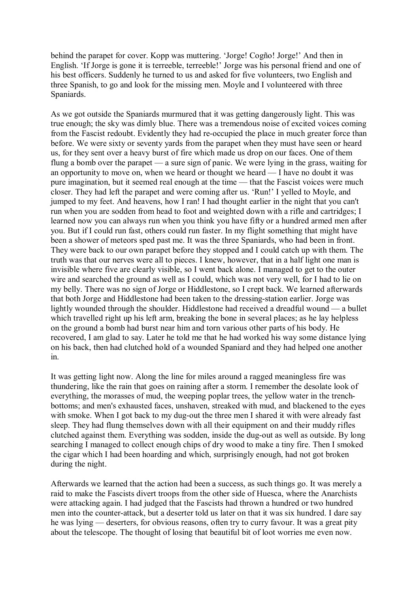behind the parapet for cover. Kopp was muttering. 'Jorge! Cogño! Jorge!' And then in English. 'If Jorge is gone it is terreeble, terreeble!' Jorge was his personal friend and one of his best officers. Suddenly he turned to us and asked for five volunteers, two English and three Spanish, to go and look for the missing men. Moyle and I volunteered with three Spaniards.

As we got outside the Spaniards murmured that it was getting dangerously light. This was true enough; the sky was dimly blue. There was a tremendous noise of excited voices coming from the Fascist redoubt. Evidently they had re-occupied the place in much greater force than before. We were sixty or seventy yards from the parapet when they must have seen or heard us, for they sent over a heavy burst of fire which made us drop on our faces. One of them flung a bomb over the parapet — a sure sign of panic. We were lying in the grass, waiting for an opportunity to move on, when we heard or thought we heard — I have no doubt it was pure imagination, but it seemed real enough at the time — that the Fascist voices were much closer. They had left the parapet and were coming after us. 'Run!' I yelled to Moyle, and jumped to my feet. And heavens, how I ran! I had thought earlier in the night that you can't run when you are sodden from head to foot and weighted down with a rifle and cartridges; I learned now you can always run when you think you have fifty or a hundred armed men after you. But if I could run fast, others could run faster. In my flight something that might have been a shower of meteors sped past me. It was the three Spaniards, who had been in front. They were back to our own parapet before they stopped and I could catch up with them. The truth was that our nerves were all to pieces. I knew, however, that in a half light one man is invisible where five are clearly visible, so I went back alone. I managed to get to the outer wire and searched the ground as well as I could, which was not very well, for I had to lie on my belly. There was no sign of Jorge or Hiddlestone, so I crept back. We learned afterwards that both Jorge and Hiddlestone had been taken to the dressing-station earlier. Jorge was lightly wounded through the shoulder. Hiddlestone had received a dreadful wound — a bullet which travelled right up his left arm, breaking the bone in several places; as he lay helpless on the ground a bomb had burst near him and torn various other parts of his body. He recovered, I am glad to say. Later he told me that he had worked his way some distance lying on his back, then had clutched hold of a wounded Spaniard and they had helped one another in.

It was getting light now. Along the line for miles around a ragged meaningless fire was thundering, like the rain that goes on raining after a storm. I remember the desolate look of everything, the morasses of mud, the weeping poplar trees, the yellow water in the trenchbottoms; and men's exhausted faces, unshaven, streaked with mud, and blackened to the eyes with smoke. When I got back to my dug-out the three men I shared it with were already fast sleep. They had flung themselves down with all their equipment on and their muddy rifles clutched against them. Everything was sodden, inside the dug-out as well as outside. By long searching I managed to collect enough chips of dry wood to make a tiny fire. Then I smoked the cigar which I had been hoarding and which, surprisingly enough, had not got broken during the night.

Afterwards we learned that the action had been a success, as such things go. It was merely a raid to make the Fascists divert troops from the other side of Huesca, where the Anarchists were attacking again. I had judged that the Fascists had thrown a hundred or two hundred men into the counter-attack, but a deserter told us later on that it was six hundred. I dare say he was lying — deserters, for obvious reasons, often try to curry favour. It was a great pity about the telescope. The thought of losing that beautiful bit of loot worries me even now.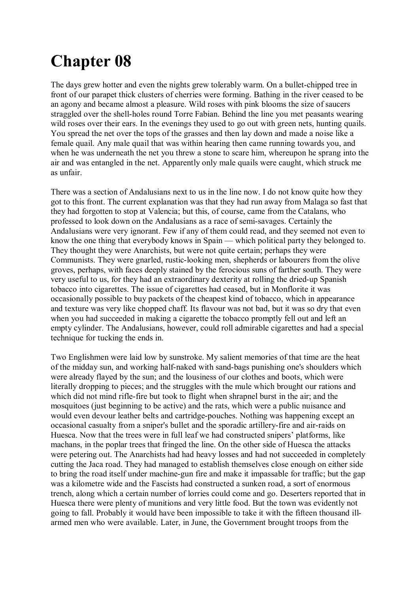## **Chapter 08**

The days grew hotter and even the nights grew tolerably warm. On a bullet-chipped tree in front of our parapet thick clusters of cherries were forming. Bathing in the river ceased to be an agony and became almost a pleasure. Wild roses with pink blooms the size of saucers straggled over the shell-holes round Torre Fabian. Behind the line you met peasants wearing wild roses over their ears. In the evenings they used to go out with green nets, hunting quails. You spread the net over the tops of the grasses and then lay down and made a noise like a female quail. Any male quail that was within hearing then came running towards you, and when he was underneath the net you threw a stone to scare him, whereupon he sprang into the air and was entangled in the net. Apparently only male quails were caught, which struck me as unfair.

There was a section of Andalusians next to us in the line now. I do not know quite how they got to this front. The current explanation was that they had run away from Malaga so fast that they had forgotten to stop at Valencia; but this, of course, came from the Catalans, who professed to look down on the Andalusians as a race of semi-savages. Certainly the Andalusians were very ignorant. Few if any of them could read, and they seemed not even to know the one thing that everybody knows in Spain — which political party they belonged to. They thought they were Anarchists, but were not quite certain; perhaps they were Communists. They were gnarled, rustic-looking men, shepherds or labourers from the olive groves, perhaps, with faces deeply stained by the ferocious suns of farther south. They were very useful to us, for they had an extraordinary dexterity at rolling the dried-up Spanish tobacco into cigarettes. The issue of cigarettes had ceased, but in Monflorite it was occasionally possible to buy packets of the cheapest kind of tobacco, which in appearance and texture was very like chopped chaff. Its flavour was not bad, but it was so dry that even when you had succeeded in making a cigarette the tobacco promptly fell out and left an empty cylinder. The Andalusians, however, could roll admirable cigarettes and had a special technique for tucking the ends in.

Two Englishmen were laid low by sunstroke. My salient memories of that time are the heat of the midday sun, and working half-naked with sand-bags punishing one's shoulders which were already flayed by the sun; and the lousiness of our clothes and boots, which were literally dropping to pieces; and the struggles with the mule which brought our rations and which did not mind rifle-fire but took to flight when shrapnel burst in the air; and the mosquitoes (just beginning to be active) and the rats, which were a public nuisance and would even devour leather belts and cartridge-pouches. Nothing was happening except an occasional casualty from a sniper's bullet and the sporadic artillery-fire and air-raids on Huesca. Now that the trees were in full leaf we had constructed snipers' platforms, like machans, in the poplar trees that fringed the line. On the other side of Huesca the attacks were petering out. The Anarchists had had heavy losses and had not succeeded in completely cutting the Jaca road. They had managed to establish themselves close enough on either side to bring the road itself under machine-gun fire and make it impassable for traffic; but the gap was a kilometre wide and the Fascists had constructed a sunken road, a sort of enormous trench, along which a certain number of lorries could come and go. Deserters reported that in Huesca there were plenty of munitions and very little food. But the town was evidently not going to fall. Probably it would have been impossible to take it with the fifteen thousand illarmed men who were available. Later, in June, the Government brought troops from the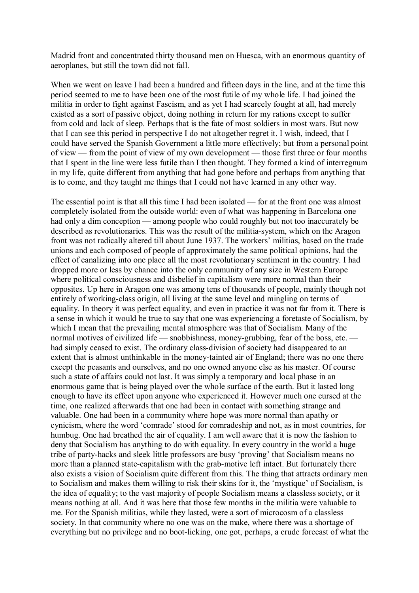Madrid front and concentrated thirty thousand men on Huesca, with an enormous quantity of aeroplanes, but still the town did not fall.

When we went on leave I had been a hundred and fifteen days in the line, and at the time this period seemed to me to have been one of the most futile of my whole life. I had joined the militia in order to fight against Fascism, and as yet I had scarcely fought at all, had merely existed as a sort of passive object, doing nothing in return for my rations except to suffer from cold and lack of sleep. Perhaps that is the fate of most soldiers in most wars. But now that I can see this period in perspective I do not altogether regret it. I wish, indeed, that I could have served the Spanish Government a little more effectively; but from a personal point of view — from the point of view of my own development — those first three or four months that I spent in the line were less futile than I then thought. They formed a kind of interregnum in my life, quite different from anything that had gone before and perhaps from anything that is to come, and they taught me things that I could not have learned in any other way.

The essential point is that all this time I had been isolated — for at the front one was almost completely isolated from the outside world: even of what was happening in Barcelona one had only a dim conception — among people who could roughly but not too inaccurately be described as revolutionaries. This was the result of the militia-system, which on the Aragon front was not radically altered till about June 1937. The workers' militias, based on the trade unions and each composed of people of approximately the same political opinions, had the effect of canalizing into one place all the most revolutionary sentiment in the country. I had dropped more or less by chance into the only community of any size in Western Europe where political consciousness and disbelief in capitalism were more normal than their opposites. Up here in Aragon one was among tens of thousands of people, mainly though not entirely of working-class origin, all living at the same level and mingling on terms of equality. In theory it was perfect equality, and even in practice it was not far from it. There is a sense in which it would be true to say that one was experiencing a foretaste of Socialism, by which I mean that the prevailing mental atmosphere was that of Socialism. Many of the normal motives of civilized life — snobbishness, money-grubbing, fear of the boss, etc. had simply ceased to exist. The ordinary class-division of society had disappeared to an extent that is almost unthinkable in the money-tainted air of England; there was no one there except the peasants and ourselves, and no one owned anyone else as his master. Of course such a state of affairs could not last. It was simply a temporary and local phase in an enormous game that is being played over the whole surface of the earth. But it lasted long enough to have its effect upon anyone who experienced it. However much one cursed at the time, one realized afterwards that one had been in contact with something strange and valuable. One had been in a community where hope was more normal than apathy or cynicism, where the word 'comrade' stood for comradeship and not, as in most countries, for humbug. One had breathed the air of equality. I am well aware that it is now the fashion to deny that Socialism has anything to do with equality. In every country in the world a huge tribe of party-hacks and sleek little professors are busy 'proving' that Socialism means no more than a planned state-capitalism with the grab-motive left intact. But fortunately there also exists a vision of Socialism quite different from this. The thing that attracts ordinary men to Socialism and makes them willing to risk their skins for it, the 'mystique' of Socialism, is the idea of equality; to the vast majority of people Socialism means a classless society, or it means nothing at all. And it was here that those few months in the militia were valuable to me. For the Spanish militias, while they lasted, were a sort of microcosm of a classless society. In that community where no one was on the make, where there was a shortage of everything but no privilege and no boot-licking, one got, perhaps, a crude forecast of what the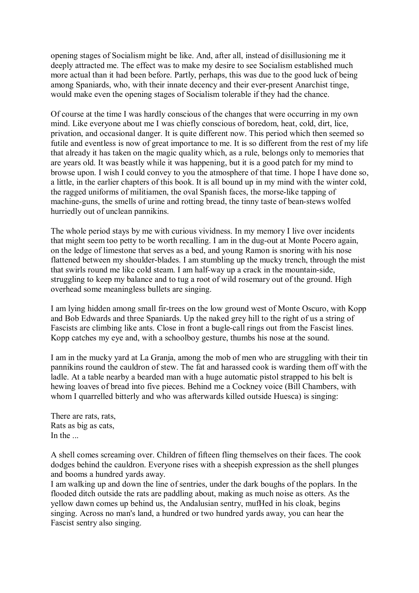opening stages of Socialism might be like. And, after all, instead of disillusioning me it deeply attracted me. The effect was to make my desire to see Socialism established much more actual than it had been before. Partly, perhaps, this was due to the good luck of being among Spaniards, who, with their innate decency and their ever-present Anarchist tinge, would make even the opening stages of Socialism tolerable if they had the chance.

Of course at the time I was hardly conscious of the changes that were occurring in my own mind. Like everyone about me I was chiefly conscious of boredom, heat, cold, dirt, lice, privation, and occasional danger. It is quite different now. This period which then seemed so futile and eventless is now of great importance to me. It is so different from the rest of my life that already it has taken on the magic quality which, as a rule, belongs only to memories that are years old. It was beastly while it was happening, but it is a good patch for my mind to browse upon. I wish I could convey to you the atmosphere of that time. I hope I have done so, a little, in the earlier chapters of this book. It is all bound up in my mind with the winter cold, the ragged uniforms of militiamen, the oval Spanish faces, the morse-like tapping of machine-guns, the smells of urine and rotting bread, the tinny taste of bean-stews wolfed hurriedly out of unclean pannikins.

The whole period stays by me with curious vividness. In my memory I live over incidents that might seem too petty to be worth recalling. I am in the dug-out at Monte Pocero again, on the ledge of limestone that serves as a bed, and young Ramon is snoring with his nose flattened between my shoulder-blades. I am stumbling up the mucky trench, through the mist that swirls round me like cold steam. I am half-way up a crack in the mountain-side, struggling to keep my balance and to tug a root of wild rosemary out of the ground. High overhead some meaningless bullets are singing.

I am lying hidden among small fir-trees on the low ground west of Monte Oscuro, with Kopp and Bob Edwards and three Spaniards. Up the naked grey hill to the right of us a string of Fascists are climbing like ants. Close in front a bugle-call rings out from the Fascist lines. Kopp catches my eye and, with a schoolboy gesture, thumbs his nose at the sound.

I am in the mucky yard at La Granja, among the mob of men who are struggling with their tin pannikins round the cauldron of stew. The fat and harassed cook is warding them off with the ladle. At a table nearby a bearded man with a huge automatic pistol strapped to his belt is hewing loaves of bread into five pieces. Behind me a Cockney voice (Bill Chambers, with whom I quarrelled bitterly and who was afterwards killed outside Huesca) is singing:

There are rats, rats, Rats as big as cats, In the ...

A shell comes screaming over. Children of fifteen fling themselves on their faces. The cook dodges behind the cauldron. Everyone rises with a sheepish expression as the shell plunges and booms a hundred yards away.

I am walking up and down the line of sentries, under the dark boughs of the poplars. In the flooded ditch outside the rats are paddling about, making as much noise as otters. As the yellow dawn comes up behind us, the Andalusian sentry, mufHed in his cloak, begins singing. Across no man's land, a hundred or two hundred yards away, you can hear the Fascist sentry also singing.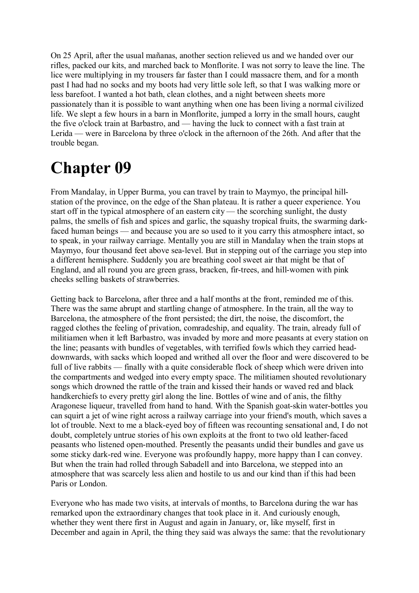On 25 April, after the usual mañanas, another section relieved us and we handed over our rifles, packed our kits, and marched back to Monflorite. I was not sorry to leave the line. The lice were multiplying in my trousers far faster than I could massacre them, and for a month past I had had no socks and my boots had very little sole left, so that I was walking more or less barefoot. I wanted a hot bath, clean clothes, and a night between sheets more passionately than it is possible to want anything when one has been living a normal civilized life. We slept a few hours in a barn in Monflorite, jumped a lorry in the small hours, caught the five o'clock train at Barbastro, and — having the luck to connect with a fast train at Lerida — were in Barcelona by three o'clock in the afternoon of the 26th. And after that the trouble began.

## **Chapter 09**

From Mandalay, in Upper Burma, you can travel by train to Maymyo, the principal hillstation of the province, on the edge of the Shan plateau. It is rather a queer experience. You start off in the typical atmosphere of an eastern city — the scorching sunlight, the dusty palms, the smells of fish and spices and garlic, the squashy tropical fruits, the swarming darkfaced human beings — and because you are so used to it you carry this atmosphere intact, so to speak, in your railway carriage. Mentally you are still in Mandalay when the train stops at Maymyo, four thousand feet above sea-level. But in stepping out of the carriage you step into a different hemisphere. Suddenly you are breathing cool sweet air that might be that of England, and all round you are green grass, bracken, fir-trees, and hill-women with pink cheeks selling baskets of strawberries.

Getting back to Barcelona, after three and a half months at the front, reminded me of this. There was the same abrupt and startling change of atmosphere. In the train, all the way to Barcelona, the atmosphere of the front persisted; the dirt, the noise, the discomfort, the ragged clothes the feeling of privation, comradeship, and equality. The train, already full of militiamen when it left Barbastro, was invaded by more and more peasants at every station on the line; peasants with bundles of vegetables, with terrified fowls which they carried headdownwards, with sacks which looped and writhed all over the floor and were discovered to be full of live rabbits — finally with a quite considerable flock of sheep which were driven into the compartments and wedged into every empty space. The militiamen shouted revolutionary songs which drowned the rattle of the train and kissed their hands or waved red and black handkerchiefs to every pretty girl along the line. Bottles of wine and of anis, the filthy Aragonese liqueur, travelled from hand to hand. With the Spanish goat-skin water-bottles you can squirt a jet of wine right across a railway carriage into your friend's mouth, which saves a lot of trouble. Next to me a black-eyed boy of fifteen was recounting sensational and, I do not doubt, completely untrue stories of his own exploits at the front to two old leather-faced peasants who listened open-mouthed. Presently the peasants undid their bundles and gave us some sticky dark-red wine. Everyone was profoundly happy, more happy than I can convey. But when the train had rolled through Sabadell and into Barcelona, we stepped into an atmosphere that was scarcely less alien and hostile to us and our kind than if this had been Paris or London.

Everyone who has made two visits, at intervals of months, to Barcelona during the war has remarked upon the extraordinary changes that took place in it. And curiously enough, whether they went there first in August and again in January, or, like myself, first in December and again in April, the thing they said was always the same: that the revolutionary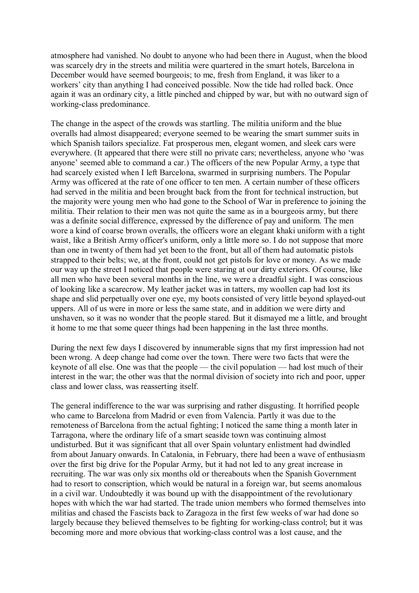atmosphere had vanished. No doubt to anyone who had been there in August, when the blood was scarcely dry in the streets and militia were quartered in the smart hotels, Barcelona in December would have seemed bourgeois; to me, fresh from England, it was liker to a workers' city than anything I had conceived possible. Now the tide had rolled back. Once again it was an ordinary city, a little pinched and chipped by war, but with no outward sign of working-class predominance.

The change in the aspect of the crowds was startling. The militia uniform and the blue overalls had almost disappeared; everyone seemed to be wearing the smart summer suits in which Spanish tailors specialize. Fat prosperous men, elegant women, and sleek cars were everywhere. (It appeared that there were still no private cars; nevertheless, anyone who 'was anyone' seemed able to command a car.) The officers of the new Popular Army, a type that had scarcely existed when I left Barcelona, swarmed in surprising numbers. The Popular Army was officered at the rate of one officer to ten men. A certain number of these officers had served in the militia and been brought back from the front for technical instruction, but the majority were young men who had gone to the School of War in preference to joining the militia. Their relation to their men was not quite the same as in a bourgeois army, but there was a definite social difference, expressed by the difference of pay and uniform. The men wore a kind of coarse brown overalls, the officers wore an elegant khaki uniform with a tight waist, like a British Army officer's uniform, only a little more so. I do not suppose that more than one in twenty of them had yet been to the front, but all of them had automatic pistols strapped to their belts; we, at the front, could not get pistols for love or money. As we made our way up the street I noticed that people were staring at our dirty exteriors. Of course, like all men who have been several months in the line, we were a dreadful sight. I was conscious of looking like a scarecrow. My leather jacket was in tatters, my woollen cap had lost its shape and slid perpetually over one eye, my boots consisted of very little beyond splayed-out uppers. All of us were in more or less the same state, and in addition we were dirty and unshaven, so it was no wonder that the people stared. But it dismayed me a little, and brought it home to me that some queer things had been happening in the last three months.

During the next few days I discovered by innumerable signs that my first impression had not been wrong. A deep change had come over the town. There were two facts that were the keynote of all else. One was that the people — the civil population — had lost much of their interest in the war; the other was that the normal division of society into rich and poor, upper class and lower class, was reasserting itself.

The general indifference to the war was surprising and rather disgusting. It horrified people who came to Barcelona from Madrid or even from Valencia. Partly it was due to the remoteness of Barcelona from the actual fighting; I noticed the same thing a month later in Tarragona, where the ordinary life of a smart seaside town was continuing almost undisturbed. But it was significant that all over Spain voluntary enlistment had dwindled from about January onwards. In Catalonia, in February, there had been a wave of enthusiasm over the first big drive for the Popular Army, but it had not led to any great increase in recruiting. The war was only six months old or thereabouts when the Spanish Government had to resort to conscription, which would be natural in a foreign war, but seems anomalous in a civil war. Undoubtedly it was bound up with the disappointment of the revolutionary hopes with which the war had started. The trade union members who formed themselves into militias and chased the Fascists back to Zaragoza in the first few weeks of war had done so largely because they believed themselves to be fighting for working-class control; but it was becoming more and more obvious that working-class control was a lost cause, and the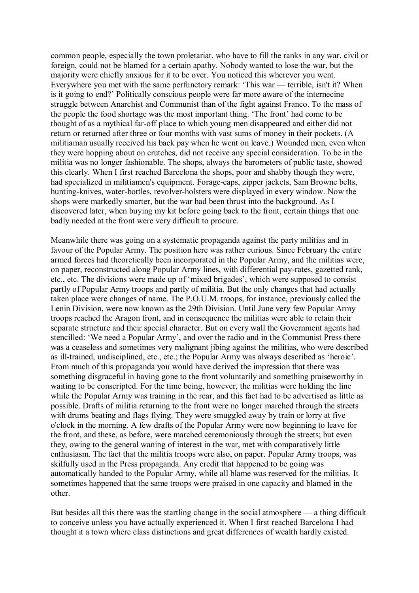common people, especially the town proletariat, who have to fill the ranks in any war, civil or foreign, could not be blamed for a certain apathy. Nobody wanted to lose the war, but the majority were chiefly anxious for it to be over. You noticed this wherever you went. Everywhere you met with the same perfunctory remark: 'This war — terrible, isn't it? When is it going to end?' Politically conscious people were far more aware of the internecine struggle between Anarchist and Communist than of the fight against Franco. To the mass of the people the food shortage was the most important thing. 'The front' had come to be thought of as a mythical far-off place to which young men disappeared and either did not return or returned after three or four months with vast sums of money in their pockets. (A militiaman usually received his back pay when he went on leave.) Wounded men, even when they were hopping about on crutches, did not receive any special consideration. To be in the militia was no longer fashionable. The shops, always the barometers of public taste, showed this clearly. When I first reached Barcelona the shops, poor and shabby though they were, had specialized in militiamen's equipment. Forage-caps, zipper jackets, Sam Browne belts, hunting-knives, water-bottles, revolver-holsters were displayed in every window. Now the shops were markedly smarter, but the war had been thrust into the background. As I discovered later, when buying my kit before going back to the front, certain things that one badly needed at the front were very difficult to procure.

Meanwhile there was going on a systematic propaganda against the party militias and in favour of the Popular Army. The position here was rather curious. Since February the entire armed forces had theoretically been incorporated in the Popular Army, and the militias were, on paper, reconstructed along Popular Army lines, with differential pay-rates, gazetted rank, etc., etc. The divisions were made up of 'mixed brigades', which were supposed to consist partly of Popular Army troops and partly of militia. But the only changes that had actually taken place were changes of name. The P.O.U.M. troops, for instance, previously called the Lenin Division, were now known as the 29th Division. Until June very few Popular Army troops reached the Aragon front, and in consequence the militias were able to retain their separate structure and their special character. But on every wall the Government agents had stencilled: 'We need a Popular Army', and over the radio and in the Communist Press there was a ceaseless and sometimes very malignant jibing against the militias, who were described as ill-trained, undisciplined, etc., etc.; the Popular Army was always described as 'heroic'. From much of this propaganda you would have derived the impression that there was something disgraceful in having gone to the front voluntarily and something praiseworthy in waiting to be conscripted. For the time being, however, the militias were holding the line while the Popular Army was training in the rear, and this fact had to be advertised as little as possible. Drafts of militia returning to the front were no longer marched through the streets with drums beating and flags flying. They were smuggled away by train or lorry at five o'clock in the morning. A few drafts of the Popular Army were now beginning to leave for the front, and these, as before, were marched ceremoniously through the streets; but even they, owing to the general waning of interest in the war, met with comparatively little enthusiasm. The fact that the militia troops were also, on paper. Popular Army troops, was skilfully used in the Press propaganda. Any credit that happened to be going was automatically handed to the Popular Army, while all blame was reserved for the militias. It sometimes happened that the same troops were praised in one capacity and blamed in the other.

But besides all this there was the startling change in the social atmosphere — a thing difficult to conceive unless you have actually experienced it. When I first reached Barcelona I had thought it a town where class distinctions and great differences of wealth hardly existed.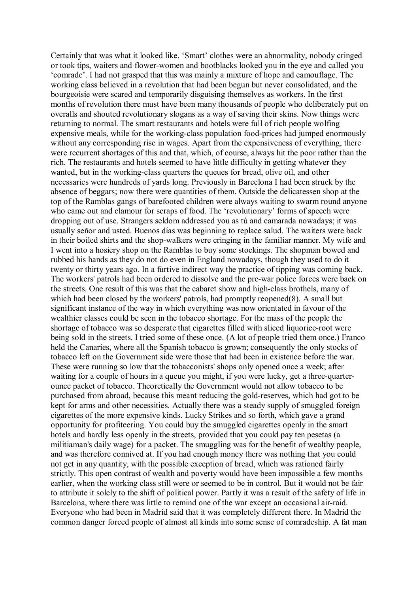Certainly that was what it looked like. 'Smart' clothes were an abnormality, nobody cringed or took tips, waiters and flower-women and bootblacks looked you in the eye and called you 'comrade'. I had not grasped that this was mainly a mixture of hope and camouflage. The working class believed in a revolution that had been begun but never consolidated, and the bourgeoisie were scared and temporarily disguising themselves as workers. In the first months of revolution there must have been many thousands of people who deliberately put on overalls and shouted revolutionary slogans as a way of saving their skins. Now things were returning to normal. The smart restaurants and hotels were full of rich people wolfing expensive meals, while for the working-class population food-prices had jumped enormously without any corresponding rise in wages. Apart from the expensiveness of everything, there were recurrent shortages of this and that, which, of course, always hit the poor rather than the rich. The restaurants and hotels seemed to have little difficulty in getting whatever they wanted, but in the working-class quarters the queues for bread, olive oil, and other necessaries were hundreds of yards long. Previously in Barcelona I had been struck by the absence of beggars; now there were quantities of them. Outside the delicatessen shop at the top of the Ramblas gangs of barefooted children were always waiting to swarm round anyone who came out and clamour for scraps of food. The 'revolutionary' forms of speech were dropping out of use. Strangers seldom addressed you as tú and camarada nowadays; it was usually señor and usted. Buenos días was beginning to replace salud. The waiters were back in their boiled shirts and the shop-walkers were cringing in the familiar manner. My wife and I went into a hosiery shop on the Ramblas to buy some stockings. The shopman bowed and rubbed his hands as they do not do even in England nowadays, though they used to do it twenty or thirty years ago. In a furtive indirect way the practice of tipping was coming back. The workers' patrols had been ordered to dissolve and the pre-war police forces were back on the streets. One result of this was that the cabaret show and high-class brothels, many of which had been closed by the workers' patrols, had promptly reopened(8). A small but significant instance of the way in which everything was now orientated in favour of the wealthier classes could be seen in the tobacco shortage. For the mass of the people the shortage of tobacco was so desperate that cigarettes filled with sliced liquorice-root were being sold in the streets. I tried some of these once. (A lot of people tried them once.) Franco held the Canaries, where all the Spanish tobacco is grown; consequently the only stocks of tobacco left on the Government side were those that had been in existence before the war. These were running so low that the tobacconists' shops only opened once a week; after waiting for a couple of hours in a queue you might, if you were lucky, get a three-quarterounce packet of tobacco. Theoretically the Government would not allow tobacco to be purchased from abroad, because this meant reducing the gold-reserves, which had got to be kept for arms and other necessities. Actually there was a steady supply of smuggled foreign cigarettes of the more expensive kinds. Lucky Strikes and so forth, which gave a grand opportunity for profiteering. You could buy the smuggled cigarettes openly in the smart hotels and hardly less openly in the streets, provided that you could pay ten pesetas (a militiaman's daily wage) for a packet. The smuggling was for the benefit of wealthy people, and was therefore connived at. If you had enough money there was nothing that you could not get in any quantity, with the possible exception of bread, which was rationed fairly strictly. This open contrast of wealth and poverty would have been impossible a few months earlier, when the working class still were or seemed to be in control. But it would not be fair to attribute it solely to the shift of political power. Partly it was a result of the safety of life in Barcelona, where there was little to remind one of the war except an occasional air-raid. Everyone who had been in Madrid said that it was completely different there. In Madrid the common danger forced people of almost all kinds into some sense of comradeship. A fat man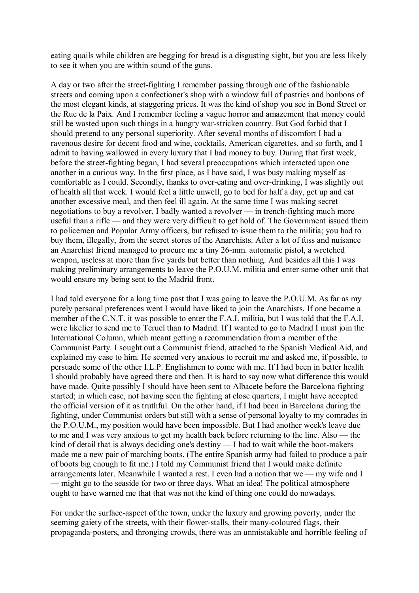eating quails while children are begging for bread is a disgusting sight, but you are less likely to see it when you are within sound of the guns.

A day or two after the street-fighting I remember passing through one of the fashionable streets and coming upon a confectioner's shop with a window full of pastries and bonbons of the most elegant kinds, at staggering prices. It was the kind of shop you see in Bond Street or the Rue de la Paix. And I remember feeling a vague horror and amazement that money could still be wasted upon such things in a hungry war-stricken country. But God forbid that I should pretend to any personal superiority. After several months of discomfort I had a ravenous desire for decent food and wine, cocktails, American cigarettes, and so forth, and I admit to having wallowed in every luxury that I had money to buy. During that first week, before the street-fighting began, I had several preoccupations which interacted upon one another in a curious way. In the first place, as I have said, I was busy making myself as comfortable as I could. Secondly, thanks to over-eating and over-drinking, I was slightly out of health all that week. I would feel a little unwell, go to bed for half a day, get up and eat another excessive meal, and then feel ill again. At the same time I was making secret negotiations to buy a revolver. I badly wanted a revolver — in trench-fighting much more useful than a rifle — and they were very difficult to get hold of. The Government issued them to policemen and Popular Army officers, but refused to issue them to the militia; you had to buy them, illegally, from the secret stores of the Anarchists. After a lot of fuss and nuisance an Anarchist friend managed to procure me a tiny 26-mm. automatic pistol, a wretched weapon, useless at more than five yards but better than nothing. And besides all this I was making preliminary arrangements to leave the P.O.U.M. militia and enter some other unit that would ensure my being sent to the Madrid front.

I had told everyone for a long time past that I was going to leave the P.O.U.M. As far as my purely personal preferences went I would have liked to join the Anarchists. If one became a member of the C.N.T. it was possible to enter the F.A.I. militia, but I was told that the F.A.I. were likelier to send me to Teruel than to Madrid. If I wanted to go to Madrid I must join the International Column, which meant getting a recommendation from a member of the Communist Party. I sought out a Communist friend, attached to the Spanish Medical Aid, and explained my case to him. He seemed very anxious to recruit me and asked me, if possible, to persuade some of the other I.L.P. Englishmen to come with me. If I had been in better health I should probably have agreed there and then. It is hard to say now what difference this would have made. Quite possibly I should have been sent to Albacete before the Barcelona fighting started; in which case, not having seen the fighting at close quarters, I might have accepted the official version of it as truthful. On the other hand, if I had been in Barcelona during the fighting, under Communist orders but still with a sense of personal loyalty to my comrades in the P.O.U.M., my position would have been impossible. But I had another week's leave due to me and I was very anxious to get my health back before returning to the line. Also — the kind of detail that is always deciding one's destiny — I had to wait while the boot-makers made me a new pair of marching boots. (The entire Spanish army had failed to produce a pair of boots big enough to fit me.) I told my Communist friend that I would make definite arrangements later. Meanwhile I wanted a rest. I even had a notion that we — my wife and I — might go to the seaside for two or three days. What an idea! The political atmosphere ought to have warned me that that was not the kind of thing one could do nowadays.

For under the surface-aspect of the town, under the luxury and growing poverty, under the seeming gaiety of the streets, with their flower-stalls, their many-coloured flags, their propaganda-posters, and thronging crowds, there was an unmistakable and horrible feeling of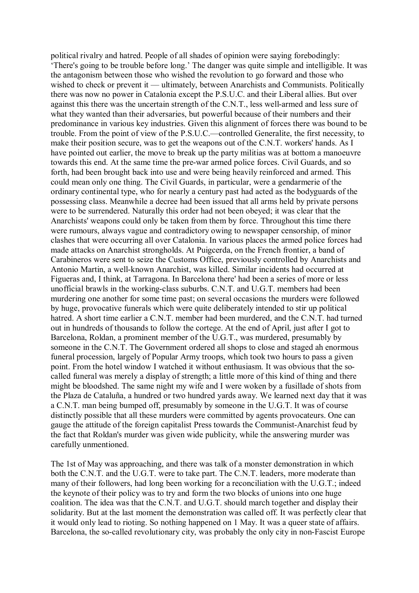political rivalry and hatred. People of all shades of opinion were saying forebodingly: 'There's going to be trouble before long.' The danger was quite simple and intelligible. It was the antagonism between those who wished the revolution to go forward and those who wished to check or prevent it — ultimately, between Anarchists and Communists. Politically there was now no power in Catalonia except the P.S.U.C. and their Liberal allies. But over against this there was the uncertain strength of the C.N.T., less well-armed and less sure of what they wanted than their adversaries, but powerful because of their numbers and their predominance in various key industries. Given this alignment of forces there was bound to be trouble. From the point of view of the P.S.U.C.—controlled Generalite, the first necessity, to make their position secure, was to get the weapons out of the C.N.T. workers' hands. As I have pointed out earlier, the move to break up the party militias was at bottom a manoeuvre towards this end. At the same time the pre-war armed police forces. Civil Guards, and so forth, had been brought back into use and were being heavily reinforced and armed. This could mean only one thing. The Civil Guards, in particular, were a gendarmerie of the ordinary continental type, who for nearly a century past had acted as the bodyguards of the possessing class. Meanwhile a decree had been issued that all arms held by private persons were to be surrendered. Naturally this order had not been obeyed; it was clear that the Anarchists' weapons could only be taken from them by force. Throughout this time there were rumours, always vague and contradictory owing to newspaper censorship, of minor clashes that were occurring all over Catalonia. In various places the armed police forces had made attacks on Anarchist strongholds. At Puigcerda, on the French frontier, a band of Carabineros were sent to seize the Customs Office, previously controlled by Anarchists and Antonio Martin, a well-known Anarchist, was killed. Similar incidents had occurred at Figueras and, I think, at Tarragona. In Barcelona there' had been a series of more or less unofficial brawls in the working-class suburbs. C.N.T. and U.G.T. members had been murdering one another for some time past; on several occasions the murders were followed by huge, provocative funerals which were quite deliberately intended to stir up political hatred. A short time earlier a C.N.T. member had been murdered, and the C.N.T. had turned out in hundreds of thousands to follow the cortege. At the end of April, just after I got to Barcelona, Roldan, a prominent member of the U.G.T., was murdered, presumably by someone in the C.N.T. The Government ordered all shops to close and staged ah enormous funeral procession, largely of Popular Army troops, which took two hours to pass a given point. From the hotel window I watched it without enthusiasm. It was obvious that the socalled funeral was merely a display of strength; a little more of this kind of thing and there might be bloodshed. The same night my wife and I were woken by a fusillade of shots from the Plaza de Cataluña, a hundred or two hundred yards away. We learned next day that it was a C.N.T. man being bumped off, presumably by someone in the U.G.T. It was of course distinctly possible that all these murders were committed by agents provocateurs. One can gauge the attitude of the foreign capitalist Press towards the Communist-Anarchist feud by the fact that Roldan's murder was given wide publicity, while the answering murder was carefully unmentioned.

The 1st of May was approaching, and there was talk of a monster demonstration in which both the C.N.T. and the U.G.T. were to take part. The C.N.T. leaders, more moderate than many of their followers, had long been working for a reconciliation with the U.G.T.; indeed the keynote of their policy was to try and form the two blocks of unions into one huge coalition. The idea was that the C.N.T. and U.G.T. should march together and display their solidarity. But at the last moment the demonstration was called off. It was perfectly clear that it would only lead to rioting. So nothing happened on 1 May. It was a queer state of affairs. Barcelona, the so-called revolutionary city, was probably the only city in non-Fascist Europe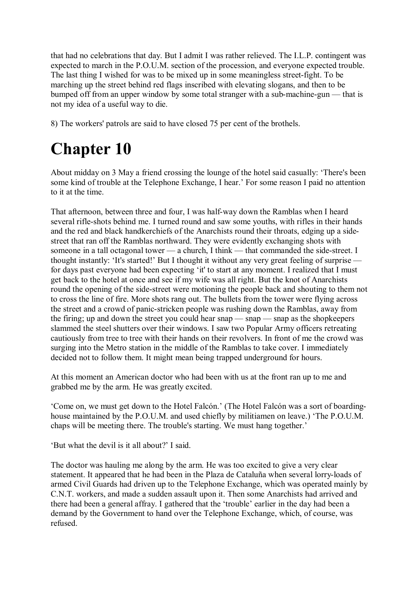that had no celebrations that day. But I admit I was rather relieved. The I.L.P. contingent was expected to march in the P.O.U.M. section of the procession, and everyone expected trouble. The last thing I wished for was to be mixed up in some meaningless street-fight. To be marching up the street behind red flags inscribed with elevating slogans, and then to be bumped off from an upper window by some total stranger with a sub-machine-gun — that is not my idea of a useful way to die.

8) The workers' patrols are said to have closed 75 per cent of the brothels.

## **Chapter 10**

About midday on 3 May a friend crossing the lounge of the hotel said casually: 'There's been some kind of trouble at the Telephone Exchange, I hear.' For some reason I paid no attention to it at the time.

That afternoon, between three and four, I was half-way down the Ramblas when I heard several rifle-shots behind me. I turned round and saw some youths, with rifles in their hands and the red and black handkerchiefs of the Anarchists round their throats, edging up a sidestreet that ran off the Ramblas northward. They were evidently exchanging shots with someone in a tall octagonal tower — a church, I think — that commanded the side-street. I thought instantly: 'It's started!' But I thought it without any very great feeling of surprise for days past everyone had been expecting 'it' to start at any moment. I realized that I must get back to the hotel at once and see if my wife was all right. But the knot of Anarchists round the opening of the side-street were motioning the people back and shouting to them not to cross the line of fire. More shots rang out. The bullets from the tower were flying across the street and a crowd of panic-stricken people was rushing down the Ramblas, away from the firing; up and down the street you could hear snap — snap — snap as the shopkeepers slammed the steel shutters over their windows. I saw two Popular Army officers retreating cautiously from tree to tree with their hands on their revolvers. In front of me the crowd was surging into the Metro station in the middle of the Ramblas to take cover. I immediately decided not to follow them. It might mean being trapped underground for hours.

At this moment an American doctor who had been with us at the front ran up to me and grabbed me by the arm. He was greatly excited.

'Come on, we must get down to the Hotel Falcón.' (The Hotel Falcón was a sort of boardinghouse maintained by the P.O.U.M. and used chiefly by militiamen on leave.) 'The P.O.U.M. chaps will be meeting there. The trouble's starting. We must hang together.'

'But what the devil is it all about?' I said.

The doctor was hauling me along by the arm. He was too excited to give a very clear statement. It appeared that he had been in the Plaza de Cataluña when several lorry-loads of armed Civil Guards had driven up to the Telephone Exchange, which was operated mainly by C.N.T. workers, and made a sudden assault upon it. Then some Anarchists had arrived and there had been a general affray. I gathered that the 'trouble' earlier in the day had been a demand by the Government to hand over the Telephone Exchange, which, of course, was refused.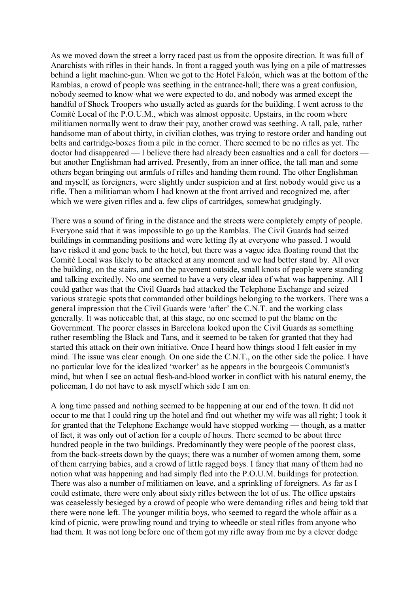As we moved down the street a lorry raced past us from the opposite direction. It was full of Anarchists with rifles in their hands. In front a ragged youth was lying on a pile of mattresses behind a light machine-gun. When we got to the Hotel Falcón, which was at the bottom of the Ramblas, a crowd of people was seething in the entrance-hall; there was a great confusion, nobody seemed to know what we were expected to do, and nobody was armed except the handful of Shock Troopers who usually acted as guards for the building. I went across to the Comité Local of the P.O.U.M., which was almost opposite. Upstairs, in the room where militiamen normally went to draw their pay, another crowd was seething. A tall, pale, rather handsome man of about thirty, in civilian clothes, was trying to restore order and handing out belts and cartridge-boxes from a pile in the corner. There seemed to be no rifles as yet. The doctor had disappeared — I believe there had already been casualties and a call for doctors but another Englishman had arrived. Presently, from an inner office, the tall man and some others began bringing out armfuls of rifles and handing them round. The other Englishman and myself, as foreigners, were slightly under suspicion and at first nobody would give us a rifle. Then a militiaman whom I had known at the front arrived and recognized me, after which we were given rifles and a. few clips of cartridges, somewhat grudgingly.

There was a sound of firing in the distance and the streets were completely empty of people. Everyone said that it was impossible to go up the Ramblas. The Civil Guards had seized buildings in commanding positions and were letting fly at everyone who passed. I would have risked it and gone back to the hotel, but there was a vague idea floating round that the Comité Local was likely to be attacked at any moment and we had better stand by. All over the building, on the stairs, and on the pavement outside, small knots of people were standing and talking excitedly. No one seemed to have a very clear idea of what was happening. All I could gather was that the Civil Guards had attacked the Telephone Exchange and seized various strategic spots that commanded other buildings belonging to the workers. There was a general impression that the Civil Guards were 'after' the C.N.T. and the working class generally. It was noticeable that, at this stage, no one seemed to put the blame on the Government. The poorer classes in Barcelona looked upon the Civil Guards as something rather resembling the Black and Tans, and it seemed to be taken for granted that they had started this attack on their own initiative. Once I heard how things stood I felt easier in my mind. The issue was clear enough. On one side the C.N.T., on the other side the police. I have no particular love for the idealized 'worker' as he appears in the bourgeois Communist's mind, but when I see an actual flesh-and-blood worker in conflict with his natural enemy, the policeman, I do not have to ask myself which side I am on.

A long time passed and nothing seemed to be happening at our end of the town. It did not occur to me that I could ring up the hotel and find out whether my wife was all right; I took it for granted that the Telephone Exchange would have stopped working — though, as a matter of fact, it was only out of action for a couple of hours. There seemed to be about three hundred people in the two buildings. Predominantly they were people of the poorest class, from the back-streets down by the quays; there was a number of women among them, some of them carrying babies, and a crowd of little ragged boys. I fancy that many of them had no notion what was happening and had simply fled into the P.O.U.M. buildings for protection. There was also a number of militiamen on leave, and a sprinkling of foreigners. As far as I could estimate, there were only about sixty rifles between the lot of us. The office upstairs was ceaselessly besieged by a crowd of people who were demanding rifles and being told that there were none left. The younger militia boys, who seemed to regard the whole affair as a kind of picnic, were prowling round and trying to wheedle or steal rifles from anyone who had them. It was not long before one of them got my rifle away from me by a clever dodge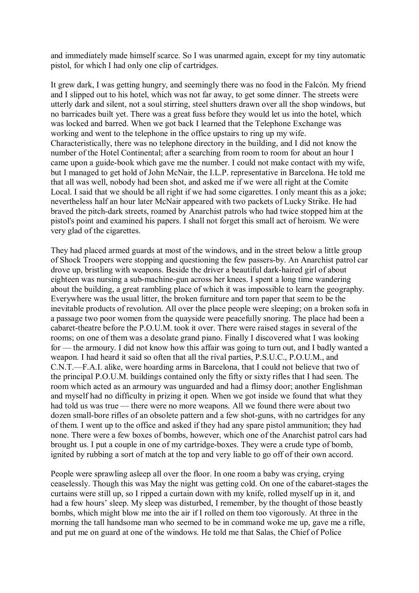and immediately made himself scarce. So I was unarmed again, except for my tiny automatic pistol, for which I had only one clip of cartridges.

It grew dark, I was getting hungry, and seemingly there was no food in the Falcón. My friend and I slipped out to his hotel, which was not far away, to get some dinner. The streets were utterly dark and silent, not a soul stirring, steel shutters drawn over all the shop windows, but no barricades built yet. There was a great fuss before they would let us into the hotel, which was locked and barred. When we got back I learned that the Telephone Exchange was working and went to the telephone in the office upstairs to ring up my wife. Characteristically, there was no telephone directory in the building, and I did not know the number of the Hotel Continental; after a searching from room to room for about an hour I came upon a guide-book which gave me the number. I could not make contact with my wife, but I managed to get hold of John McNair, the I.L.P. representative in Barcelona. He told me that all was well, nobody had been shot, and asked me if we were all right at the Comite Local. I said that we should be all right if we had some cigarettes. I only meant this as a joke; nevertheless half an hour later McNair appeared with two packets of Lucky Strike. He had braved the pitch-dark streets, roamed by Anarchist patrols who had twice stopped him at the pistol's point and examined his papers. I shall not forget this small act of heroism. We were very glad of the cigarettes.

They had placed armed guards at most of the windows, and in the street below a little group of Shock Troopers were stopping and questioning the few passers-by. An Anarchist patrol car drove up, bristling with weapons. Beside the driver a beautiful dark-haired girl of about eighteen was nursing a sub-machine-gun across her knees. I spent a long time wandering about the building, a great rambling place of which it was impossible to learn the geography. Everywhere was the usual litter, the broken furniture and torn paper that seem to be the inevitable products of revolution. All over the place people were sleeping; on a broken sofa in a passage two poor women from the quayside were peacefully snoring. The place had been a cabaret-theatre before the P.O.U.M. took it over. There were raised stages in several of the rooms; on one of them was a desolate grand piano. Finally I discovered what I was looking for — the armoury. I did not know how this affair was going to turn out, and I badly wanted a weapon. I had heard it said so often that all the rival parties, P.S.U.C., P.O.U.M., and C.N.T.—F.A.I. alike, were hoarding arms in Barcelona, that I could not believe that two of the principal P.O.U.M. buildings contained only the fifty or sixty rifles that I had seen. The room which acted as an armoury was unguarded and had a flimsy door; another Englishman and myself had no difficulty in prizing it open. When we got inside we found that what they had told us was true — there were no more weapons. All we found there were about two dozen small-bore rifles of an obsolete pattern and a few shot-guns, with no cartridges for any of them. I went up to the office and asked if they had any spare pistol ammunition; they had none. There were a few boxes of bombs, however, which one of the Anarchist patrol cars had brought us. I put a couple in one of my cartridge-boxes. They were a crude type of bomb, ignited by rubbing a sort of match at the top and very liable to go off of their own accord.

People were sprawling asleep all over the floor. In one room a baby was crying, crying ceaselessly. Though this was May the night was getting cold. On one of the cabaret-stages the curtains were still up, so I ripped a curtain down with my knife, rolled myself up in it, and had a few hours' sleep. My sleep was disturbed, I remember, by the thought of those beastly bombs, which might blow me into the air if I rolled on them too vigorously. At three in the morning the tall handsome man who seemed to be in command woke me up, gave me a rifle, and put me on guard at one of the windows. He told me that Salas, the Chief of Police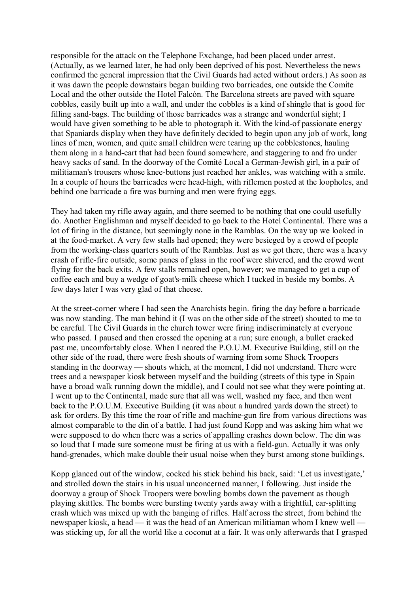responsible for the attack on the Telephone Exchange, had been placed under arrest. (Actually, as we learned later, he had only been deprived of his post. Nevertheless the news confirmed the general impression that the Civil Guards had acted without orders.) As soon as it was dawn the people downstairs began building two barricades, one outside the Comite Local and the other outside the Hotel Falcón. The Barcelona streets are paved with square cobbles, easily built up into a wall, and under the cobbles is a kind of shingle that is good for filling sand-bags. The building of those barricades was a strange and wonderful sight; I would have given something to be able to photograph it. With the kind-of passionate energy that Spaniards display when they have definitely decided to begin upon any job of work, long lines of men, women, and quite small children were tearing up the cobblestones, hauling them along in a hand-cart that had been found somewhere, and staggering to and fro under heavy sacks of sand. In the doorway of the Comité Local a German-Jewish girl, in a pair of militiaman's trousers whose knee-buttons just reached her ankles, was watching with a smile. In a couple of hours the barricades were head-high, with riflemen posted at the loopholes, and behind one barricade a fire was burning and men were frying eggs.

They had taken my rifle away again, and there seemed to be nothing that one could usefully do. Another Englishman and myself decided to go back to the Hotel Continental. There was a lot of firing in the distance, but seemingly none in the Ramblas. On the way up we looked in at the food-market. A very few stalls had opened; they were besieged by a crowd of people from the working-class quarters south of the Ramblas. Just as we got there, there was a heavy crash of rifle-fire outside, some panes of glass in the roof were shivered, and the crowd went flying for the back exits. A few stalls remained open, however; we managed to get a cup of coffee each and buy a wedge of goat's-milk cheese which I tucked in beside my bombs. A few days later I was very glad of that cheese.

At the street-corner where I had seen the Anarchists begin. firing the day before a barricade was now standing. The man behind it (I was on the other side of the street) shouted to me to be careful. The Civil Guards in the church tower were firing indiscriminately at everyone who passed. I paused and then crossed the opening at a run; sure enough, a bullet cracked past me, uncomfortably close. When I neared the P.O.U.M. Executive Building, still on the other side of the road, there were fresh shouts of warning from some Shock Troopers standing in the doorway — shouts which, at the moment, I did not understand. There were trees and a newspaper kiosk between myself and the building (streets of this type in Spain have a broad walk running down the middle), and I could not see what they were pointing at. I went up to the Continental, made sure that all was well, washed my face, and then went back to the P.O.U.M. Executive Building (it was about a hundred yards down the street) to ask for orders. By this time the roar of rifle and machine-gun fire from various directions was almost comparable to the din of a battle. I had just found Kopp and was asking him what we were supposed to do when there was a series of appalling crashes down below. The din was so loud that I made sure someone must be firing at us with a field-gun. Actually it was only hand-grenades, which make double their usual noise when they burst among stone buildings.

Kopp glanced out of the window, cocked his stick behind his back, said: 'Let us investigate,' and strolled down the stairs in his usual unconcerned manner, I following. Just inside the doorway a group of Shock Troopers were bowling bombs down the pavement as though playing skittles. The bombs were bursting twenty yards away with a frightful, ear-splitting crash which was mixed up with the banging of rifles. Half across the street, from behind the newspaper kiosk, a head — it was the head of an American militiaman whom I knew well was sticking up, for all the world like a coconut at a fair. It was only afterwards that I grasped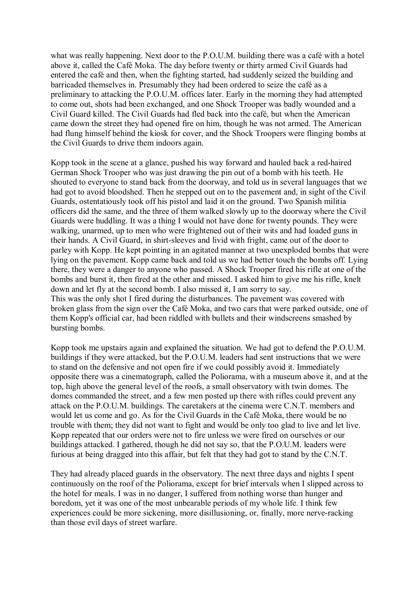what was really happening. Next door to the P.O.U.M. building there was a café with a hotel above it, called the Café Moka. The day before twenty or thirty armed Civil Guards had entered the café and then, when the fighting started, had suddenly seized the building and barricaded themselves in. Presumably they had been ordered to seize the café as a preliminary to attacking the P.O.U.M. offices later. Early in the morning they had attempted to come out, shots had been exchanged, and one Shock Trooper was badly wounded and a Civil Guard killed. The Civil Guards had fled back into the café, but when the American came down the street they had opened fire on him, though he was not armed. The American had flung himself behind the kiosk for cover, and the Shock Troopers were flinging bombs at the Civil Guards to drive them indoors again.

Kopp took in the scene at a glance, pushed his way forward and hauled back a red-haired German Shock Trooper who was just drawing the pin out of a bomb with his teeth. He shouted to everyone to stand back from the doorway, and told us in several languages that we had got to avoid bloodshed. Then he stepped out on to the pavement and, in sight of the Civil Guards, ostentatiously took off his pistol and laid it on the ground. Two Spanish militia officers did the same, and the three of them walked slowly up to the doorway where the Civil Guards were huddling. It was a thing I would not have done for twenty pounds. They were walking, unarmed, up to men who were frightened out of their wits and had loaded guns in their hands. A Civil Guard, in shirt-sleeves and livid with fright, came out of the door to parley with Kopp. He kept pointing in an agitated manner at two unexploded bombs that were lying on the pavement. Kopp came back and told us we had better touch the bombs off. Lying there, they were a danger to anyone who passed. A Shock Trooper fired his rifle at one of the bombs and burst it, then fired at the other and missed. I asked him to give me his rifle, knelt down and let fly at the second bomb. I also missed it, I am sorry to say. This was the only shot I fired during the disturbances. The pavement was covered with broken glass from the sign over the Café Moka, and two cars that were parked outside, one of them Kopp's official car, had been riddled with bullets and their windscreens smashed by bursting bombs.

Kopp took me upstairs again and explained the situation. We had got to defend the P.O.U.M. buildings if they were attacked, but the P.O.U.M. leaders had sent instructions that we were to stand on the defensive and not open fire if we could possibly avoid it. Immediately opposite there was a cinematograph, called the Poliorama, with a museum above it, and at the top, high above the general level of the roofs, a small observatory with twin domes. The domes commanded the street, and a few men posted up there with rifles could prevent any attack on the P.O.U.M. buildings. The caretakers at the cinema were C.N.T. members and would let us come and go. As for the Civil Guards in the Café Moka, there would be no trouble with them; they did not want to fight and would be only too glad to live and let live. Kopp repeated that our orders were not to fire unless we were fired on ourselves or our buildings attacked. I gathered, though he did not say so, that the P.O.U.M. leaders were furious at being dragged into this affair, but felt that they had got to stand by the C.N.T.

They had already placed guards in the observatory. The next three days and nights I spent continuously on the roof of the Poliorama, except for brief intervals when I slipped across to the hotel for meals. I was in no danger, I suffered from nothing worse than hunger and boredom, yet it was one of the most unbearable periods of my whole life. I think few experiences could be more sickening, more disillusioning, or, finally, more nerve-racking than those evil days of street warfare.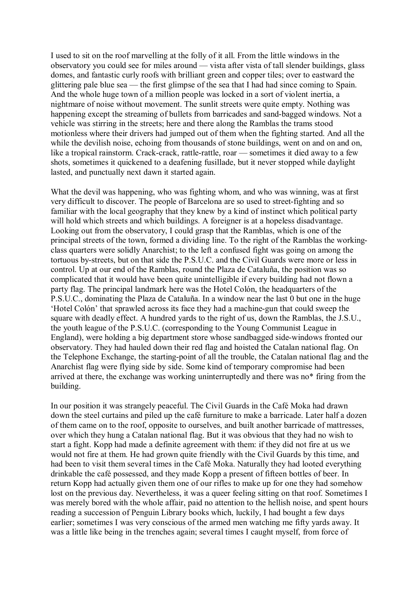I used to sit on the roof marvelling at the folly of it all. From the little windows in the observatory you could see for miles around — vista after vista of tall slender buildings, glass domes, and fantastic curly roofs with brilliant green and copper tiles; over to eastward the glittering pale blue sea — the first glimpse of the sea that I had had since coming to Spain. And the whole huge town of a million people was locked in a sort of violent inertia, a nightmare of noise without movement. The sunlit streets were quite empty. Nothing was happening except the streaming of bullets from barricades and sand-bagged windows. Not a vehicle was stirring in the streets; here and there along the Ramblas the trams stood motionless where their drivers had jumped out of them when the fighting started. And all the while the devilish noise, echoing from thousands of stone buildings, went on and on and on, like a tropical rainstorm. Crack-crack, rattle-rattle, roar — sometimes it died away to a few shots, sometimes it quickened to a deafening fusillade, but it never stopped while daylight lasted, and punctually next dawn it started again.

What the devil was happening, who was fighting whom, and who was winning, was at first very difficult to discover. The people of Barcelona are so used to street-fighting and so familiar with the local geography that they knew by a kind of instinct which political party will hold which streets and which buildings. A foreigner is at a hopeless disadvantage. Looking out from the observatory, I could grasp that the Ramblas, which is one of the principal streets of the town, formed a dividing line. To the right of the Ramblas the workingclass quarters were solidly Anarchist; to the left a confused fight was going on among the tortuous by-streets, but on that side the P.S.U.C. and the Civil Guards were more or less in control. Up at our end of the Ramblas, round the Plaza de Cataluña, the position was so complicated that it would have been quite unintelligible if every building had not flown a party flag. The principal landmark here was the Hotel Colón, the headquarters of the P.S.U.C., dominating the Plaza de Cataluña. In a window near the last 0 but one in the huge 'Hotel Colón' that sprawled across its face they had a machine-gun that could sweep the square with deadly effect. A hundred yards to the right of us, down the Ramblas, the J.S.U., the youth league of the P.S.U.C. (corresponding to the Young Communist League in England), were holding a big department store whose sandbagged side-windows fronted our observatory. They had hauled down their red flag and hoisted the Catalan national flag. On the Telephone Exchange, the starting-point of all the trouble, the Catalan national flag and the Anarchist flag were flying side by side. Some kind of temporary compromise had been arrived at there, the exchange was working uninterruptedly and there was no\* firing from the building.

In our position it was strangely peaceful. The Civil Guards in the Café Moka had drawn down the steel curtains and piled up the café furniture to make a barricade. Later half a dozen of them came on to the roof, opposite to ourselves, and built another barricade of mattresses, over which they hung a Catalan national flag. But it was obvious that they had no wish to start a fight. Kopp had made a definite agreement with them: if they did not fire at us we would not fire at them. He had grown quite friendly with the Civil Guards by this time, and had been to visit them several times in the Café Moka. Naturally they had looted everything drinkable the café possessed, and they made Kopp a present of fifteen bottles of beer. In return Kopp had actually given them one of our rifles to make up for one they had somehow lost on the previous day. Nevertheless, it was a queer feeling sitting on that roof. Sometimes I was merely bored with the whole affair, paid no attention to the hellish noise, and spent hours reading a succession of Penguin Library books which, luckily, I had bought a few days earlier; sometimes I was very conscious of the armed men watching me fifty yards away. It was a little like being in the trenches again; several times I caught myself, from force of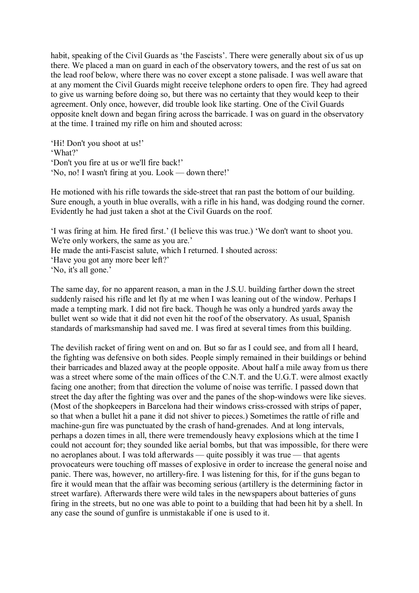habit, speaking of the Civil Guards as 'the Fascists'. There were generally about six of us up there. We placed a man on guard in each of the observatory towers, and the rest of us sat on the lead roof below, where there was no cover except a stone palisade. I was well aware that at any moment the Civil Guards might receive telephone orders to open fire. They had agreed to give us warning before doing so, but there was no certainty that they would keep to their agreement. Only once, however, did trouble look like starting. One of the Civil Guards opposite knelt down and began firing across the barricade. I was on guard in the observatory at the time. I trained my rifle on him and shouted across:

'Hi! Don't you shoot at us!' 'What?' 'Don't you fire at us or we'll fire back!' 'No, no! I wasn't firing at you. Look — down there!'

He motioned with his rifle towards the side-street that ran past the bottom of our building. Sure enough, a youth in blue overalls, with a rifle in his hand, was dodging round the corner. Evidently he had just taken a shot at the Civil Guards on the roof.

'I was firing at him. He fired first.' (I believe this was true.) 'We don't want to shoot you. We're only workers, the same as you are.' He made the anti-Fascist salute, which I returned. I shouted across: 'Have you got any more beer left?' 'No, it's all gone.'

The same day, for no apparent reason, a man in the J.S.U. building farther down the street suddenly raised his rifle and let fly at me when I was leaning out of the window. Perhaps I made a tempting mark. I did not fire back. Though he was only a hundred yards away the bullet went so wide that it did not even hit the roof of the observatory. As usual, Spanish standards of marksmanship had saved me. I was fired at several times from this building.

The devilish racket of firing went on and on. But so far as I could see, and from all I heard, the fighting was defensive on both sides. People simply remained in their buildings or behind their barricades and blazed away at the people opposite. About half a mile away from us there was a street where some of the main offices of the C.N.T. and the U.G.T. were almost exactly facing one another; from that direction the volume of noise was terrific. I passed down that street the day after the fighting was over and the panes of the shop-windows were like sieves. (Most of the shopkeepers in Barcelona had their windows criss-crossed with strips of paper, so that when a bullet hit a pane it did not shiver to pieces.) Sometimes the rattle of rifle and machine-gun fire was punctuated by the crash of hand-grenades. And at long intervals, perhaps a dozen times in all, there were tremendously heavy explosions which at the time I could not account for; they sounded like aerial bombs, but that was impossible, for there were no aeroplanes about. I was told afterwards — quite possibly it was true — that agents provocateurs were touching off masses of explosive in order to increase the general noise and panic. There was, however, no artillery-fire. I was listening for this, for if the guns began to fire it would mean that the affair was becoming serious (artillery is the determining factor in street warfare). Afterwards there were wild tales in the newspapers about batteries of guns firing in the streets, but no one was able to point to a building that had been hit by a shell. In any case the sound of gunfire is unmistakable if one is used to it.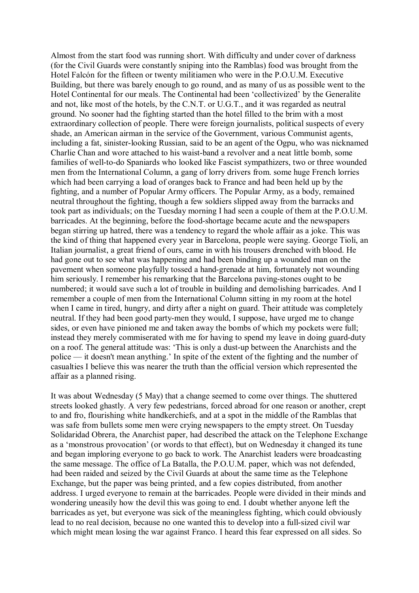Almost from the start food was running short. With difficulty and under cover of darkness (for the Civil Guards were constantly sniping into the Ramblas) food was brought from the Hotel Falcón for the fifteen or twenty militiamen who were in the P.O.U.M. Executive Building, but there was barely enough to go round, and as many of us as possible went to the Hotel Continental for our meals. The Continental had been 'collectivized' by the Generalite and not, like most of the hotels, by the C.N.T. or U.G.T., and it was regarded as neutral ground. No sooner had the fighting started than the hotel filled to the brim with a most extraordinary collection of people. There were foreign journalists, political suspects of every shade, an American airman in the service of the Government, various Communist agents, including a fat, sinister-looking Russian, said to be an agent of the Ogpu, who was nicknamed Charlie Chan and wore attached to his waist-band a revolver and a neat little bomb, some families of well-to-do Spaniards who looked like Fascist sympathizers, two or three wounded men from the International Column, a gang of lorry drivers from. some huge French lorries which had been carrying a load of oranges back to France and had been held up by the fighting, and a number of Popular Army officers. The Popular Army, as a body, remained neutral throughout the fighting, though a few soldiers slipped away from the barracks and took part as individuals; on the Tuesday morning I had seen a couple of them at the P.O.U.M. barricades. At the beginning, before the food-shortage became acute and the newspapers began stirring up hatred, there was a tendency to regard the whole affair as a joke. This was the kind of thing that happened every year in Barcelona, people were saying. George Tioli, an Italian journalist, a great friend of ours, came in with his trousers drenched with blood. He had gone out to see what was happening and had been binding up a wounded man on the pavement when someone playfully tossed a hand-grenade at him, fortunately not wounding him seriously. I remember his remarking that the Barcelona paving-stones ought to be numbered; it would save such a lot of trouble in building and demolishing barricades. And I remember a couple of men from the International Column sitting in my room at the hotel when I came in tired, hungry, and dirty after a night on guard. Their attitude was completely neutral. If they had been good party-men they would, I suppose, have urged me to change sides, or even have pinioned me and taken away the bombs of which my pockets were full; instead they merely commiserated with me for having to spend my leave in doing guard-duty on a roof. The general attitude was: 'This is only a dust-up between the Anarchists and the police — it doesn't mean anything.' In spite of the extent of the fighting and the number of casualties I believe this was nearer the truth than the official version which represented the affair as a planned rising.

It was about Wednesday (5 May) that a change seemed to come over things. The shuttered streets looked ghastly. A very few pedestrians, forced abroad for one reason or another, crept to and fro, flourishing white handkerchiefs, and at a spot in the middle of the Ramblas that was safe from bullets some men were crying newspapers to the empty street. On Tuesday Solidaridad Obrera, the Anarchist paper, had described the attack on the Telephone Exchange as a 'monstrous provocation' (or words to that effect), but on Wednesday it changed its tune and began imploring everyone to go back to work. The Anarchist leaders were broadcasting the same message. The office of La Batalla, the P.O.U.M. paper, which was not defended, had been raided and seized by the Civil Guards at about the same time as the Telephone Exchange, but the paper was being printed, and a few copies distributed, from another address. I urged everyone to remain at the barricades. People were divided in their minds and wondering uneasily how the devil this was going to end. I doubt whether anyone left the barricades as yet, but everyone was sick of the meaningless fighting, which could obviously lead to no real decision, because no one wanted this to develop into a full-sized civil war which might mean losing the war against Franco. I heard this fear expressed on all sides. So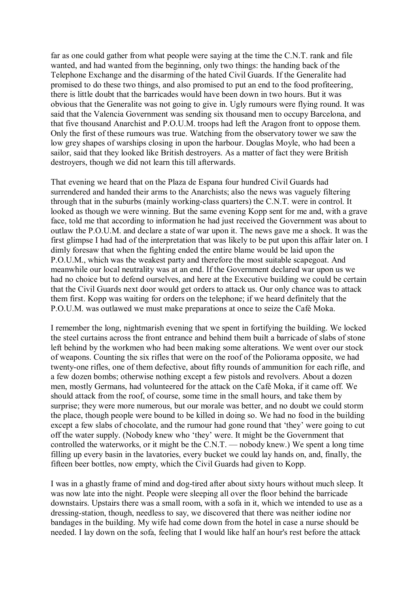far as one could gather from what people were saying at the time the C.N.T. rank and file wanted, and had wanted from the beginning, only two things: the handing back of the Telephone Exchange and the disarming of the hated Civil Guards. If the Generalite had promised to do these two things, and also promised to put an end to the food profiteering, there is little doubt that the barricades would have been down in two hours. But it was obvious that the Generalite was not going to give in. Ugly rumours were flying round. It was said that the Valencia Government was sending six thousand men to occupy Barcelona, and that five thousand Anarchist and P.O.U.M. troops had left the Aragon front to oppose them. Only the first of these rumours was true. Watching from the observatory tower we saw the low grey shapes of warships closing in upon the harbour. Douglas Moyle, who had been a sailor, said that they looked like British destroyers. As a matter of fact they were British destroyers, though we did not learn this till afterwards.

That evening we heard that on the Plaza de Espana four hundred Civil Guards had surrendered and handed their arms to the Anarchists; also the news was vaguely filtering through that in the suburbs (mainly working-class quarters) the C.N.T. were in control. It looked as though we were winning. But the same evening Kopp sent for me and, with a grave face, told me that according to information he had just received the Government was about to outlaw the P.O.U.M. and declare a state of war upon it. The news gave me a shock. It was the first glimpse I had had of the interpretation that was likely to be put upon this affair later on. I dimly foresaw that when the fighting ended the entire blame would be laid upon the P.O.U.M., which was the weakest party and therefore the most suitable scapegoat. And meanwhile our local neutrality was at an end. If the Government declared war upon us we had no choice but to defend ourselves, and here at the Executive building we could be certain that the Civil Guards next door would get orders to attack us. Our only chance was to attack them first. Kopp was waiting for orders on the telephone; if we heard definitely that the P.O.U.M. was outlawed we must make preparations at once to seize the Café Moka.

I remember the long, nightmarish evening that we spent in fortifying the building. We locked the steel curtains across the front entrance and behind them built a barricade of slabs of stone left behind by the workmen who had been making some alterations. We went over our stock of weapons. Counting the six rifles that were on the roof of the Poliorama opposite, we had twenty-one rifles, one of them defective, about fifty rounds of ammunition for each rifle, and a few dozen bombs; otherwise nothing except a few pistols and revolvers. About a dozen men, mostly Germans, had volunteered for the attack on the Café Moka, if it came off. We should attack from the roof, of course, some time in the small hours, and take them by surprise; they were more numerous, but our morale was better, and no doubt we could storm the place, though people were bound to be killed in doing so. We had no food in the building except a few slabs of chocolate, and the rumour had gone round that 'they' were going to cut off the water supply. (Nobody knew who 'they' were. It might be the Government that controlled the waterworks, or it might be the C.N.T. — nobody knew.) We spent a long time filling up every basin in the lavatories, every bucket we could lay hands on, and, finally, the fifteen beer bottles, now empty, which the Civil Guards had given to Kopp.

I was in a ghastly frame of mind and dog-tired after about sixty hours without much sleep. It was now late into the night. People were sleeping all over the floor behind the barricade downstairs. Upstairs there was a small room, with a sofa in it, which we intended to use as a dressing-station, though, needless to say, we discovered that there was neither iodine nor bandages in the building. My wife had come down from the hotel in case a nurse should be needed. I lay down on the sofa, feeling that I would like half an hour's rest before the attack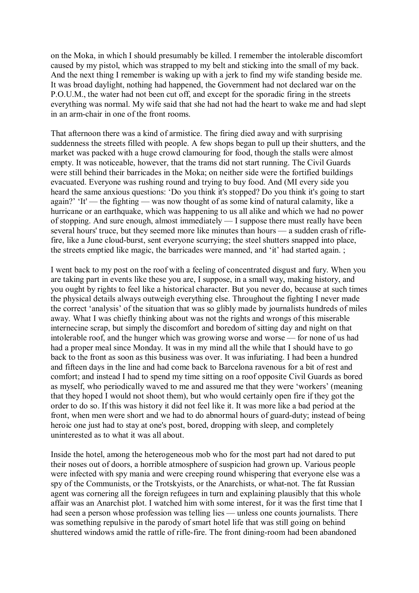on the Moka, in which I should presumably be killed. I remember the intolerable discomfort caused by my pistol, which was strapped to my belt and sticking into the small of my back. And the next thing I remember is waking up with a jerk to find my wife standing beside me. It was broad daylight, nothing had happened, the Government had not declared war on the P.O.U.M., the water had not been cut off, and except for the sporadic firing in the streets everything was normal. My wife said that she had not had the heart to wake me and had slept in an arm-chair in one of the front rooms.

That afternoon there was a kind of armistice. The firing died away and with surprising suddenness the streets filled with people. A few shops began to pull up their shutters, and the market was packed with a huge crowd clamouring for food, though the stalls were almost empty. It was noticeable, however, that the trams did not start running. The Civil Guards were still behind their barricades in the Moka; on neither side were the fortified buildings evacuated. Everyone was rushing round and trying to buy food. And (MI every side you heard the same anxious questions: 'Do you think it's stopped? Do you think it's going to start again?' 'It' — the fighting — was now thought of as some kind of natural calamity, like a hurricane or an earthquake, which was happening to us all alike and which we had no power of stopping. And sure enough, almost immediately — I suppose there must really have been several hours' truce, but they seemed more like minutes than hours — a sudden crash of riflefire, like a June cloud-burst, sent everyone scurrying; the steel shutters snapped into place, the streets emptied like magic, the barricades were manned, and 'it' had started again. ;

I went back to my post on the roof with a feeling of concentrated disgust and fury. When you are taking part in events like these you are, I suppose, in a small way, making history, and you ought by rights to feel like a historical character. But you never do, because at such times the physical details always outweigh everything else. Throughout the fighting I never made the correct 'analysis' of the situation that was so glibly made by journalists hundreds of miles away. What I was chiefly thinking about was not the rights and wrongs of this miserable internecine scrap, but simply the discomfort and boredom of sitting day and night on that intolerable roof, and the hunger which was growing worse and worse — for none of us had had a proper meal since Monday. It was in my mind all the while that I should have to go back to the front as soon as this business was over. It was infuriating. I had been a hundred and fifteen days in the line and had come back to Barcelona ravenous for a bit of rest and comfort; and instead I had to spend my time sitting on a roof opposite Civil Guards as bored as myself, who periodically waved to me and assured me that they were 'workers' (meaning that they hoped I would not shoot them), but who would certainly open fire if they got the order to do so. If this was history it did not feel like it. It was more like a bad period at the front, when men were short and we had to do abnormal hours of guard-duty; instead of being heroic one just had to stay at one's post, bored, dropping with sleep, and completely uninterested as to what it was all about.

Inside the hotel, among the heterogeneous mob who for the most part had not dared to put their noses out of doors, a horrible atmosphere of suspicion had grown up. Various people were infected with spy mania and were creeping round whispering that everyone else was a spy of the Communists, or the Trotskyists, or the Anarchists, or what-not. The fat Russian agent was cornering all the foreign refugees in turn and explaining plausibly that this whole affair was an Anarchist plot. I watched him with some interest, for it was the first time that I had seen a person whose profession was telling lies — unless one counts journalists. There was something repulsive in the parody of smart hotel life that was still going on behind shuttered windows amid the rattle of rifle-fire. The front dining-room had been abandoned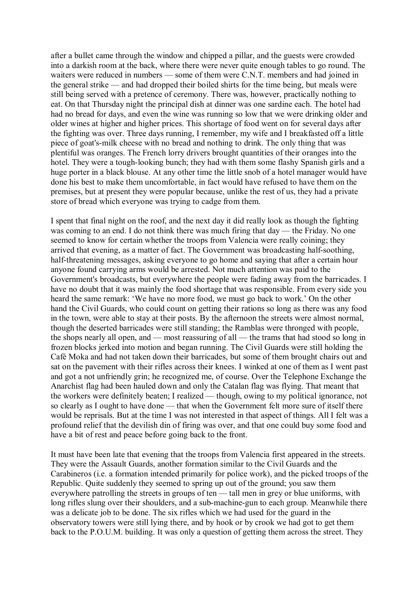after a bullet came through the window and chipped a pillar, and the guests were crowded into a darkish room at the back, where there were never quite enough tables to go round. The waiters were reduced in numbers — some of them were C.N.T. members and had joined in the general strike — and had dropped their boiled shirts for the time being, but meals were still being served with a pretence of ceremony. There was, however, practically nothing to eat. On that Thursday night the principal dish at dinner was one sardine each. The hotel had had no bread for days, and even the wine was running so low that we were drinking older and older wines at higher and higher prices. This shortage of food went on for several days after the fighting was over. Three days running, I remember, my wife and I breakfasted off a little piece of goat's-milk cheese with no bread and nothing to drink. The only thing that was plentiful was oranges. The French lorry drivers brought quantities of their oranges into the hotel. They were a tough-looking bunch; they had with them some flashy Spanish girls and a huge porter in a black blouse. At any other time the little snob of a hotel manager would have done his best to make them uncomfortable, in fact would have refused to have them on the premises, but at present they were popular because, unlike the rest of us, they had a private store of bread which everyone was trying to cadge from them.

I spent that final night on the roof, and the next day it did really look as though the fighting was coming to an end. I do not think there was much firing that day — the Friday. No one seemed to know for certain whether the troops from Valencia were really coining; they arrived that evening, as a matter of fact. The Government was broadcasting half-soothing, half-threatening messages, asking everyone to go home and saying that after a certain hour anyone found carrying arms would be arrested. Not much attention was paid to the Government's broadcasts, but everywhere the people were fading away from the barricades. I have no doubt that it was mainly the food shortage that was responsible. From every side you heard the same remark: 'We have no more food, we must go back to work.' On the other hand the Civil Guards, who could count on getting their rations so long as there was any food in the town, were able to stay at their posts. By the afternoon the streets were almost normal, though the deserted barricades were still standing; the Ramblas were thronged with people, the shops nearly all open, and — most reassuring of all — the trams that had stood so long in frozen blocks jerked into motion and began running. The Civil Guards were still holding the Café Moka and had not taken down their barricades, but some of them brought chairs out and sat on the pavement with their rifles across their knees. I winked at one of them as I went past and got a not unfriendly grin; he recognized me, of course. Over the Telephone Exchange the Anarchist flag had been hauled down and only the Catalan flag was flying. That meant that the workers were definitely beaten; I realized — though, owing to my political ignorance, not so clearly as I ought to have done — that when the Government felt more sure of itself there would be reprisals. But at the time I was not interested in that aspect of things. All I felt was a profound relief that the devilish din of firing was over, and that one could buy some food and have a bit of rest and peace before going back to the front.

It must have been late that evening that the troops from Valencia first appeared in the streets. They were the Assault Guards, another formation similar to the Civil Guards and the Carabineros (i.e. a formation intended primarily for police work), and the picked troops of the Republic. Quite suddenly they seemed to spring up out of the ground; you saw them everywhere patrolling the streets in groups of ten — tall men in grey or blue uniforms, with long rifles slung over their shoulders, and a sub-machine-gun to each group. Meanwhile there was a delicate job to be done. The six rifles which we had used for the guard in the observatory towers were still lying there, and by hook or by crook we had got to get them back to the P.O.U.M. building. It was only a question of getting them across the street. They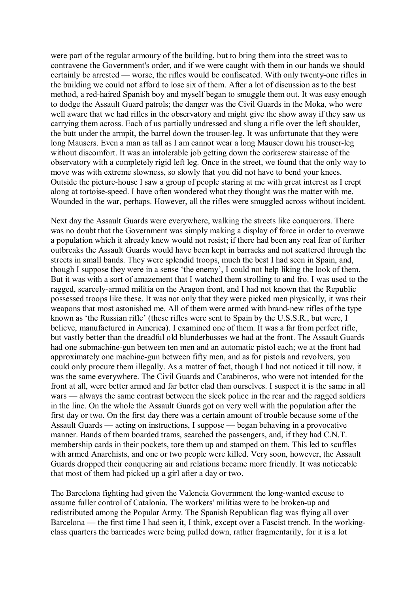were part of the regular armoury of the building, but to bring them into the street was to contravene the Government's order, and if we were caught with them in our hands we should certainly be arrested — worse, the rifles would be confiscated. With only twenty-one rifles in the building we could not afford to lose six of them. After a lot of discussion as to the best method, a red-haired Spanish boy and myself began to smuggle them out. It was easy enough to dodge the Assault Guard patrols; the danger was the Civil Guards in the Moka, who were well aware that we had rifles in the observatory and might give the show away if they saw us carrying them across. Each of us partially undressed and slung a rifle over the left shoulder, the butt under the armpit, the barrel down the trouser-leg. It was unfortunate that they were long Mausers. Even a man as tall as I am cannot wear a long Mauser down his trouser-leg without discomfort. It was an intolerable job getting down the corkscrew staircase of the observatory with a completely rigid left leg. Once in the street, we found that the only way to move was with extreme slowness, so slowly that you did not have to bend your knees. Outside the picture-house I saw a group of people staring at me with great interest as I crept along at tortoise-speed. I have often wondered what they thought was the matter with me. Wounded in the war, perhaps. However, all the rifles were smuggled across without incident.

Next day the Assault Guards were everywhere, walking the streets like conquerors. There was no doubt that the Government was simply making a display of force in order to overawe a population which it already knew would not resist; if there had been any real fear of further outbreaks the Assault Guards would have been kept in barracks and not scattered through the streets in small bands. They were splendid troops, much the best I had seen in Spain, and, though I suppose they were in a sense 'the enemy', I could not help liking the look of them. But it was with a sort of amazement that I watched them strolling to and fro. I was used to the ragged, scarcely-armed militia on the Aragon front, and I had not known that the Republic possessed troops like these. It was not only that they were picked men physically, it was their weapons that most astonished me. All of them were armed with brand-new rifles of the type known as 'the Russian rifle' (these rifles were sent to Spain by the U.S.S.R., but were, I believe, manufactured in America). I examined one of them. It was a far from perfect rifle, but vastly better than the dreadful old blunderbusses we had at the front. The Assault Guards had one submachine-gun between ten men and an automatic pistol each; we at the front had approximately one machine-gun between fifty men, and as for pistols and revolvers, you could only procure them illegally. As a matter of fact, though I had not noticed it till now, it was the same everywhere. The Civil Guards and Carabineros, who were not intended for the front at all, were better armed and far better clad than ourselves. I suspect it is the same in all wars — always the same contrast between the sleek police in the rear and the ragged soldiers in the line. On the whole the Assault Guards got on very well with the population after the first day or two. On the first day there was a certain amount of trouble because some of the Assault Guards — acting on instructions, I suppose — began behaving in a provocative manner. Bands of them boarded trams, searched the passengers, and, if they had C.N.T. membership cards in their pockets, tore them up and stamped on them. This led to scuffles with armed Anarchists, and one or two people were killed. Very soon, however, the Assault Guards dropped their conquering air and relations became more friendly. It was noticeable that most of them had picked up a girl after a day or two.

The Barcelona fighting had given the Valencia Government the long-wanted excuse to assume fuller control of Catalonia. The workers' militias were to be broken-up and redistributed among the Popular Army. The Spanish Republican flag was flying all over Barcelona — the first time I had seen it, I think, except over a Fascist trench. In the workingclass quarters the barricades were being pulled down, rather fragmentarily, for it is a lot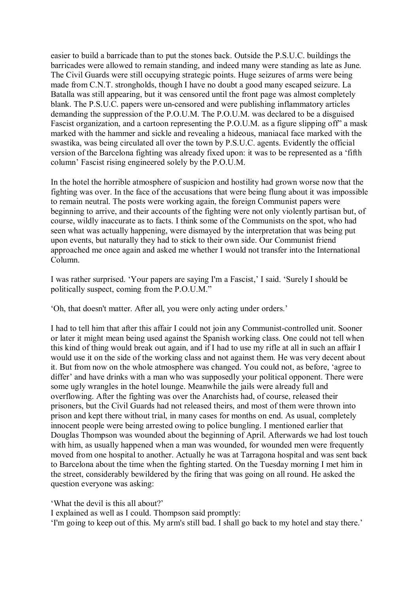easier to build a barricade than to put the stones back. Outside the P.S.U.C. buildings the barricades were allowed to remain standing, and indeed many were standing as late as June. The Civil Guards were still occupying strategic points. Huge seizures of arms were being made from C.N.T. strongholds, though I have no doubt a good many escaped seizure. La Batalla was still appearing, but it was censored until the front page was almost completely blank. The P.S.U.C. papers were un-censored and were publishing inflammatory articles demanding the suppression of the P.O.U.M. The P.O.U.M. was declared to be a disguised Fascist organization, and a cartoon representing the P.O.U.M. as a figure slipping off" a mask marked with the hammer and sickle and revealing a hideous, maniacal face marked with the swastika, was being circulated all over the town by P.S.U.C. agents. Evidently the official version of the Barcelona fighting was already fixed upon: it was to be represented as a 'fifth column' Fascist rising engineered solely by the P.O.U.M.

In the hotel the horrible atmosphere of suspicion and hostility had grown worse now that the fighting was over. In the face of the accusations that were being flung about it was impossible to remain neutral. The posts were working again, the foreign Communist papers were beginning to arrive, and their accounts of the fighting were not only violently partisan but, of course, wildly inaccurate as to facts. I think some of the Communists on the spot, who had seen what was actually happening, were dismayed by the interpretation that was being put upon events, but naturally they had to stick to their own side. Our Communist friend approached me once again and asked me whether I would not transfer into the International Column.

I was rather surprised. 'Your papers are saying I'm a Fascist,' I said. 'Surely I should be politically suspect, coming from the P.O.U.M."

'Oh, that doesn't matter. After all, you were only acting under orders.'

I had to tell him that after this affair I could not join any Communist-controlled unit. Sooner or later it might mean being used against the Spanish working class. One could not tell when this kind of thing would break out again, and if I had to use my rifle at all in such an affair I would use it on the side of the working class and not against them. He was very decent about it. But from now on the whole atmosphere was changed. You could not, as before, 'agree to differ' and have drinks with a man who was supposedly your political opponent. There were some ugly wrangles in the hotel lounge. Meanwhile the jails were already full and overflowing. After the fighting was over the Anarchists had, of course, released their prisoners, but the Civil Guards had not released theirs, and most of them were thrown into prison and kept there without trial, in many cases for months on end. As usual, completely innocent people were being arrested owing to police bungling. I mentioned earlier that Douglas Thompson was wounded about the beginning of April. Afterwards we had lost touch with him, as usually happened when a man was wounded, for wounded men were frequently moved from one hospital to another. Actually he was at Tarragona hospital and was sent back to Barcelona about the time when the fighting started. On the Tuesday morning I met him in the street, considerably bewildered by the firing that was going on all round. He asked the question everyone was asking:

'What the devil is this all about?'

I explained as well as I could. Thompson said promptly:

'I'm going to keep out of this. My arm's still bad. I shall go back to my hotel and stay there.'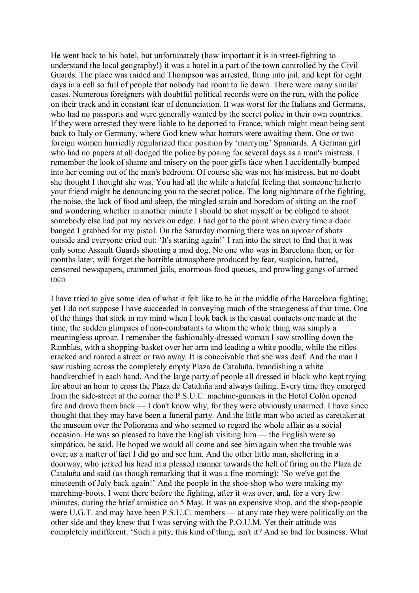He went back to his hotel, but unfortunately (how important it is in street-fighting to understand the local geography!) it was a hotel in a part of the town controlled by the Civil Guards. The place was raided and Thompson was arrested, flung into jail, and kept for eight days in a cell so full of people that nobody had room to lie down. There were many similar cases. Numerous foreigners with doubtful political records were on the run, with the police on their track and in constant fear of denunciation. It was worst for the Italians and Germans, who had no passports and were generally wanted by the secret police in their own countries. If they were arrested they were liable to be deported to France, which might mean being sent back to Italy or Germany, where God knew what horrors were awaiting them. One or two foreign women hurriedly regularized their position by 'marrying' Spaniards. A German girl who had no papers at all dodged the police by posing for several days as a man's mistress. I remember the look of shame and misery on the poor girl's face when I accidentally bumped into her coming out of the man's bedroom. Of course she was not his mistress, but no doubt she thought I thought she was. You had all the while a hateful feeling that someone hitherto your friend might be denouncing you to the secret police. The long nightmare of the fighting, the noise, the lack of food and sleep, the mingled strain and boredom of sitting on the roof and wondering whether in another minute I should be shot myself or be obliged to shoot somebody else had put my nerves on edge. I had got to the point when every time a door banged I grabbed for my pistol. On the Saturday morning there was an uproar of shots outside and everyone cried out: 'It's starting again!' I ran into the street to find that it was only some Assault Guards shooting a mad dog. No one who was in Barcelona then, or for months later, will forget the horrible atmosphere produced by fear, suspicion, hatred, censored newspapers, crammed jails, enormous food queues, and prowling gangs of armed men.

I have tried to give some idea of what it felt like to be in the middle of the Barcelona fighting; yet I do not suppose I have succeeded in conveying much of the strangeness of that time. One of the things that stick in my mind when I look back is the casual contacts one made at the time, the sudden glimpses of non-combatants to whom the whole thing was simply a meaningless uproar. I remember the fashionably-dressed woman I saw strolling down the Ramblas, with a shopping-basket over her arm and leading a white poodle, while the rifles cracked and roared a street or two away. It is conceivable that she was deaf. And the man I saw rushing across the completely empty Plaza de Cataluña, brandishing a white handkerchief in each hand. And the large party of people all dressed in black who kept trying for about an hour to cross the Plaza de Cataluña and always failing. Every time they emerged from the side-street at the corner the P.S.U.C. machine-gunners in the Hotel Colón opened fire and drove them back — I don't know why, for they were obviously unarmed. I have since thought that they may have been a funeral party. And the little man who acted as caretaker at the museum over the Poliorama and who seemed to regard the whole affair as a social occasion. He was so pleased to have the English visiting him — the English were so simpático, he said. He hoped we would all come and see him again when the trouble was over; as a matter of fact I did go and see him. And the other little man, sheltering in a doorway, who jerked his head in a pleased manner towards the hell of firing on the Plaza de Cataluña and said (as though remarking that it was a fine morning): 'So we've got the nineteenth of July back again!' And the people in the shoe-shop who were making my marching-boots. I went there before the fighting, after it was over, and, for a very few minutes, during the brief armistice on 5 May. It was an expensive shop, and the shop-people were U.G.T. and may have been P.S.U.C. members — at any rate they were politically on the other side and they knew that I was serving with the P.O.U.M. Yet their attitude was completely indifferent. 'Such a pity, this kind of thing, isn't it? And so bad for business. What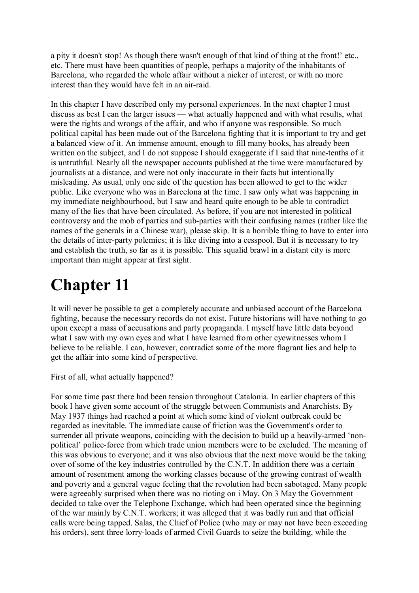a pity it doesn't stop! As though there wasn't enough of that kind of thing at the front!' etc., etc. There must have been quantities of people, perhaps a majority of the inhabitants of Barcelona, who regarded the whole affair without a nicker of interest, or with no more interest than they would have felt in an air-raid.

In this chapter I have described only my personal experiences. In the next chapter I must discuss as best I can the larger issues — what actually happened and with what results, what were the rights and wrongs of the affair, and who if anyone was responsible. So much political capital has been made out of the Barcelona fighting that it is important to try and get a balanced view of it. An immense amount, enough to fill many books, has already been written on the subject, and I do not suppose I should exaggerate if I said that nine-tenths of it is untruthful. Nearly all the newspaper accounts published at the time were manufactured by journalists at a distance, and were not only inaccurate in their facts but intentionally misleading. As usual, only one side of the question has been allowed to get to the wider public. Like everyone who was in Barcelona at the time. I saw only what was happening in my immediate neighbourhood, but I saw and heard quite enough to be able to contradict many of the lies that have been circulated. As before, if you are not interested in political controversy and the mob of parties and sub-parties with their confusing names (rather like the names of the generals in a Chinese war), please skip. It is a horrible thing to have to enter into the details of inter-party polemics; it is like diving into a cesspool. But it is necessary to try and establish the truth, so far as it is possible. This squalid brawl in a distant city is more important than might appear at first sight.

## **Chapter 11**

It will never be possible to get a completely accurate and unbiased account of the Barcelona fighting, because the necessary records do not exist. Future historians will have nothing to go upon except a mass of accusations and party propaganda. I myself have little data beyond what I saw with my own eyes and what I have learned from other eyewitnesses whom I believe to be reliable. I can, however, contradict some of the more flagrant lies and help to get the affair into some kind of perspective.

First of all, what actually happened?

For some time past there had been tension throughout Catalonia. In earlier chapters of this book I have given some account of the struggle between Communists and Anarchists. By May 1937 things had reached a point at which some kind of violent outbreak could be regarded as inevitable. The immediate cause of friction was the Government's order to surrender all private weapons, coinciding with the decision to build up a heavily-armed 'nonpolitical' police-force from which trade union members were to be excluded. The meaning of this was obvious to everyone; and it was also obvious that the next move would be the taking over of some of the key industries controlled by the C.N.T. In addition there was a certain amount of resentment among the working classes because of the growing contrast of wealth and poverty and a general vague feeling that the revolution had been sabotaged. Many people were agreeably surprised when there was no rioting on i May. On 3 May the Government decided to take over the Telephone Exchange, which had been operated since the beginning of the war mainly by C.N.T. workers; it was alleged that it was badly run and that official calls were being tapped. Salas, the Chief of Police (who may or may not have been exceeding his orders), sent three lorry-loads of armed Civil Guards to seize the building, while the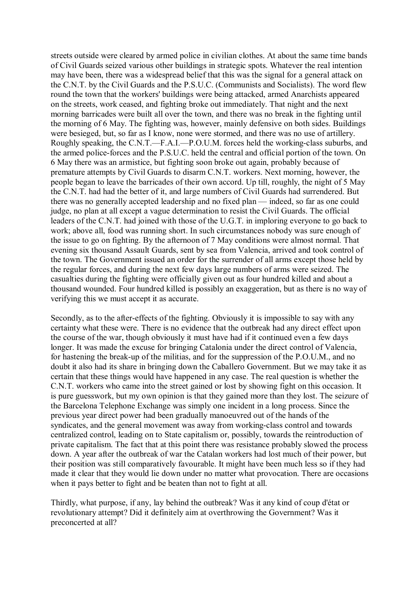streets outside were cleared by armed police in civilian clothes. At about the same time bands of Civil Guards seized various other buildings in strategic spots. Whatever the real intention may have been, there was a widespread belief that this was the signal for a general attack on the C.N.T. by the Civil Guards and the P.S.U.C. (Communists and Socialists). The word flew round the town that the workers' buildings were being attacked, armed Anarchists appeared on the streets, work ceased, and fighting broke out immediately. That night and the next morning barricades were built all over the town, and there was no break in the fighting until the morning of 6 May. The fighting was, however, mainly defensive on both sides. Buildings were besieged, but, so far as I know, none were stormed, and there was no use of artillery. Roughly speaking, the C.N.T.—F.A.I.—P.O.U.M. forces held the working-class suburbs, and the armed police-forces and the P.S.U.C. held the central and official portion of the town. On 6 May there was an armistice, but fighting soon broke out again, probably because of premature attempts by Civil Guards to disarm C.N.T. workers. Next morning, however, the people began to leave the barricades of their own accord. Up till, roughly, the night of 5 May the C.N.T. had had the better of it, and large numbers of Civil Guards had surrendered. But there was no generally accepted leadership and no fixed plan — indeed, so far as one could judge, no plan at all except a vague determination to resist the Civil Guards. The official leaders of the C.N.T. had joined with those of the U.G.T. in imploring everyone to go back to work; above all, food was running short. In such circumstances nobody was sure enough of the issue to go on fighting. By the afternoon of 7 May conditions were almost normal. That evening six thousand Assault Guards, sent by sea from Valencia, arrived and took control of the town. The Government issued an order for the surrender of all arms except those held by the regular forces, and during the next few days large numbers of arms were seized. The casualties during the fighting were officially given out as four hundred killed and about a thousand wounded. Four hundred killed is possibly an exaggeration, but as there is no way of verifying this we must accept it as accurate.

Secondly, as to the after-effects of the fighting. Obviously it is impossible to say with any certainty what these were. There is no evidence that the outbreak had any direct effect upon the course of the war, though obviously it must have had if it continued even a few days longer. It was made the excuse for bringing Catalonia under the direct control of Valencia, for hastening the break-up of the militias, and for the suppression of the P.O.U.M., and no doubt it also had its share in bringing down the Caballero Government. But we may take it as certain that these things would have happened in any case. The real question is whether the C.N.T. workers who came into the street gained or lost by showing fight on this occasion. It is pure guesswork, but my own opinion is that they gained more than they lost. The seizure of the Barcelona Telephone Exchange was simply one incident in a long process. Since the previous year direct power had been gradually manoeuvred out of the hands of the syndicates, and the general movement was away from working-class control and towards centralized control, leading on to State capitalism or, possibly, towards the reintroduction of private capitalism. The fact that at this point there was resistance probably slowed the process down. A year after the outbreak of war the Catalan workers had lost much of their power, but their position was still comparatively favourable. It might have been much less so if they had made it clear that they would lie down under no matter what provocation. There are occasions when it pays better to fight and be beaten than not to fight at all.

Thirdly, what purpose, if any, lay behind the outbreak? Was it any kind of coup d'état or revolutionary attempt? Did it definitely aim at overthrowing the Government? Was it preconcerted at all?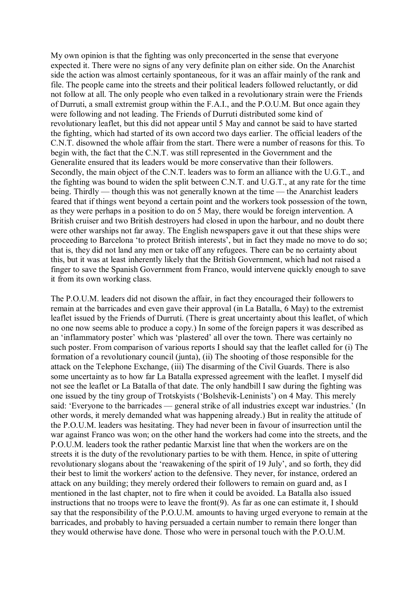My own opinion is that the fighting was only preconcerted in the sense that everyone expected it. There were no signs of any very definite plan on either side. On the Anarchist side the action was almost certainly spontaneous, for it was an affair mainly of the rank and file. The people came into the streets and their political leaders followed reluctantly, or did not follow at all. The only people who even talked in a revolutionary strain were the Friends of Durruti, a small extremist group within the F.A.I., and the P.O.U.M. But once again they were following and not leading. The Friends of Durruti distributed some kind of revolutionary leaflet, but this did not appear until 5 May and cannot be said to have started the fighting, which had started of its own accord two days earlier. The official leaders of the C.N.T. disowned the whole affair from the start. There were a number of reasons for this. To begin with, the fact that the C.N.T. was still represented in the Government and the Generalite ensured that its leaders would be more conservative than their followers. Secondly, the main object of the C.N.T. leaders was to form an alliance with the U.G.T., and the fighting was bound to widen the split between C.N.T. and U.G.T., at any rate for the time being. Thirdly — though this was not generally known at the time — the Anarchist leaders feared that if things went beyond a certain point and the workers took possession of the town, as they were perhaps in a position to do on 5 May, there would be foreign intervention. A British cruiser and two British destroyers had closed in upon the harbour, and no doubt there were other warships not far away. The English newspapers gave it out that these ships were proceeding to Barcelona 'to protect British interests', but in fact they made no move to do so; that is, they did not land any men or take off any refugees. There can be no certainty about this, but it was at least inherently likely that the British Government, which had not raised a finger to save the Spanish Government from Franco, would intervene quickly enough to save it from its own working class.

The P.O.U.M. leaders did not disown the affair, in fact they encouraged their followers to remain at the barricades and even gave their approval (in La Batalla, 6 May) to the extremist leaflet issued by the Friends of Durruti. (There is great uncertainty about this leaflet, of which no one now seems able to produce a copy.) In some of the foreign papers it was described as an 'inflammatory poster' which was 'plastered' all over the town. There was certainly no such poster. From comparison of various reports I should say that the leaflet called for (i) The formation of a revolutionary council (junta), (ii) The shooting of those responsible for the attack on the Telephone Exchange, (iii) The disarming of the Civil Guards. There is also some uncertainty as to how far La Batalla expressed agreement with the leaflet. I myself did not see the leaflet or La Batalla of that date. The only handbill I saw during the fighting was one issued by the tiny group of Trotskyists ('Bolshevik-Leninists') on 4 May. This merely said: 'Everyone to the barricades — general strike of all industries except war industries.' (In other words, it merely demanded what was happening already.) But in reality the attitude of the P.O.U.M. leaders was hesitating. They had never been in favour of insurrection until the war against Franco was won; on the other hand the workers had come into the streets, and the P.O.U.M. leaders took the rather pedantic Marxist line that when the workers are on the streets it is the duty of the revolutionary parties to be with them. Hence, in spite of uttering revolutionary slogans about the 'reawakening of the spirit of 19 July', and so forth, they did their best to limit the workers' action to the defensive. They never, for instance, ordered an attack on any building; they merely ordered their followers to remain on guard and, as I mentioned in the last chapter, not to fire when it could be avoided. La Batalla also issued instructions that no troops were to leave the front(9). As far as one can estimate it, I should say that the responsibility of the P.O.U.M. amounts to having urged everyone to remain at the barricades, and probably to having persuaded a certain number to remain there longer than they would otherwise have done. Those who were in personal touch with the P.O.U.M.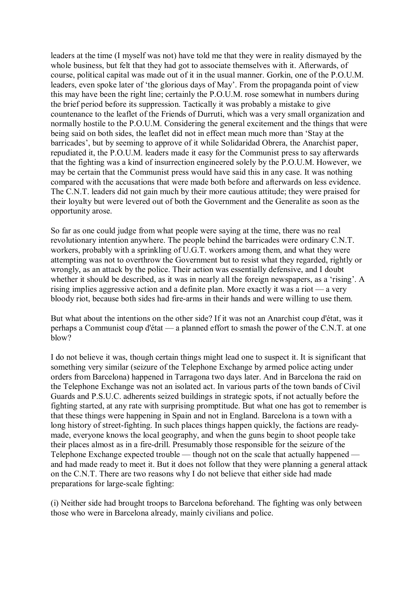leaders at the time (I myself was not) have told me that they were in reality dismayed by the whole business, but felt that they had got to associate themselves with it. Afterwards, of course, political capital was made out of it in the usual manner. Gorkin, one of the P.O.U.M. leaders, even spoke later of 'the glorious days of May'. From the propaganda point of view this may have been the right line; certainly the P.O.U.M. rose somewhat in numbers during the brief period before its suppression. Tactically it was probably a mistake to give countenance to the leaflet of the Friends of Durruti, which was a very small organization and normally hostile to the P.O.U.M. Considering the general excitement and the things that were being said on both sides, the leaflet did not in effect mean much more than 'Stay at the barricades', but by seeming to approve of it while Solidaridad Obrera, the Anarchist paper, repudiated it, the P.O.U.M. leaders made it easy for the Communist press to say afterwards that the fighting was a kind of insurrection engineered solely by the P.O.U.M. However, we may be certain that the Communist press would have said this in any case. It was nothing compared with the accusations that were made both before and afterwards on less evidence. The C.N.T. leaders did not gain much by their more cautious attitude; they were praised for their loyalty but were levered out of both the Government and the Generalite as soon as the opportunity arose.

So far as one could judge from what people were saying at the time, there was no real revolutionary intention anywhere. The people behind the barricades were ordinary C.N.T. workers, probably with a sprinkling of U.G.T. workers among them, and what they were attempting was not to overthrow the Government but to resist what they regarded, rightly or wrongly, as an attack by the police. Their action was essentially defensive, and I doubt whether it should be described, as it was in nearly all the foreign newspapers, as a 'rising'. A rising implies aggressive action and a definite plan. More exactly it was a riot — a very bloody riot, because both sides had fire-arms in their hands and were willing to use them.

But what about the intentions on the other side? If it was not an Anarchist coup d'état, was it perhaps a Communist coup d'état — a planned effort to smash the power of the C.N.T. at one blow?

I do not believe it was, though certain things might lead one to suspect it. It is significant that something very similar (seizure of the Telephone Exchange by armed police acting under orders from Barcelona) happened in Tarragona two days later. And in Barcelona the raid on the Telephone Exchange was not an isolated act. In various parts of the town bands of Civil Guards and P.S.U.C. adherents seized buildings in strategic spots, if not actually before the fighting started, at any rate with surprising promptitude. But what one has got to remember is that these things were happening in Spain and not in England. Barcelona is a town with a long history of street-fighting. In such places things happen quickly, the factions are readymade, everyone knows the local geography, and when the guns begin to shoot people take their places almost as in a fire-drill. Presumably those responsible for the seizure of the Telephone Exchange expected trouble — though not on the scale that actually happened and had made ready to meet it. But it does not follow that they were planning a general attack on the C.N.T. There are two reasons why I do not believe that either side had made preparations for large-scale fighting:

(i) Neither side had brought troops to Barcelona beforehand. The fighting was only between those who were in Barcelona already, mainly civilians and police.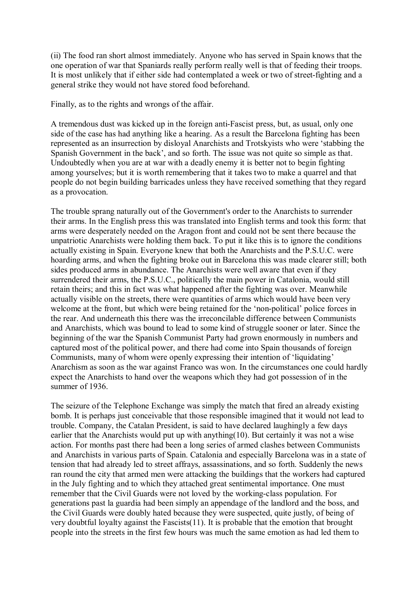(ii) The food ran short almost immediately. Anyone who has served in Spain knows that the one operation of war that Spaniards really perform really well is that of feeding their troops. It is most unlikely that if either side had contemplated a week or two of street-fighting and a general strike they would not have stored food beforehand.

Finally, as to the rights and wrongs of the affair.

A tremendous dust was kicked up in the foreign anti-Fascist press, but, as usual, only one side of the case has had anything like a hearing. As a result the Barcelona fighting has been represented as an insurrection by disloyal Anarchists and Trotskyists who were 'stabbing the Spanish Government in the back', and so forth. The issue was not quite so simple as that. Undoubtedly when you are at war with a deadly enemy it is better not to begin fighting among yourselves; but it is worth remembering that it takes two to make a quarrel and that people do not begin building barricades unless they have received something that they regard as a provocation.

The trouble sprang naturally out of the Government's order to the Anarchists to surrender their arms. In the English press this was translated into English terms and took this form: that arms were desperately needed on the Aragon front and could not be sent there because the unpatriotic Anarchists were holding them back. To put it like this is to ignore the conditions actually existing in Spain. Everyone knew that both the Anarchists and the P.S.U.C. were hoarding arms, and when the fighting broke out in Barcelona this was made clearer still; both sides produced arms in abundance. The Anarchists were well aware that even if they surrendered their arms, the P.S.U.C., politically the main power in Catalonia, would still retain theirs; and this in fact was what happened after the fighting was over. Meanwhile actually visible on the streets, there were quantities of arms which would have been very welcome at the front, but which were being retained for the 'non-political' police forces in the rear. And underneath this there was the irreconcilable difference between Communists and Anarchists, which was bound to lead to some kind of struggle sooner or later. Since the beginning of the war the Spanish Communist Party had grown enormously in numbers and captured most of the political power, and there had come into Spain thousands of foreign Communists, many of whom were openly expressing their intention of 'liquidating' Anarchism as soon as the war against Franco was won. In the circumstances one could hardly expect the Anarchists to hand over the weapons which they had got possession of in the summer of 1936.

The seizure of the Telephone Exchange was simply the match that fired an already existing bomb. It is perhaps just conceivable that those responsible imagined that it would not lead to trouble. Company, the Catalan President, is said to have declared laughingly a few days earlier that the Anarchists would put up with anything(10). But certainly it was not a wise action. For months past there had been a long series of armed clashes between Communists and Anarchists in various parts of Spain. Catalonia and especially Barcelona was in a state of tension that had already led to street affrays, assassinations, and so forth. Suddenly the news ran round the city that armed men were attacking the buildings that the workers had captured in the July fighting and to which they attached great sentimental importance. One must remember that the Civil Guards were not loved by the working-class population. For generations past la guardia had been simply an appendage of the landlord and the boss, and the Civil Guards were doubly hated because they were suspected, quite justly, of being of very doubtful loyalty against the Fascists(11). It is probable that the emotion that brought people into the streets in the first few hours was much the same emotion as had led them to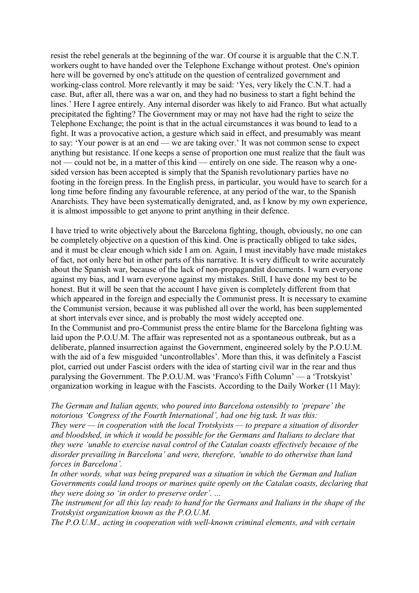resist the rebel generals at the beginning of the war. Of course it is arguable that the C.N.T. workers ought to have handed over the Telephone Exchange without protest. One's opinion here will be governed by one's attitude on the question of centralized government and working-class control. More relevantly it may be said: 'Yes, very likely the C.N.T. had a case. But, after all, there was a war on, and they had no business to start a fight behind the lines.' Here I agree entirely. Any internal disorder was likely to aid Franco. But what actually precipitated the fighting? The Government may or may not have had the right to seize the Telephone Exchange; the point is that in the actual circumstances it was bound to lead to a fight. It was a provocative action, a gesture which said in effect, and presumably was meant to say: 'Your power is at an end — we are taking over.' It was not common sense to expect anything but resistance. If one keeps a sense of proportion one must realize that the fault was not — could not be, in a matter of this kind — entirely on one side. The reason why a onesided version has been accepted is simply that the Spanish revolutionary parties have no footing in the foreign press. In the English press, in particular, you would have to search for a long time before finding any favourable reference, at any period of the war, to the Spanish Anarchists. They have been systematically denigrated, and, as I know by my own experience, it is almost impossible to get anyone to print anything in their defence.

I have tried to write objectively about the Barcelona fighting, though, obviously, no one can be completely objective on a question of this kind. One is practically obliged to take sides, and it must be clear enough which side I am on. Again, I must inevitably have made mistakes of fact, not only here but in other parts of this narrative. It is very difficult to write accurately about the Spanish war, because of the lack of non-propagandist documents. I warn everyone against my bias, and I warn everyone against my mistakes. Still, I have done my best to be honest. But it will be seen that the account I have given is completely different from that which appeared in the foreign and especially the Communist press. It is necessary to examine the Communist version, because it was published all over the world, has been supplemented at short intervals ever since, and is probably the most widely accepted one. In the Communist and pro-Communist press the entire blame for the Barcelona fighting was laid upon the P.O.U.M. The affair was represented not as a spontaneous outbreak, but as a deliberate, planned insurrection against the Government, engineered solely by the P.O.U.M. with the aid of a few misguided 'uncontrollables'. More than this, it was definitely a Fascist plot, carried out under Fascist orders with the idea of starting civil war in the rear and thus paralysing the Government. The P.O.U.M. was 'Franco's Fifth Column' — a 'Trotskyist' organization working in league with the Fascists. According to the Daily Worker (11 May):

*The German and Italian agents, who poured into Barcelona ostensibly to 'prepare' the notorious 'Congress of the Fourth International', had one big task. It was this: They were — in cooperation with the local Trotskyists — to prepare a situation of disorder and bloodshed, in which it would be possible for the Germans and Italians to declare that they were 'unable to exercise naval control of the Catalan coasts effectively because of the disorder prevailing in Barcelona' and were, therefore, 'unable to do otherwise than land forces in Barcelona'.*

*In other words, what was being prepared was a situation in which the German and Italian Governments could land troops or marines quite openly on the Catalan coasts, declaring that they were doing so 'in order to preserve order'. ...*

*The instrument for all this lay ready to hand for the Germans and Italians in the shape of the Trotskyist organization known as the P.O.U.M.*

*The P.O.U.M., acting in cooperation with well-known criminal elements, and with certain*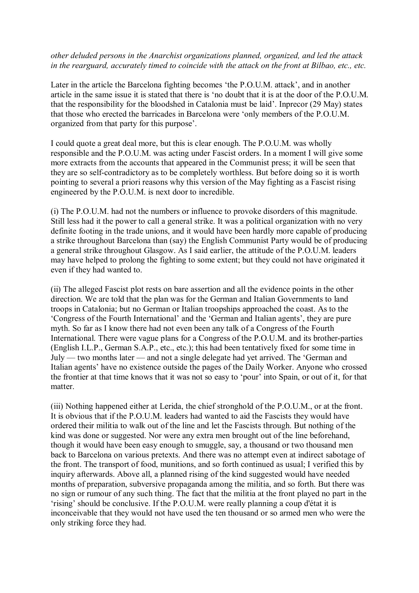#### *other deluded persons in the Anarchist organizations planned, organized, and led the attack in the rearguard, accurately timed to coincide with the attack on the front at Bilbao, etc., etc.*

Later in the article the Barcelona fighting becomes 'the P.O.U.M. attack', and in another article in the same issue it is stated that there is 'no doubt that it is at the door of the P.O.U.M. that the responsibility for the bloodshed in Catalonia must be laid'. Inprecor (29 May) states that those who erected the barricades in Barcelona were 'only members of the P.O.U.M. organized from that party for this purpose'.

I could quote a great deal more, but this is clear enough. The P.O.U.M. was wholly responsible and the P.O.U.M. was acting under Fascist orders. In a moment I will give some more extracts from the accounts that appeared in the Communist press; it will be seen that they are so self-contradictory as to be completely worthless. But before doing so it is worth pointing to several a priori reasons why this version of the May fighting as a Fascist rising engineered by the P.O.U.M. is next door to incredible.

(i) The P.O.U.M. had not the numbers or influence to provoke disorders of this magnitude. Still less had it the power to call a general strike. It was a political organization with no very definite footing in the trade unions, and it would have been hardly more capable of producing a strike throughout Barcelona than (say) the English Communist Party would be of producing a general strike throughout Glasgow. As I said earlier, the attitude of the P.O.U.M. leaders may have helped to prolong the fighting to some extent; but they could not have originated it even if they had wanted to.

(ii) The alleged Fascist plot rests on bare assertion and all the evidence points in the other direction. We are told that the plan was for the German and Italian Governments to land troops in Catalonia; but no German or Italian troopships approached the coast. As to the 'Congress of the Fourth International' and the 'German and Italian agents', they are pure myth. So far as I know there had not even been any talk of a Congress of the Fourth International. There were vague plans for a Congress of the P.O.U.M. and its brother-parties (English I.L.P., German S.A.P., etc., etc.); this had been tentatively fixed for some time in July — two months later — and not a single delegate had yet arrived. The 'German and Italian agents' have no existence outside the pages of the Daily Worker. Anyone who crossed the frontier at that time knows that it was not so easy to 'pour' into Spain, or out of it, for that matter.

(iii) Nothing happened either at Lerida, the chief stronghold of the P.O.U.M., or at the front. It is obvious that if the P.O.U.M. leaders had wanted to aid the Fascists they would have ordered their militia to walk out of the line and let the Fascists through. But nothing of the kind was done or suggested. Nor were any extra men brought out of the line beforehand, though it would have been easy enough to smuggle, say, a thousand or two thousand men back to Barcelona on various pretexts. And there was no attempt even at indirect sabotage of the front. The transport of food, munitions, and so forth continued as usual; I verified this by inquiry afterwards. Above all, a planned rising of the kind suggested would have needed months of preparation, subversive propaganda among the militia, and so forth. But there was no sign or rumour of any such thing. The fact that the militia at the front played no part in the 'rising' should be conclusive. If the P.O.U.M. were really planning a coup d'état it is inconceivable that they would not have used the ten thousand or so armed men who were the only striking force they had.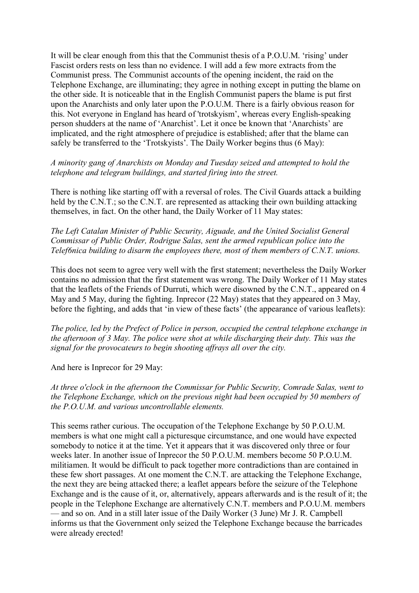It will be clear enough from this that the Communist thesis of a P.O.U.M. 'rising' under Fascist orders rests on less than no evidence. I will add a few more extracts from the Communist press. The Communist accounts of the opening incident, the raid on the Telephone Exchange, are illuminating; they agree in nothing except in putting the blame on the other side. It is noticeable that in the English Communist papers the blame is put first upon the Anarchists and only later upon the P.O.U.M. There is a fairly obvious reason for this. Not everyone in England has heard of 'trotskyism', whereas every English-speaking person shudders at the name of 'Anarchist'. Let it once be known that 'Anarchists' are implicated, and the right atmosphere of prejudice is established; after that the blame can safely be transferred to the 'Trotskyists'. The Daily Worker begins thus (6 May):

### *A minority gang of Anarchists on Monday and Tuesday seized and attempted to hold the telephone and telegram buildings, and started firing into the street.*

There is nothing like starting off with a reversal of roles. The Civil Guards attack a building held by the C.N.T.; so the C.N.T. are represented as attacking their own building attacking themselves, in fact. On the other hand, the Daily Worker of 11 May states:

*The Left Catalan Minister of Public Security, Aiguade, and the United Socialist General Commissar of Public Order, Rodrigue Salas, sent the armed republican police into the Telef6nica building to disarm the employees there, most of them members of C.N.T. unions.*

This does not seem to agree very well with the first statement; nevertheless the Daily Worker contains no admission that the first statement was wrong. The Daily Worker of 11 May states that the leaflets of the Friends of Durruti, which were disowned by the C.N.T., appeared on 4 May and 5 May, during the fighting. Inprecor (22 May) states that they appeared on 3 May, before the fighting, and adds that 'in view of these facts' (the appearance of various leaflets):

*The police, led by the Prefect of Police in person, occupied the central telephone exchange in the afternoon of 3 May. The police were shot at while discharging their duty. This was the signal for the provocateurs to begin shooting affrays all over the city.*

And here is Inprecor for 29 May:

*At three o'clock in the afternoon the Commissar for Public Security, Comrade Salas, went to the Telephone Exchange, which on the previous night had been occupied by 50 members of the P.O.U.M. and various uncontrollable elements.*

This seems rather curious. The occupation of the Telephone Exchange by 50 P.O.U.M. members is what one might call a picturesque circumstance, and one would have expected somebody to notice it at the time. Yet it appears that it was discovered only three or four weeks later. In another issue of Inprecor the 50 P.O.U.M. members become 50 P.O.U.M. militiamen. It would be difficult to pack together more contradictions than are contained in these few short passages. At one moment the C.N.T. are attacking the Telephone Exchange, the next they are being attacked there; a leaflet appears before the seizure of the Telephone Exchange and is the cause of it, or, alternatively, appears afterwards and is the result of it; the people in the Telephone Exchange are alternatively C.N.T. members and P.O.U.M. members — and so on. And in a still later issue of the Daily Worker (3 June) Mr J. R. Campbell informs us that the Government only seized the Telephone Exchange because the barricades were already erected!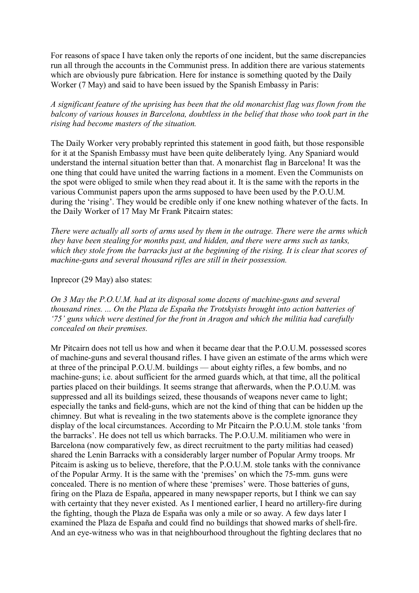For reasons of space I have taken only the reports of one incident, but the same discrepancies run all through the accounts in the Communist press. In addition there are various statements which are obviously pure fabrication. Here for instance is something quoted by the Daily Worker (7 May) and said to have been issued by the Spanish Embassy in Paris:

*A significant feature of the uprising has been that the old monarchist flag was flown from the balcony of various houses in Barcelona, doubtless in the belief that those who took part in the rising had become masters of the situation.*

The Daily Worker very probably reprinted this statement in good faith, but those responsible for it at the Spanish Embassy must have been quite deliberately lying. Any Spaniard would understand the internal situation better than that. A monarchist flag in Barcelona! It was the one thing that could have united the warring factions in a moment. Even the Communists on the spot were obliged to smile when they read about it. It is the same with the reports in the various Communist papers upon the arms supposed to have been used by the P.O.U.M. during the 'rising'. They would be credible only if one knew nothing whatever of the facts. In the Daily Worker of 17 May Mr Frank Pitcairn states:

*There were actually all sorts of arms used by them in the outrage. There were the arms which they have been stealing for months past, and hidden, and there were arms such as tanks, which they stole from the barracks just at the beginning of the rising. It is clear that scores of machine-guns and several thousand rifles are still in their possession.*

#### Inprecor (29 May) also states:

*On 3 May the P.O.U.M. had at its disposal some dozens of machine-guns and several thousand rines. ... On the Plaza de España the Trotskyists brought into action batteries of '75' guns which were destined for the front in Aragon and which the militia had carefully concealed on their premises.*

Mr Pitcairn does not tell us how and when it became dear that the P.O.U.M. possessed scores of machine-guns and several thousand rifles. I have given an estimate of the arms which were at three of the principal P.O.U.M. buildings — about eighty rifles, a few bombs, and no machine-guns; i.e. about sufficient for the armed guards which, at that time, all the political parties placed on their buildings. It seems strange that afterwards, when the P.O.U.M. was suppressed and all its buildings seized, these thousands of weapons never came to light; especially the tanks and field-guns, which are not the kind of thing that can be hidden up the chimney. But what is revealing in the two statements above is the complete ignorance they display of the local circumstances. According to Mr Pitcairn the P.O.U.M. stole tanks 'from the barracks'. He does not tell us which barracks. The P.O.U.M. militiamen who were in Barcelona (now comparatively few, as direct recruitment to the party militias had ceased) shared the Lenin Barracks with a considerably larger number of Popular Army troops. Mr Pitcaim is asking us to believe, therefore, that the P.O.U.M. stole tanks with the connivance of the Popular Army. It is the same with the 'premises' on which the 75-mm. guns were concealed. There is no mention of where these 'premises' were. Those batteries of guns, firing on the Plaza de España, appeared in many newspaper reports, but I think we can say with certainty that they never existed. As I mentioned earlier, I heard no artillery-fire during the fighting, though the Plaza de España was only a mile or so away. A few days later I examined the Plaza de España and could find no buildings that showed marks of shell-fire. And an eye-witness who was in that neighbourhood throughout the fighting declares that no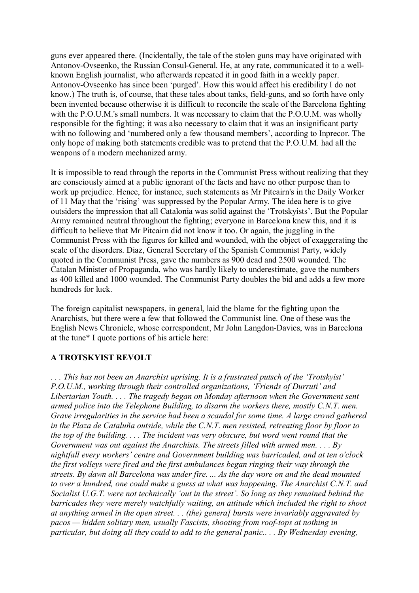guns ever appeared there. (Incidentally, the tale of the stolen guns may have originated with Antonov-Ovseenko, the Russian Consul-General. He, at any rate, communicated it to a wellknown English journalist, who afterwards repeated it in good faith in a weekly paper. Antonov-Ovseenko has since been 'purged'. How this would affect his credibility I do not know.) The truth is, of course, that these tales about tanks, field-guns, and so forth have only been invented because otherwise it is difficult to reconcile the scale of the Barcelona fighting with the P.O.U.M.'s small numbers. It was necessary to claim that the P.O.U.M. was wholly responsible for the fighting; it was also necessary to claim that it was an insignificant party with no following and 'numbered only a few thousand members', according to Inprecor. The only hope of making both statements credible was to pretend that the P.O.U.M. had all the weapons of a modern mechanized army.

It is impossible to read through the reports in the Communist Press without realizing that they are consciously aimed at a public ignorant of the facts and have no other purpose than to work up prejudice. Hence, for instance, such statements as Mr Pitcairn's in the Daily Worker of 11 May that the 'rising' was suppressed by the Popular Army. The idea here is to give outsiders the impression that all Catalonia was solid against the 'Trotskyists'. But the Popular Army remained neutral throughout the fighting; everyone in Barcelona knew this, and it is difficult to believe that Mr Pitcairn did not know it too. Or again, the juggling in the Communist Press with the figures for killed and wounded, with the object of exaggerating the scale of the disorders. Diaz, General Secretary of the Spanish Communist Party, widely quoted in the Communist Press, gave the numbers as 900 dead and 2500 wounded. The Catalan Minister of Propaganda, who was hardly likely to underestimate, gave the numbers as 400 killed and 1000 wounded. The Communist Party doubles the bid and adds a few more hundreds for luck.

The foreign capitalist newspapers, in general, laid the blame for the fighting upon the Anarchists, but there were a few that followed the Communist line. One of these was the English News Chronicle, whose correspondent, Mr John Langdon-Davies, was in Barcelona at the tune\* I quote portions of his article here:

### **A TROTSKYIST REVOLT**

*. . . This has not been an Anarchist uprising. It is a frustrated putsch of the 'Trotskyist' P.O.U.M., working through their controlled organizations, 'Friends of Durruti' and Libertarian Youth. . . . The tragedy began on Monday afternoon when the Government sent armed police into the Telephone Building, to disarm the workers there, mostly C.N.T. men. Grave irregularities in the service had been a scandal for some time. A large crowd gathered in the Plaza de Cataluña outside, while the C.N.T. men resisted, retreating floor by floor to the top of the building. . . . The incident was very obscure, but word went round that the Government was out against the Anarchists. The streets filled with armed men. . . . By nightfall every workers' centre and Government building was barricaded, and at ten o'clock the first volleys were fired and the first ambulances began ringing their way through the streets. By dawn all Barcelona was under fire. ... As the day wore on and the dead mounted to over a hundred, one could make a guess at what was happening. The Anarchist C.N.T. and Socialist U.G.T. were not technically 'out in the street'. So long as they remained behind the barricades they were merely watchfully waiting, an attitude which included the right to shoot at anything armed in the open street. . . (the) genera] bursts were invariably aggravated by pacos — hidden solitary men, usually Fascists, shooting from roof-tops at nothing in particular, but doing all they could to add to the general panic.. . . By Wednesday evening,*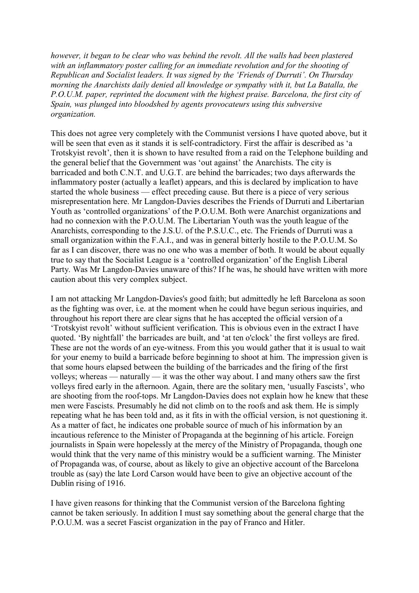*however, it began to be clear who was behind the revolt. All the walls had been plastered with an inflammatory poster calling for an immediate revolution and for the shooting of Republican and Socialist leaders. It was signed by the 'Friends of Durruti'. On Thursday morning the Anarchists daily denied all knowledge or sympathy with it, but La Batalla, the P.O.U.M. paper, reprinted the document with the highest praise. Barcelona, the first city of Spain, was plunged into bloodshed by agents provocateurs using this subversive organization.*

This does not agree very completely with the Communist versions I have quoted above, but it will be seen that even as it stands it is self-contradictory. First the affair is described as 'a Trotskyist revolt', then it is shown to have resulted from a raid on the Telephone building and the general belief that the Government was 'out against' the Anarchists. The city is barricaded and both C.N.T. and U.G.T. are behind the barricades; two days afterwards the inflammatory poster (actually a leaflet) appears, and this is declared by implication to have started the whole business — effect preceding cause. But there is a piece of very serious misrepresentation here. Mr Langdon-Davies describes the Friends of Durruti and Libertarian Youth as 'controlled organizations' of the P.O.U.M. Both were Anarchist organizations and had no connexion with the P.O.U.M. The Libertarian Youth was the youth league of the Anarchists, corresponding to the J.S.U. of the P.S.U.C., etc. The Friends of Durruti was a small organization within the F.A.I., and was in general bitterly hostile to the P.O.U.M. So far as I can discover, there was no one who was a member of both. It would be about equally true to say that the Socialist League is a 'controlled organization' of the English Liberal Party. Was Mr Langdon-Davies unaware of this? If he was, he should have written with more caution about this very complex subject.

I am not attacking Mr Langdon-Davies's good faith; but admittedly he left Barcelona as soon as the fighting was over, i.e. at the moment when he could have begun serious inquiries, and throughout his report there are clear signs that he has accepted the official version of a 'Trotskyist revolt' without sufficient verification. This is obvious even in the extract I have quoted. 'By nightfall' the barricades are built, and 'at ten o'clock' the first volleys are fired. These are not the words of an eye-witness. From this you would gather that it is usual to wait for your enemy to build a barricade before beginning to shoot at him. The impression given is that some hours elapsed between the building of the barricades and the firing of the first volleys; whereas — naturally — it was the other way about. I and many others saw the first volleys fired early in the afternoon. Again, there are the solitary men, 'usually Fascists', who are shooting from the roof-tops. Mr Langdon-Davies does not explain how he knew that these men were Fascists. Presumably he did not climb on to the roofs and ask them. He is simply repeating what he has been told and, as it fits in with the official version, is not questioning it. As a matter of fact, he indicates one probable source of much of his information by an incautious reference to the Minister of Propaganda at the beginning of his article. Foreign journalists in Spain were hopelessly at the mercy of the Ministry of Propaganda, though one would think that the very name of this ministry would be a sufficient warning. The Minister of Propaganda was, of course, about as likely to give an objective account of the Barcelona trouble as (say) the late Lord Carson would have been to give an objective account of the Dublin rising of 1916.

I have given reasons for thinking that the Communist version of the Barcelona fighting cannot be taken seriously. In addition I must say something about the general charge that the P.O.U.M. was a secret Fascist organization in the pay of Franco and Hitler.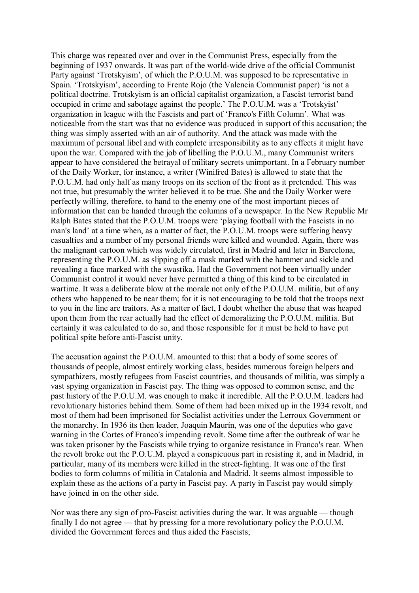This charge was repeated over and over in the Communist Press, especially from the beginning of 1937 onwards. It was part of the world-wide drive of the official Communist Party against 'Trotskyism', of which the P.O.U.M. was supposed to be representative in Spain. 'Trotskyism', according to Frente Rojo (the Valencia Communist paper) 'is not a political doctrine. Trotskyism is an official capitalist organization, a Fascist terrorist band occupied in crime and sabotage against the people.' The P.O.U.M. was a 'Trotskyist' organization in league with the Fascists and part of 'Franco's Fifth Column'. What was noticeable from the start was that no evidence was produced in support of this accusation; the thing was simply asserted with an air of authority. And the attack was made with the maximum of personal libel and with complete irresponsibility as to any effects it might have upon the war. Compared with the job of libelling the P.O.U.M., many Communist writers appear to have considered the betrayal of military secrets unimportant. In a February number of the Daily Worker, for instance, a writer (Winifred Bates) is allowed to state that the P.O.U.M. had only half as many troops on its section of the front as it pretended. This was not true, but presumably the writer believed it to be true. She and the Daily Worker were perfectly willing, therefore, to hand to the enemy one of the most important pieces of information that can be handed through the columns of a newspaper. In the New Republic Mr Ralph Bates stated that the P.O.U.M. troops were 'playing football with the Fascists in no man's land' at a time when, as a matter of fact, the P.O.U.M. troops were suffering heavy casualties and a number of my personal friends were killed and wounded. Again, there was the malignant cartoon which was widely circulated, first in Madrid and later in Barcelona, representing the P.O.U.M. as slipping off a mask marked with the hammer and sickle and revealing a face marked with the swastika. Had the Government not been virtually under Communist control it would never have permitted a thing of this kind to be circulated in wartime. It was a deliberate blow at the morale not only of the P.O.U.M. militia, but of any others who happened to be near them; for it is not encouraging to be told that the troops next to you in the line are traitors. As a matter of fact, I doubt whether the abuse that was heaped upon them from the rear actually had the effect of demoralizing the P.O.U.M. militia. But certainly it was calculated to do so, and those responsible for it must be held to have put political spite before anti-Fascist unity.

The accusation against the P.O.U.M. amounted to this: that a body of some scores of thousands of people, almost entirely working class, besides numerous foreign helpers and sympathizers, mostly refugees from Fascist countries, and thousands of militia, was simply a vast spying organization in Fascist pay. The thing was opposed to common sense, and the past history of the P.O.U.M. was enough to make it incredible. All the P.O.U.M. leaders had revolutionary histories behind them. Some of them had been mixed up in the 1934 revolt, and most of them had been imprisoned for Socialist activities under the Lerroux Government or the monarchy. In 1936 its then leader, Joaquin Maurín, was one of the deputies who gave warning in the Cortes of Franco's impending revolt. Some time after the outbreak of war he was taken prisoner by the Fascists while trying to organize resistance in Franco's rear. When the revolt broke out the P.O.U.M. played a conspicuous part in resisting it, and in Madrid, in particular, many of its members were killed in the street-fighting. It was one of the first bodies to form columns of militia in Catalonia and Madrid. It seems almost impossible to explain these as the actions of a party in Fascist pay. A party in Fascist pay would simply have joined in on the other side.

Nor was there any sign of pro-Fascist activities during the war. It was arguable — though finally I do not agree — that by pressing for a more revolutionary policy the P.O.U.M. divided the Government forces and thus aided the Fascists;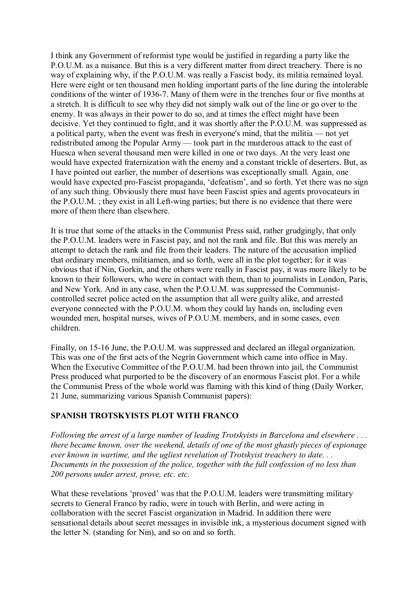I think any Government of reformist type would be justified in regarding a party like the P.O.U.M. as a nuisance. But this is a very different matter from direct treachery. There is no way of explaining why, if the P.O.U.M. was really a Fascist body, its militia remained loyal. Here were eight or ten thousand men holding important parts of the line during the intolerable conditions of the winter of 1936-7. Many of them were in the trenches four or five months at a stretch. It is difficult to see why they did not simply walk out of the line or go over to the enemy. It was always in their power to do so, and at times the effect might have been decisive. Yet they continued to fight, and it was shortly after the P.O.U.M. was suppressed as a political party, when the event was fresh in everyone's mind, that the militia — not yet redistributed among the Popular Army — took part in the murderous attack to the east of Huesca when several thousand men were killed in one or two days. At the very least one would have expected fraternization with the enemy and a constant trickle of deserters. But, as I have pointed out earlier, the number of desertions was exceptionally small. Again, one would have expected pro-Fascist propaganda, 'defeatism', and so forth. Yet there was no sign of any such thing. Obviously there must have been Fascist spies and agents provocateurs in the P.O.U.M. ; they exist in all Left-wing parties; but there is no evidence that there were more of them there than elsewhere.

It is true that some of the attacks in the Communist Press said, rather grudgingly, that only the P.O.U.M. leaders were in Fascist pay, and not the rank and file. But this was merely an attempt to detach the rank and file from their leaders. The nature of the accusation implied that ordinary members, militiamen, and so forth, were all in the plot together; for it was obvious that if Nin, Gorkin, and the others were really in Fascist pay, it was more likely to be known to their followers, who were in contact with them, than to journalists in London, Paris, and New York. And in any case, when the P.O.U.M. was suppressed the Communistcontrolled secret police acted on the assumption that all were guilty alike, and arrested everyone connected with the P.O.U.M. whom they could lay hands on, including even wounded men, hospital nurses, wives of P.O.U.M. members, and in some cases, even children.

Finally, on 15-16 June, the P.O.U.M. was suppressed and declared an illegal organization. This was one of the first acts of the Negrín Government which came into office in May. When the Executive Committee of the P.O.U.M. had been thrown into jail, the Communist Press produced what purported to be the discovery of an enormous Fascist plot. For a while the Communist Press of the whole world was flaming with this kind of thing (Daily Worker, 21 June, summarizing various Spanish Communist papers):

#### **SPANISH TROTSKYISTS PLOT WITH FRANCO**

*Following the arrest of a large number of leading Trotskyists in Barcelona and elsewhere . . . there became known, over the weekend, details of one of the most ghastly pieces of espionage ever known in wartime, and the ugliest revelation of Trotskyist treachery to date. . . Documents in the possession of the police, together with the full confession of no less than 200 persons under arrest, prove, etc. etc.*

What these revelations 'proved' was that the P.O.U.M. leaders were transmitting military secrets to General Franco by radio, were in touch with Berlin, and were acting in collaboration with the secret Fascist organization in Madrid. In addition there were sensational details about secret messages in invisible ink, a mysterious document signed with the letter N. (standing for Nin), and so on and so forth.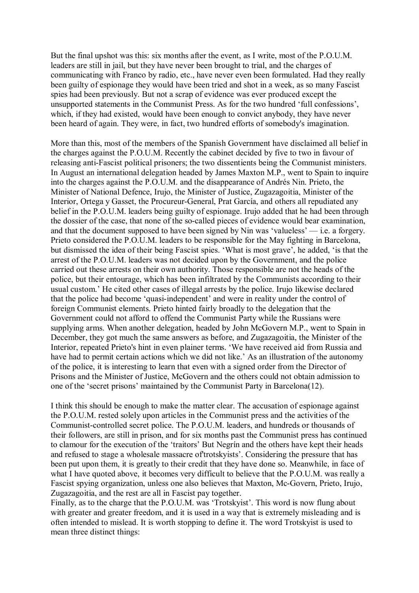But the final upshot was this: six months after the event, as I write, most of the P.O.U.M. leaders are still in jail, but they have never been brought to trial, and the charges of communicating with Franco by radio, etc., have never even been formulated. Had they really been guilty of espionage they would have been tried and shot in a week, as so many Fascist spies had been previously. But not a scrap of evidence was ever produced except the unsupported statements in the Communist Press. As for the two hundred 'full confessions', which, if they had existed, would have been enough to convict anybody, they have never been heard of again. They were, in fact, two hundred efforts of somebody's imagination.

More than this, most of the members of the Spanish Government have disclaimed all belief in the charges against the P.O.U.M. Recently the cabinet decided by five to two in favour of releasing anti-Fascist political prisoners; the two dissentients being the Communist ministers. In August an international delegation headed by James Maxton M.P., went to Spain to inquire into the charges against the P.O.U.M. and the disappearance of Andrés Nin. Prieto, the Minister of National Defence, Irujo, the Minister of Justice, Zugazagoitia, Minister of the Interior, Ortega y Gasset, the Procureur-General, Prat García, and others all repudiated any belief in the P.O.U.M. leaders being guilty of espionage. Irujo added that he had been through the dossier of the case, that none of the so-called pieces of evidence would bear examination, and that the document supposed to have been signed by Nin was 'valueless' — i.e. a forgery. Prieto considered the P.O.U.M. leaders to be responsible for the May fighting in Barcelona, but dismissed the idea of their being Fascist spies. 'What is most grave', he added, 'is that the arrest of the P.O.U.M. leaders was not decided upon by the Government, and the police carried out these arrests on their own authority. Those responsible are not the heads of the police, but their entourage, which has been infiltrated by the Communists according to their usual custom.' He cited other cases of illegal arrests by the police. Irujo likewise declared that the police had become 'quasi-independent' and were in reality under the control of foreign Communist elements. Prieto hinted fairly broadly to the delegation that the Government could not afford to offend the Communist Party while the Russians were supplying arms. When another delegation, headed by John McGovern M.P., went to Spain in December, they got much the same answers as before, and Zugazagoitia, the Minister of the Interior, repeated Prieto's hint in even plainer terms. 'We have received aid from Russia and have had to permit certain actions which we did not like.' As an illustration of the autonomy of the police, it is interesting to learn that even with a signed order from the Director of Prisons and the Minister of Justice, McGovern and the others could not obtain admission to one of the 'secret prisons' maintained by the Communist Party in Barcelona(12).

I think this should be enough to make the matter clear. The accusation of espionage against the P.O.U.M. rested solely upon articles in the Communist press and the activities of the Communist-controlled secret police. The P.O.U.M. leaders, and hundreds or thousands of their followers, are still in prison, and for six months past the Communist press has continued to clamour for the execution of the 'traitors' But Negrín and the others have kept their heads and refused to stage a wholesale massacre of'trotskyists'. Considering the pressure that has been put upon them, it is greatly to their credit that they have done so. Meanwhile, in face of what I have quoted above, it becomes very difficult to believe that the P.O.U.M. was really a Fascist spying organization, unless one also believes that Maxton, Mc-Govern, Prieto, Irujo, Zugazagoitia, and the rest are all in Fascist pay together.

Finally, as to the charge that the P.O.U.M. was 'Trotskyist'. This word is now flung about with greater and greater freedom, and it is used in a way that is extremely misleading and is often intended to mislead. It is worth stopping to define it. The word Trotskyist is used to mean three distinct things: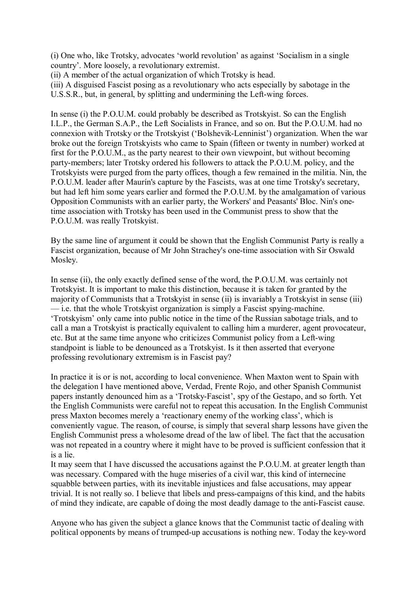(i) One who, like Trotsky, advocates 'world revolution' as against 'Socialism in a single country'. More loosely, a revolutionary extremist.

(ii) A member of the actual organization of which Trotsky is head.

(iii) A disguised Fascist posing as a revolutionary who acts especially by sabotage in the U.S.S.R., but, in general, by splitting and undermining the Left-wing forces.

In sense (i) the P.O.U.M. could probably be described as Trotskyist. So can the English I.L.P., the German S.A.P., the Left Socialists in France, and so on. But the P.O.U.M. had no connexion with Trotsky or the Trotskyist ('Bolshevik-Lenninist') organization. When the war broke out the foreign Trotskyists who came to Spain (fifteen or twenty in number) worked at first for the P.O.U.M., as the party nearest to their own viewpoint, but without becoming party-members; later Trotsky ordered his followers to attack the P.O.U.M. policy, and the Trotskyists were purged from the party offices, though a few remained in the militia. Nin, the P.O.U.M. leader after Maurín's capture by the Fascists, was at one time Trotsky's secretary, but had left him some years earlier and formed the P.O.U.M. by the amalgamation of various Opposition Communists with an earlier party, the Workers' and Peasants' Bloc. Nin's onetime association with Trotsky has been used in the Communist press to show that the P.O.U.M. was really Trotskyist.

By the same line of argument it could be shown that the English Communist Party is really a Fascist organization, because of Mr John Strachey's one-time association with Sir Oswald Mosley.

In sense (ii), the only exactly defined sense of the word, the P.O.U.M. was certainly not Trotskyist. It is important to make this distinction, because it is taken for granted by the majority of Communists that a Trotskyist in sense (ii) is invariably a Trotskyist in sense (iii) — i.e. that the whole Trotskyist organization is simply a Fascist spying-machine. 'Trotskyism' only came into public notice in the time of the Russian sabotage trials, and to call a man a Trotskyist is practically equivalent to calling him a murderer, agent provocateur, etc. But at the same time anyone who criticizes Communist policy from a Left-wing standpoint is liable to be denounced as a Trotskyist. Is it then asserted that everyone professing revolutionary extremism is in Fascist pay?

In practice it is or is not, according to local convenience. When Maxton went to Spain with the delegation I have mentioned above, Verdad, Frente Rojo, and other Spanish Communist papers instantly denounced him as a 'Trotsky-Fascist', spy of the Gestapo, and so forth. Yet the English Communists were careful not to repeat this accusation. In the English Communist press Maxton becomes merely a 'reactionary enemy of the working class', which is conveniently vague. The reason, of course, is simply that several sharp lessons have given the English Communist press a wholesome dread of the law of libel. The fact that the accusation was not repeated in a country where it might have to be proved is sufficient confession that it is a lie.

It may seem that I have discussed the accusations against the P.O.U.M. at greater length than was necessary. Compared with the huge miseries of a civil war, this kind of internecine squabble between parties, with its inevitable injustices and false accusations, may appear trivial. It is not really so. I believe that libels and press-campaigns of this kind, and the habits of mind they indicate, are capable of doing the most deadly damage to the anti-Fascist cause.

Anyone who has given the subject a glance knows that the Communist tactic of dealing with political opponents by means of trumped-up accusations is nothing new. Today the key-word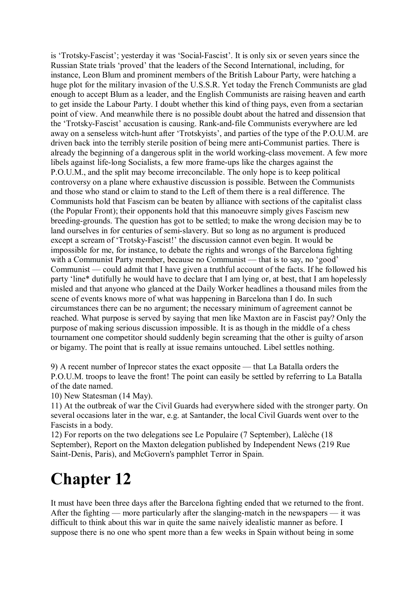is 'Trotsky-Fascist'; yesterday it was 'Social-Fascist'. It is only six or seven years since the Russian State trials 'proved' that the leaders of the Second International, including, for instance, Leon Blum and prominent members of the British Labour Party, were hatching a huge plot for the military invasion of the U.S.S.R. Yet today the French Communists are glad enough to accept Blum as a leader, and the English Communists are raising heaven and earth to get inside the Labour Party. I doubt whether this kind of thing pays, even from a sectarian point of view. And meanwhile there is no possible doubt about the hatred and dissension that the 'Trotsky-Fascist' accusation is causing. Rank-and-file Communists everywhere are led away on a senseless witch-hunt after 'Trotskyists', and parties of the type of the P.O.U.M. are driven back into the terribly sterile position of being mere anti-Communist parties. There is already the beginning of a dangerous split in the world working-class movement. A few more libels against life-long Socialists, a few more frame-ups like the charges against the P.O.U.M., and the split may become irreconcilable. The only hope is to keep political controversy on a plane where exhaustive discussion is possible. Between the Communists and those who stand or claim to stand to the Left of them there is a real difference. The Communists hold that Fascism can be beaten by alliance with sections of the capitalist class (the Popular Front); their opponents hold that this manoeuvre simply gives Fascism new breeding-grounds. The question has got to be settled; to make the wrong decision may be to land ourselves in for centuries of semi-slavery. But so long as no argument is produced except a scream of 'Trotsky-Fascist!' the discussion cannot even begin. It would be impossible for me, for instance, to debate the rights and wrongs of the Barcelona fighting with a Communist Party member, because no Communist — that is to say, no 'good' Communist — could admit that I have given a truthful account of the facts. If he followed his party 'line\* dutifully he would have to declare that I am lying or, at best, that I am hopelessly misled and that anyone who glanced at the Daily Worker headlines a thousand miles from the scene of events knows more of what was happening in Barcelona than I do. In such circumstances there can be no argument; the necessary minimum of agreement cannot be reached. What purpose is served by saying that men like Maxton are in Fascist pay? Only the purpose of making serious discussion impossible. It is as though in the middle of a chess tournament one competitor should suddenly begin screaming that the other is guilty of arson or bigamy. The point that is really at issue remains untouched. Libel settles nothing.

9) A recent number of Inprecor states the exact opposite — that La Batalla orders the P.O.U.M. troops to leave the front! The point can easily be settled by referring to La Batalla of the date named.

10) New Statesman (14 May).

11) At the outbreak of war the Civil Guards had everywhere sided with the stronger party. On several occasions later in the war, e.g. at Santander, the local Civil Guards went over to the Fascists in a body.

12) For reports on the two delegations see Le Populaire (7 September), Lalèche (18 September), Report on the Maxton delegation published by Independent News (219 Rue Saint-Denis, Paris), and McGovern's pamphlet Terror in Spain.

# **Chapter 12**

It must have been three days after the Barcelona fighting ended that we returned to the front. After the fighting — more particularly after the slanging-match in the newspapers — it was difficult to think about this war in quite the same naively idealistic manner as before. I suppose there is no one who spent more than a few weeks in Spain without being in some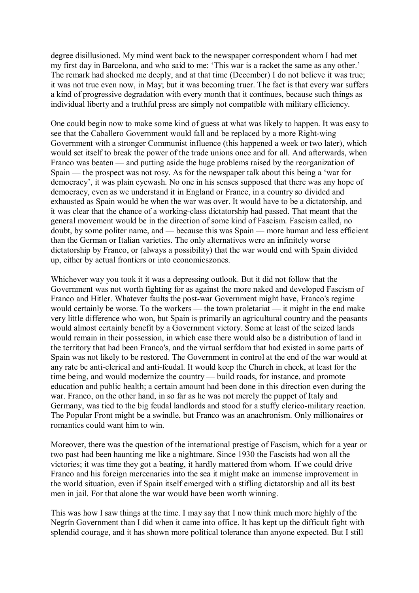degree disillusioned. My mind went back to the newspaper correspondent whom I had met my first day in Barcelona, and who said to me: 'This war is a racket the same as any other.' The remark had shocked me deeply, and at that time (December) I do not believe it was true; it was not true even now, in May; but it was becoming truer. The fact is that every war suffers a kind of progressive degradation with every month that it continues, because such things as individual liberty and a truthful press are simply not compatible with military efficiency.

One could begin now to make some kind of guess at what was likely to happen. It was easy to see that the Caballero Government would fall and be replaced by a more Right-wing Government with a stronger Communist influence (this happened a week or two later), which would set itself to break the power of the trade unions once and for all. And afterwards, when Franco was beaten — and putting aside the huge problems raised by the reorganization of Spain — the prospect was not rosy. As for the newspaper talk about this being a 'war for democracy', it was plain eyewash. No one in his senses supposed that there was any hope of democracy, even as we understand it in England or France, in a country so divided and exhausted as Spain would be when the war was over. It would have to be a dictatorship, and it was clear that the chance of a working-class dictatorship had passed. That meant that the general movement would be in the direction of some kind of Fascism. Fascism called, no doubt, by some politer name, and — because this was Spain — more human and less efficient than the German or Italian varieties. The only alternatives were an infinitely worse dictatorship by Franco, or (always a possibility) that the war would end with Spain divided up, either by actual frontiers or into economicszones.

Whichever way you took it it was a depressing outlook. But it did not follow that the Government was not worth fighting for as against the more naked and developed Fascism of Franco and Hitler. Whatever faults the post-war Government might have, Franco's regime would certainly be worse. To the workers — the town proletariat — it might in the end make very little difference who won, but Spain is primarily an agricultural country and the peasants would almost certainly benefit by a Government victory. Some at least of the seized lands would remain in their possession, in which case there would also be a distribution of land in the territory that had been Franco's, and the virtual serfdom that had existed in some parts of Spain was not likely to be restored. The Government in control at the end of the war would at any rate be anti-clerical and anti-feudal. It would keep the Church in check, at least for the time being, and would modernize the country — build roads, for instance, and promote education and public health; a certain amount had been done in this direction even during the war. Franco, on the other hand, in so far as he was not merely the puppet of Italy and Germany, was tied to the big feudal landlords and stood for a stuffy clerico-military reaction. The Popular Front might be a swindle, but Franco was an anachronism. Only millionaires or romantics could want him to win.

Moreover, there was the question of the international prestige of Fascism, which for a year or two past had been haunting me like a nightmare. Since 1930 the Fascists had won all the victories; it was time they got a beating, it hardly mattered from whom. If we could drive Franco and his foreign mercenaries into the sea it might make an immense improvement in the world situation, even if Spain itself emerged with a stifling dictatorship and all its best men in jail. For that alone the war would have been worth winning.

This was how I saw things at the time. I may say that I now think much more highly of the Negrín Government than I did when it came into office. It has kept up the difficult fight with splendid courage, and it has shown more political tolerance than anyone expected. But I still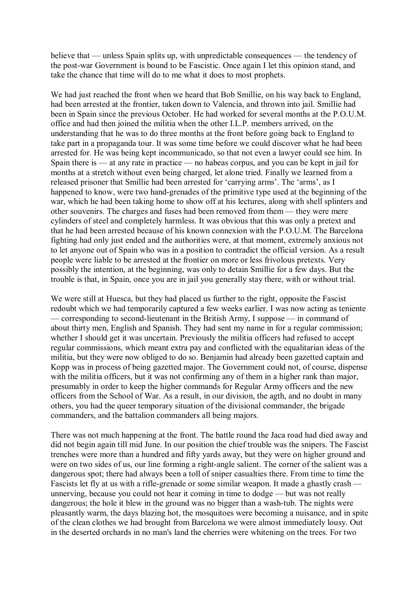believe that — unless Spain splits up, with unpredictable consequences — the tendency of the post-war Government is bound to be Fascistic. Once again I let this opinion stand, and take the chance that time will do to me what it does to most prophets.

We had just reached the front when we heard that Bob Smillie, on his way back to England, had been arrested at the frontier, taken down to Valencia, and thrown into jail. Smillie had been in Spain since the previous October. He had worked for several months at the P.O.U.M. office and had then joined the militia when the other I.L.P. members arrived, on the understanding that he was to do three months at the front before going back to England to take part in a propaganda tour. It was some time before we could discover what he had been arrested for. He was being kept incommunicado, so that not even a lawyer could see him. In Spain there is — at any rate in practice — no habeas corpus, and you can be kept in jail for months at a stretch without even being charged, let alone tried. Finally we learned from a released prisoner that Smillie had been arrested for 'carrying arms'. The 'arms', as I happened to know, were two hand-grenades of the primitive type used at the beginning of the war, which he had been taking home to show off at his lectures, along with shell splinters and other souvenirs. The charges and fuses had been removed from them — they were mere cylinders of steel and completely harmless. It was obvious that this was only a pretext and that he had been arrested because of his known connexion with the P.O.U.M. The Barcelona fighting had only just ended and the authorities were, at that moment, extremely anxious not to let anyone out of Spain who was in a position to contradict the official version. As a result people were liable to be arrested at the frontier on more or less frivolous pretexts. Very possibly the intention, at the beginning, was only to detain Smillie for a few days. But the trouble is that, in Spain, once you are in jail you generally stay there, with or without trial.

We were still at Huesca, but they had placed us further to the right, opposite the Fascist redoubt which we had temporarily captured a few weeks earlier. I was now acting as teniente — corresponding to second-lieutenant in the British Army, I suppose — in command of about thirty men, English and Spanish. They had sent my name in for a regular commission; whether I should get it was uncertain. Previously the militia officers had refused to accept regular commissions, which meant extra pay and conflicted with the equalitarian ideas of the militia, but they were now obliged to do so. Benjamin had already been gazetted captain and Kopp was in process of being gazetted major. The Government could not, of course, dispense with the militia officers, but it was not confirming any of them in a higher rank than major, presumably in order to keep the higher commands for Regular Army officers and the new officers from the School of War. As a result, in our division, the agth, and no doubt in many others, you had the queer temporary situation of the divisional commander, the brigade commanders, and the battalion commanders all being majors.

There was not much happening at the front. The battle round the Jaca road had died away and did not begin again till mid June. In our position the chief trouble was the snipers. The Fascist trenches were more than a hundred and fifty yards away, but they were on higher ground and were on two sides of us, our line forming a right-angle salient. The corner of the salient was a dangerous spot; there had always been a toll of sniper casualties there. From time to time the Fascists let fly at us with a rifle-grenade or some similar weapon. It made a ghastly crash unnerving, because you could not hear it coming in time to dodge — but was not really dangerous; the hole it blew in the ground was no bigger than a wash-tub. The nights were pleasantly warm, the days blazing hot, the mosquitoes were becoming a nuisance, and in spite of the clean clothes we had brought from Barcelona we were almost immediately lousy. Out in the deserted orchards in no man's land the cherries were whitening on the trees. For two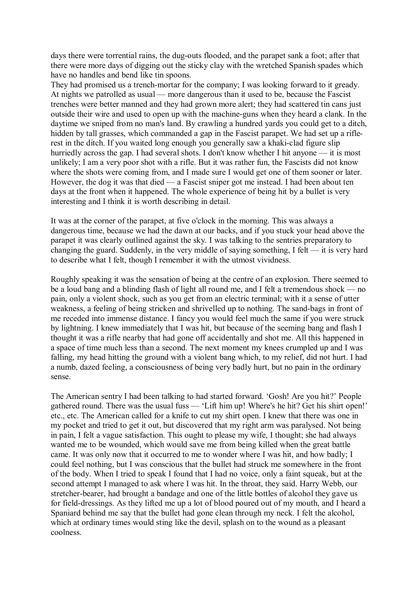days there were torrential rains, the dug-outs flooded, and the parapet sank a foot; after that there were more days of digging out the sticky clay with the wretched Spanish spades which have no handles and bend like tin spoons.

They had promised us a trench-mortar for the company; I was looking forward to it gready. At nights we patrolled as usual — more dangerous than it used to be, because the Fascist trenches were better manned and they had grown more alert; they had scattered tin cans just outside their wire and used to open up with the machine-guns when they heard a clank. In the daytime we sniped from no man's land. By crawling a hundred yards you could get to a ditch, hidden by tall grasses, which commanded a gap in the Fascist parapet. We had set up a riflerest in the ditch. If you waited long enough you generally saw a khaki-clad figure slip hurriedly across the gap. I had several shots. I don't know whether I hit anyone — it is most unlikely; I am a very poor shot with a rifle. But it was rather fun, the Fascists did not know where the shots were coming from, and I made sure I would get one of them sooner or later. However, the dog it was that died — a Fascist sniper got me instead. I had been about ten days at the front when it happened. The whole experience of being hit by a bullet is very interesting and I think it is worth describing in detail.

It was at the corner of the parapet, at five o'clock in the morning. This was always a dangerous time, because we had the dawn at our backs, and if you stuck your head above the parapet it was clearly outlined against the sky. I was talking to the sentries preparatory to changing the guard. Suddenly, in the very middle of saying something, I felt  $-$  it is very hard to describe what I felt, though I remember it with the utmost vividness.

Roughly speaking it was the sensation of being at the centre of an explosion. There seemed to be a loud bang and a blinding flash of light all round me, and I felt a tremendous shock — no pain, only a violent shock, such as you get from an electric terminal; with it a sense of utter weakness, a feeling of being stricken and shrivelled up to nothing. The sand-bags in front of me receded into immense distance. I fancy you would feel much the same if you were struck by lightning. I knew immediately that I was hit, but because of the seeming bang and flash I thought it was a rifle nearby that had gone off accidentally and shot me. All this happened in a space of time much less than a second. The next moment my knees crumpled up and I was falling, my head hitting the ground with a violent bang which, to my relief, did not hurt. I had a numb, dazed feeling, a consciousness of being very badly hurt, but no pain in the ordinary sense.

The American sentry I had been talking to had started forward. 'Gosh! Are you hit?' People gathered round. There was the usual fuss — 'Lift him up! Where's he hit? Get his shirt open!' etc., etc. The American called for a knife to cut my shirt open. I knew that there was one in my pocket and tried to get it out, but discovered that my right arm was paralysed. Not being in pain, I felt a vague satisfaction. This ought to please my wife, I thought; she had always wanted me to be wounded, which would save me from being killed when the great battle came. It was only now that it occurred to me to wonder where I was hit, and how badly; I could feel nothing, but I was conscious that the bullet had struck me somewhere in the front of the body. When I tried to speak I found that I had no voice, only a faint squeak, but at the second attempt I managed to ask where I was hit. In the throat, they said. Harry Webb, our stretcher-bearer, had brought a bandage and one of the little bottles of alcohol they gave us for field-dressings. As they lifted me up a lot of blood poured out of my mouth, and I heard a Spaniard behind me say that the bullet had gone clean through my neck. I felt the alcohol, which at ordinary times would sting like the devil, splash on to the wound as a pleasant coolness.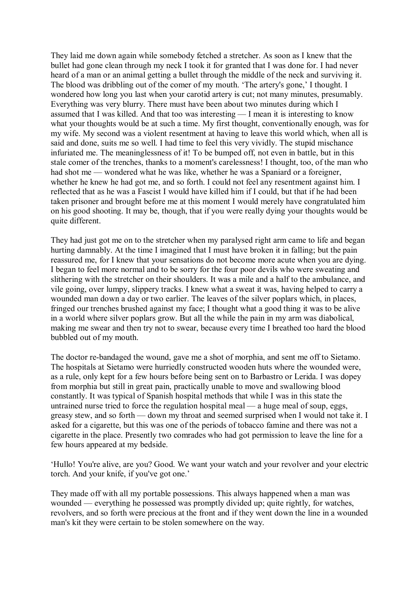They laid me down again while somebody fetched a stretcher. As soon as I knew that the bullet had gone clean through my neck I took it for granted that I was done for. I had never heard of a man or an animal getting a bullet through the middle of the neck and surviving it. The blood was dribbling out of the comer of my mouth. 'The artery's gone,' I thought. I wondered how long you last when your carotid artery is cut; not many minutes, presumably. Everything was very blurry. There must have been about two minutes during which I assumed that I was killed. And that too was interesting — I mean it is interesting to know what your thoughts would be at such a time. My first thought, conventionally enough, was for my wife. My second was a violent resentment at having to leave this world which, when all is said and done, suits me so well. I had time to feel this very vividly. The stupid mischance infuriated me. The meaninglessness of it! To be bumped off, not even in battle, but in this stale comer of the trenches, thanks to a moment's carelessness! I thought, too, of the man who had shot me — wondered what he was like, whether he was a Spaniard or a foreigner, whether he knew he had got me, and so forth. I could not feel any resentment against him. I reflected that as he was a Fascist I would have killed him if I could, but that if he had been taken prisoner and brought before me at this moment I would merely have congratulated him on his good shooting. It may be, though, that if you were really dying your thoughts would be quite different.

They had just got me on to the stretcher when my paralysed right arm came to life and began hurting damnably. At the time I imagined that I must have broken it in falling; but the pain reassured me, for I knew that your sensations do not become more acute when you are dying. I began to feel more normal and to be sorry for the four poor devils who were sweating and slithering with the stretcher on their shoulders. It was a mile and a half to the ambulance, and vile going, over lumpy, slippery tracks. I knew what a sweat it was, having helped to carry a wounded man down a day or two earlier. The leaves of the silver poplars which, in places, fringed our trenches brushed against my face; I thought what a good thing it was to be alive in a world where silver poplars grow. But all the while the pain in my arm was diabolical, making me swear and then try not to swear, because every time I breathed too hard the blood bubbled out of my mouth.

The doctor re-bandaged the wound, gave me a shot of morphia, and sent me off to Sietamo. The hospitals at Sietamo were hurriedly constructed wooden huts where the wounded were, as a rule, only kept for a few hours before being sent on to Barbastro or Lerida. I was dopey from morphia but still in great pain, practically unable to move and swallowing blood constantly. It was typical of Spanish hospital methods that while I was in this state the untrained nurse tried to force the regulation hospital meal — a huge meal of soup, eggs, greasy stew, and so forth — down my throat and seemed surprised when I would not take it. I asked for a cigarette, but this was one of the periods of tobacco famine and there was not a cigarette in the place. Presently two comrades who had got permission to leave the line for a few hours appeared at my bedside.

'Hullo! You're alive, are you? Good. We want your watch and your revolver and your electric torch. And your knife, if you've got one.'

They made off with all my portable possessions. This always happened when a man was wounded — everything he possessed was promptly divided up; quite rightly, for watches, revolvers, and so forth were precious at the front and if they went down the line in a wounded man's kit they were certain to be stolen somewhere on the way.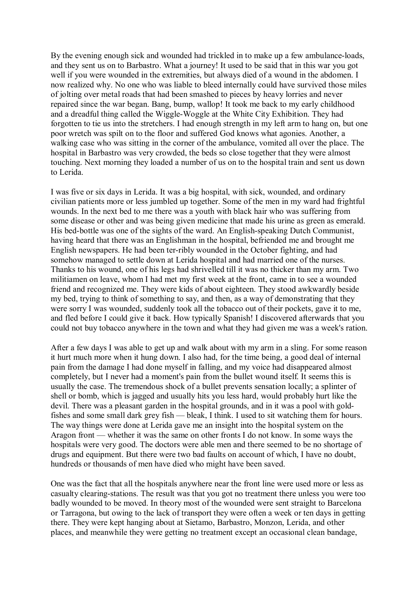By the evening enough sick and wounded had trickled in to make up a few ambulance-loads, and they sent us on to Barbastro. What a journey! It used to be said that in this war you got well if you were wounded in the extremities, but always died of a wound in the abdomen. I now realized why. No one who was liable to bleed internally could have survived those miles of jolting over metal roads that had been smashed to pieces by heavy lorries and never repaired since the war began. Bang, bump, wallop! It took me back to my early childhood and a dreadful thing called the Wiggle-Woggle at the White City Exhibition. They had forgotten to tie us into the stretchers. I had enough strength in my left arm to hang on, but one poor wretch was spilt on to the floor and suffered God knows what agonies. Another, a walking case who was sitting in the corner of the ambulance, vomited all over the place. The hospital in Barbastro was very crowded, the beds so close together that they were almost touching. Next morning they loaded a number of us on to the hospital train and sent us down to Lerida.

I was five or six days in Lerida. It was a big hospital, with sick, wounded, and ordinary civilian patients more or less jumbled up together. Some of the men in my ward had frightful wounds. In the next bed to me there was a youth with black hair who was suffering from some disease or other and was being given medicine that made his urine as green as emerald. His bed-bottle was one of the sights of the ward. An English-speaking Dutch Communist, having heard that there was an Englishman in the hospital, befriended me and brought me English newspapers. He had been ter-ribly wounded in the October fighting, and had somehow managed to settle down at Lerida hospital and had married one of the nurses. Thanks to his wound, one of his legs had shrivelled till it was no thicker than my arm. Two militiamen on leave, whom I had met my first week at the front, came in to see a wounded friend and recognized me. They were kids of about eighteen. They stood awkwardly beside my bed, trying to think of something to say, and then, as a way of demonstrating that they were sorry I was wounded, suddenly took all the tobacco out of their pockets, gave it to me, and fled before I could give it back. How typically Spanish! I discovered afterwards that you could not buy tobacco anywhere in the town and what they had given me was a week's ration.

After a few days I was able to get up and walk about with my arm in a sling. For some reason it hurt much more when it hung down. I also had, for the time being, a good deal of internal pain from the damage I had done myself in falling, and my voice had disappeared almost completely, but I never had a moment's pain from the bullet wound itself. It seems this is usually the case. The tremendous shock of a bullet prevents sensation locally; a splinter of shell or bomb, which is jagged and usually hits you less hard, would probably hurt like the devil. There was a pleasant garden in the hospital grounds, and in it was a pool with goldfishes and some small dark grey fish — bleak, I think. I used to sit watching them for hours. The way things were done at Lerida gave me an insight into the hospital system on the Aragon front — whether it was the same on other fronts I do not know. In some ways the hospitals were very good. The doctors were able men and there seemed to be no shortage of drugs and equipment. But there were two bad faults on account of which, I have no doubt, hundreds or thousands of men have died who might have been saved.

One was the fact that all the hospitals anywhere near the front line were used more or less as casualty clearing-stations. The result was that you got no treatment there unless you were too badly wounded to be moved. In theory most of the wounded were sent straight to Barcelona or Tarragona, but owing to the lack of transport they were often a week or ten days in getting there. They were kept hanging about at Sietamo, Barbastro, Monzon, Lerida, and other places, and meanwhile they were getting no treatment except an occasional clean bandage,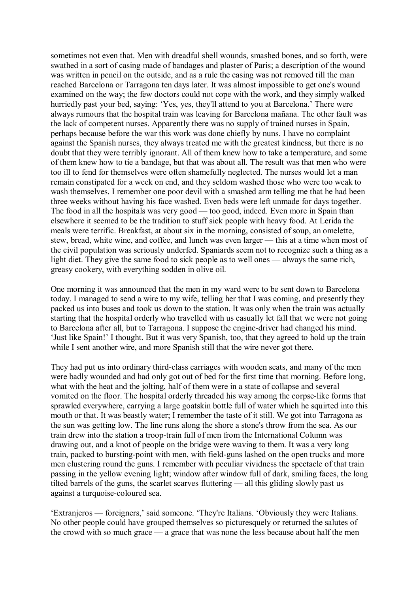sometimes not even that. Men with dreadful shell wounds, smashed bones, and so forth, were swathed in a sort of casing made of bandages and plaster of Paris; a description of the wound was written in pencil on the outside, and as a rule the casing was not removed till the man reached Barcelona or Tarragona ten days later. It was almost impossible to get one's wound examined on the way; the few doctors could not cope with the work, and they simply walked hurriedly past your bed, saying: 'Yes, yes, they'll attend to you at Barcelona.' There were always rumours that the hospital train was leaving for Barcelona mañana. The other fault was the lack of competent nurses. Apparently there was no supply of trained nurses in Spain, perhaps because before the war this work was done chiefly by nuns. I have no complaint against the Spanish nurses, they always treated me with the greatest kindness, but there is no doubt that they were terribly ignorant. All of them knew how to take a temperature, and some of them knew how to tie a bandage, but that was about all. The result was that men who were too ill to fend for themselves were often shamefully neglected. The nurses would let a man remain constipated for a week on end, and they seldom washed those who were too weak to wash themselves. I remember one poor devil with a smashed arm telling me that he had been three weeks without having his face washed. Even beds were left unmade for days together. The food in all the hospitals was very good — too good, indeed. Even more in Spain than elsewhere it seemed to be the tradition to stuff sick people with heavy food. At Lerida the meals were terrific. Breakfast, at about six in the morning, consisted of soup, an omelette, stew, bread, white wine, and coffee, and lunch was even larger — this at a time when most of the civil population was seriously underfed. Spaniards seem not to recognize such a thing as a light diet. They give the same food to sick people as to well ones — always the same rich, greasy cookery, with everything sodden in olive oil.

One morning it was announced that the men in my ward were to be sent down to Barcelona today. I managed to send a wire to my wife, telling her that I was coming, and presently they packed us into buses and took us down to the station. It was only when the train was actually starting that the hospital orderly who travelled with us casually let fall that we were not going to Barcelona after all, but to Tarragona. I suppose the engine-driver had changed his mind. 'Just like Spain!' I thought. But it was very Spanish, too, that they agreed to hold up the train while I sent another wire, and more Spanish still that the wire never got there.

They had put us into ordinary third-class carriages with wooden seats, and many of the men were badly wounded and had only got out of bed for the first time that morning. Before long, what with the heat and the jolting, half of them were in a state of collapse and several vomited on the floor. The hospital orderly threaded his way among the corpse-like forms that sprawled everywhere, carrying a large goatskin bottle full of water which he squirted into this mouth or that. It was beastly water; I remember the taste of it still. We got into Tarragona as the sun was getting low. The line runs along the shore a stone's throw from the sea. As our train drew into the station a troop-train full of men from the International Column was drawing out, and a knot of people on the bridge were waving to them. It was a very long train, packed to bursting-point with men, with field-guns lashed on the open trucks and more men clustering round the guns. I remember with peculiar vividness the spectacle of that train passing in the yellow evening light; window after window full of dark, smiling faces, the long tilted barrels of the guns, the scarlet scarves fluttering — all this gliding slowly past us against a turquoise-coloured sea.

'Extranjeros — foreigners,' said someone. 'They're Italians. 'Obviously they were Italians. No other people could have grouped themselves so picturesquely or returned the salutes of the crowd with so much grace — a grace that was none the less because about half the men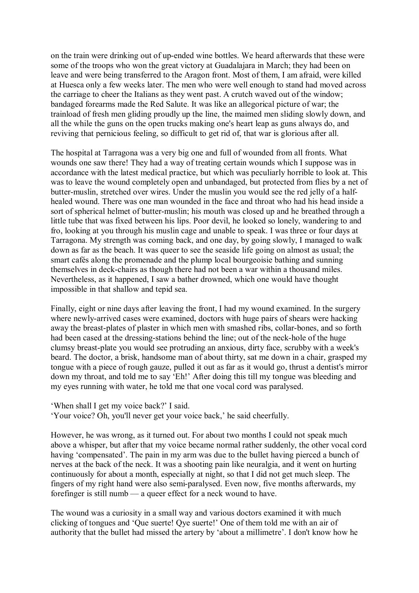on the train were drinking out of up-ended wine bottles. We heard afterwards that these were some of the troops who won the great victory at Guadalajara in March; they had been on leave and were being transferred to the Aragon front. Most of them, I am afraid, were killed at Huesca only a few weeks later. The men who were well enough to stand had moved across the carriage to cheer the Italians as they went past. A crutch waved out of the window; bandaged forearms made the Red Salute. It was like an allegorical picture of war; the trainload of fresh men gliding proudly up the line, the maimed men sliding slowly down, and all the while the guns on the open trucks making one's heart leap as guns always do, and reviving that pernicious feeling, so difficult to get rid of, that war is glorious after all.

The hospital at Tarragona was a very big one and full of wounded from all fronts. What wounds one saw there! They had a way of treating certain wounds which I suppose was in accordance with the latest medical practice, but which was peculiarly horrible to look at. This was to leave the wound completely open and unbandaged, but protected from flies by a net of butter-muslin, stretched over wires. Under the muslin you would see the red jelly of a halfhealed wound. There was one man wounded in the face and throat who had his head inside a sort of spherical helmet of butter-muslin; his mouth was closed up and he breathed through a little tube that was fixed between his lips. Poor devil, he looked so lonely, wandering to and fro, looking at you through his muslin cage and unable to speak. I was three or four days at Tarragona. My strength was coming back, and one day, by going slowly, I managed to walk down as far as the beach. It was queer to see the seaside life going on almost as usual; the smart cafés along the promenade and the plump local bourgeoisie bathing and sunning themselves in deck-chairs as though there had not been a war within a thousand miles. Nevertheless, as it happened, I saw a bather drowned, which one would have thought impossible in that shallow and tepid sea.

Finally, eight or nine days after leaving the front, I had my wound examined. In the surgery where newly-arrived cases were examined, doctors with huge pairs of shears were hacking away the breast-plates of plaster in which men with smashed ribs, collar-bones, and so forth had been cased at the dressing-stations behind the line; out of the neck-hole of the huge clumsy breast-plate you would see protruding an anxious, dirty face, scrubby with a week's beard. The doctor, a brisk, handsome man of about thirty, sat me down in a chair, grasped my tongue with a piece of rough gauze, pulled it out as far as it would go, thrust a dentist's mirror down my throat, and told me to say 'Eh!' After doing this till my tongue was bleeding and my eyes running with water, he told me that one vocal cord was paralysed.

- 'When shall I get my voice back?' I said.
- 'Your voice? Oh, you'll never get your voice back,' he said cheerfully.

However, he was wrong, as it turned out. For about two months I could not speak much above a whisper, but after that my voice became normal rather suddenly, the other vocal cord having 'compensated'. The pain in my arm was due to the bullet having pierced a bunch of nerves at the back of the neck. It was a shooting pain like neuralgia, and it went on hurting continuously for about a month, especially at night, so that I did not get much sleep. The fingers of my right hand were also semi-paralysed. Even now, five months afterwards, my forefinger is still numb — a queer effect for a neck wound to have.

The wound was a curiosity in a small way and various doctors examined it with much clicking of tongues and 'Que suerte! Qye suerte!' One of them told me with an air of authority that the bullet had missed the artery by 'about a millimetre'. I don't know how he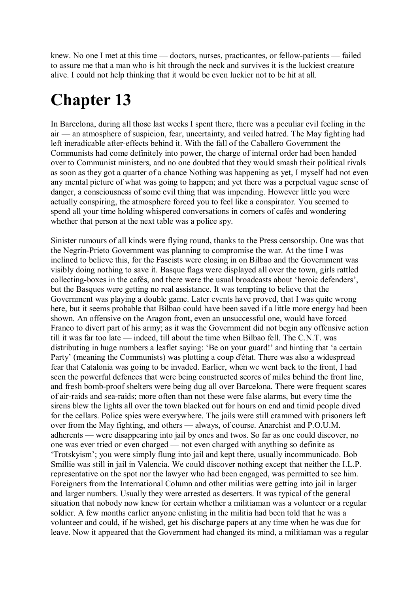knew. No one I met at this time — doctors, nurses, practicantes, or fellow-patients — failed to assure me that a man who is hit through the neck and survives it is the luckiest creature alive. I could not help thinking that it would be even luckier not to be hit at all.

# **Chapter 13**

In Barcelona, during all those last weeks I spent there, there was a peculiar evil feeling in the air — an atmosphere of suspicion, fear, uncertainty, and veiled hatred. The May fighting had left ineradicable after-effects behind it. With the fall of the Caballero Government the Communists had come definitely into power, the charge of internal order had been handed over to Communist ministers, and no one doubted that they would smash their political rivals as soon as they got a quarter of a chance Nothing was happening as yet, I myself had not even any mental picture of what was going to happen; and yet there was a perpetual vague sense of danger, a consciousness of some evil thing that was impending. However little you were actually conspiring, the atmosphere forced you to feel like a conspirator. You seemed to spend all your time holding whispered conversations in corners of cafés and wondering whether that person at the next table was a police spy.

Sinister rumours of all kinds were flying round, thanks to the Press censorship. One was that the Negrín-Prieto Government was planning to compromise the war. At the time I was inclined to believe this, for the Fascists were closing in on Bilbao and the Government was visibly doing nothing to save it. Basque flags were displayed all over the town, girls rattled collecting-boxes in the cafés, and there were the usual broadcasts about 'heroic defenders', but the Basques were getting no real assistance. It was tempting to believe that the Government was playing a double game. Later events have proved, that I was quite wrong here, but it seems probable that Bilbao could have been saved if a little more energy had been shown. An offensive on the Aragon front, even an unsuccessful one, would have forced Franco to divert part of his army; as it was the Government did not begin any offensive action till it was far too late — indeed, till about the time when Bilbao fell. The C.N.T. was distributing in huge numbers a leaflet saying: 'Be on your guard!' and hinting that 'a certain Party' (meaning the Communists) was plotting a coup d'état. There was also a widespread fear that Catalonia was going to be invaded. Earlier, when we went back to the front, I had seen the powerful defences that were being constructed scores of miles behind the front line, and fresh bomb-proof shelters were being dug all over Barcelona. There were frequent scares of air-raids and sea-raids; more often than not these were false alarms, but every time the sirens blew the lights all over the town blacked out for hours on end and timid people dived for the cellars. Police spies were everywhere. The jails were still crammed with prisoners left over from the May fighting, and others — always, of course. Anarchist and P.O.U.M. adherents — were disappearing into jail by ones and twos. So far as one could discover, no one was ever tried or even charged — not even charged with anything so definite as 'Trotskyism'; you were simply flung into jail and kept there, usually incommunicado. Bob Smillie was still in jail in Valencia. We could discover nothing except that neither the I.L.P. representative on the spot nor the lawyer who had been engaged, was permitted to see him. Foreigners from the International Column and other militias were getting into jail in larger and larger numbers. Usually they were arrested as deserters. It was typical of the general situation that nobody now knew for certain whether a militiaman was a volunteer or a regular soldier. A few months earlier anyone enlisting in the militia had been told that he was a volunteer and could, if he wished, get his discharge papers at any time when he was due for leave. Now it appeared that the Government had changed its mind, a militiaman was a regular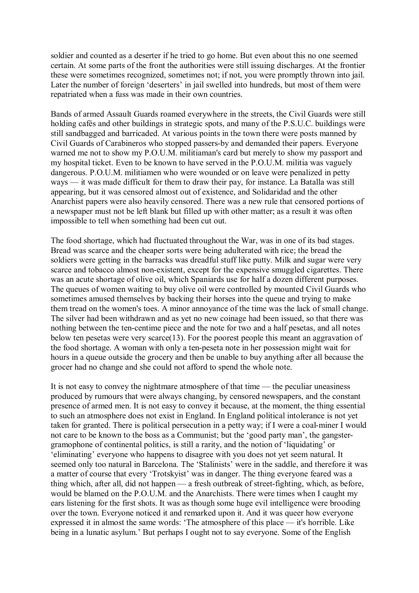soldier and counted as a deserter if he tried to go home. But even about this no one seemed certain. At some parts of the front the authorities were still issuing discharges. At the frontier these were sometimes recognized, sometimes not; if not, you were promptly thrown into jail. Later the number of foreign 'deserters' in jail swelled into hundreds, but most of them were repatriated when a fuss was made in their own countries.

Bands of armed Assault Guards roamed everywhere in the streets, the Civil Guards were still holding cafés and other buildings in strategic spots, and many of the P.S.U.C. buildings were still sandbagged and barricaded. At various points in the town there were posts manned by Civil Guards of Carabineros who stopped passers-by and demanded their papers. Everyone warned me not to show my P.O.U.M. militiaman's card but merely to show my passport and my hospital ticket. Even to be known to have served in the P.O.U.M. militia was vaguely dangerous. P.O.U.M. militiamen who were wounded or on leave were penalized in petty ways — it was made difficult for them to draw their pay, for instance. La Batalla was still appearing, but it was censored almost out of existence, and Solidaridad and the other Anarchist papers were also heavily censored. There was a new rule that censored portions of a newspaper must not be left blank but filled up with other matter; as a result it was often impossible to tell when something had been cut out.

The food shortage, which had fluctuated throughout the War, was in one of its bad stages. Bread was scarce and the cheaper sorts were being adulterated with rice; the bread the soldiers were getting in the barracks was dreadful stuff like putty. Milk and sugar were very scarce and tobacco almost non-existent, except for the expensive smuggled cigarettes. There was an acute shortage of olive oil, which Spaniards use for half a dozen different purposes. The queues of women waiting to buy olive oil were controlled by mounted Civil Guards who sometimes amused themselves by backing their horses into the queue and trying to make them tread on the women's toes. A minor annoyance of the time was the lack of small change. The silver had been withdrawn and as yet no new coinage had been issued, so that there was nothing between the ten-centime piece and the note for two and a half pesetas, and all notes below ten pesetas were very scarce(13). For the poorest people this meant an aggravation of the food shortage. A woman with only a ten-peseta note in her possession might wait for hours in a queue outside the grocery and then be unable to buy anything after all because the grocer had no change and she could not afford to spend the whole note.

It is not easy to convey the nightmare atmosphere of that time — the peculiar uneasiness produced by rumours that were always changing, by censored newspapers, and the constant presence of armed men. It is not easy to convey it because, at the moment, the thing essential to such an atmosphere does not exist in England. In England political intolerance is not yet taken for granted. There is political persecution in a petty way; if I were a coal-miner I would not care to be known to the boss as a Communist; but the 'good party man', the gangstergramophone of continental politics, is still a rarity, and the notion of 'liquidating' or 'eliminating' everyone who happens to disagree with you does not yet seem natural. It seemed only too natural in Barcelona. The 'Stalinists' were in the saddle, and therefore it was a matter of course that every 'Trotskyist' was in danger. The thing everyone feared was a thing which, after all, did not happen — a fresh outbreak of street-fighting, which, as before, would be blamed on the P.O.U.M. and the Anarchists. There were times when I caught my ears listening for the first shots. It was as though some huge evil intelligence were brooding over the town. Everyone noticed it and remarked upon it. And it was queer how everyone expressed it in almost the same words: 'The atmosphere of this place — it's horrible. Like being in a lunatic asylum.' But perhaps I ought not to say everyone. Some of the English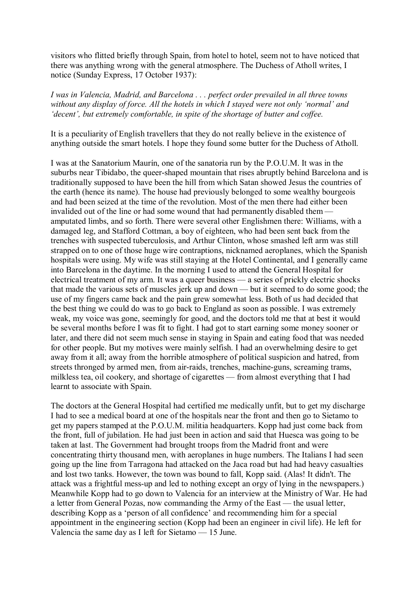visitors who flitted briefly through Spain, from hotel to hotel, seem not to have noticed that there was anything wrong with the general atmosphere. The Duchess of Atholl writes, I notice (Sunday Express, 17 October 1937):

*I was in Valencia, Madrid, and Barcelona . . . perfect order prevailed in all three towns without any display of force. All the hotels in which I stayed were not only 'normal' and 'decent', but extremely comfortable, in spite of the shortage of butter and coffee.*

It is a peculiarity of English travellers that they do not really believe in the existence of anything outside the smart hotels. I hope they found some butter for the Duchess of Atholl.

I was at the Sanatorium Maurín, one of the sanatoria run by the P.O.U.M. It was in the suburbs near Tibidabo, the queer-shaped mountain that rises abruptly behind Barcelona and is traditionally supposed to have been the hill from which Satan showed Jesus the countries of the earth (hence its name). The house had previously belonged to some wealthy bourgeois and had been seized at the time of the revolution. Most of the men there had either been invalided out of the line or had some wound that had permanently disabled them amputated limbs, and so forth. There were several other Englishmen there: Williams, with a damaged leg, and Stafford Cottman, a boy of eighteen, who had been sent back from the trenches with suspected tuberculosis, and Arthur Clinton, whose smashed left arm was still strapped on to one of those huge wire contraptions, nicknamed aeroplanes, which the Spanish hospitals were using. My wife was still staying at the Hotel Continental, and I generally came into Barcelona in the daytime. In the morning I used to attend the General Hospital for electrical treatment of my arm. It was a queer business — a series of prickly electric shocks that made the various sets of muscles jerk up and down — but it seemed to do some good; the use of my fingers came back and the pain grew somewhat less. Both of us had decided that the best thing we could do was to go back to England as soon as possible. I was extremely weak, my voice was gone, seemingly for good, and the doctors told me that at best it would be several months before I was fit to fight. I had got to start earning some money sooner or later, and there did not seem much sense in staying in Spain and eating food that was needed for other people. But my motives were mainly selfish. I had an overwhelming desire to get away from it all; away from the horrible atmosphere of political suspicion and hatred, from streets thronged by armed men, from air-raids, trenches, machine-guns, screaming trams, milkless tea, oil cookery, and shortage of cigarettes — from almost everything that I had learnt to associate with Spain.

The doctors at the General Hospital had certified me medically unfit, but to get my discharge I had to see a medical board at one of the hospitals near the front and then go to Sietamo to get my papers stamped at the P.O.U.M. militia headquarters. Kopp had just come back from the front, full of jubilation. He had just been in action and said that Huesca was going to be taken at last. The Government had brought troops from the Madrid front and were concentrating thirty thousand men, with aeroplanes in huge numbers. The Italians I had seen going up the line from Tarragona had attacked on the Jaca road but had had heavy casualties and lost two tanks. However, the town was bound to fall, Kopp said. (Alas! It didn't. The attack was a frightful mess-up and led to nothing except an orgy of lying in the newspapers.) Meanwhile Kopp had to go down to Valencia for an interview at the Ministry of War. He had a letter from General Pozas, now commanding the Army of the East — the usual letter, describing Kopp as a 'person of all confidence' and recommending him for a special appointment in the engineering section (Kopp had been an engineer in civil life). He left for Valencia the same day as I left for Sietamo — 15 June.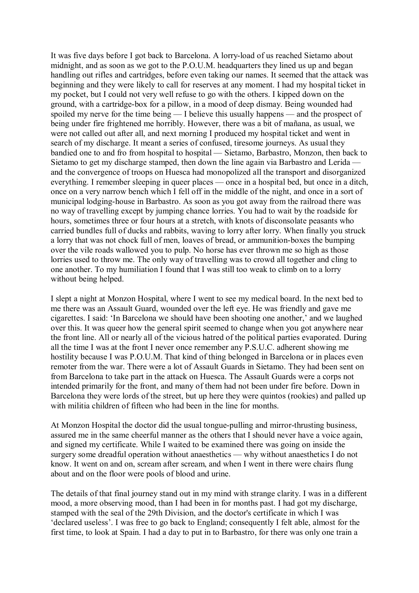It was five days before I got back to Barcelona. A lorry-load of us reached Sietamo about midnight, and as soon as we got to the P.O.U.M. headquarters they lined us up and began handling out rifles and cartridges, before even taking our names. It seemed that the attack was beginning and they were likely to call for reserves at any moment. I had my hospital ticket in my pocket, but I could not very well refuse to go with the others. I kipped down on the ground, with a cartridge-box for a pillow, in a mood of deep dismay. Being wounded had spoiled my nerve for the time being — I believe this usually happens — and the prospect of being under fire frightened me horribly. However, there was a bit of mañana, as usual, we were not called out after all, and next morning I produced my hospital ticket and went in search of my discharge. It meant a series of confused, tiresome journeys. As usual they bandied one to and fro from hospital to hospital — Sietamo, Barbastro, Monzon, then back to Sietamo to get my discharge stamped, then down the line again via Barbastro and Lerida and the convergence of troops on Huesca had monopolized all the transport and disorganized everything. I remember sleeping in queer places — once in a hospital bed, but once in a ditch, once on a very narrow bench which I fell off in the middle of the night, and once in a sort of municipal lodging-house in Barbastro. As soon as you got away from the railroad there was no way of travelling except by jumping chance lorries. You had to wait by the roadside for hours, sometimes three or four hours at a stretch, with knots of disconsolate peasants who carried bundles full of ducks and rabbits, waving to lorry after lorry. When finally you struck a lorry that was not chock full of men, loaves of bread, or ammunition-boxes the bumping over the vile roads wallowed you to pulp. No horse has ever thrown me so high as those lorries used to throw me. The only way of travelling was to crowd all together and cling to one another. To my humiliation I found that I was still too weak to climb on to a lorry without being helped.

I slept a night at Monzon Hospital, where I went to see my medical board. In the next bed to me there was an Assault Guard, wounded over the left eye. He was friendly and gave me cigarettes. I said: 'In Barcelona we should have been shooting one another,' and we laughed over this. It was queer how the general spirit seemed to change when you got anywhere near the front line. All or nearly all of the vicious hatred of the political parties evaporated. During all the time I was at the front I never once remember any P.S.U.C. adherent showing me hostility because I was P.O.U.M. That kind of thing belonged in Barcelona or in places even remoter from the war. There were a lot of Assault Guards in Sietamo. They had been sent on from Barcelona to take part in the attack on Huesca. The Assault Guards were a corps not intended primarily for the front, and many of them had not been under fire before. Down in Barcelona they were lords of the street, but up here they were quintos (rookies) and palled up with militia children of fifteen who had been in the line for months.

At Monzon Hospital the doctor did the usual tongue-pulling and mirror-thrusting business, assured me in the same cheerful manner as the others that I should never have a voice again, and signed my certificate. While I waited to be examined there was going on inside the surgery some dreadful operation without anaesthetics — why without anaesthetics I do not know. It went on and on, scream after scream, and when I went in there were chairs flung about and on the floor were pools of blood and urine.

The details of that final journey stand out in my mind with strange clarity. I was in a different mood, a more observing mood, than I had been in for months past. I had got my discharge, stamped with the seal of the 29th Division, and the doctor's certificate in which I was 'declared useless'. I was free to go back to England; consequently I felt able, almost for the first time, to look at Spain. I had a day to put in to Barbastro, for there was only one train a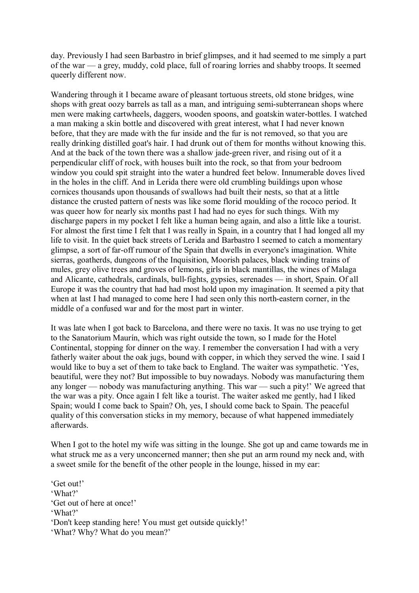day. Previously I had seen Barbastro in brief glimpses, and it had seemed to me simply a part of the war — a grey, muddy, cold place, full of roaring lorries and shabby troops. It seemed queerly different now.

Wandering through it I became aware of pleasant tortuous streets, old stone bridges, wine shops with great oozy barrels as tall as a man, and intriguing semi-subterranean shops where men were making cartwheels, daggers, wooden spoons, and goatskin water-bottles. I watched a man making a skin bottle and discovered with great interest, what I had never known before, that they are made with the fur inside and the fur is not removed, so that you are really drinking distilled goat's hair. I had drunk out of them for months without knowing this. And at the back of the town there was a shallow jade-green river, and rising out of it a perpendicular cliff of rock, with houses built into the rock, so that from your bedroom window you could spit straight into the water a hundred feet below. Innumerable doves lived in the holes in the cliff. And in Lerida there were old crumbling buildings upon whose cornices thousands upon thousands of swallows had built their nests, so that at a little distance the crusted pattern of nests was like some florid moulding of the rococo period. It was queer how for nearly six months past I had had no eyes for such things. With my discharge papers in my pocket I felt like a human being again, and also a little like a tourist. For almost the first time I felt that I was really in Spain, in a country that I had longed all my life to visit. In the quiet back streets of Lerida and Barbastro I seemed to catch a momentary glimpse, a sort of far-off rumour of the Spain that dwells in everyone's imagination. White sierras, goatherds, dungeons of the Inquisition, Moorish palaces, black winding trains of mules, grey olive trees and groves of lemons, girls in black mantillas, the wines of Malaga and Alicante, cathedrals, cardinals, bull-fights, gypsies, serenades — in short, Spain. Of all Europe it was the country that had had most hold upon my imagination. It seemed a pity that when at last I had managed to come here I had seen only this north-eastern corner, in the middle of a confused war and for the most part in winter.

It was late when I got back to Barcelona, and there were no taxis. It was no use trying to get to the Sanatorium Maurín, which was right outside the town, so I made for the Hotel Continental, stopping for dinner on the way. I remember the conversation I had with a very fatherly waiter about the oak jugs, bound with copper, in which they served the wine. I said I would like to buy a set of them to take back to England. The waiter was sympathetic. 'Yes, beautiful, were they not? But impossible to buy nowadays. Nobody was manufacturing them any longer — nobody was manufacturing anything. This war — such a pity!' We agreed that the war was a pity. Once again I felt like a tourist. The waiter asked me gently, had I liked Spain; would I come back to Spain? Oh, yes, I should come back to Spain. The peaceful quality of this conversation sticks in my memory, because of what happened immediately afterwards.

When I got to the hotel my wife was sitting in the lounge. She got up and came towards me in what struck me as a very unconcerned manner; then she put an arm round my neck and, with a sweet smile for the benefit of the other people in the lounge, hissed in my ear:

'Get out!' 'What?' 'Get out of here at once!' 'What?' 'Don't keep standing here! You must get outside quickly!' 'What? Why? What do you mean?'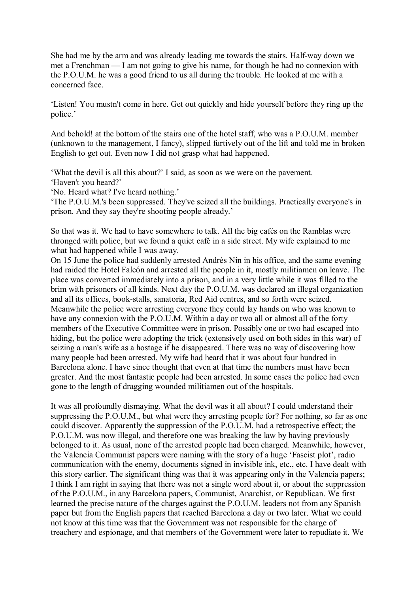She had me by the arm and was already leading me towards the stairs. Half-way down we met a Frenchman — I am not going to give his name, for though he had no connexion with the P.O.U.M. he was a good friend to us all during the trouble. He looked at me with a concerned face.

'Listen! You mustn't come in here. Get out quickly and hide yourself before they ring up the police.'

And behold! at the bottom of the stairs one of the hotel staff, who was a P.O.U.M. member (unknown to the management, I fancy), slipped furtively out of the lift and told me in broken English to get out. Even now I did not grasp what had happened.

'What the devil is all this about?' I said, as soon as we were on the pavement.

'Haven't you heard?'

'No. Heard what? I've heard nothing.'

'The P.O.U.M.'s been suppressed. They've seized all the buildings. Practically everyone's in prison. And they say they're shooting people already.'

So that was it. We had to have somewhere to talk. All the big cafés on the Ramblas were thronged with police, but we found a quiet café in a side street. My wife explained to me what had happened while I was away.

On 15 June the police had suddenly arrested Andrés Nin in his office, and the same evening had raided the Hotel Falcón and arrested all the people in it, mostly militiamen on leave. The place was converted immediately into a prison, and in a very little while it was filled to the brim with prisoners of all kinds. Next day the P.O.U.M. was declared an illegal organization and all its offices, book-stalls, sanatoria, Red Aid centres, and so forth were seized. Meanwhile the police were arresting everyone they could lay hands on who was known to have any connexion with the P.O.U.M. Within a day or two all or almost all of the forty members of the Executive Committee were in prison. Possibly one or two had escaped into hiding, but the police were adopting the trick (extensively used on both sides in this war) of seizing a man's wife as a hostage if he disappeared. There was no way of discovering how many people had been arrested. My wife had heard that it was about four hundred in Barcelona alone. I have since thought that even at that time the numbers must have been greater. And the most fantastic people had been arrested. In some cases the police had even gone to the length of dragging wounded militiamen out of the hospitals.

It was all profoundly dismaying. What the devil was it all about? I could understand their suppressing the P.O.U.M., but what were they arresting people for? For nothing, so far as one could discover. Apparently the suppression of the P.O.U.M. had a retrospective effect; the P.O.U.M. was now illegal, and therefore one was breaking the law by having previously belonged to it. As usual, none of the arrested people had been charged. Meanwhile, however, the Valencia Communist papers were naming with the story of a huge 'Fascist plot', radio communication with the enemy, documents signed in invisible ink, etc., etc. I have dealt with this story earlier. The significant thing was that it was appearing only in the Valencia papers; I think I am right in saying that there was not a single word about it, or about the suppression of the P.O.U.M., in any Barcelona papers, Communist, Anarchist, or Republican. We first learned the precise nature of the charges against the P.O.U.M. leaders not from any Spanish paper but from the English papers that reached Barcelona a day or two later. What we could not know at this time was that the Government was not responsible for the charge of treachery and espionage, and that members of the Government were later to repudiate it. We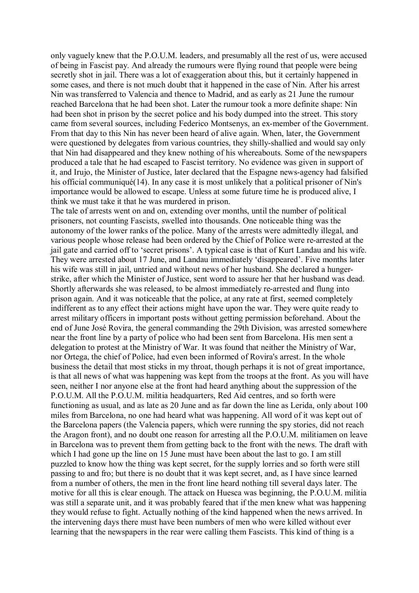only vaguely knew that the P.O.U.M. leaders, and presumably all the rest of us, were accused of being in Fascist pay. And already the rumours were flying round that people were being secretly shot in jail. There was a lot of exaggeration about this, but it certainly happened in some cases, and there is not much doubt that it happened in the case of Nin. After his arrest Nin was transferred to Valencia and thence to Madrid, and as early as 21 June the rumour reached Barcelona that he had been shot. Later the rumour took a more definite shape: Nin had been shot in prison by the secret police and his body dumped into the street. This story came from several sources, including Federico Montsenys, an ex-member of the Government. From that day to this Nin has never been heard of alive again. When, later, the Government were questioned by delegates from various countries, they shilly-shallied and would say only that Nin had disappeared and they knew nothing of his whereabouts. Some of the newspapers produced a tale that he had escaped to Fascist territory. No evidence was given in support of it, and Irujo, the Minister of Justice, later declared that the Espagne news-agency had falsified his official communiqué(14). In any case it is most unlikely that a political prisoner of Nin's importance would be allowed to escape. Unless at some future time he is produced alive, I think we must take it that he was murdered in prison.

The tale of arrests went on and on, extending over months, until the number of political prisoners, not counting Fascists, swelled into thousands. One noticeable thing was the autonomy of the lower ranks of the police. Many of the arrests were admittedly illegal, and various people whose release had been ordered by the Chief of Police were re-arrested at the jail gate and carried off to 'secret prisons'. A typical case is that of Kurt Landau and his wife. They were arrested about 17 June, and Landau immediately 'disappeared'. Five months later his wife was still in jail, untried and without news of her husband. She declared a hungerstrike, after which the Minister of Justice, sent word to assure her that her husband was dead. Shortly afterwards she was released, to be almost immediately re-arrested and flung into prison again. And it was noticeable that the police, at any rate at first, seemed completely indifferent as to any effect their actions might have upon the war. They were quite ready to arrest military officers in important posts without getting permission beforehand. About the end of June José Rovira, the general commanding the 29th Division, was arrested somewhere near the front line by a party of police who had been sent from Barcelona. His men sent a delegation to protest at the Ministry of War. It was found that neither the Ministry of War, nor Ortega, the chief of Police, had even been informed of Rovira's arrest. In the whole business the detail that most sticks in my throat, though perhaps it is not of great importance, is that all news of what was happening was kept from the troops at the front. As you will have seen, neither I nor anyone else at the front had heard anything about the suppression of the P.O.U.M. All the P.O.U.M. militia headquarters, Red Aid centres, and so forth were functioning as usual, and as late as 20 June and as far down the line as Lerida, only about 100 miles from Barcelona, no one had heard what was happening. All word of it was kept out of the Barcelona papers (the Valencia papers, which were running the spy stories, did not reach the Aragon front), and no doubt one reason for arresting all the P.O.U.M. militiamen on leave in Barcelona was to prevent them from getting back to the front with the news. The draft with which I had gone up the line on 15 June must have been about the last to go. I am still puzzled to know how the thing was kept secret, for the supply lorries and so forth were still passing to and fro; but there is no doubt that it was kept secret, and, as I have since learned from a number of others, the men in the front line heard nothing till several days later. The motive for all this is clear enough. The attack on Huesca was beginning, the P.O.U.M. militia was still a separate unit, and it was probably feared that if the men knew what was happening they would refuse to fight. Actually nothing of the kind happened when the news arrived. In the intervening days there must have been numbers of men who were killed without ever learning that the newspapers in the rear were calling them Fascists. This kind of thing is a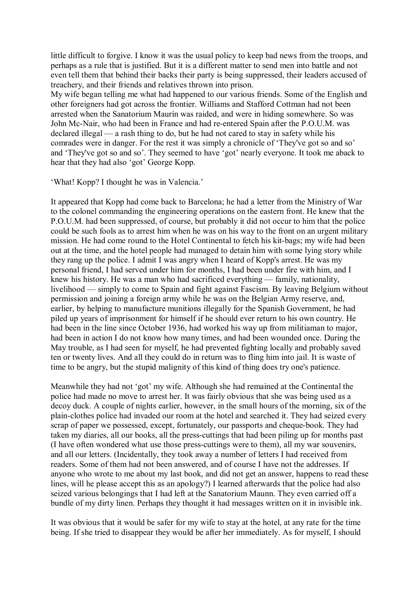little difficult to forgive. I know it was the usual policy to keep bad news from the troops, and perhaps as a rule that is justified. But it is a different matter to send men into battle and not even tell them that behind their backs their party is being suppressed, their leaders accused of treachery, and their friends and relatives thrown into prison.

My wife began telling me what had happened to our various friends. Some of the English and other foreigners had got across the frontier. Williams and Stafford Cottman had not been arrested when the Sanatorium Maurín was raided, and were in hiding somewhere. So was John Mc-Nair, who had been in France and had re-entered Spain after the P.O.U.M. was declared illegal — a rash thing to do, but he had not cared to stay in safety while his comrades were in danger. For the rest it was simply a chronicle of 'They've got so and so' and 'They've got so and so'. They seemed to have 'got' nearly everyone. It took me aback to hear that they had also 'got' George Kopp.

'What! Kopp? I thought he was in Valencia.'

It appeared that Kopp had come back to Barcelona; he had a letter from the Ministry of War to the colonel commanding the engineering operations on the eastern front. He knew that the P.O.U.M. had been suppressed, of course, but probably it did not occur to him that the police could be such fools as to arrest him when he was on his way to the front on an urgent military mission. He had come round to the Hotel Continental to fetch his kit-bags; my wife had been out at the time, and the hotel people had managed to detain him with some lying story while they rang up the police. I admit I was angry when I heard of Kopp's arrest. He was my personal friend, I had served under him for months, I had been under fire with him, and I knew his history. He was a man who had sacrificed everything — family, nationality, livelihood — simply to come to Spain and fight against Fascism. By leaving Belgium without permission and joining a foreign army while he was on the Belgian Army reserve, and, earlier, by helping to manufacture munitions illegally for the Spanish Government, he had piled up years of imprisonment for himself if he should ever return to his own country. He had been in the line since October 1936, had worked his way up from militiaman to major, had been in action I do not know how many times, and had been wounded once. During the May trouble, as I had seen for myself, he had prevented fighting locally and probably saved ten or twenty lives. And all they could do in return was to fling him into jail. It is waste of time to be angry, but the stupid malignity of this kind of thing does try one's patience.

Meanwhile they had not 'got' my wife. Although she had remained at the Continental the police had made no move to arrest her. It was fairly obvious that she was being used as a decoy duck. A couple of nights earlier, however, in the small hours of the morning, six of the plain-clothes police had invaded our room at the hotel and searched it. They had seized every scrap of paper we possessed, except, fortunately, our passports and cheque-book. They had taken my diaries, all our books, all the press-cuttings that had been piling up for months past (I have often wondered what use those press-cuttings were to them), all my war souvenirs, and all our letters. (Incidentally, they took away a number of letters I had received from readers. Some of them had not been answered, and of course I have not the addresses. If anyone who wrote to me about my last book, and did not get an answer, happens to read these lines, will he please accept this as an apology?) I learned afterwards that the police had also seized various belongings that I had left at the Sanatorium Maunn. They even carried off a bundle of my dirty linen. Perhaps they thought it had messages written on it in invisible ink.

It was obvious that it would be safer for my wife to stay at the hotel, at any rate for the time being. If she tried to disappear they would be after her immediately. As for myself, I should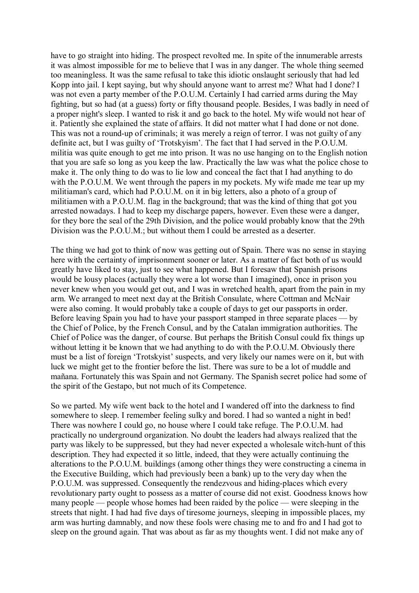have to go straight into hiding. The prospect revolted me. In spite of the innumerable arrests it was almost impossible for me to believe that I was in any danger. The whole thing seemed too meaningless. It was the same refusal to take this idiotic onslaught seriously that had led Kopp into jail. I kept saying, but why should anyone want to arrest me? What had I done? I was not even a party member of the P.O.U.M. Certainly I had carried arms during the May fighting, but so had (at a guess) forty or fifty thousand people. Besides, I was badly in need of a proper night's sleep. I wanted to risk it and go back to the hotel. My wife would not hear of it. Patiently she explained the state of affairs. It did not matter what I had done or not done. This was not a round-up of criminals; it was merely a reign of terror. I was not guilty of any definite act, but I was guilty of 'Trotskyism'. The fact that I had served in the P.O.U.M. militia was quite enough to get me into prison. It was no use hanging on to the English notion that you are safe so long as you keep the law. Practically the law was what the police chose to make it. The only thing to do was to lie low and conceal the fact that I had anything to do with the P.O.U.M. We went through the papers in my pockets. My wife made me tear up my militiaman's card, which had P.O.U.M. on it in big letters, also a photo of a group of militiamen with a P.O.U.M. flag in the background; that was the kind of thing that got you arrested nowadays. I had to keep my discharge papers, however. Even these were a danger, for they bore the seal of the 29th Division, and the police would probably know that the 29th Division was the P.O.U.M.; but without them I could be arrested as a deserter.

The thing we had got to think of now was getting out of Spain. There was no sense in staying here with the certainty of imprisonment sooner or later. As a matter of fact both of us would greatly have liked to stay, just to see what happened. But I foresaw that Spanish prisons would be lousy places (actually they were a lot worse than I imagined), once in prison you never knew when you would get out, and I was in wretched health, apart from the pain in my arm. We arranged to meet next day at the British Consulate, where Cottman and McNair were also coming. It would probably take a couple of days to get our passports in order. Before leaving Spain you had to have your passport stamped in three separate places — by the Chief of Police, by the French Consul, and by the Catalan immigration authorities. The Chief of Police was the danger, of course. But perhaps the British Consul could fix things up without letting it be known that we had anything to do with the P.O.U.M. Obviously there must be a list of foreign 'Trotskyist' suspects, and very likely our names were on it, but with luck we might get to the frontier before the list. There was sure to be a lot of muddle and mañana. Fortunately this was Spain and not Germany. The Spanish secret police had some of the spirit of the Gestapo, but not much of its Competence.

So we parted. My wife went back to the hotel and I wandered off into the darkness to find somewhere to sleep. I remember feeling sulky and bored. I had so wanted a night in bed! There was nowhere I could go, no house where I could take refuge. The P.O.U.M. had practically no underground organization. No doubt the leaders had always realized that the party was likely to be suppressed, but they had never expected a wholesale witch-hunt of this description. They had expected it so little, indeed, that they were actually continuing the alterations to the P.O.U.M. buildings (among other things they were constructing a cinema in the Executive Building, which had previously been a bank) up to the very day when the P.O.U.M. was suppressed. Consequently the rendezvous and hiding-places which every revolutionary party ought to possess as a matter of course did not exist. Goodness knows how many people — people whose homes had been raided by the police — were sleeping in the streets that night. I had had five days of tiresome journeys, sleeping in impossible places, my arm was hurting damnably, and now these fools were chasing me to and fro and I had got to sleep on the ground again. That was about as far as my thoughts went. I did not make any of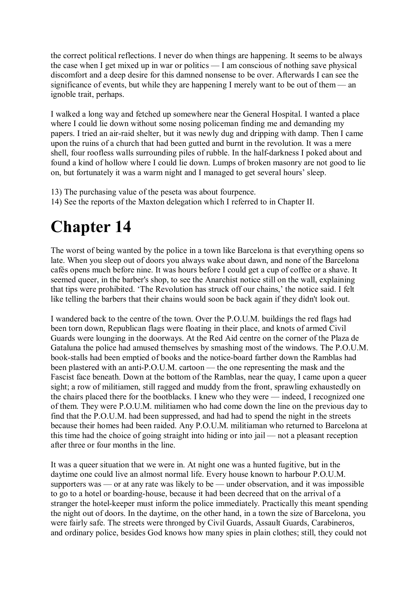the correct political reflections. I never do when things are happening. It seems to be always the case when I get mixed up in war or politics — I am conscious of nothing save physical discomfort and a deep desire for this damned nonsense to be over. Afterwards I can see the significance of events, but while they are happening I merely want to be out of them — an ignoble trait, perhaps.

I walked a long way and fetched up somewhere near the General Hospital. I wanted a place where I could lie down without some nosing policeman finding me and demanding my papers. I tried an air-raid shelter, but it was newly dug and dripping with damp. Then I came upon the ruins of a church that had been gutted and burnt in the revolution. It was a mere shell, four roofless walls surrounding piles of rubble. In the half-darkness I poked about and found a kind of hollow where I could lie down. Lumps of broken masonry are not good to lie on, but fortunately it was a warm night and I managed to get several hours' sleep.

- 13) The purchasing value of the peseta was about fourpence.
- 14) See the reports of the Maxton delegation which I referred to in Chapter II.

## **Chapter 14**

The worst of being wanted by the police in a town like Barcelona is that everything opens so late. When you sleep out of doors you always wake about dawn, and none of the Barcelona cafés opens much before nine. It was hours before I could get a cup of coffee or a shave. It seemed queer, in the barber's shop, to see the Anarchist notice still on the wall, explaining that tips were prohibited. 'The Revolution has struck off our chains,' the notice said. I felt like telling the barbers that their chains would soon be back again if they didn't look out.

I wandered back to the centre of the town. Over the P.O.U.M. buildings the red flags had been torn down, Republican flags were floating in their place, and knots of armed Civil Guards were lounging in the doorways. At the Red Aid centre on the corner of the Plaza de Gataluna the police had amused themselves by smashing most of the windows. The P.O.U.M. book-stalls had been emptied of books and the notice-board farther down the Ramblas had been plastered with an anti-P.O.U.M. cartoon — the one representing the mask and the Fascist face beneath. Down at the bottom of the Ramblas, near the quay, I came upon a queer sight; a row of militiamen, still ragged and muddy from the front, sprawling exhaustedly on the chairs placed there for the bootblacks. I knew who they were — indeed, I recognized one of them. They were P.O.U.M. militiamen who had come down the line on the previous day to find that the P.O.U.M. had been suppressed, and had had to spend the night in the streets because their homes had been raided. Any P.O.U.M. militiaman who returned to Barcelona at this time had the choice of going straight into hiding or into jail — not a pleasant reception after three or four months in the line.

It was a queer situation that we were in. At night one was a hunted fugitive, but in the daytime one could live an almost normal life. Every house known to harbour P.O.U.M. supporters was — or at any rate was likely to be — under observation, and it was impossible to go to a hotel or boarding-house, because it had been decreed that on the arrival of a stranger the hotel-keeper must inform the police immediately. Practically this meant spending the night out of doors. In the daytime, on the other hand, in a town the size of Barcelona, you were fairly safe. The streets were thronged by Civil Guards, Assault Guards, Carabineros, and ordinary police, besides God knows how many spies in plain clothes; still, they could not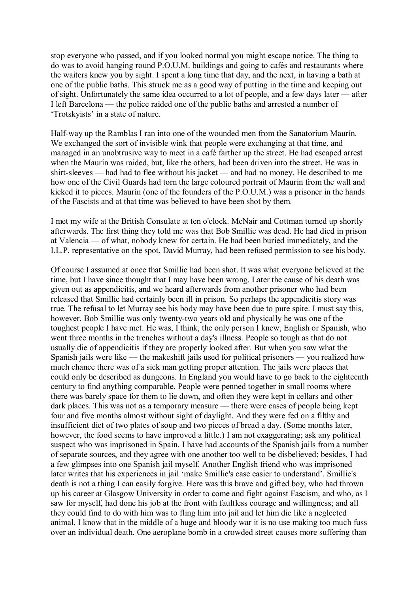stop everyone who passed, and if you looked normal you might escape notice. The thing to do was to avoid hanging round P.O.U.M. buildings and going to cafés and restaurants where the waiters knew you by sight. I spent a long time that day, and the next, in having a bath at one of the public baths. This struck me as a good way of putting in the time and keeping out of sight. Unfortunately the same idea occurred to a lot of people, and a few days later — after I left Barcelona — the police raided one of the public baths and arrested a number of 'Trotskyists' in a state of nature.

Half-way up the Ramblas I ran into one of the wounded men from the Sanatorium Maurín. We exchanged the sort of invisible wink that people were exchanging at that time, and managed in an unobtrusive way to meet in a café farther up the street. He had escaped arrest when the Maurín was raided, but, like the others, had been driven into the street. He was in shirt-sleeves — had had to flee without his jacket — and had no money. He described to me how one of the Civil Guards had torn the large coloured portrait of Maurín from the wall and kicked it to pieces. Maurín (one of the founders of the P.O.U.M.) was a prisoner in the hands of the Fascists and at that time was believed to have been shot by them.

I met my wife at the British Consulate at ten o'clock. McNair and Cottman turned up shortly afterwards. The first thing they told me was that Bob Smillie was dead. He had died in prison at Valencia — of what, nobody knew for certain. He had been buried immediately, and the I.L.P. representative on the spot, David Murray, had been refused permission to see his body.

Of course I assumed at once that Smillie had been shot. It was what everyone believed at the time, but I have since thought that I may have been wrong. Later the cause of his death was given out as appendicitis, and we heard afterwards from another prisoner who had been released that Smillie had certainly been ill in prison. So perhaps the appendicitis story was true. The refusal to let Murray see his body may have been due to pure spite. I must say this, however. Bob Smillie was only twenty-two years old and physically he was one of the toughest people I have met. He was, I think, the only person I knew, English or Spanish, who went three months in the trenches without a day's illness. People so tough as that do not usually die of appendicitis if they are properly looked after. But when you saw what the Spanish jails were like — the makeshift jails used for political prisoners — you realized how much chance there was of a sick man getting proper attention. The jails were places that could only be described as dungeons. In England you would have to go back to the eighteenth century to find anything comparable. People were penned together in small rooms where there was barely space for them to lie down, and often they were kept in cellars and other dark places. This was not as a temporary measure — there were cases of people being kept four and five months almost without sight of daylight. And they were fed on a filthy and insufficient diet of two plates of soup and two pieces of bread a day. (Some months later, however, the food seems to have improved a little.) I am not exaggerating; ask any political suspect who was imprisoned in Spain. I have had accounts of the Spanish jails from a number of separate sources, and they agree with one another too well to be disbelieved; besides, I had a few glimpses into one Spanish jail myself. Another English friend who was imprisoned later writes that his experiences in jail 'make Smillie's case easier to understand'. Smillie's death is not a thing I can easily forgive. Here was this brave and gifted boy, who had thrown up his career at Glasgow University in order to come and fight against Fascism, and who, as I saw for myself, had done his job at the front with faultless courage and willingness; and all they could find to do with him was to fling him into jail and let him die like a neglected animal. I know that in the middle of a huge and bloody war it is no use making too much fuss over an individual death. One aeroplane bomb in a crowded street causes more suffering than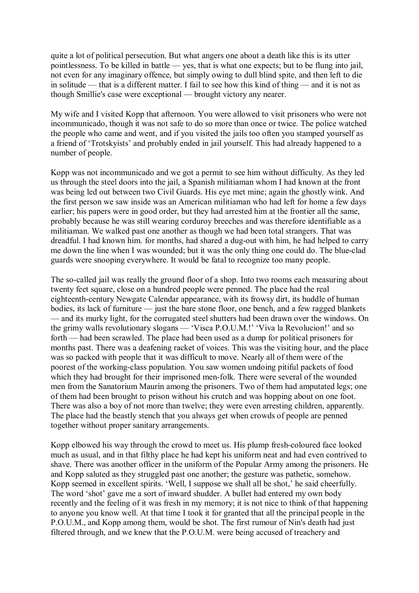quite a lot of political persecution. But what angers one about a death like this is its utter pointlessness. To be killed in battle — yes, that is what one expects; but to be flung into jail, not even for any imaginary offence, but simply owing to dull blind spite, and then left to die in solitude — that is a different matter. I fail to see how this kind of thing — and it is not as though Smillie's case were exceptional — brought victory any nearer.

My wife and I visited Kopp that afternoon. You were allowed to visit prisoners who were not incommunicado, though it was not safe to do so more than once or twice. The police watched the people who came and went, and if you visited the jails too often you stamped yourself as a friend of 'Trotskyists' and probably ended in jail yourself. This had already happened to a number of people.

Kopp was not incommunicado and we got a permit to see him without difficulty. As they led us through the steel doors into the jail, a Spanish militiaman whom I had known at the front was being led out between two Civil Guards. His eye met mine; again the ghostly wink. And the first person we saw inside was an American militiaman who had left for home a few days earlier; his papers were in good order, but they had arrested him at the frontier all the same, probably because he was still wearing corduroy breeches and was therefore identifiable as a militiaman. We walked past one another as though we had been total strangers. That was dreadful. I had known him. for months, had shared a dug-out with him, he had helped to carry me down the line when I was wounded; but it was the only thing one could do. The blue-clad guards were snooping everywhere. It would be fatal to recognize too many people.

The so-called jail was really the ground floor of a shop. Into two rooms each measuring about twenty feet square, close on a hundred people were penned. The place had the real eighteenth-century Newgate Calendar appearance, with its frowsy dirt, its huddle of human bodies, its lack of furniture — just the bare stone floor, one bench, and a few ragged blankets — and its murky light, for the corrugated steel shutters had been drawn over the windows. On the grimy walls revolutionary slogans — 'Visca P.O.U.M.!' 'Viva la Revolucion!' and so forth — had been scrawled. The place had been used as a dump for political prisoners for months past. There was a deafening racket of voices. This was the visiting hour, and the place was so packed with people that it was difficult to move. Nearly all of them were of the poorest of the working-class population. You saw women undoing pitiful packets of food which they had brought for their imprisoned men-folk. There were several of the wounded men from the Sanatorium Maurín among the prisoners. Two of them had amputated legs; one of them had been brought to prison without his crutch and was hopping about on one foot. There was also a boy of not more than twelve; they were even arresting children, apparently. The place had the beastly stench that you always get when crowds of people are penned together without proper sanitary arrangements.

Kopp elbowed his way through the crowd to meet us. His plump fresh-coloured face looked much as usual, and in that filthy place he had kept his uniform neat and had even contrived to shave. There was another officer in the uniform of the Popular Army among the prisoners. He and Kopp saluted as they struggled past one another; the gesture was pathetic, somehow. Kopp seemed in excellent spirits. 'Well, I suppose we shall all be shot,' he said cheerfully. The word 'shot' gave me a sort of inward shudder. A bullet had entered my own body recently and the feeling of it was fresh in my memory; it is not nice to think of that happening to anyone you know well. At that time I took it for granted that all the principal people in the P.O.U.M., and Kopp among them, would be shot. The first rumour of Nin's death had just filtered through, and we knew that the P.O.U.M. were being accused of treachery and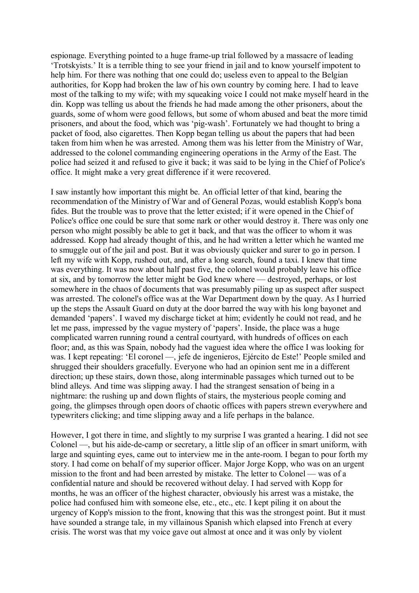espionage. Everything pointed to a huge frame-up trial followed by a massacre of leading 'Trotskyists.' It is a terrible thing to see your friend in jail and to know yourself impotent to help him. For there was nothing that one could do; useless even to appeal to the Belgian authorities, for Kopp had broken the law of his own country by coming here. I had to leave most of the talking to my wife; with my squeaking voice I could not make myself heard in the din. Kopp was telling us about the friends he had made among the other prisoners, about the guards, some of whom were good fellows, but some of whom abused and beat the more timid prisoners, and about the food, which was 'pig-wash'. Fortunately we had thought to bring a packet of food, also cigarettes. Then Kopp began telling us about the papers that had been taken from him when he was arrested. Among them was his letter from the Ministry of War, addressed to the colonel commanding engineering operations in the Army of the East. The police had seized it and refused to give it back; it was said to be lying in the Chief of Police's office. It might make a very great difference if it were recovered.

I saw instantly how important this might be. An official letter of that kind, bearing the recommendation of the Ministry of War and of General Pozas, would establish Kopp's bona fides. But the trouble was to prove that the letter existed; if it were opened in the Chief of Police's office one could be sure that some nark or other would destroy it. There was only one person who might possibly be able to get it back, and that was the officer to whom it was addressed. Kopp had already thought of this, and he had written a letter which he wanted me to smuggle out of the jail and post. But it was obviously quicker and surer to go in person. I left my wife with Kopp, rushed out, and, after a long search, found a taxi. I knew that time was everything. It was now about half past five, the colonel would probably leave his office at six, and by tomorrow the letter might be God knew where — destroyed, perhaps, or lost somewhere in the chaos of documents that was presumably piling up as suspect after suspect was arrested. The colonel's office was at the War Department down by the quay. As I hurried up the steps the Assault Guard on duty at the door barred the way with his long bayonet and demanded 'papers'. I waved my discharge ticket at him; evidently he could not read, and he let me pass, impressed by the vague mystery of 'papers'. Inside, the place was a huge complicated warren running round a central courtyard, with hundreds of offices on each floor; and, as this was Spain, nobody had the vaguest idea where the office I was looking for was. I kept repeating: 'El coronel —, jefe de ingenieros, Ejército de Este!' People smiled and shrugged their shoulders gracefully. Everyone who had an opinion sent me in a different direction; up these stairs, down those, along interminable passages which turned out to be blind alleys. And time was slipping away. I had the strangest sensation of being in a nightmare: the rushing up and down flights of stairs, the mysterious people coming and going, the glimpses through open doors of chaotic offices with papers strewn everywhere and typewriters clicking; and time slipping away and a life perhaps in the balance.

However, I got there in time, and slightly to my surprise I was granted a hearing. I did not see Colonel —, but his aide-de-camp or secretary, a little slip of an officer in smart uniform, with large and squinting eyes, came out to interview me in the ante-room. I began to pour forth my story. I had come on behalf of my superior officer. Major Jorge Kopp, who was on an urgent mission to the front and had been arrested by mistake. The letter to Colonel — was of a confidential nature and should be recovered without delay. I had served with Kopp for months, he was an officer of the highest character, obviously his arrest was a mistake, the police had confused him with someone else, etc., etc., etc. I kept piling it on about the urgency of Kopp's mission to the front, knowing that this was the strongest point. But it must have sounded a strange tale, in my villainous Spanish which elapsed into French at every crisis. The worst was that my voice gave out almost at once and it was only by violent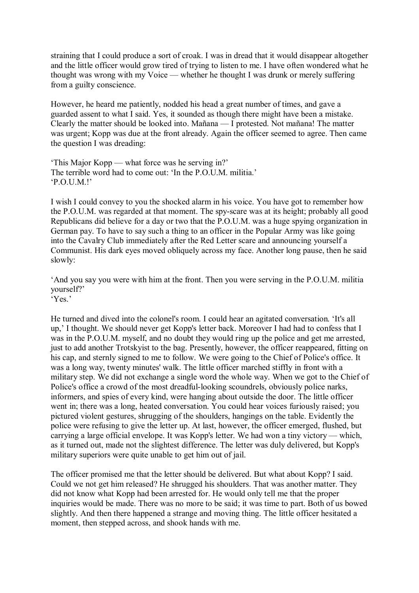straining that I could produce a sort of croak. I was in dread that it would disappear altogether and the little officer would grow tired of trying to listen to me. I have often wondered what he thought was wrong with my Voice — whether he thought I was drunk or merely suffering from a guilty conscience.

However, he heard me patiently, nodded his head a great number of times, and gave a guarded assent to what I said. Yes, it sounded as though there might have been a mistake. Clearly the matter should be looked into. Mañana — I protested. Not mañana! The matter was urgent; Kopp was due at the front already. Again the officer seemed to agree. Then came the question I was dreading:

'This Major Kopp — what force was he serving in?' The terrible word had to come out: 'In the P.O.U.M. militia.' 'POUM!'

I wish I could convey to you the shocked alarm in his voice. You have got to remember how the P.O.U.M. was regarded at that moment. The spy-scare was at its height; probably all good Republicans did believe for a day or two that the P.O.U.M. was a huge spying organization in German pay. To have to say such a thing to an officer in the Popular Army was like going into the Cavalry Club immediately after the Red Letter scare and announcing yourself a Communist. His dark eyes moved obliquely across my face. Another long pause, then he said slowly:

'And you say you were with him at the front. Then you were serving in the P.O.U.M. militia yourself?'

'Yes.'

He turned and dived into the colonel's room. I could hear an agitated conversation. 'It's all up,' I thought. We should never get Kopp's letter back. Moreover I had had to confess that I was in the P.O.U.M. myself, and no doubt they would ring up the police and get me arrested, just to add another Trotskyist to the bag. Presently, however, the officer reappeared, fitting on his cap, and sternly signed to me to follow. We were going to the Chief of Police's office. It was a long way, twenty minutes' walk. The little officer marched stiffly in front with a military step. We did not exchange a single word the whole way. When we got to the Chief of Police's office a crowd of the most dreadful-looking scoundrels, obviously police narks, informers, and spies of every kind, were hanging about outside the door. The little officer went in; there was a long, heated conversation. You could hear voices furiously raised; you pictured violent gestures, shrugging of the shoulders, hangings on the table. Evidently the police were refusing to give the letter up. At last, however, the officer emerged, flushed, but carrying a large official envelope. It was Kopp's letter. We had won a tiny victory — which, as it turned out, made not the slightest difference. The letter was duly delivered, but Kopp's military superiors were quite unable to get him out of jail.

The officer promised me that the letter should be delivered. But what about Kopp? I said. Could we not get him released? He shrugged his shoulders. That was another matter. They did not know what Kopp had been arrested for. He would only tell me that the proper inquiries would be made. There was no more to be said; it was time to part. Both of us bowed slightly. And then there happened a strange and moving thing. The little officer hesitated a moment, then stepped across, and shook hands with me.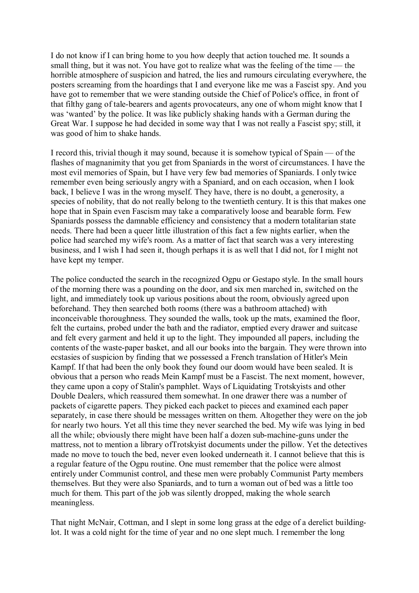I do not know if I can bring home to you how deeply that action touched me. It sounds a small thing, but it was not. You have got to realize what was the feeling of the time — the horrible atmosphere of suspicion and hatred, the lies and rumours circulating everywhere, the posters screaming from the hoardings that I and everyone like me was a Fascist spy. And you have got to remember that we were standing outside the Chief of Police's office, in front of that filthy gang of tale-bearers and agents provocateurs, any one of whom might know that I was 'wanted' by the police. It was like publicly shaking hands with a German during the Great War. I suppose he had decided in some way that I was not really a Fascist spy; still, it was good of him to shake hands.

I record this, trivial though it may sound, because it is somehow typical of Spain — of the flashes of magnanimity that you get from Spaniards in the worst of circumstances. I have the most evil memories of Spain, but I have very few bad memories of Spaniards. I only twice remember even being seriously angry with a Spaniard, and on each occasion, when I look back, I believe I was in the wrong myself. They have, there is no doubt, a generosity, a species of nobility, that do not really belong to the twentieth century. It is this that makes one hope that in Spain even Fascism may take a comparatively loose and bearable form. Few Spaniards possess the damnable efficiency and consistency that a modern totalitarian state needs. There had been a queer little illustration of this fact a few nights earlier, when the police had searched my wife's room. As a matter of fact that search was a very interesting business, and I wish I had seen it, though perhaps it is as well that I did not, for I might not have kept my temper.

The police conducted the search in the recognized Ogpu or Gestapo style. In the small hours of the morning there was a pounding on the door, and six men marched in, switched on the light, and immediately took up various positions about the room, obviously agreed upon beforehand. They then searched both rooms (there was a bathroom attached) with inconceivable thoroughness. They sounded the walls, took up the mats, examined the floor, felt the curtains, probed under the bath and the radiator, emptied every drawer and suitcase and felt every garment and held it up to the light. They impounded all papers, including the contents of the waste-paper basket, and all our books into the bargain. They were thrown into ecstasies of suspicion by finding that we possessed a French translation of Hitler's Mein Kampf. If that had been the only book they found our doom would have been sealed. It is obvious that a person who reads Mein Kampf must be a Fascist. The next moment, however, they came upon a copy of Stalin's pamphlet. Ways of Liquidating Trotskyists and other Double Dealers, which reassured them somewhat. In one drawer there was a number of packets of cigarette papers. They picked each packet to pieces and examined each paper separately, in case there should be messages written on them. Altogether they were on the job for nearly two hours. Yet all this time they never searched the bed. My wife was lying in bed all the while; obviously there might have been half a dozen sub-machine-guns under the mattress, not to mention a library ofTrotskyist documents under the pillow. Yet the detectives made no move to touch the bed, never even looked underneath it. I cannot believe that this is a regular feature of the Ogpu routine. One must remember that the police were almost entirely under Communist control, and these men were probably Communist Party members themselves. But they were also Spaniards, and to turn a woman out of bed was a little too much for them. This part of the job was silently dropped, making the whole search meaningless.

That night McNair, Cottman, and I slept in some long grass at the edge of a derelict buildinglot. It was a cold night for the time of year and no one slept much. I remember the long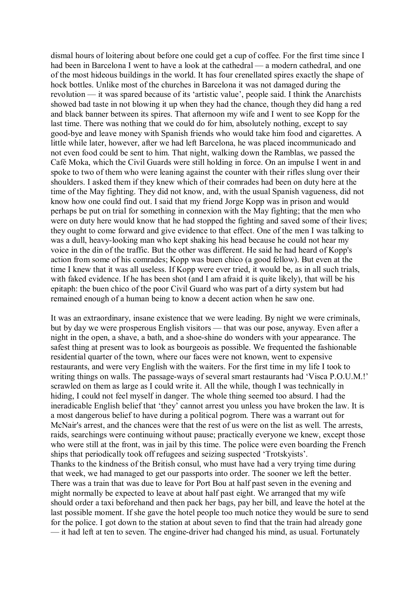dismal hours of loitering about before one could get a cup of coffee. For the first time since I had been in Barcelona I went to have a look at the cathedral — a modern cathedral, and one of the most hideous buildings in the world. It has four crenellated spires exactly the shape of hock bottles. Unlike most of the churches in Barcelona it was not damaged during the revolution — it was spared because of its 'artistic value', people said. I think the Anarchists showed bad taste in not blowing it up when they had the chance, though they did hang a red and black banner between its spires. That afternoon my wife and I went to see Kopp for the last time. There was nothing that we could do for him, absolutely nothing, except to say good-bye and leave money with Spanish friends who would take him food and cigarettes. A little while later, however, after we had left Barcelona, he was placed incommunicado and not even food could be sent to him. That night, walking down the Ramblas, we passed the Café Moka, which the Civil Guards were still holding in force. On an impulse I went in and spoke to two of them who were leaning against the counter with their rifles slung over their shoulders. I asked them if they knew which of their comrades had been on duty here at the time of the May fighting. They did not know, and, with the usual Spanish vagueness, did not know how one could find out. I said that my friend Jorge Kopp was in prison and would perhaps be put on trial for something in connexion with the May fighting; that the men who were on duty here would know that he had stopped the fighting and saved some of their lives; they ought to come forward and give evidence to that effect. One of the men I was talking to was a dull, heavy-looking man who kept shaking his head because he could not hear my voice in the din of the traffic. But the other was different. He said he had heard of Kopp's action from some of his comrades; Kopp was buen chico (a good fellow). But even at the time I knew that it was all useless. If Kopp were ever tried, it would be, as in all such trials, with faked evidence. If he has been shot (and I am afraid it is quite likely), that will be his epitaph: the buen chico of the poor Civil Guard who was part of a dirty system but had remained enough of a human being to know a decent action when he saw one.

It was an extraordinary, insane existence that we were leading. By night we were criminals, but by day we were prosperous English visitors — that was our pose, anyway. Even after a night in the open, a shave, a bath, and a shoe-shine do wonders with your appearance. The safest thing at present was to look as bourgeois as possible. We frequented the fashionable residential quarter of the town, where our faces were not known, went to expensive restaurants, and were very English with the waiters. For the first time in my life I took to writing things on walls. The passage-ways of several smart restaurants had 'Visca P.O.U.M.!' scrawled on them as large as I could write it. All the while, though I was technically in hiding, I could not feel myself in danger. The whole thing seemed too absurd. I had the ineradicable English belief that 'they' cannot arrest you unless you have broken the law. It is a most dangerous belief to have during a political pogrom. There was a warrant out for McNair's arrest, and the chances were that the rest of us were on the list as well. The arrests, raids, searchings were continuing without pause; practically everyone we knew, except those who were still at the front, was in jail by this time. The police were even boarding the French ships that periodically took off refugees and seizing suspected 'Trotskyists'. Thanks to the kindness of the British consul, who must have had a very trying time during that week, we had managed to get our passports into order. The sooner we left the better. There was a train that was due to leave for Port Bou at half past seven in the evening and might normally be expected to leave at about half past eight. We arranged that my wife should order a taxi beforehand and then pack her bags, pay her bill, and leave the hotel at the last possible moment. If she gave the hotel people too much notice they would be sure to send for the police. I got down to the station at about seven to find that the train had already gone — it had left at ten to seven. The engine-driver had changed his mind, as usual. Fortunately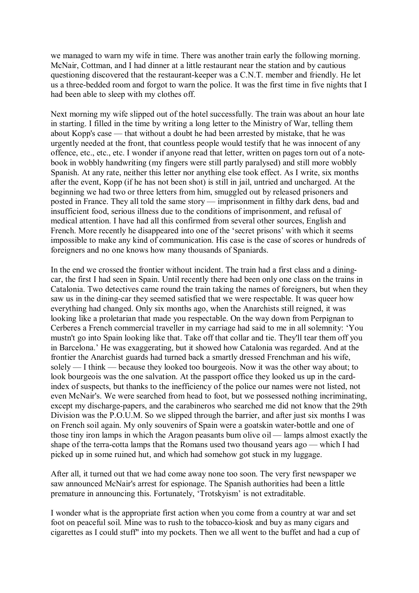we managed to warn my wife in time. There was another train early the following morning. McNair, Cottman, and I had dinner at a little restaurant near the station and by cautious questioning discovered that the restaurant-keeper was a C.N.T. member and friendly. He let us a three-bedded room and forgot to warn the police. It was the first time in five nights that I had been able to sleep with my clothes off.

Next morning my wife slipped out of the hotel successfully. The train was about an hour late in starting. I filled in the time by writing a long letter to the Ministry of War, telling them about Kopp's case — that without a doubt he had been arrested by mistake, that he was urgently needed at the front, that countless people would testify that he was innocent of any offence, etc., etc., etc. I wonder if anyone read that letter, written on pages torn out of a notebook in wobbly handwriting (my fingers were still partly paralysed) and still more wobbly Spanish. At any rate, neither this letter nor anything else took effect. As I write, six months after the event, Kopp (if he has not been shot) is still in jail, untried and uncharged. At the beginning we had two or three letters from him, smuggled out by released prisoners and posted in France. They all told the same story — imprisonment in filthy dark dens, bad and insufficient food, serious illness due to the conditions of imprisonment, and refusal of medical attention. I have had all this confirmed from several other sources, English and French. More recently he disappeared into one of the 'secret prisons' with which it seems impossible to make any kind of communication. His case is the case of scores or hundreds of foreigners and no one knows how many thousands of Spaniards.

In the end we crossed the frontier without incident. The train had a first class and a diningcar, the first I had seen in Spain. Until recently there had been only one class on the trains in Catalonia. Two detectives came round the train taking the names of foreigners, but when they saw us in the dining-car they seemed satisfied that we were respectable. It was queer how everything had changed. Only six months ago, when the Anarchists still reigned, it was looking like a proletarian that made you respectable. On the way down from Perpignan to Cerberes a French commercial traveller in my carriage had said to me in all solemnity: 'You mustn't go into Spain looking like that. Take off that collar and tie. They'll tear them off you in Barcelona.' He was exaggerating, but it showed how Catalonia was regarded. And at the frontier the Anarchist guards had turned back a smartly dressed Frenchman and his wife, solely — I think — because they looked too bourgeois. Now it was the other way about; to look bourgeois was the one salvation. At the passport office they looked us up in the cardindex of suspects, but thanks to the inefficiency of the police our names were not listed, not even McNair's. We were searched from head to foot, but we possessed nothing incriminating, except my discharge-papers, and the carabineros who searched me did not know that the 29th Division was the P.O.U.M. So we slipped through the barrier, and after just six months I was on French soil again. My only souvenirs of Spain were a goatskin water-bottle and one of those tiny iron lamps in which the Aragon peasants bum olive oil — lamps almost exactly the shape of the terra-cotta lamps that the Romans used two thousand years ago — which I had picked up in some ruined hut, and which had somehow got stuck in my luggage.

After all, it turned out that we had come away none too soon. The very first newspaper we saw announced McNair's arrest for espionage. The Spanish authorities had been a little premature in announcing this. Fortunately, 'Trotskyism' is not extraditable.

I wonder what is the appropriate first action when you come from a country at war and set foot on peaceful soil. Mine was to rush to the tobacco-kiosk and buy as many cigars and cigarettes as I could stuff" into my pockets. Then we all went to the buffet and had a cup of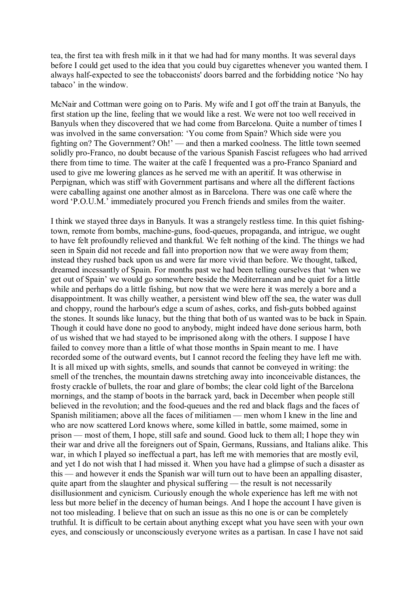tea, the first tea with fresh milk in it that we had had for many months. It was several days before I could get used to the idea that you could buy cigarettes whenever you wanted them. I always half-expected to see the tobacconists' doors barred and the forbidding notice 'No hay tabaco' in the window.

McNair and Cottman were going on to Paris. My wife and I got off the train at Banyuls, the first station up the line, feeling that we would like a rest. We were not too well received in Banyuls when they discovered that we had come from Barcelona. Quite a number of times I was involved in the same conversation: 'You come from Spain? Which side were you fighting on? The Government? Oh!' — and then a marked coolness. The little town seemed solidly pro-Franco, no doubt because of the various Spanish Fascist refugees who had arrived there from time to time. The waiter at the café I frequented was a pro-Franco Spaniard and used to give me lowering glances as he served me with an aperitif. It was otherwise in Perpignan, which was stiff with Government partisans and where all the different factions were caballing against one another almost as in Barcelona. There was one café where the word 'P.O.U.M.' immediately procured you French friends and smiles from the waiter.

I think we stayed three days in Banyuls. It was a strangely restless time. In this quiet fishingtown, remote from bombs, machine-guns, food-queues, propaganda, and intrigue, we ought to have felt profoundly relieved and thankful. We felt nothing of the kind. The things we had seen in Spain did not recede and fall into proportion now that we were away from them; instead they rushed back upon us and were far more vivid than before. We thought, talked, dreamed incessantly of Spain. For months past we had been telling ourselves that 'when we get out of Spain' we would go somewhere beside the Mediterranean and be quiet for a little while and perhaps do a little fishing, but now that we were here it was merely a bore and a disappointment. It was chilly weather, a persistent wind blew off the sea, the water was dull and choppy, round the harbour's edge a scum of ashes, corks, and fish-guts bobbed against the stones. It sounds like lunacy, but the thing that both of us wanted was to be back in Spain. Though it could have done no good to anybody, might indeed have done serious harm, both of us wished that we had stayed to be imprisoned along with the others. I suppose I have failed to convey more than a little of what those months in Spain meant to me. I have recorded some of the outward events, but I cannot record the feeling they have left me with. It is all mixed up with sights, smells, and sounds that cannot be conveyed in writing: the smell of the trenches, the mountain dawns stretching away into inconceivable distances, the frosty crackle of bullets, the roar and glare of bombs; the clear cold light of the Barcelona mornings, and the stamp of boots in the barrack yard, back in December when people still believed in the revolution; and the food-queues and the red and black flags and the faces of Spanish militiamen; above all the faces of militiamen — men whom I knew in the line and who are now scattered Lord knows where, some killed in battle, some maimed, some in prison — most of them, I hope, still safe and sound. Good luck to them all; I hope they win their war and drive all the foreigners out of Spain, Germans, Russians, and Italians alike. This war, in which I played so ineffectual a part, has left me with memories that are mostly evil, and yet I do not wish that I had missed it. When you have had a glimpse of such a disaster as this — and however it ends the Spanish war will turn out to have been an appalling disaster, quite apart from the slaughter and physical suffering — the result is not necessarily disillusionment and cynicism. Curiously enough the whole experience has left me with not less but more belief in the decency of human beings. And I hope the account I have given is not too misleading. I believe that on such an issue as this no one is or can be completely truthful. It is difficult to be certain about anything except what you have seen with your own eyes, and consciously or unconsciously everyone writes as a partisan. In case I have not said